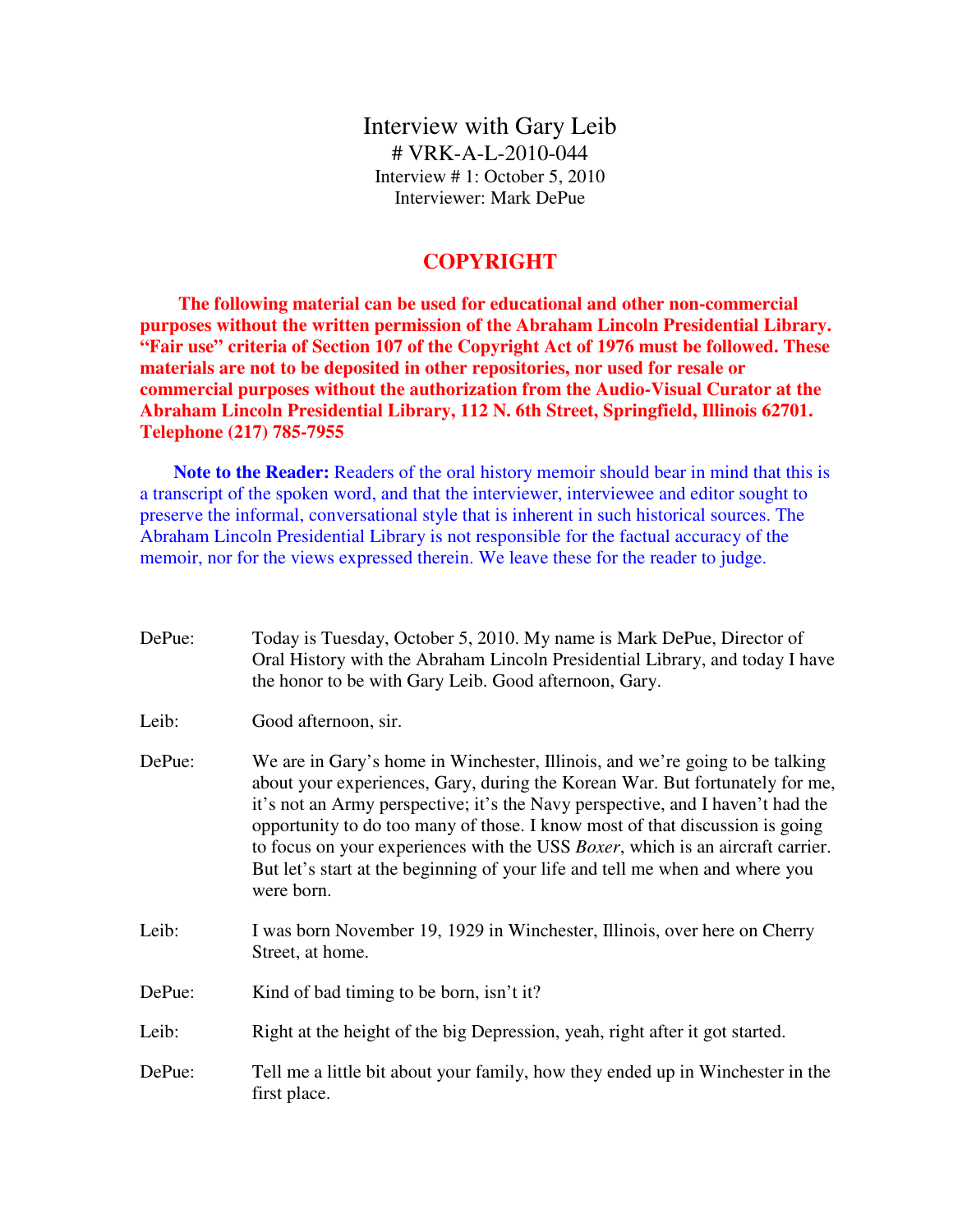Interview with Gary Leib # VRK-A-L-2010-044 Interview # 1: October 5, 2010 Interviewer: Mark DePue

## **COPYRIGHT**

 **The following material can be used for educational and other non-commercial purposes without the written permission of the Abraham Lincoln Presidential Library. "Fair use" criteria of Section 107 of the Copyright Act of 1976 must be followed. These materials are not to be deposited in other repositories, nor used for resale or commercial purposes without the authorization from the Audio-Visual Curator at the Abraham Lincoln Presidential Library, 112 N. 6th Street, Springfield, Illinois 62701. Telephone (217) 785-7955** 

**Note to the Reader:** Readers of the oral history memoir should bear in mind that this is a transcript of the spoken word, and that the interviewer, interviewee and editor sought to preserve the informal, conversational style that is inherent in such historical sources. The Abraham Lincoln Presidential Library is not responsible for the factual accuracy of the memoir, nor for the views expressed therein. We leave these for the reader to judge.

DePue: Today is Tuesday, October 5, 2010. My name is Mark DePue, Director of Oral History with the Abraham Lincoln Presidential Library, and today I have the honor to be with Gary Leib. Good afternoon, Gary. Leib: Good afternoon, sir. DePue: We are in Gary's home in Winchester, Illinois, and we're going to be talking about your experiences, Gary, during the Korean War. But fortunately for me, it's not an Army perspective; it's the Navy perspective, and I haven't had the opportunity to do too many of those. I know most of that discussion is going to focus on your experiences with the USS *Boxer*, which is an aircraft carrier. But let's start at the beginning of your life and tell me when and where you were born. Leib: I was born November 19, 1929 in Winchester, Illinois, over here on Cherry Street, at home. DePue: Kind of bad timing to be born, isn't it? Leib: Right at the height of the big Depression, yeah, right after it got started. DePue: Tell me a little bit about your family, how they ended up in Winchester in the first place.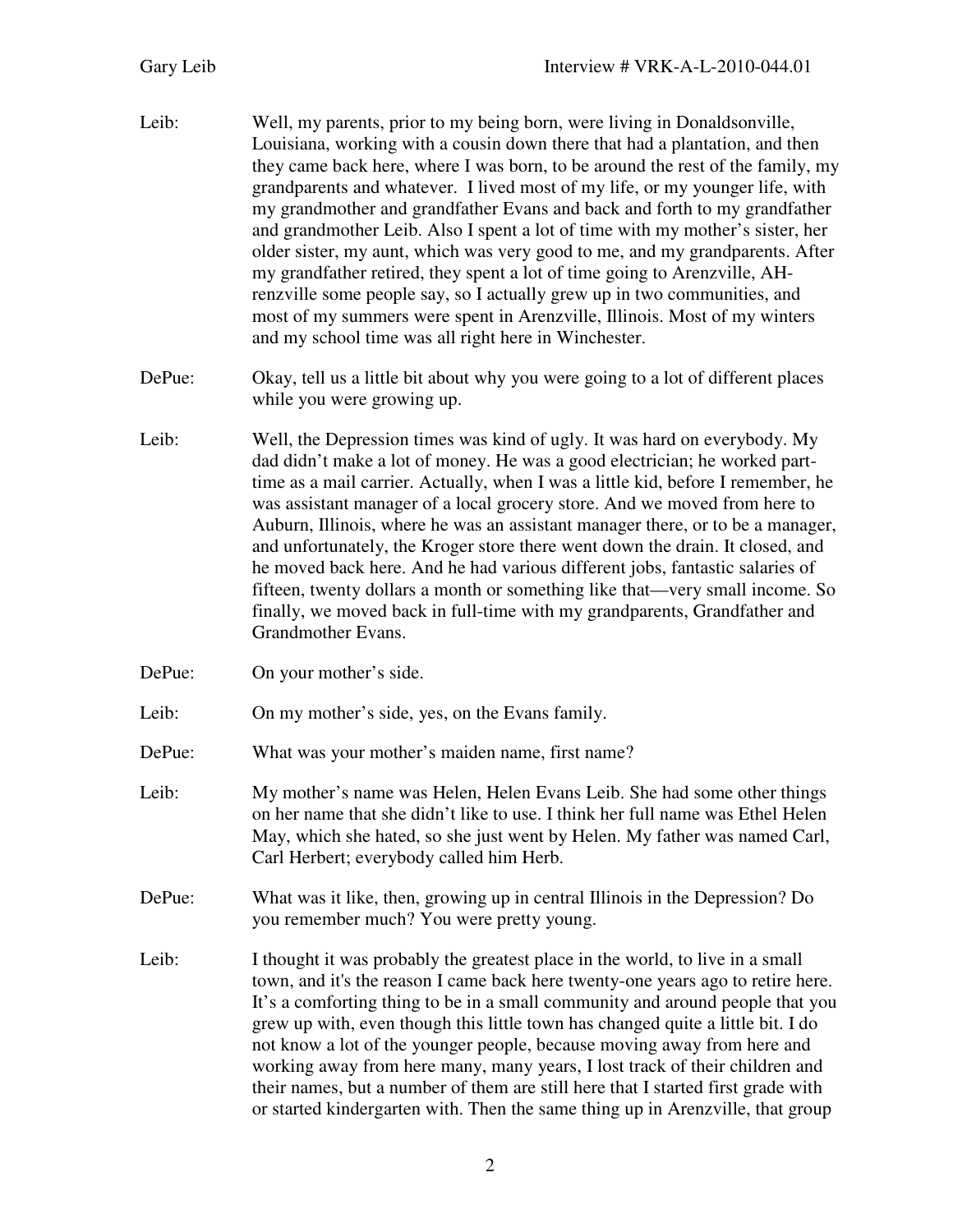- Leib: Well, my parents, prior to my being born, were living in Donaldsonville, Louisiana, working with a cousin down there that had a plantation, and then they came back here, where I was born, to be around the rest of the family, my grandparents and whatever. I lived most of my life, or my younger life, with my grandmother and grandfather Evans and back and forth to my grandfather and grandmother Leib. Also I spent a lot of time with my mother's sister, her older sister, my aunt, which was very good to me, and my grandparents. After my grandfather retired, they spent a lot of time going to Arenzville, AHrenzville some people say, so I actually grew up in two communities, and most of my summers were spent in Arenzville, Illinois. Most of my winters and my school time was all right here in Winchester.
- DePue: Okay, tell us a little bit about why you were going to a lot of different places while you were growing up.
- Leib: Well, the Depression times was kind of ugly. It was hard on everybody. My dad didn't make a lot of money. He was a good electrician; he worked parttime as a mail carrier. Actually, when I was a little kid, before I remember, he was assistant manager of a local grocery store. And we moved from here to Auburn, Illinois, where he was an assistant manager there, or to be a manager, and unfortunately, the Kroger store there went down the drain. It closed, and he moved back here. And he had various different jobs, fantastic salaries of fifteen, twenty dollars a month or something like that—very small income. So finally, we moved back in full-time with my grandparents, Grandfather and Grandmother Evans.
- DePue: On your mother's side.
- Leib: On my mother's side, yes, on the Evans family.
- DePue: What was your mother's maiden name, first name?
- Leib: My mother's name was Helen, Helen Evans Leib. She had some other things on her name that she didn't like to use. I think her full name was Ethel Helen May, which she hated, so she just went by Helen. My father was named Carl, Carl Herbert; everybody called him Herb.
- DePue: What was it like, then, growing up in central Illinois in the Depression? Do you remember much? You were pretty young.
- Leib: I thought it was probably the greatest place in the world, to live in a small town, and it's the reason I came back here twenty-one years ago to retire here. It's a comforting thing to be in a small community and around people that you grew up with, even though this little town has changed quite a little bit. I do not know a lot of the younger people, because moving away from here and working away from here many, many years, I lost track of their children and their names, but a number of them are still here that I started first grade with or started kindergarten with. Then the same thing up in Arenzville, that group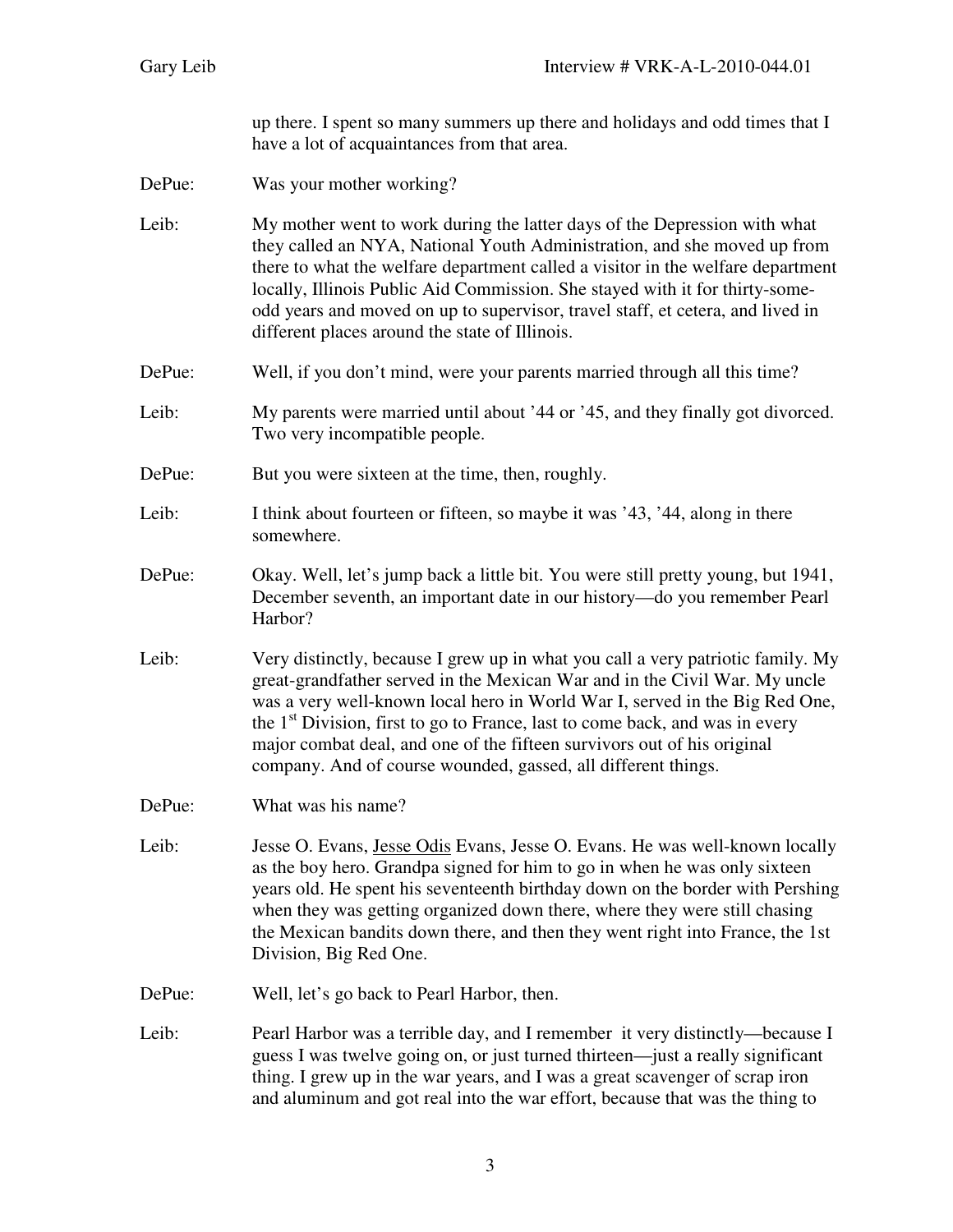up there. I spent so many summers up there and holidays and odd times that I have a lot of acquaintances from that area.

DePue: Was your mother working?

Leib: My mother went to work during the latter days of the Depression with what they called an NYA, National Youth Administration, and she moved up from there to what the welfare department called a visitor in the welfare department locally, Illinois Public Aid Commission. She stayed with it for thirty-someodd years and moved on up to supervisor, travel staff, et cetera, and lived in different places around the state of Illinois.

- DePue: Well, if you don't mind, were your parents married through all this time?
- Leib: My parents were married until about '44 or '45, and they finally got divorced. Two very incompatible people.
- DePue: But you were sixteen at the time, then, roughly.
- Leib: I think about fourteen or fifteen, so maybe it was '43, '44, along in there somewhere.
- DePue: Okay. Well, let's jump back a little bit. You were still pretty young, but 1941, December seventh, an important date in our history—do you remember Pearl Harbor?
- Leib: Very distinctly, because I grew up in what you call a very patriotic family. My great-grandfather served in the Mexican War and in the Civil War. My uncle was a very well-known local hero in World War I, served in the Big Red One, the  $1<sup>st</sup>$  Division, first to go to France, last to come back, and was in every major combat deal, and one of the fifteen survivors out of his original company. And of course wounded, gassed, all different things.
- DePue: What was his name?
- Leib: Jesse O. Evans, Jesse Odis Evans, Jesse O. Evans. He was well-known locally as the boy hero. Grandpa signed for him to go in when he was only sixteen years old. He spent his seventeenth birthday down on the border with Pershing when they was getting organized down there, where they were still chasing the Mexican bandits down there, and then they went right into France, the 1st Division, Big Red One.
- DePue: Well, let's go back to Pearl Harbor, then.
- Leib: Pearl Harbor was a terrible day, and I remember it very distinctly—because I guess I was twelve going on, or just turned thirteen—just a really significant thing. I grew up in the war years, and I was a great scavenger of scrap iron and aluminum and got real into the war effort, because that was the thing to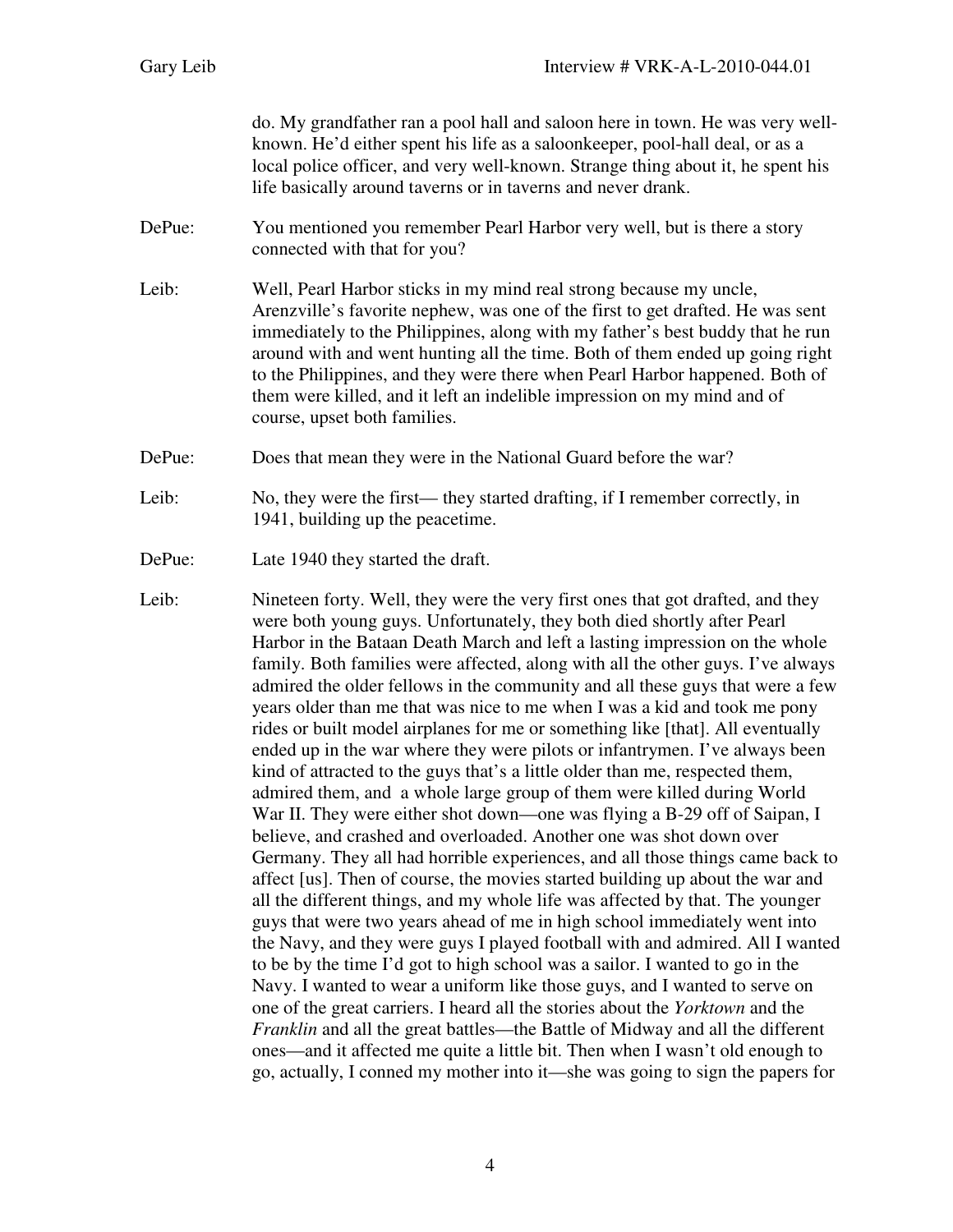do. My grandfather ran a pool hall and saloon here in town. He was very wellknown. He'd either spent his life as a saloonkeeper, pool-hall deal, or as a local police officer, and very well-known. Strange thing about it, he spent his life basically around taverns or in taverns and never drank.

- DePue: You mentioned you remember Pearl Harbor very well, but is there a story connected with that for you?
- Leib: Well, Pearl Harbor sticks in my mind real strong because my uncle, Arenzville's favorite nephew, was one of the first to get drafted. He was sent immediately to the Philippines, along with my father's best buddy that he run around with and went hunting all the time. Both of them ended up going right to the Philippines, and they were there when Pearl Harbor happened. Both of them were killed, and it left an indelible impression on my mind and of course, upset both families.
- DePue: Does that mean they were in the National Guard before the war?
- Leib: No, they were the first— they started drafting, if I remember correctly, in 1941, building up the peacetime.
- DePue: Late 1940 they started the draft.
- Leib: Nineteen forty. Well, they were the very first ones that got drafted, and they were both young guys. Unfortunately, they both died shortly after Pearl Harbor in the Bataan Death March and left a lasting impression on the whole family. Both families were affected, along with all the other guys. I've always admired the older fellows in the community and all these guys that were a few years older than me that was nice to me when I was a kid and took me pony rides or built model airplanes for me or something like [that]. All eventually ended up in the war where they were pilots or infantrymen. I've always been kind of attracted to the guys that's a little older than me, respected them, admired them, and a whole large group of them were killed during World War II. They were either shot down—one was flying a B-29 off of Saipan, I believe, and crashed and overloaded. Another one was shot down over Germany. They all had horrible experiences, and all those things came back to affect [us]. Then of course, the movies started building up about the war and all the different things, and my whole life was affected by that. The younger guys that were two years ahead of me in high school immediately went into the Navy, and they were guys I played football with and admired. All I wanted to be by the time I'd got to high school was a sailor. I wanted to go in the Navy. I wanted to wear a uniform like those guys, and I wanted to serve on one of the great carriers. I heard all the stories about the *Yorktown* and the *Franklin* and all the great battles—the Battle of Midway and all the different ones—and it affected me quite a little bit. Then when I wasn't old enough to go, actually, I conned my mother into it—she was going to sign the papers for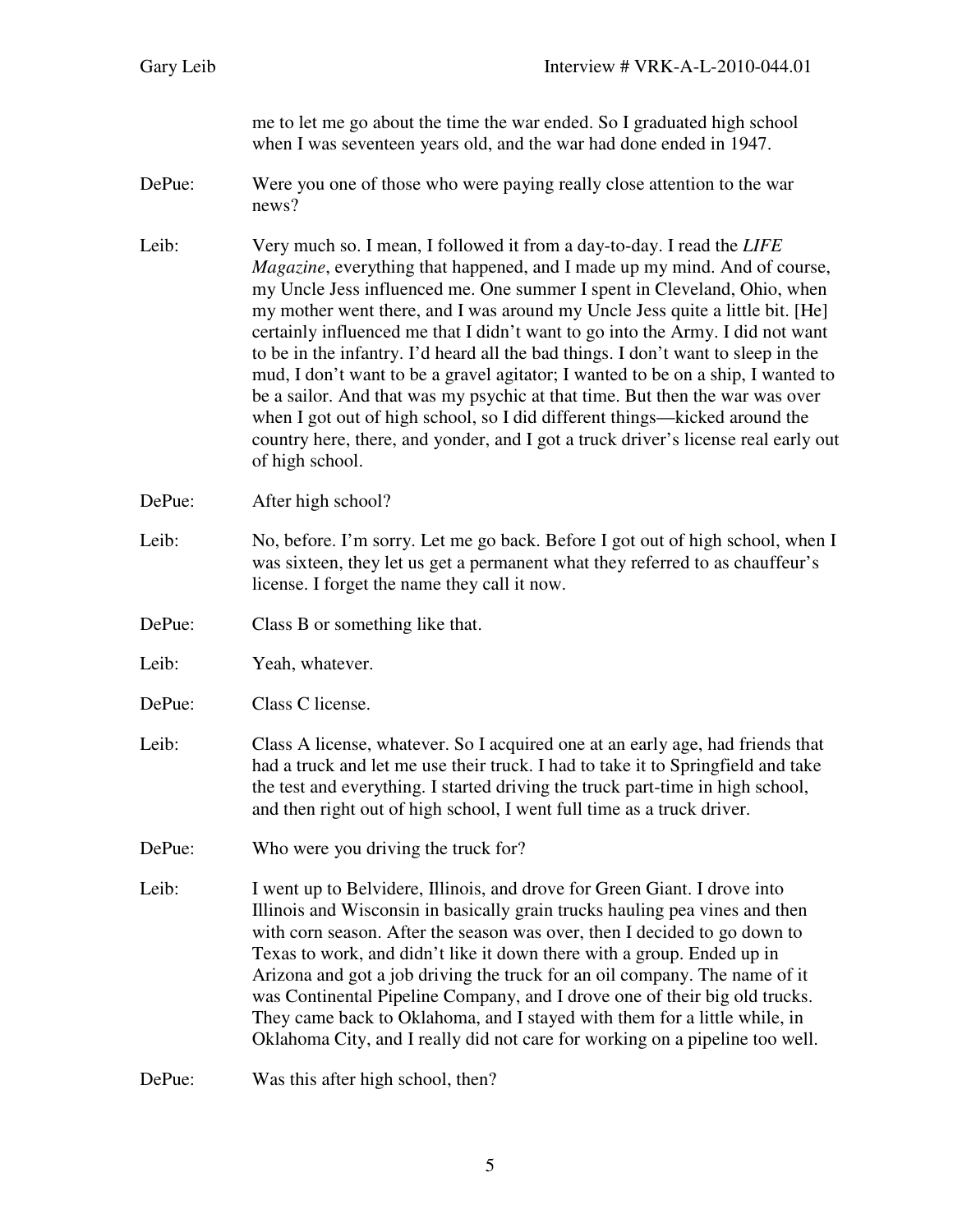me to let me go about the time the war ended. So I graduated high school when I was seventeen years old, and the war had done ended in 1947.

DePue: Were you one of those who were paying really close attention to the war news?

Leib: Very much so. I mean, I followed it from a day-to-day. I read the *LIFE Magazine*, everything that happened, and I made up my mind. And of course, my Uncle Jess influenced me. One summer I spent in Cleveland, Ohio, when my mother went there, and I was around my Uncle Jess quite a little bit. [He] certainly influenced me that I didn't want to go into the Army. I did not want to be in the infantry. I'd heard all the bad things. I don't want to sleep in the mud, I don't want to be a gravel agitator; I wanted to be on a ship, I wanted to be a sailor. And that was my psychic at that time. But then the war was over when I got out of high school, so I did different things—kicked around the country here, there, and yonder, and I got a truck driver's license real early out of high school.

DePue: After high school?

- Leib: No, before. I'm sorry. Let me go back. Before I got out of high school, when I was sixteen, they let us get a permanent what they referred to as chauffeur's license. I forget the name they call it now.
- DePue: Class B or something like that.
- Leib: Yeah, whatever.
- DePue: Class C license.
- Leib: Class A license, whatever. So I acquired one at an early age, had friends that had a truck and let me use their truck. I had to take it to Springfield and take the test and everything. I started driving the truck part-time in high school, and then right out of high school, I went full time as a truck driver.
- DePue: Who were you driving the truck for?
- Leib: I went up to Belvidere, Illinois, and drove for Green Giant. I drove into Illinois and Wisconsin in basically grain trucks hauling pea vines and then with corn season. After the season was over, then I decided to go down to Texas to work, and didn't like it down there with a group. Ended up in Arizona and got a job driving the truck for an oil company. The name of it was Continental Pipeline Company, and I drove one of their big old trucks. They came back to Oklahoma, and I stayed with them for a little while, in Oklahoma City, and I really did not care for working on a pipeline too well.

DePue: Was this after high school, then?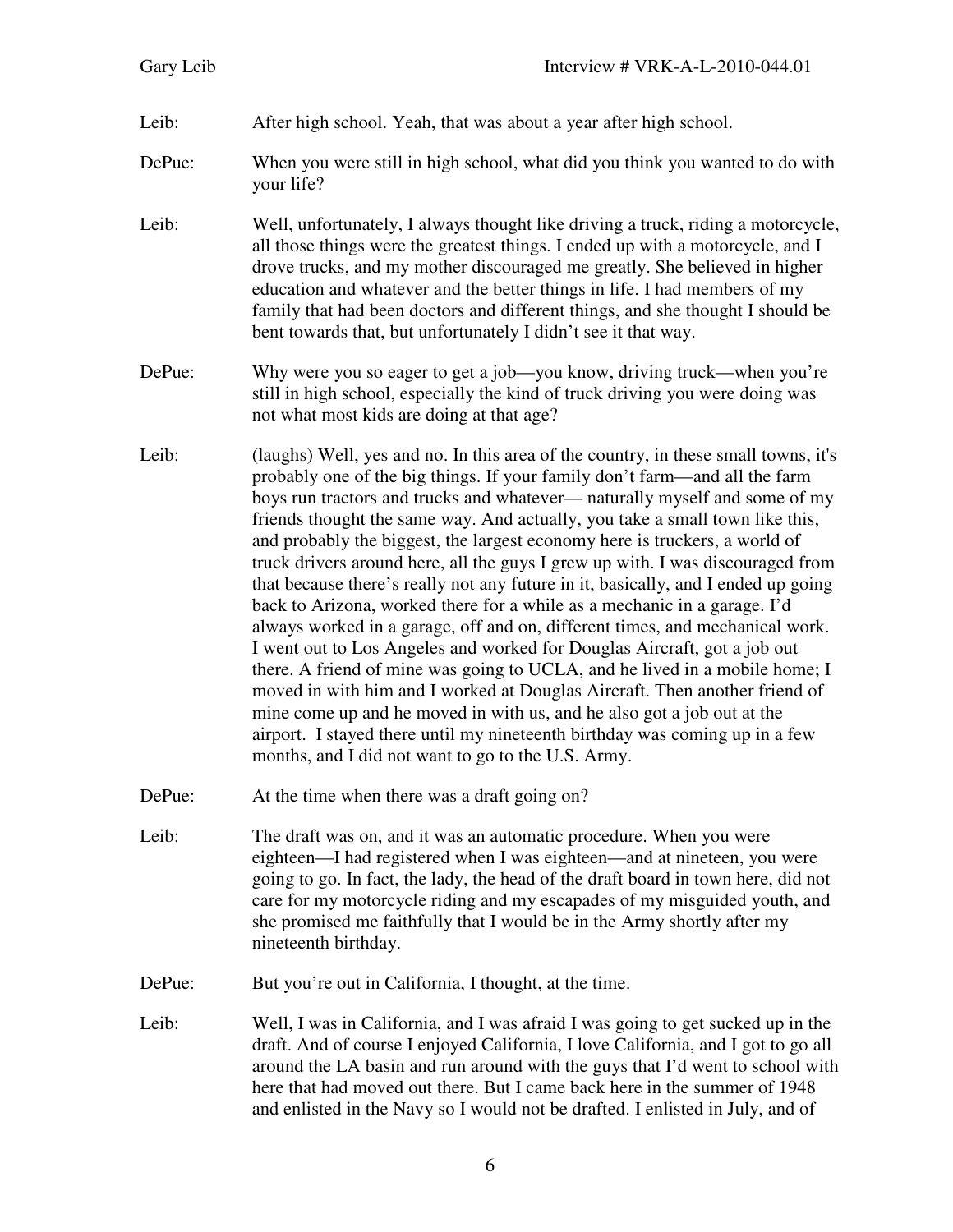- Leib: After high school. Yeah, that was about a year after high school.
- DePue: When you were still in high school, what did you think you wanted to do with your life?
- Leib: Well, unfortunately, I always thought like driving a truck, riding a motorcycle, all those things were the greatest things. I ended up with a motorcycle, and I drove trucks, and my mother discouraged me greatly. She believed in higher education and whatever and the better things in life. I had members of my family that had been doctors and different things, and she thought I should be bent towards that, but unfortunately I didn't see it that way.
- DePue: Why were you so eager to get a job—you know, driving truck—when you're still in high school, especially the kind of truck driving you were doing was not what most kids are doing at that age?
- Leib: (laughs) Well, yes and no. In this area of the country, in these small towns, it's probably one of the big things. If your family don't farm—and all the farm boys run tractors and trucks and whatever— naturally myself and some of my friends thought the same way. And actually, you take a small town like this, and probably the biggest, the largest economy here is truckers, a world of truck drivers around here, all the guys I grew up with. I was discouraged from that because there's really not any future in it, basically, and I ended up going back to Arizona, worked there for a while as a mechanic in a garage. I'd always worked in a garage, off and on, different times, and mechanical work. I went out to Los Angeles and worked for Douglas Aircraft, got a job out there. A friend of mine was going to UCLA, and he lived in a mobile home; I moved in with him and I worked at Douglas Aircraft. Then another friend of mine come up and he moved in with us, and he also got a job out at the airport. I stayed there until my nineteenth birthday was coming up in a few months, and I did not want to go to the U.S. Army.
- DePue: At the time when there was a draft going on?
- Leib: The draft was on, and it was an automatic procedure. When you were eighteen—I had registered when I was eighteen—and at nineteen, you were going to go. In fact, the lady, the head of the draft board in town here, did not care for my motorcycle riding and my escapades of my misguided youth, and she promised me faithfully that I would be in the Army shortly after my nineteenth birthday.
- DePue: But you're out in California, I thought, at the time.
- Leib: Well, I was in California, and I was afraid I was going to get sucked up in the draft. And of course I enjoyed California, I love California, and I got to go all around the LA basin and run around with the guys that I'd went to school with here that had moved out there. But I came back here in the summer of 1948 and enlisted in the Navy so I would not be drafted. I enlisted in July, and of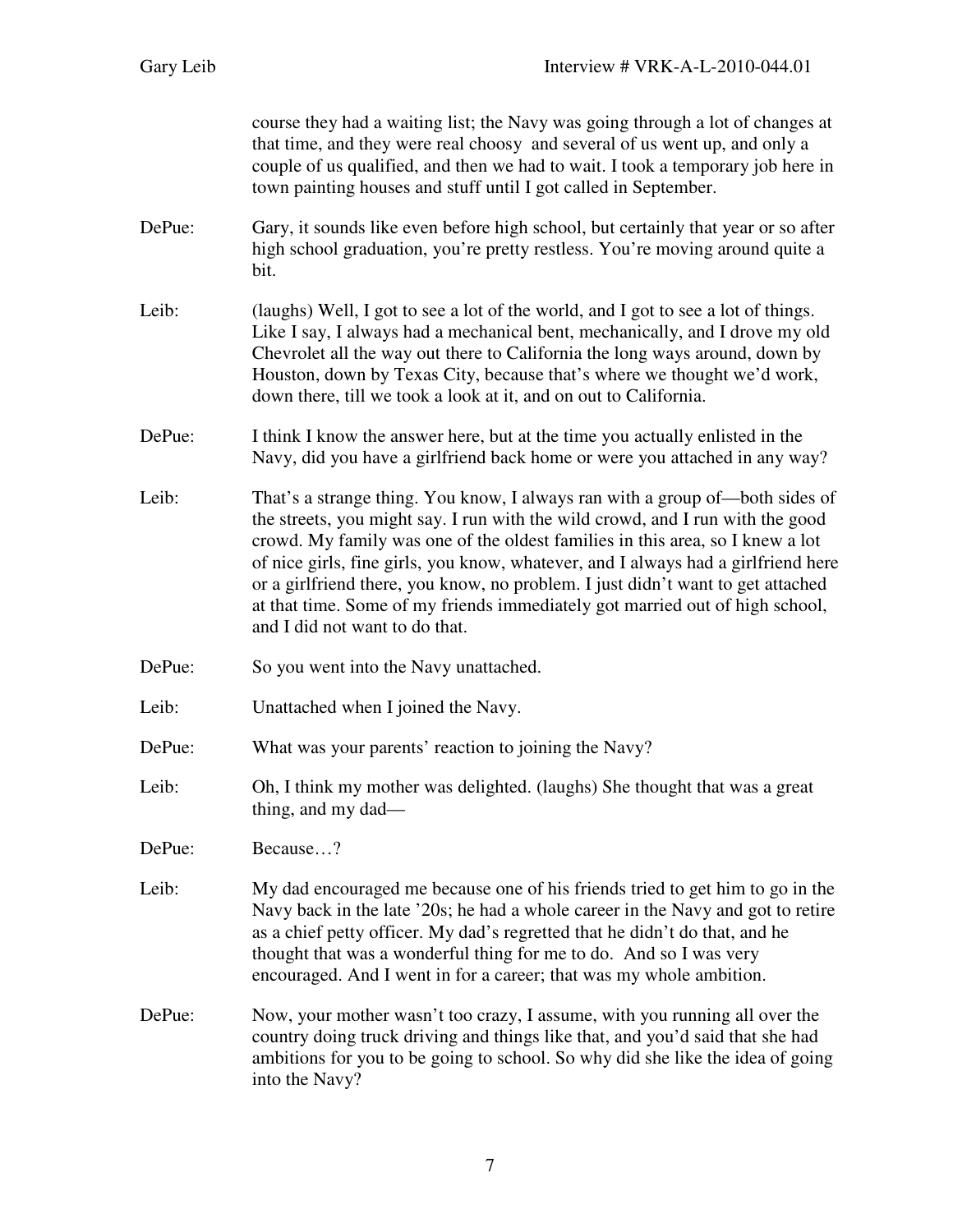| Gary Leib | Interview # VRK-A-L-2010-044.01                                                                                                                                                                                                                                                                                                                                                                                                                                                                                                           |
|-----------|-------------------------------------------------------------------------------------------------------------------------------------------------------------------------------------------------------------------------------------------------------------------------------------------------------------------------------------------------------------------------------------------------------------------------------------------------------------------------------------------------------------------------------------------|
|           | course they had a waiting list; the Navy was going through a lot of changes at<br>that time, and they were real choosy and several of us went up, and only a<br>couple of us qualified, and then we had to wait. I took a temporary job here in<br>town painting houses and stuff until I got called in September.                                                                                                                                                                                                                        |
| DePue:    | Gary, it sounds like even before high school, but certainly that year or so after<br>high school graduation, you're pretty restless. You're moving around quite a<br>bit.                                                                                                                                                                                                                                                                                                                                                                 |
| Leib:     | (laughs) Well, I got to see a lot of the world, and I got to see a lot of things.<br>Like I say, I always had a mechanical bent, mechanically, and I drove my old<br>Chevrolet all the way out there to California the long ways around, down by<br>Houston, down by Texas City, because that's where we thought we'd work,<br>down there, till we took a look at it, and on out to California.                                                                                                                                           |
| DePue:    | I think I know the answer here, but at the time you actually enlisted in the<br>Navy, did you have a girlfriend back home or were you attached in any way?                                                                                                                                                                                                                                                                                                                                                                                |
| Leib:     | That's a strange thing. You know, I always ran with a group of—both sides of<br>the streets, you might say. I run with the wild crowd, and I run with the good<br>crowd. My family was one of the oldest families in this area, so I knew a lot<br>of nice girls, fine girls, you know, whatever, and I always had a girlfriend here<br>or a girlfriend there, you know, no problem. I just didn't want to get attached<br>at that time. Some of my friends immediately got married out of high school,<br>and I did not want to do that. |
| DePue:    | So you went into the Navy unattached.                                                                                                                                                                                                                                                                                                                                                                                                                                                                                                     |
| Leib:     | Unattached when I joined the Navy.                                                                                                                                                                                                                                                                                                                                                                                                                                                                                                        |
| DePue:    | What was your parents' reaction to joining the Navy?                                                                                                                                                                                                                                                                                                                                                                                                                                                                                      |
| Leib:     | Oh, I think my mother was delighted. (laughs) She thought that was a great<br>thing, and my dad—                                                                                                                                                                                                                                                                                                                                                                                                                                          |
| DePue:    | Because?                                                                                                                                                                                                                                                                                                                                                                                                                                                                                                                                  |
| Leib:     | My dad encouraged me because one of his friends tried to get him to go in the<br>Navy back in the late '20s; he had a whole career in the Navy and got to retire<br>as a chief petty officer. My dad's regretted that he didn't do that, and he<br>thought that was a wonderful thing for me to do. And so I was very<br>encouraged. And I went in for a career; that was my whole ambition.                                                                                                                                              |
| DePue:    | Now, your mother wasn't too crazy, I assume, with you running all over the<br>country doing truck driving and things like that, and you'd said that she had<br>ambitions for you to be going to school. So why did she like the idea of going<br>into the Navy?                                                                                                                                                                                                                                                                           |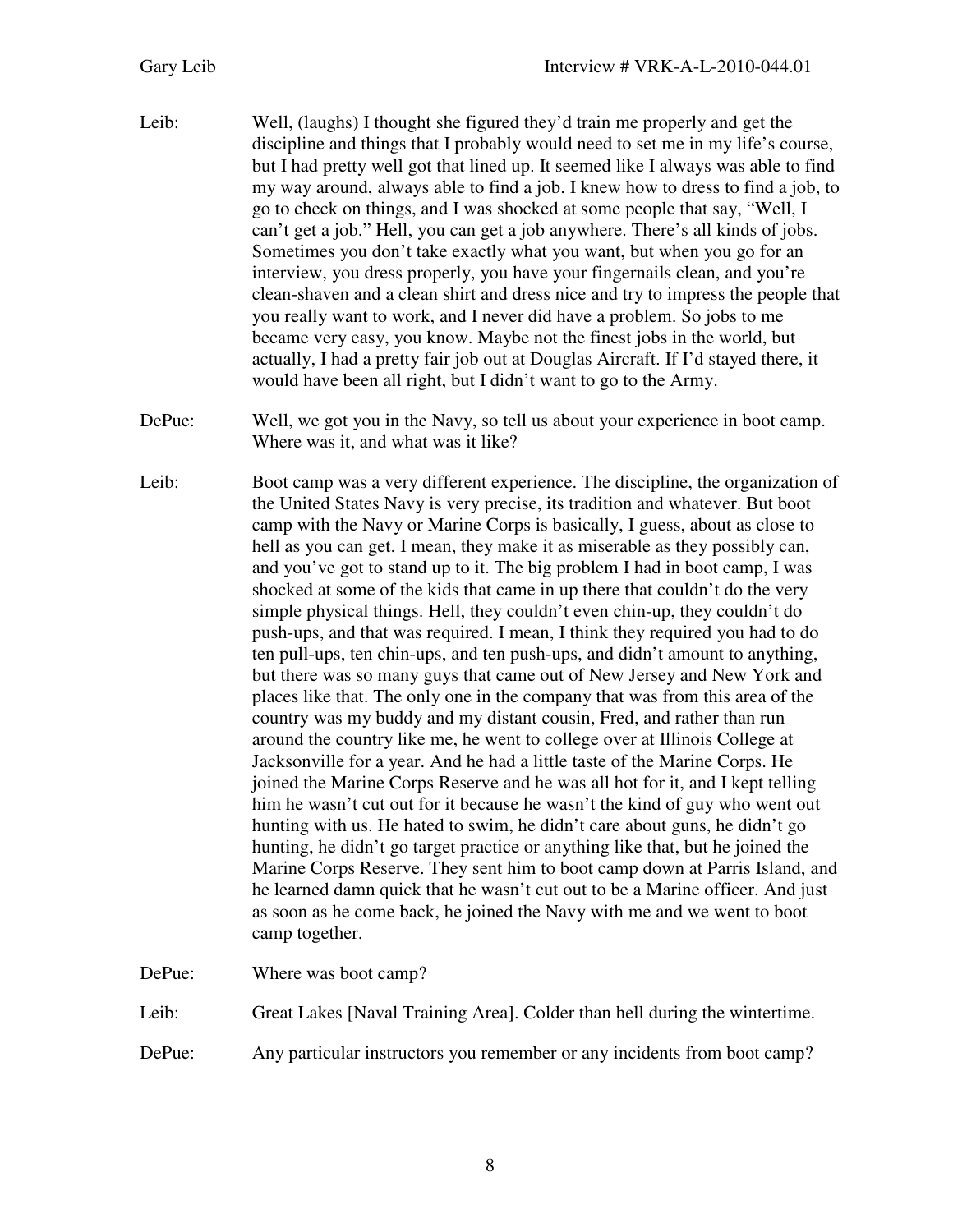- Leib: Well, (laughs) I thought she figured they'd train me properly and get the discipline and things that I probably would need to set me in my life's course, but I had pretty well got that lined up. It seemed like I always was able to find my way around, always able to find a job. I knew how to dress to find a job, to go to check on things, and I was shocked at some people that say, "Well, I can't get a job." Hell, you can get a job anywhere. There's all kinds of jobs. Sometimes you don't take exactly what you want, but when you go for an interview, you dress properly, you have your fingernails clean, and you're clean-shaven and a clean shirt and dress nice and try to impress the people that you really want to work, and I never did have a problem. So jobs to me became very easy, you know. Maybe not the finest jobs in the world, but actually, I had a pretty fair job out at Douglas Aircraft. If I'd stayed there, it would have been all right, but I didn't want to go to the Army.
- DePue: Well, we got you in the Navy, so tell us about your experience in boot camp. Where was it, and what was it like?
- Leib: Boot camp was a very different experience. The discipline, the organization of the United States Navy is very precise, its tradition and whatever. But boot camp with the Navy or Marine Corps is basically, I guess, about as close to hell as you can get. I mean, they make it as miserable as they possibly can, and you've got to stand up to it. The big problem I had in boot camp, I was shocked at some of the kids that came in up there that couldn't do the very simple physical things. Hell, they couldn't even chin-up, they couldn't do push-ups, and that was required. I mean, I think they required you had to do ten pull-ups, ten chin-ups, and ten push-ups, and didn't amount to anything, but there was so many guys that came out of New Jersey and New York and places like that. The only one in the company that was from this area of the country was my buddy and my distant cousin, Fred, and rather than run around the country like me, he went to college over at Illinois College at Jacksonville for a year. And he had a little taste of the Marine Corps. He joined the Marine Corps Reserve and he was all hot for it, and I kept telling him he wasn't cut out for it because he wasn't the kind of guy who went out hunting with us. He hated to swim, he didn't care about guns, he didn't go hunting, he didn't go target practice or anything like that, but he joined the Marine Corps Reserve. They sent him to boot camp down at Parris Island, and he learned damn quick that he wasn't cut out to be a Marine officer. And just as soon as he come back, he joined the Navy with me and we went to boot camp together.

DePue: Where was boot camp?

Leib: Great Lakes [Naval Training Area]. Colder than hell during the wintertime.

DePue: Any particular instructors you remember or any incidents from boot camp?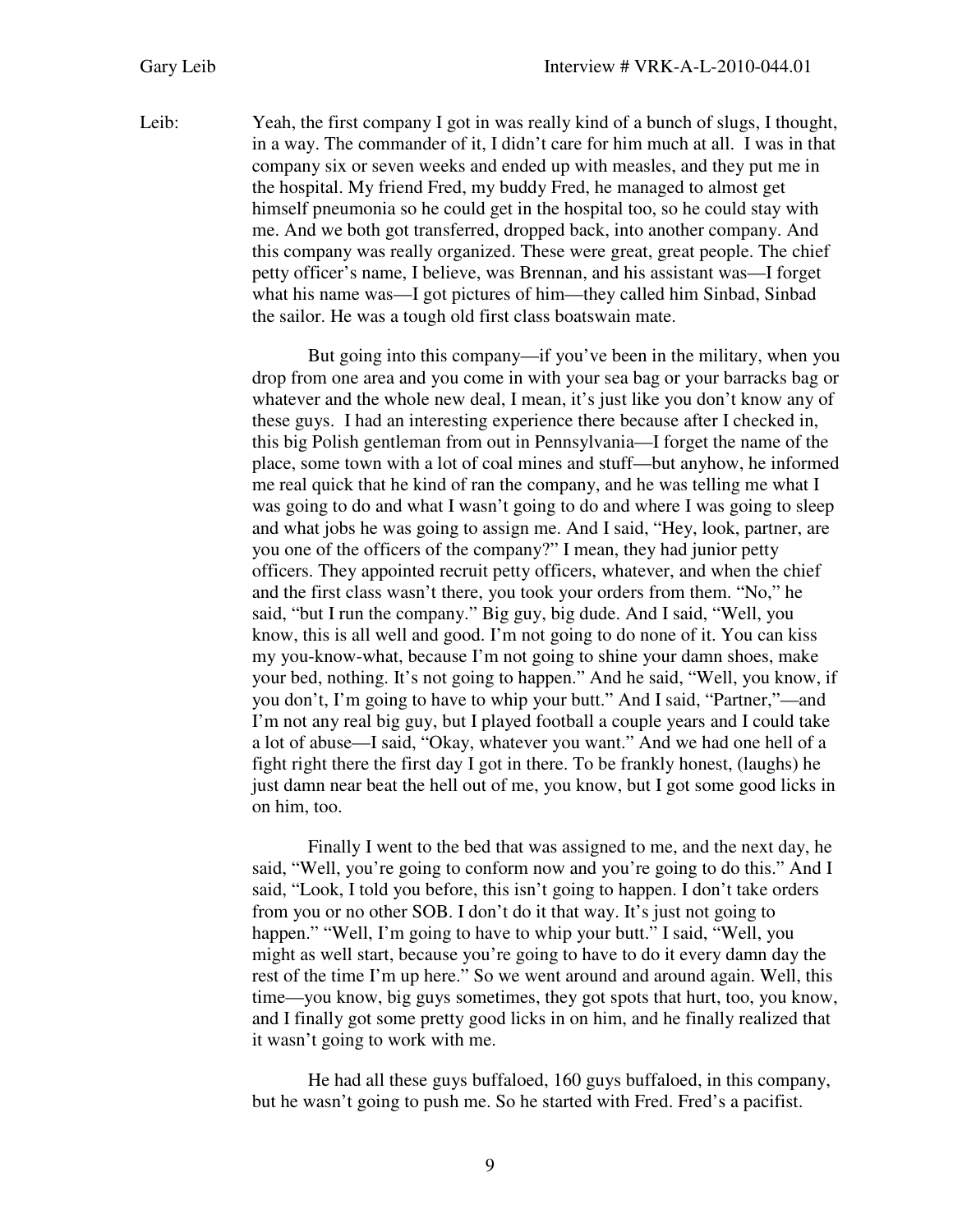Leib: Yeah, the first company I got in was really kind of a bunch of slugs, I thought, in a way. The commander of it, I didn't care for him much at all. I was in that company six or seven weeks and ended up with measles, and they put me in the hospital. My friend Fred, my buddy Fred, he managed to almost get himself pneumonia so he could get in the hospital too, so he could stay with me. And we both got transferred, dropped back, into another company. And this company was really organized. These were great, great people. The chief petty officer's name, I believe, was Brennan, and his assistant was—I forget what his name was—I got pictures of him—they called him Sinbad, Sinbad the sailor. He was a tough old first class boatswain mate.

> But going into this company—if you've been in the military, when you drop from one area and you come in with your sea bag or your barracks bag or whatever and the whole new deal, I mean, it's just like you don't know any of these guys. I had an interesting experience there because after I checked in, this big Polish gentleman from out in Pennsylvania—I forget the name of the place, some town with a lot of coal mines and stuff—but anyhow, he informed me real quick that he kind of ran the company, and he was telling me what I was going to do and what I wasn't going to do and where I was going to sleep and what jobs he was going to assign me. And I said, "Hey, look, partner, are you one of the officers of the company?" I mean, they had junior petty officers. They appointed recruit petty officers, whatever, and when the chief and the first class wasn't there, you took your orders from them. "No," he said, "but I run the company." Big guy, big dude. And I said, "Well, you know, this is all well and good. I'm not going to do none of it. You can kiss my you-know-what, because I'm not going to shine your damn shoes, make your bed, nothing. It's not going to happen." And he said, "Well, you know, if you don't, I'm going to have to whip your butt." And I said, "Partner,"—and I'm not any real big guy, but I played football a couple years and I could take a lot of abuse—I said, "Okay, whatever you want." And we had one hell of a fight right there the first day I got in there. To be frankly honest, (laughs) he just damn near beat the hell out of me, you know, but I got some good licks in on him, too.

> Finally I went to the bed that was assigned to me, and the next day, he said, "Well, you're going to conform now and you're going to do this." And I said, "Look, I told you before, this isn't going to happen. I don't take orders from you or no other SOB. I don't do it that way. It's just not going to happen." "Well, I'm going to have to whip your butt." I said, "Well, you might as well start, because you're going to have to do it every damn day the rest of the time I'm up here." So we went around and around again. Well, this time—you know, big guys sometimes, they got spots that hurt, too, you know, and I finally got some pretty good licks in on him, and he finally realized that it wasn't going to work with me.

> He had all these guys buffaloed, 160 guys buffaloed, in this company, but he wasn't going to push me. So he started with Fred. Fred's a pacifist.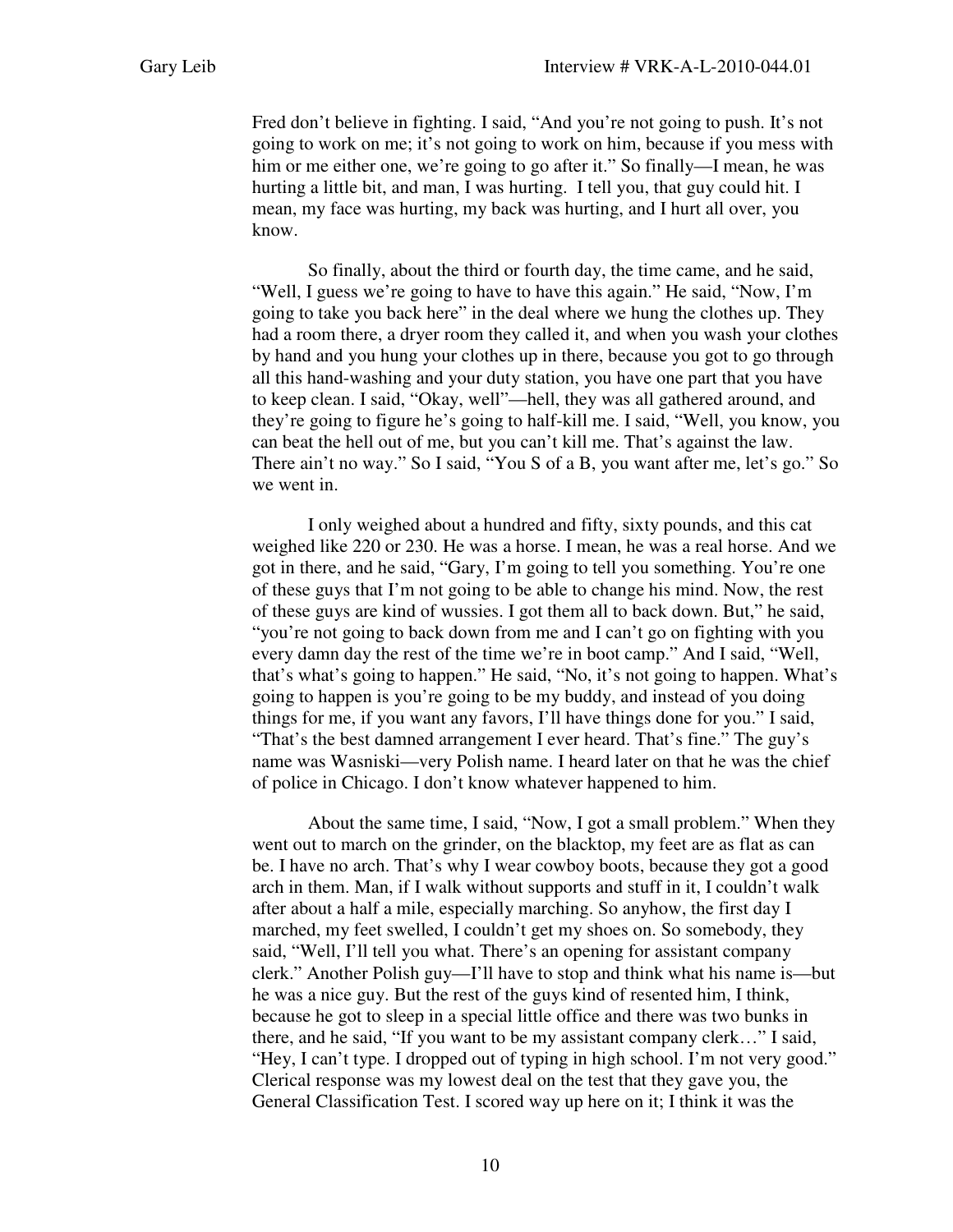Fred don't believe in fighting. I said, "And you're not going to push. It's not going to work on me; it's not going to work on him, because if you mess with him or me either one, we're going to go after it." So finally—I mean, he was hurting a little bit, and man, I was hurting. I tell you, that guy could hit. I mean, my face was hurting, my back was hurting, and I hurt all over, you know.

So finally, about the third or fourth day, the time came, and he said, "Well, I guess we're going to have to have this again." He said, "Now, I'm going to take you back here" in the deal where we hung the clothes up. They had a room there, a dryer room they called it, and when you wash your clothes by hand and you hung your clothes up in there, because you got to go through all this hand-washing and your duty station, you have one part that you have to keep clean. I said, "Okay, well"—hell, they was all gathered around, and they're going to figure he's going to half-kill me. I said, "Well, you know, you can beat the hell out of me, but you can't kill me. That's against the law. There ain't no way." So I said, "You S of a B, you want after me, let's go." So we went in.

I only weighed about a hundred and fifty, sixty pounds, and this cat weighed like 220 or 230. He was a horse. I mean, he was a real horse. And we got in there, and he said, "Gary, I'm going to tell you something. You're one of these guys that I'm not going to be able to change his mind. Now, the rest of these guys are kind of wussies. I got them all to back down. But," he said, "you're not going to back down from me and I can't go on fighting with you every damn day the rest of the time we're in boot camp." And I said, "Well, that's what's going to happen." He said, "No, it's not going to happen. What's going to happen is you're going to be my buddy, and instead of you doing things for me, if you want any favors, I'll have things done for you." I said, "That's the best damned arrangement I ever heard. That's fine." The guy's name was Wasniski—very Polish name. I heard later on that he was the chief of police in Chicago. I don't know whatever happened to him.

About the same time, I said, "Now, I got a small problem." When they went out to march on the grinder, on the blacktop, my feet are as flat as can be. I have no arch. That's why I wear cowboy boots, because they got a good arch in them. Man, if I walk without supports and stuff in it, I couldn't walk after about a half a mile, especially marching. So anyhow, the first day I marched, my feet swelled, I couldn't get my shoes on. So somebody, they said, "Well, I'll tell you what. There's an opening for assistant company clerk." Another Polish guy—I'll have to stop and think what his name is—but he was a nice guy. But the rest of the guys kind of resented him, I think, because he got to sleep in a special little office and there was two bunks in there, and he said, "If you want to be my assistant company clerk…" I said, "Hey, I can't type. I dropped out of typing in high school. I'm not very good." Clerical response was my lowest deal on the test that they gave you, the General Classification Test. I scored way up here on it; I think it was the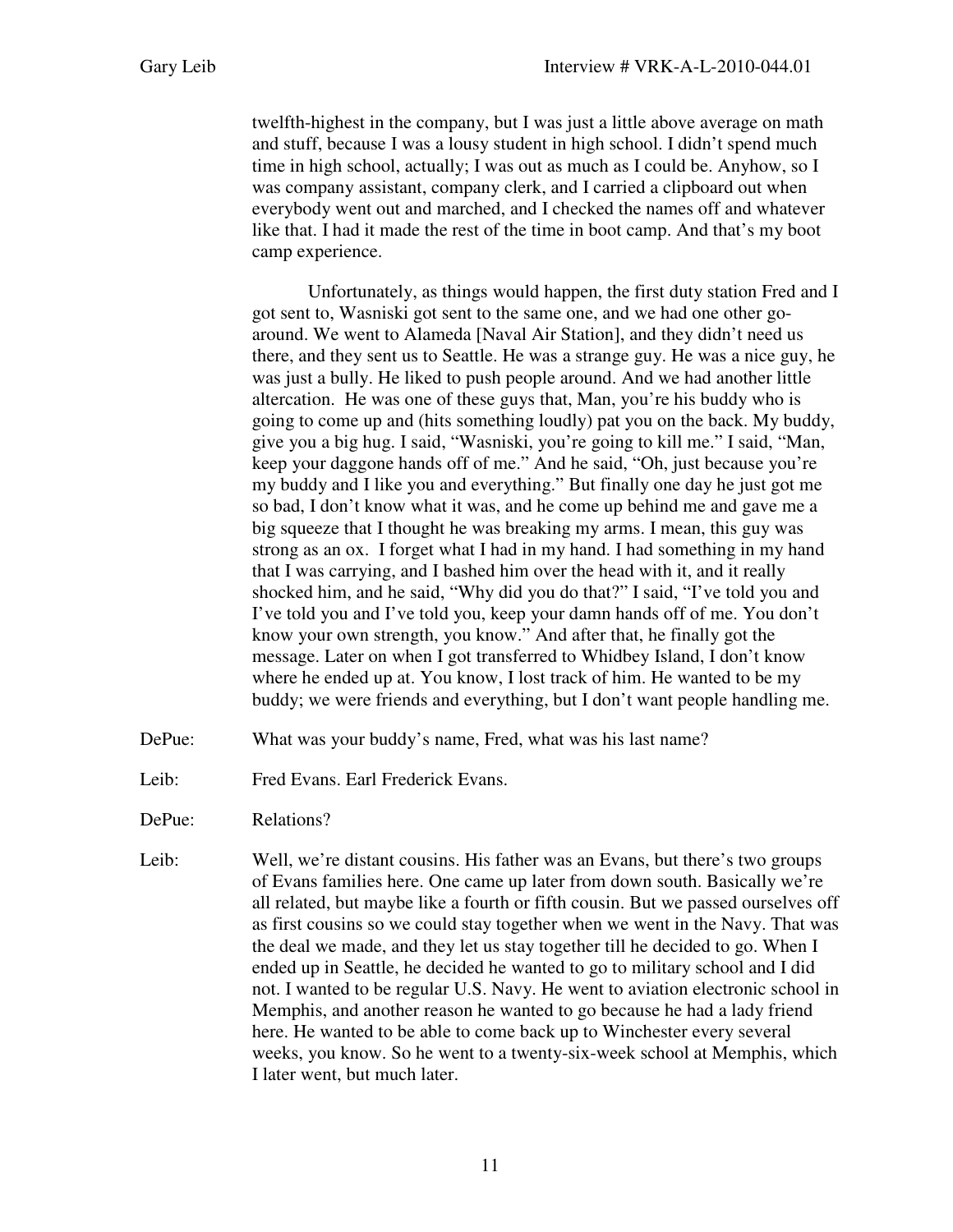twelfth-highest in the company, but I was just a little above average on math and stuff, because I was a lousy student in high school. I didn't spend much time in high school, actually; I was out as much as I could be. Anyhow, so I was company assistant, company clerk, and I carried a clipboard out when everybody went out and marched, and I checked the names off and whatever like that. I had it made the rest of the time in boot camp. And that's my boot camp experience.

 Unfortunately, as things would happen, the first duty station Fred and I got sent to, Wasniski got sent to the same one, and we had one other goaround. We went to Alameda [Naval Air Station], and they didn't need us there, and they sent us to Seattle. He was a strange guy. He was a nice guy, he was just a bully. He liked to push people around. And we had another little altercation. He was one of these guys that, Man, you're his buddy who is going to come up and (hits something loudly) pat you on the back. My buddy, give you a big hug. I said, "Wasniski, you're going to kill me." I said, "Man, keep your daggone hands off of me." And he said, "Oh, just because you're my buddy and I like you and everything." But finally one day he just got me so bad, I don't know what it was, and he come up behind me and gave me a big squeeze that I thought he was breaking my arms. I mean, this guy was strong as an ox. I forget what I had in my hand. I had something in my hand that I was carrying, and I bashed him over the head with it, and it really shocked him, and he said, "Why did you do that?" I said, "I've told you and I've told you and I've told you, keep your damn hands off of me. You don't know your own strength, you know." And after that, he finally got the message. Later on when I got transferred to Whidbey Island, I don't know where he ended up at. You know, I lost track of him. He wanted to be my buddy; we were friends and everything, but I don't want people handling me.

- DePue: What was your buddy's name, Fred, what was his last name?
- Leib: Fred Evans. Earl Frederick Evans.
- DePue: Relations?
- Leib: Well, we're distant cousins. His father was an Evans, but there's two groups of Evans families here. One came up later from down south. Basically we're all related, but maybe like a fourth or fifth cousin. But we passed ourselves off as first cousins so we could stay together when we went in the Navy. That was the deal we made, and they let us stay together till he decided to go. When I ended up in Seattle, he decided he wanted to go to military school and I did not. I wanted to be regular U.S. Navy. He went to aviation electronic school in Memphis, and another reason he wanted to go because he had a lady friend here. He wanted to be able to come back up to Winchester every several weeks, you know. So he went to a twenty-six-week school at Memphis, which I later went, but much later.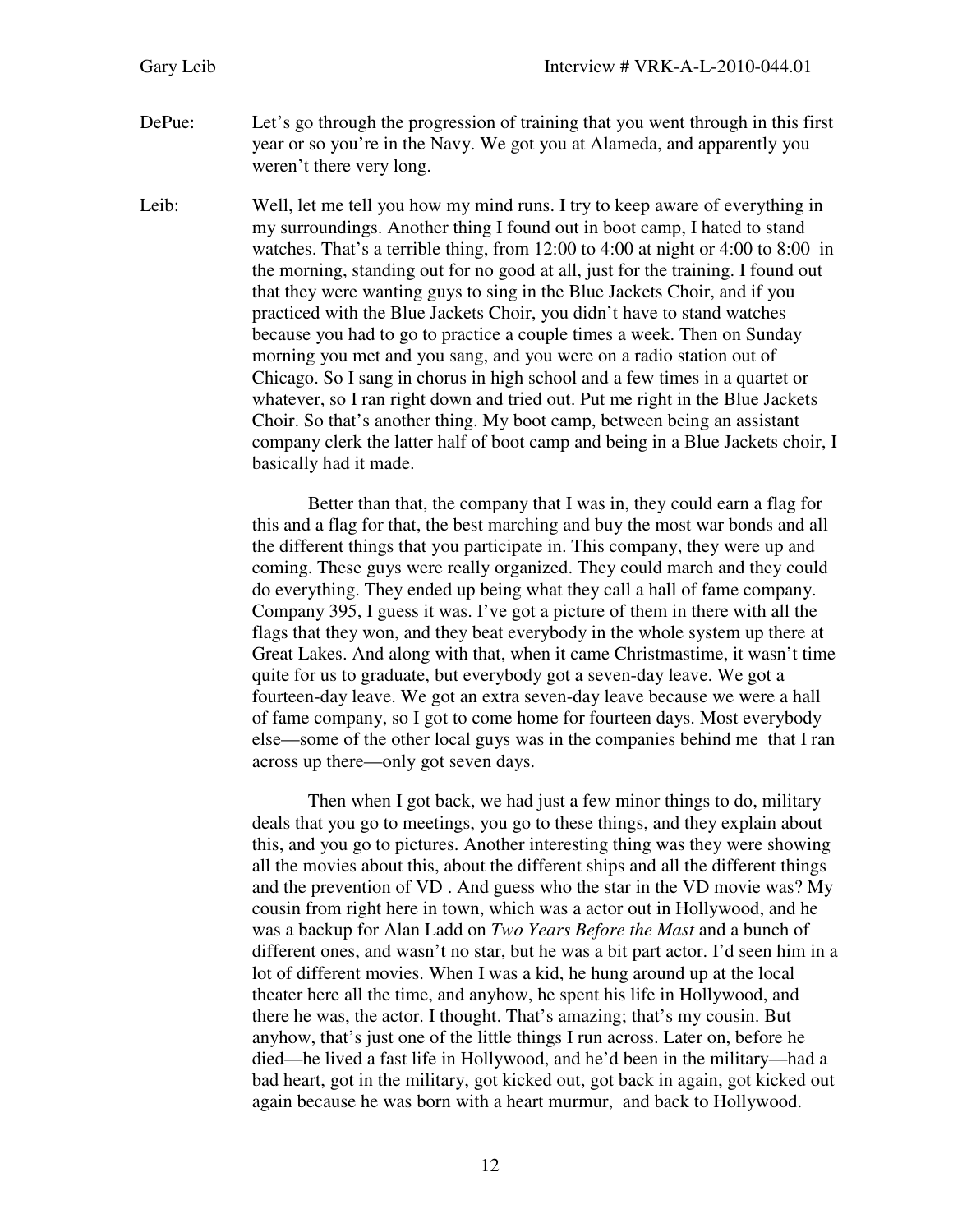- DePue: Let's go through the progression of training that you went through in this first year or so you're in the Navy. We got you at Alameda, and apparently you weren't there very long.
- Leib: Well, let me tell you how my mind runs. I try to keep aware of everything in my surroundings. Another thing I found out in boot camp, I hated to stand watches. That's a terrible thing, from 12:00 to 4:00 at night or 4:00 to 8:00 in the morning, standing out for no good at all, just for the training. I found out that they were wanting guys to sing in the Blue Jackets Choir, and if you practiced with the Blue Jackets Choir, you didn't have to stand watches because you had to go to practice a couple times a week. Then on Sunday morning you met and you sang, and you were on a radio station out of Chicago. So I sang in chorus in high school and a few times in a quartet or whatever, so I ran right down and tried out. Put me right in the Blue Jackets Choir. So that's another thing. My boot camp, between being an assistant company clerk the latter half of boot camp and being in a Blue Jackets choir, I basically had it made.

Better than that, the company that I was in, they could earn a flag for this and a flag for that, the best marching and buy the most war bonds and all the different things that you participate in. This company, they were up and coming. These guys were really organized. They could march and they could do everything. They ended up being what they call a hall of fame company. Company 395, I guess it was. I've got a picture of them in there with all the flags that they won, and they beat everybody in the whole system up there at Great Lakes. And along with that, when it came Christmastime, it wasn't time quite for us to graduate, but everybody got a seven-day leave. We got a fourteen-day leave. We got an extra seven-day leave because we were a hall of fame company, so I got to come home for fourteen days. Most everybody else—some of the other local guys was in the companies behind me that I ran across up there—only got seven days.

 Then when I got back, we had just a few minor things to do, military deals that you go to meetings, you go to these things, and they explain about this, and you go to pictures. Another interesting thing was they were showing all the movies about this, about the different ships and all the different things and the prevention of VD . And guess who the star in the VD movie was? My cousin from right here in town, which was a actor out in Hollywood, and he was a backup for Alan Ladd on *Two Years Before the Mast* and a bunch of different ones, and wasn't no star, but he was a bit part actor. I'd seen him in a lot of different movies. When I was a kid, he hung around up at the local theater here all the time, and anyhow, he spent his life in Hollywood, and there he was, the actor. I thought. That's amazing; that's my cousin. But anyhow, that's just one of the little things I run across. Later on, before he died—he lived a fast life in Hollywood, and he'd been in the military—had a bad heart, got in the military, got kicked out, got back in again, got kicked out again because he was born with a heart murmur, and back to Hollywood.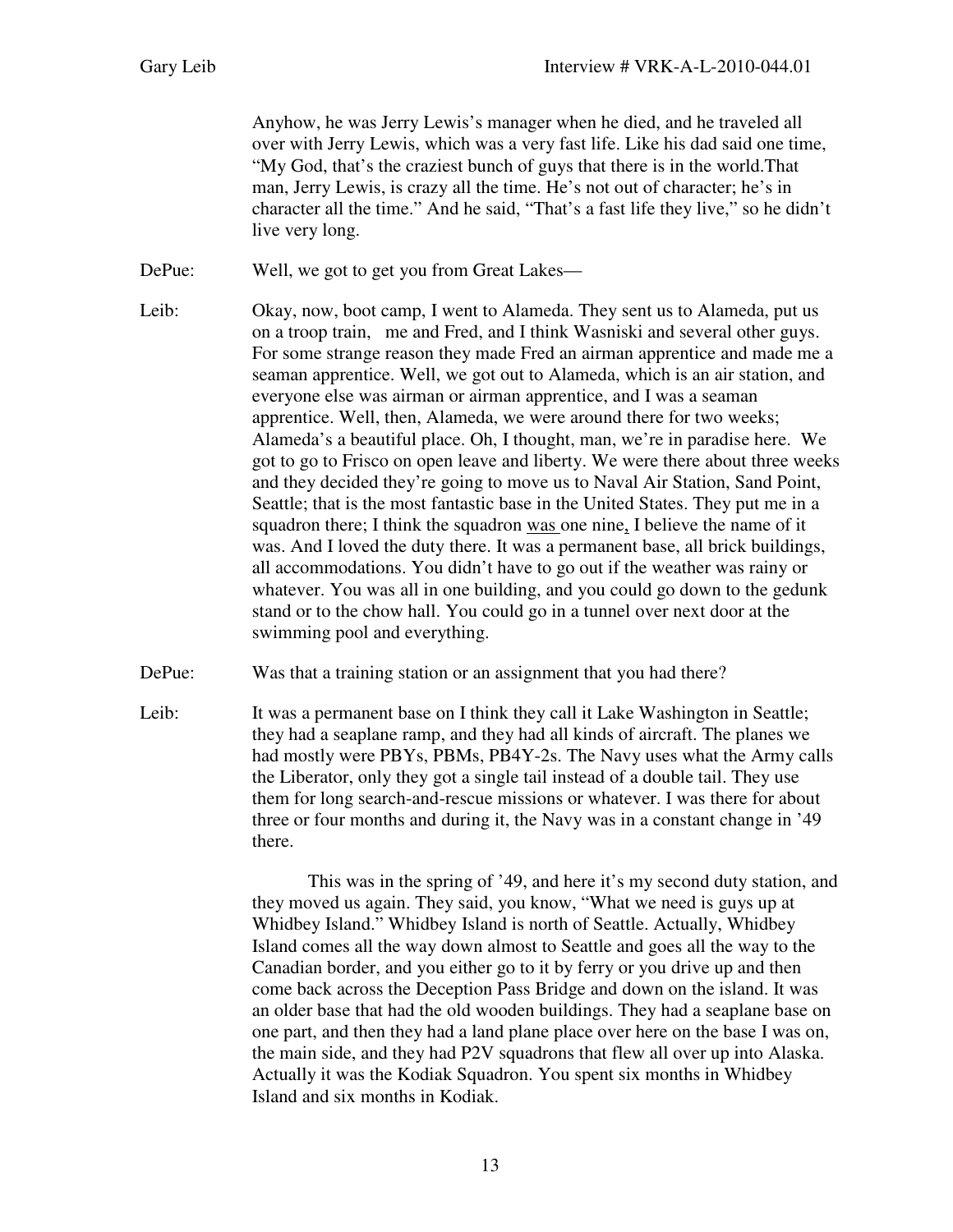Anyhow, he was Jerry Lewis's manager when he died, and he traveled all over with Jerry Lewis, which was a very fast life. Like his dad said one time, "My God, that's the craziest bunch of guys that there is in the world.That man, Jerry Lewis, is crazy all the time. He's not out of character; he's in character all the time." And he said, "That's a fast life they live," so he didn't live very long.

DePue: Well, we got to get you from Great Lakes—

- Leib: Okay, now, boot camp, I went to Alameda. They sent us to Alameda, put us on a troop train, me and Fred, and I think Wasniski and several other guys. For some strange reason they made Fred an airman apprentice and made me a seaman apprentice. Well, we got out to Alameda, which is an air station, and everyone else was airman or airman apprentice, and I was a seaman apprentice. Well, then, Alameda, we were around there for two weeks; Alameda's a beautiful place. Oh, I thought, man, we're in paradise here. We got to go to Frisco on open leave and liberty. We were there about three weeks and they decided they're going to move us to Naval Air Station, Sand Point, Seattle; that is the most fantastic base in the United States. They put me in a squadron there; I think the squadron was one nine, I believe the name of it was. And I loved the duty there. It was a permanent base, all brick buildings, all accommodations. You didn't have to go out if the weather was rainy or whatever. You was all in one building, and you could go down to the gedunk stand or to the chow hall. You could go in a tunnel over next door at the swimming pool and everything.
- DePue: Was that a training station or an assignment that you had there?
- Leib: It was a permanent base on I think they call it Lake Washington in Seattle; they had a seaplane ramp, and they had all kinds of aircraft. The planes we had mostly were PBYs, PBMs, PB4Y-2s. The Navy uses what the Army calls the Liberator, only they got a single tail instead of a double tail. They use them for long search-and-rescue missions or whatever. I was there for about three or four months and during it, the Navy was in a constant change in '49 there.

This was in the spring of '49, and here it's my second duty station, and they moved us again. They said, you know, "What we need is guys up at Whidbey Island." Whidbey Island is north of Seattle. Actually, Whidbey Island comes all the way down almost to Seattle and goes all the way to the Canadian border, and you either go to it by ferry or you drive up and then come back across the Deception Pass Bridge and down on the island. It was an older base that had the old wooden buildings. They had a seaplane base on one part, and then they had a land plane place over here on the base I was on, the main side, and they had P2V squadrons that flew all over up into Alaska. Actually it was the Kodiak Squadron. You spent six months in Whidbey Island and six months in Kodiak.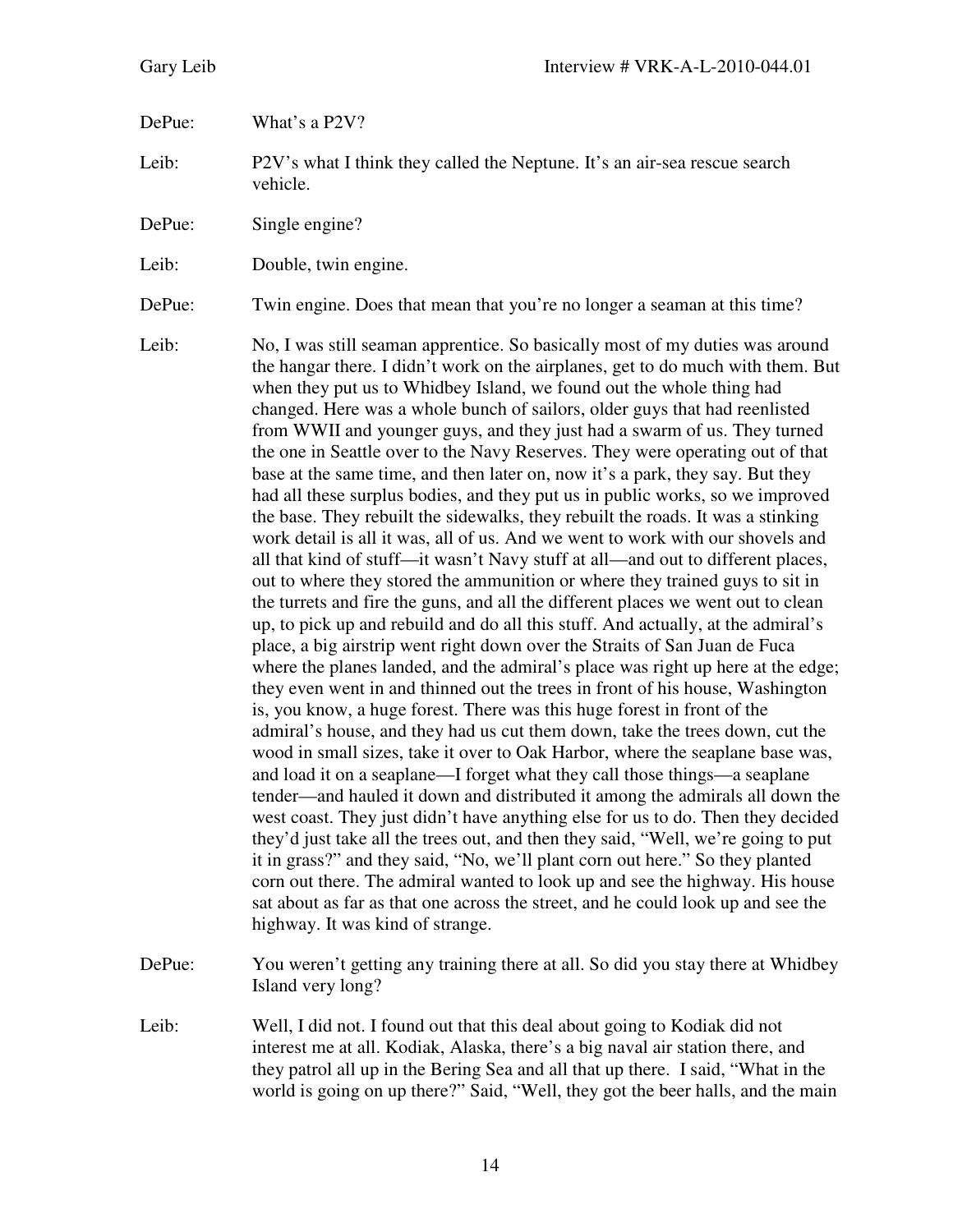DePue: What's a P2V?

Leib: P2V's what I think they called the Neptune. It's an air-sea rescue search vehicle.

DePue: Single engine?

Leib: Double, twin engine.

DePue: Twin engine. Does that mean that you're no longer a seaman at this time?

Leib: No, I was still seaman apprentice. So basically most of my duties was around the hangar there. I didn't work on the airplanes, get to do much with them. But when they put us to Whidbey Island, we found out the whole thing had changed. Here was a whole bunch of sailors, older guys that had reenlisted from WWII and younger guys, and they just had a swarm of us. They turned the one in Seattle over to the Navy Reserves. They were operating out of that base at the same time, and then later on, now it's a park, they say. But they had all these surplus bodies, and they put us in public works, so we improved the base. They rebuilt the sidewalks, they rebuilt the roads. It was a stinking work detail is all it was, all of us. And we went to work with our shovels and all that kind of stuff—it wasn't Navy stuff at all—and out to different places, out to where they stored the ammunition or where they trained guys to sit in the turrets and fire the guns, and all the different places we went out to clean up, to pick up and rebuild and do all this stuff. And actually, at the admiral's place, a big airstrip went right down over the Straits of San Juan de Fuca where the planes landed, and the admiral's place was right up here at the edge; they even went in and thinned out the trees in front of his house, Washington is, you know, a huge forest. There was this huge forest in front of the admiral's house, and they had us cut them down, take the trees down, cut the wood in small sizes, take it over to Oak Harbor, where the seaplane base was, and load it on a seaplane—I forget what they call those things—a seaplane tender—and hauled it down and distributed it among the admirals all down the west coast. They just didn't have anything else for us to do. Then they decided they'd just take all the trees out, and then they said, "Well, we're going to put it in grass?" and they said, "No, we'll plant corn out here." So they planted corn out there. The admiral wanted to look up and see the highway. His house sat about as far as that one across the street, and he could look up and see the highway. It was kind of strange.

- DePue: You weren't getting any training there at all. So did you stay there at Whidbey Island very long?
- Leib: Well, I did not. I found out that this deal about going to Kodiak did not interest me at all. Kodiak, Alaska, there's a big naval air station there, and they patrol all up in the Bering Sea and all that up there. I said, "What in the world is going on up there?" Said, "Well, they got the beer halls, and the main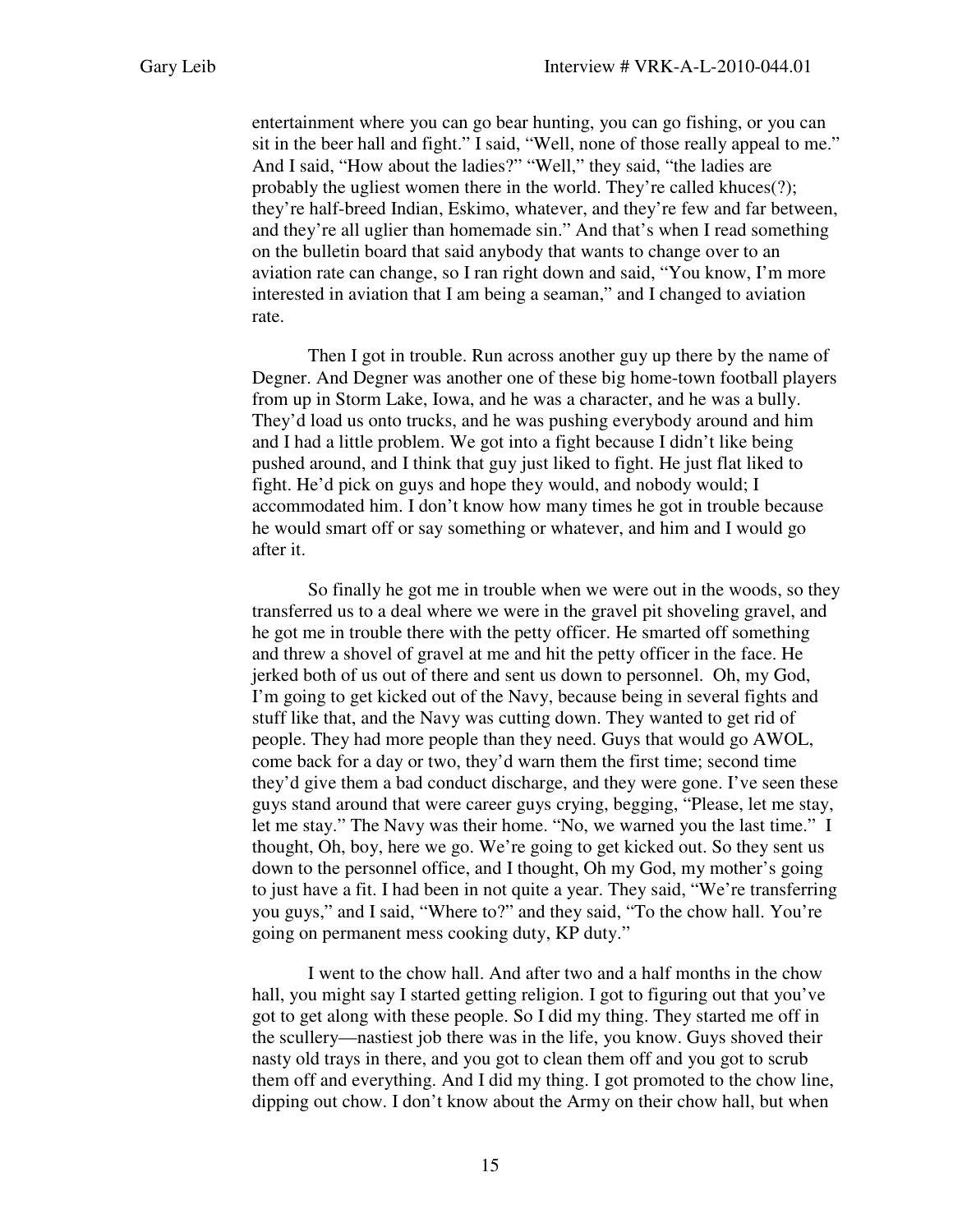entertainment where you can go bear hunting, you can go fishing, or you can sit in the beer hall and fight." I said, "Well, none of those really appeal to me." And I said, "How about the ladies?" "Well," they said, "the ladies are probably the ugliest women there in the world. They're called khuces(?); they're half-breed Indian, Eskimo, whatever, and they're few and far between, and they're all uglier than homemade sin." And that's when I read something on the bulletin board that said anybody that wants to change over to an aviation rate can change, so I ran right down and said, "You know, I'm more interested in aviation that I am being a seaman," and I changed to aviation rate.

 Then I got in trouble. Run across another guy up there by the name of Degner. And Degner was another one of these big home-town football players from up in Storm Lake, Iowa, and he was a character, and he was a bully. They'd load us onto trucks, and he was pushing everybody around and him and I had a little problem. We got into a fight because I didn't like being pushed around, and I think that guy just liked to fight. He just flat liked to fight. He'd pick on guys and hope they would, and nobody would; I accommodated him. I don't know how many times he got in trouble because he would smart off or say something or whatever, and him and I would go after it.

So finally he got me in trouble when we were out in the woods, so they transferred us to a deal where we were in the gravel pit shoveling gravel, and he got me in trouble there with the petty officer. He smarted off something and threw a shovel of gravel at me and hit the petty officer in the face. He jerked both of us out of there and sent us down to personnel. Oh, my God, I'm going to get kicked out of the Navy, because being in several fights and stuff like that, and the Navy was cutting down. They wanted to get rid of people. They had more people than they need. Guys that would go AWOL, come back for a day or two, they'd warn them the first time; second time they'd give them a bad conduct discharge, and they were gone. I've seen these guys stand around that were career guys crying, begging, "Please, let me stay, let me stay." The Navy was their home. "No, we warned you the last time." I thought, Oh, boy, here we go. We're going to get kicked out. So they sent us down to the personnel office, and I thought, Oh my God, my mother's going to just have a fit. I had been in not quite a year. They said, "We're transferring you guys," and I said, "Where to?" and they said, "To the chow hall. You're going on permanent mess cooking duty, KP duty."

I went to the chow hall. And after two and a half months in the chow hall, you might say I started getting religion. I got to figuring out that you've got to get along with these people. So I did my thing. They started me off in the scullery—nastiest job there was in the life, you know. Guys shoved their nasty old trays in there, and you got to clean them off and you got to scrub them off and everything. And I did my thing. I got promoted to the chow line, dipping out chow. I don't know about the Army on their chow hall, but when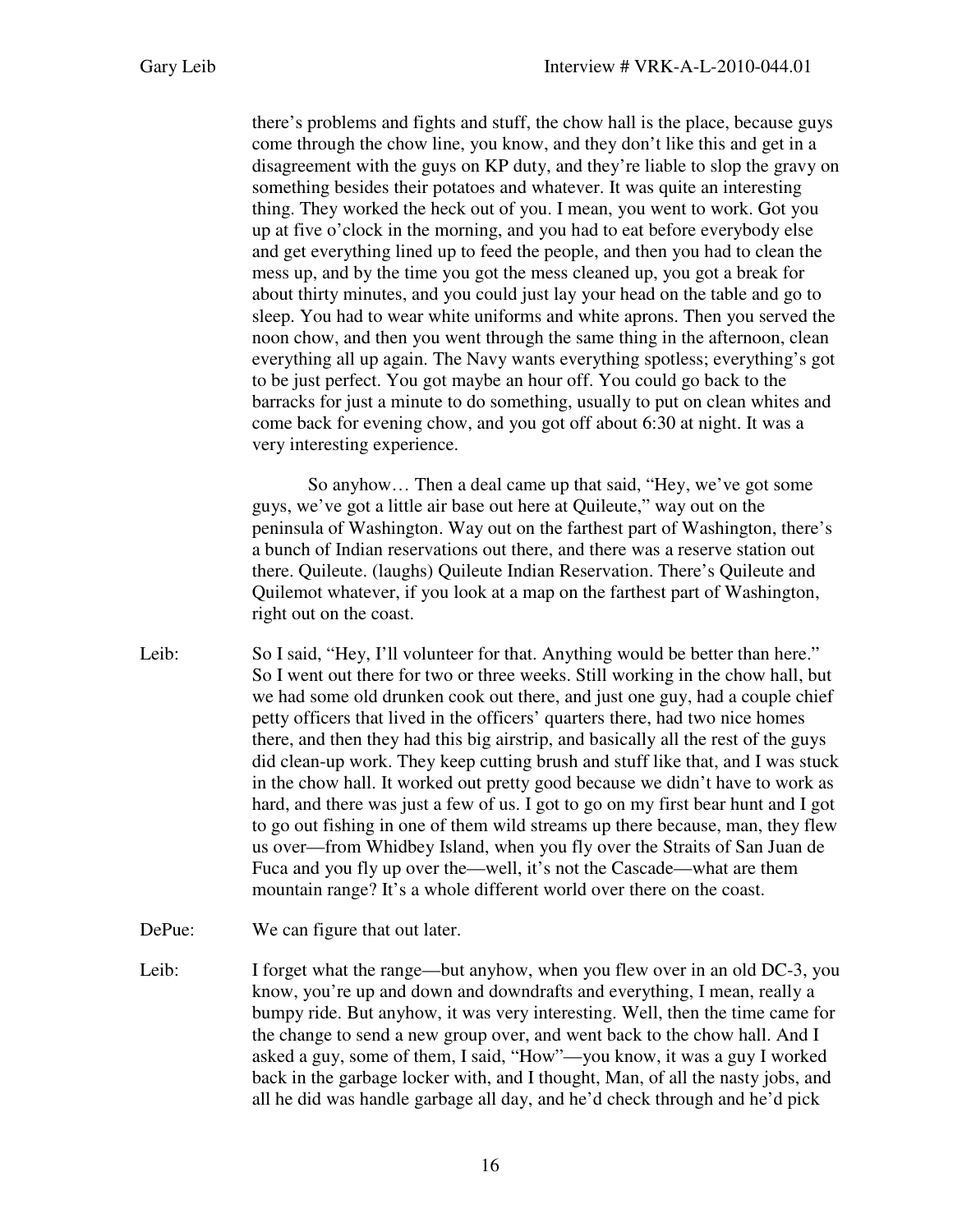there's problems and fights and stuff, the chow hall is the place, because guys come through the chow line, you know, and they don't like this and get in a disagreement with the guys on KP duty, and they're liable to slop the gravy on something besides their potatoes and whatever. It was quite an interesting thing. They worked the heck out of you. I mean, you went to work. Got you up at five o'clock in the morning, and you had to eat before everybody else and get everything lined up to feed the people, and then you had to clean the mess up, and by the time you got the mess cleaned up, you got a break for about thirty minutes, and you could just lay your head on the table and go to sleep. You had to wear white uniforms and white aprons. Then you served the noon chow, and then you went through the same thing in the afternoon, clean everything all up again. The Navy wants everything spotless; everything's got to be just perfect. You got maybe an hour off. You could go back to the barracks for just a minute to do something, usually to put on clean whites and come back for evening chow, and you got off about 6:30 at night. It was a very interesting experience.

So anyhow… Then a deal came up that said, "Hey, we've got some guys, we've got a little air base out here at Quileute," way out on the peninsula of Washington. Way out on the farthest part of Washington, there's a bunch of Indian reservations out there, and there was a reserve station out there. Quileute. (laughs) Quileute Indian Reservation. There's Quileute and Quilemot whatever, if you look at a map on the farthest part of Washington, right out on the coast.

Leib: So I said, "Hey, I'll volunteer for that. Anything would be better than here." So I went out there for two or three weeks. Still working in the chow hall, but we had some old drunken cook out there, and just one guy, had a couple chief petty officers that lived in the officers' quarters there, had two nice homes there, and then they had this big airstrip, and basically all the rest of the guys did clean-up work. They keep cutting brush and stuff like that, and I was stuck in the chow hall. It worked out pretty good because we didn't have to work as hard, and there was just a few of us. I got to go on my first bear hunt and I got to go out fishing in one of them wild streams up there because, man, they flew us over—from Whidbey Island, when you fly over the Straits of San Juan de Fuca and you fly up over the—well, it's not the Cascade—what are them mountain range? It's a whole different world over there on the coast.

DePue: We can figure that out later.

Leib: I forget what the range—but anyhow, when you flew over in an old DC-3, you know, you're up and down and downdrafts and everything, I mean, really a bumpy ride. But anyhow, it was very interesting. Well, then the time came for the change to send a new group over, and went back to the chow hall. And I asked a guy, some of them, I said, "How"—you know, it was a guy I worked back in the garbage locker with, and I thought, Man, of all the nasty jobs, and all he did was handle garbage all day, and he'd check through and he'd pick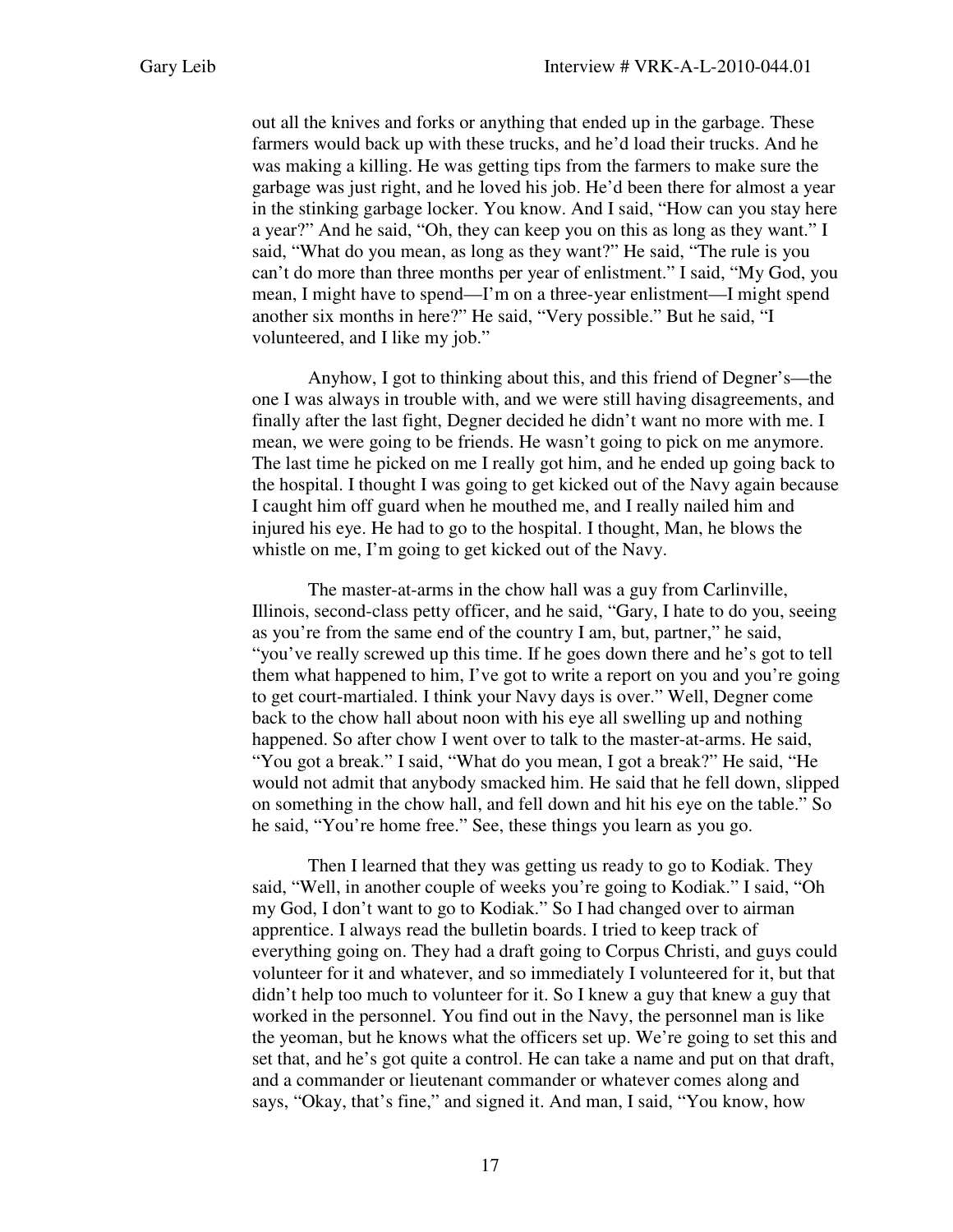out all the knives and forks or anything that ended up in the garbage. These farmers would back up with these trucks, and he'd load their trucks. And he was making a killing. He was getting tips from the farmers to make sure the garbage was just right, and he loved his job. He'd been there for almost a year in the stinking garbage locker. You know. And I said, "How can you stay here a year?" And he said, "Oh, they can keep you on this as long as they want." I said, "What do you mean, as long as they want?" He said, "The rule is you can't do more than three months per year of enlistment." I said, "My God, you mean, I might have to spend—I'm on a three-year enlistment—I might spend another six months in here?" He said, "Very possible." But he said, "I volunteered, and I like my job."

Anyhow, I got to thinking about this, and this friend of Degner's—the one I was always in trouble with, and we were still having disagreements, and finally after the last fight, Degner decided he didn't want no more with me. I mean, we were going to be friends. He wasn't going to pick on me anymore. The last time he picked on me I really got him, and he ended up going back to the hospital. I thought I was going to get kicked out of the Navy again because I caught him off guard when he mouthed me, and I really nailed him and injured his eye. He had to go to the hospital. I thought, Man, he blows the whistle on me, I'm going to get kicked out of the Navy.

The master-at-arms in the chow hall was a guy from Carlinville, Illinois, second-class petty officer, and he said, "Gary, I hate to do you, seeing as you're from the same end of the country I am, but, partner," he said, "you've really screwed up this time. If he goes down there and he's got to tell them what happened to him, I've got to write a report on you and you're going to get court-martialed. I think your Navy days is over." Well, Degner come back to the chow hall about noon with his eye all swelling up and nothing happened. So after chow I went over to talk to the master-at-arms. He said, "You got a break." I said, "What do you mean, I got a break?" He said, "He would not admit that anybody smacked him. He said that he fell down, slipped on something in the chow hall, and fell down and hit his eye on the table." So he said, "You're home free." See, these things you learn as you go.

Then I learned that they was getting us ready to go to Kodiak. They said, "Well, in another couple of weeks you're going to Kodiak." I said, "Oh my God, I don't want to go to Kodiak." So I had changed over to airman apprentice. I always read the bulletin boards. I tried to keep track of everything going on. They had a draft going to Corpus Christi, and guys could volunteer for it and whatever, and so immediately I volunteered for it, but that didn't help too much to volunteer for it. So I knew a guy that knew a guy that worked in the personnel. You find out in the Navy, the personnel man is like the yeoman, but he knows what the officers set up. We're going to set this and set that, and he's got quite a control. He can take a name and put on that draft, and a commander or lieutenant commander or whatever comes along and says, "Okay, that's fine," and signed it. And man, I said, "You know, how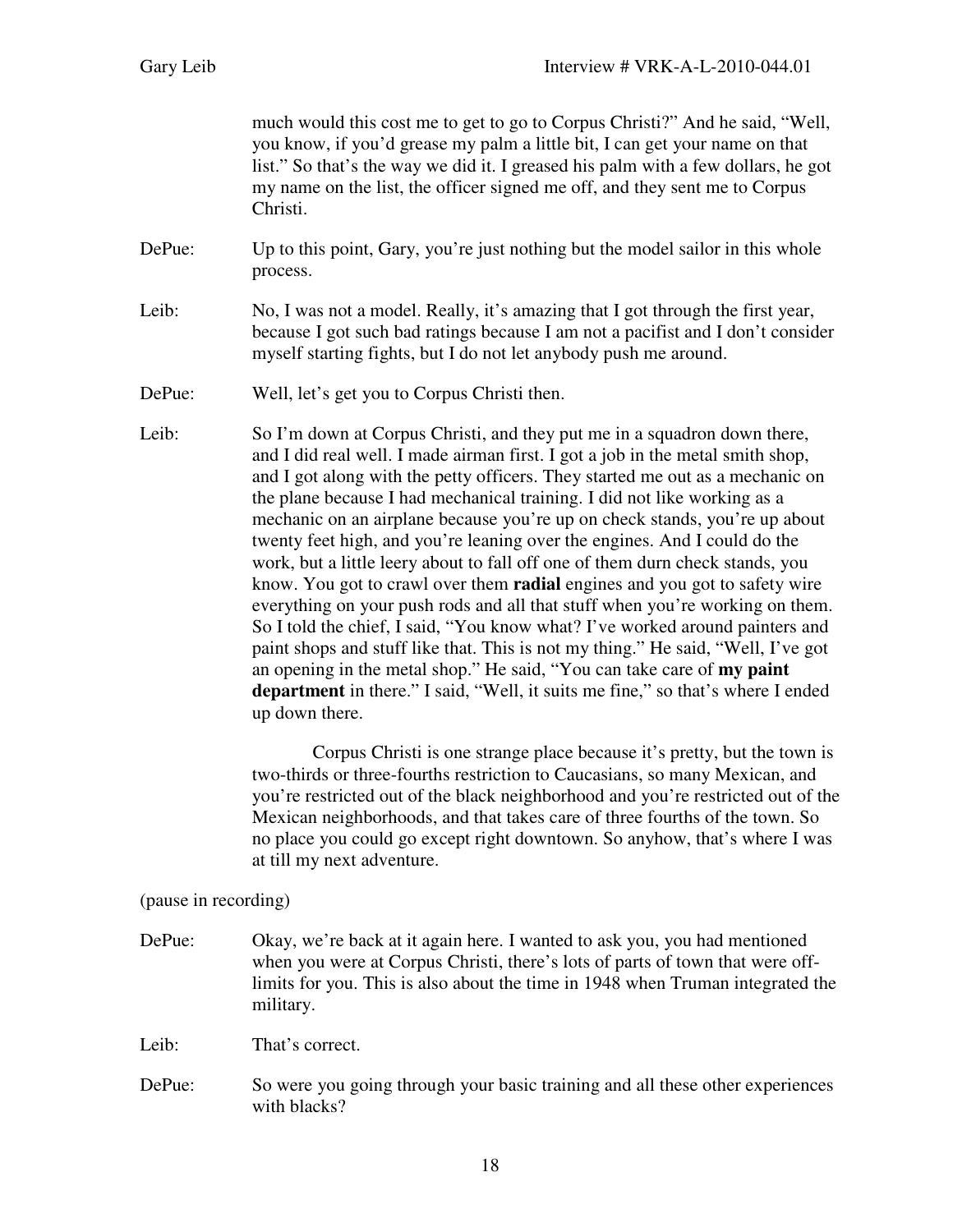much would this cost me to get to go to Corpus Christi?" And he said, "Well, you know, if you'd grease my palm a little bit, I can get your name on that list." So that's the way we did it. I greased his palm with a few dollars, he got my name on the list, the officer signed me off, and they sent me to Corpus Christi.

- DePue: Up to this point, Gary, you're just nothing but the model sailor in this whole process.
- Leib: No, I was not a model. Really, it's amazing that I got through the first year, because I got such bad ratings because I am not a pacifist and I don't consider myself starting fights, but I do not let anybody push me around.
- DePue: Well, let's get you to Corpus Christi then.
- Leib: So I'm down at Corpus Christi, and they put me in a squadron down there, and I did real well. I made airman first. I got a job in the metal smith shop, and I got along with the petty officers. They started me out as a mechanic on the plane because I had mechanical training. I did not like working as a mechanic on an airplane because you're up on check stands, you're up about twenty feet high, and you're leaning over the engines. And I could do the work, but a little leery about to fall off one of them durn check stands, you know. You got to crawl over them **radial** engines and you got to safety wire everything on your push rods and all that stuff when you're working on them. So I told the chief, I said, "You know what? I've worked around painters and paint shops and stuff like that. This is not my thing." He said, "Well, I've got an opening in the metal shop." He said, "You can take care of **my paint department** in there." I said, "Well, it suits me fine," so that's where I ended up down there.

 Corpus Christi is one strange place because it's pretty, but the town is two-thirds or three-fourths restriction to Caucasians, so many Mexican, and you're restricted out of the black neighborhood and you're restricted out of the Mexican neighborhoods, and that takes care of three fourths of the town. So no place you could go except right downtown. So anyhow, that's where I was at till my next adventure.

## (pause in recording)

DePue: Okay, we're back at it again here. I wanted to ask you, you had mentioned when you were at Corpus Christi, there's lots of parts of town that were offlimits for you. This is also about the time in 1948 when Truman integrated the military.

Leib: That's correct.

DePue: So were you going through your basic training and all these other experiences with blacks?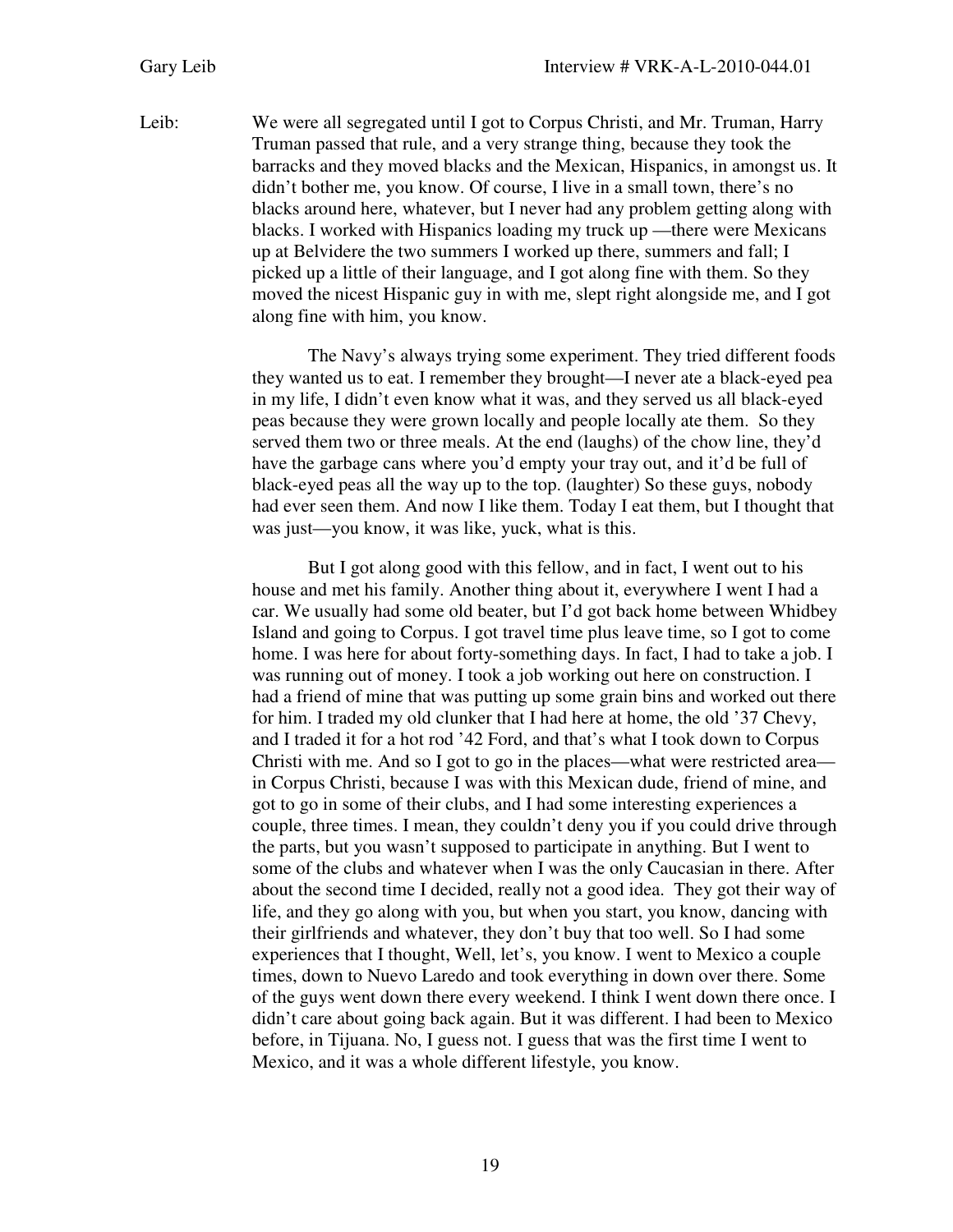Leib: We were all segregated until I got to Corpus Christi, and Mr. Truman, Harry Truman passed that rule, and a very strange thing, because they took the barracks and they moved blacks and the Mexican, Hispanics, in amongst us. It didn't bother me, you know. Of course, I live in a small town, there's no blacks around here, whatever, but I never had any problem getting along with blacks. I worked with Hispanics loading my truck up —there were Mexicans up at Belvidere the two summers I worked up there, summers and fall; I picked up a little of their language, and I got along fine with them. So they moved the nicest Hispanic guy in with me, slept right alongside me, and I got along fine with him, you know.

> The Navy's always trying some experiment. They tried different foods they wanted us to eat. I remember they brought—I never ate a black-eyed pea in my life, I didn't even know what it was, and they served us all black-eyed peas because they were grown locally and people locally ate them. So they served them two or three meals. At the end (laughs) of the chow line, they'd have the garbage cans where you'd empty your tray out, and it'd be full of black-eyed peas all the way up to the top. (laughter) So these guys, nobody had ever seen them. And now I like them. Today I eat them, but I thought that was just—you know, it was like, yuck, what is this.

> But I got along good with this fellow, and in fact, I went out to his house and met his family. Another thing about it, everywhere I went I had a car. We usually had some old beater, but I'd got back home between Whidbey Island and going to Corpus. I got travel time plus leave time, so I got to come home. I was here for about forty-something days. In fact, I had to take a job. I was running out of money. I took a job working out here on construction. I had a friend of mine that was putting up some grain bins and worked out there for him. I traded my old clunker that I had here at home, the old '37 Chevy, and I traded it for a hot rod '42 Ford, and that's what I took down to Corpus Christi with me. And so I got to go in the places—what were restricted area in Corpus Christi, because I was with this Mexican dude, friend of mine, and got to go in some of their clubs, and I had some interesting experiences a couple, three times. I mean, they couldn't deny you if you could drive through the parts, but you wasn't supposed to participate in anything. But I went to some of the clubs and whatever when I was the only Caucasian in there. After about the second time I decided, really not a good idea. They got their way of life, and they go along with you, but when you start, you know, dancing with their girlfriends and whatever, they don't buy that too well. So I had some experiences that I thought, Well, let's, you know. I went to Mexico a couple times, down to Nuevo Laredo and took everything in down over there. Some of the guys went down there every weekend. I think I went down there once. I didn't care about going back again. But it was different. I had been to Mexico before, in Tijuana. No, I guess not. I guess that was the first time I went to Mexico, and it was a whole different lifestyle, you know.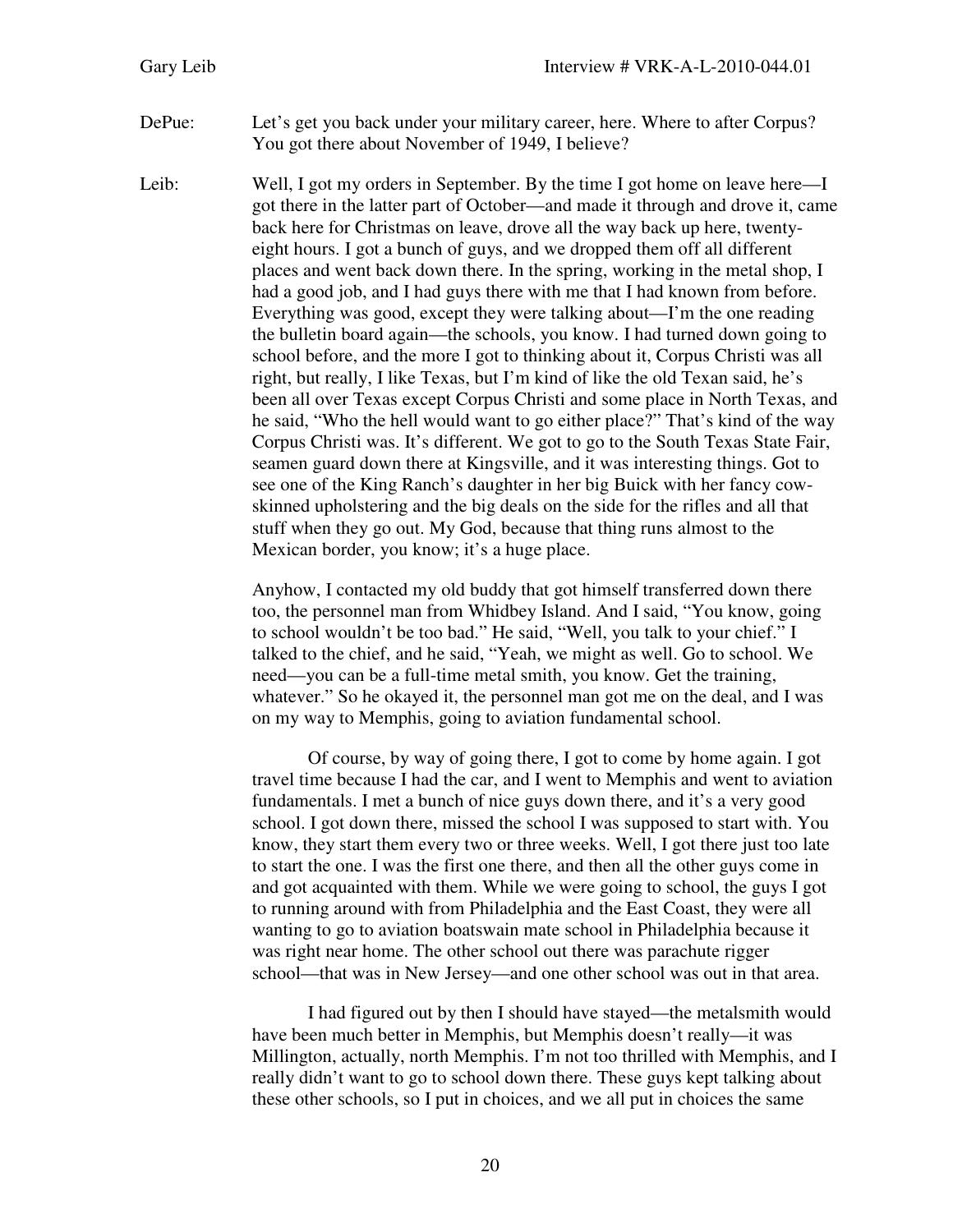- DePue: Let's get you back under your military career, here. Where to after Corpus? You got there about November of 1949, I believe?
- Leib: Well, I got my orders in September. By the time I got home on leave here—I got there in the latter part of October—and made it through and drove it, came back here for Christmas on leave, drove all the way back up here, twentyeight hours. I got a bunch of guys, and we dropped them off all different places and went back down there. In the spring, working in the metal shop, I had a good job, and I had guys there with me that I had known from before. Everything was good, except they were talking about—I'm the one reading the bulletin board again—the schools, you know. I had turned down going to school before, and the more I got to thinking about it, Corpus Christi was all right, but really, I like Texas, but I'm kind of like the old Texan said, he's been all over Texas except Corpus Christi and some place in North Texas, and he said, "Who the hell would want to go either place?" That's kind of the way Corpus Christi was. It's different. We got to go to the South Texas State Fair, seamen guard down there at Kingsville, and it was interesting things. Got to see one of the King Ranch's daughter in her big Buick with her fancy cowskinned upholstering and the big deals on the side for the rifles and all that stuff when they go out. My God, because that thing runs almost to the Mexican border, you know; it's a huge place.

Anyhow, I contacted my old buddy that got himself transferred down there too, the personnel man from Whidbey Island. And I said, "You know, going to school wouldn't be too bad." He said, "Well, you talk to your chief." I talked to the chief, and he said, "Yeah, we might as well. Go to school. We need—you can be a full-time metal smith, you know. Get the training, whatever." So he okayed it, the personnel man got me on the deal, and I was on my way to Memphis, going to aviation fundamental school.

Of course, by way of going there, I got to come by home again. I got travel time because I had the car, and I went to Memphis and went to aviation fundamentals. I met a bunch of nice guys down there, and it's a very good school. I got down there, missed the school I was supposed to start with. You know, they start them every two or three weeks. Well, I got there just too late to start the one. I was the first one there, and then all the other guys come in and got acquainted with them. While we were going to school, the guys I got to running around with from Philadelphia and the East Coast, they were all wanting to go to aviation boatswain mate school in Philadelphia because it was right near home. The other school out there was parachute rigger school—that was in New Jersey—and one other school was out in that area.

I had figured out by then I should have stayed—the metalsmith would have been much better in Memphis, but Memphis doesn't really—it was Millington, actually, north Memphis. I'm not too thrilled with Memphis, and I really didn't want to go to school down there. These guys kept talking about these other schools, so I put in choices, and we all put in choices the same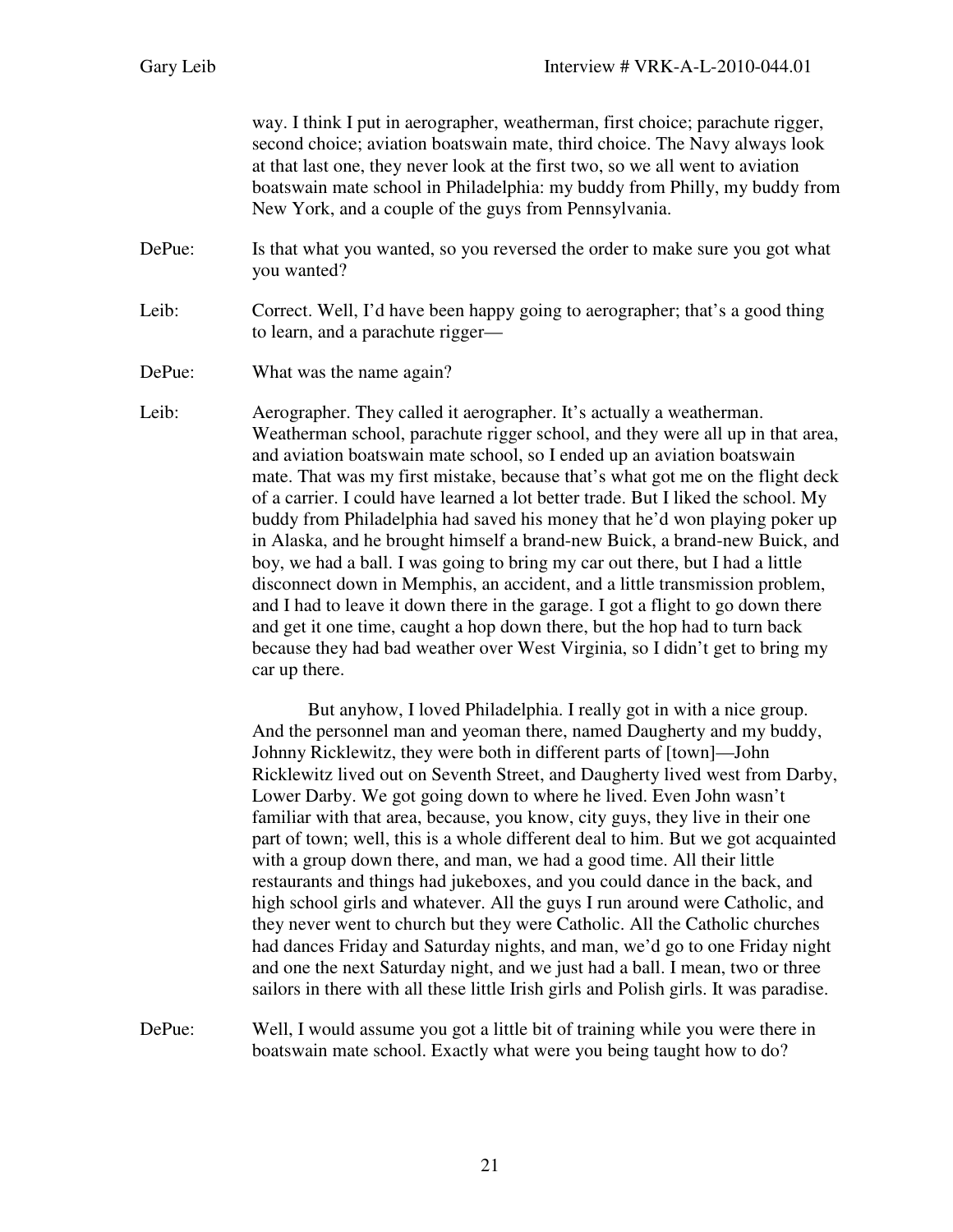way. I think I put in aerographer, weatherman, first choice; parachute rigger, second choice; aviation boatswain mate, third choice. The Navy always look at that last one, they never look at the first two, so we all went to aviation boatswain mate school in Philadelphia: my buddy from Philly, my buddy from New York, and a couple of the guys from Pennsylvania.

- DePue: Is that what you wanted, so you reversed the order to make sure you got what you wanted?
- Leib: Correct. Well, I'd have been happy going to aerographer; that's a good thing to learn, and a parachute rigger—
- DePue: What was the name again?

Leib: Aerographer. They called it aerographer. It's actually a weatherman. Weatherman school, parachute rigger school, and they were all up in that area, and aviation boatswain mate school, so I ended up an aviation boatswain mate. That was my first mistake, because that's what got me on the flight deck of a carrier. I could have learned a lot better trade. But I liked the school. My buddy from Philadelphia had saved his money that he'd won playing poker up in Alaska, and he brought himself a brand-new Buick, a brand-new Buick, and boy, we had a ball. I was going to bring my car out there, but I had a little disconnect down in Memphis, an accident, and a little transmission problem, and I had to leave it down there in the garage. I got a flight to go down there and get it one time, caught a hop down there, but the hop had to turn back because they had bad weather over West Virginia, so I didn't get to bring my car up there.

> But anyhow, I loved Philadelphia. I really got in with a nice group. And the personnel man and yeoman there, named Daugherty and my buddy, Johnny Ricklewitz, they were both in different parts of [town]—John Ricklewitz lived out on Seventh Street, and Daugherty lived west from Darby, Lower Darby. We got going down to where he lived. Even John wasn't familiar with that area, because, you know, city guys, they live in their one part of town; well, this is a whole different deal to him. But we got acquainted with a group down there, and man, we had a good time. All their little restaurants and things had jukeboxes, and you could dance in the back, and high school girls and whatever. All the guys I run around were Catholic, and they never went to church but they were Catholic. All the Catholic churches had dances Friday and Saturday nights, and man, we'd go to one Friday night and one the next Saturday night, and we just had a ball. I mean, two or three sailors in there with all these little Irish girls and Polish girls. It was paradise.

DePue: Well, I would assume you got a little bit of training while you were there in boatswain mate school. Exactly what were you being taught how to do?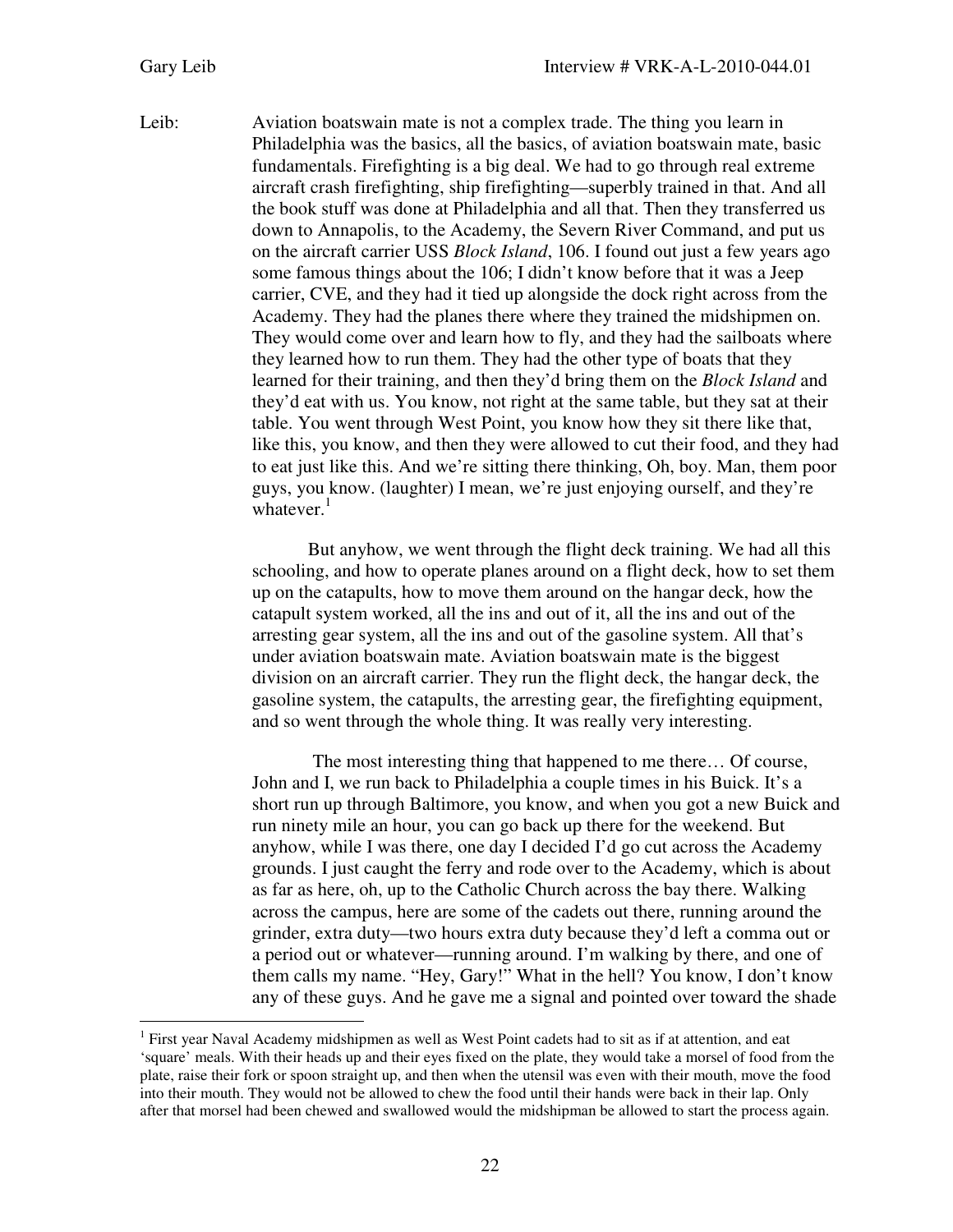$\overline{a}$ 

Leib: Aviation boatswain mate is not a complex trade. The thing you learn in Philadelphia was the basics, all the basics, of aviation boatswain mate, basic fundamentals. Firefighting is a big deal. We had to go through real extreme aircraft crash firefighting, ship firefighting—superbly trained in that. And all the book stuff was done at Philadelphia and all that. Then they transferred us down to Annapolis, to the Academy, the Severn River Command, and put us on the aircraft carrier USS *Block Island*, 106. I found out just a few years ago some famous things about the 106; I didn't know before that it was a Jeep carrier, CVE, and they had it tied up alongside the dock right across from the Academy. They had the planes there where they trained the midshipmen on. They would come over and learn how to fly, and they had the sailboats where they learned how to run them. They had the other type of boats that they learned for their training, and then they'd bring them on the *Block Island* and they'd eat with us. You know, not right at the same table, but they sat at their table. You went through West Point, you know how they sit there like that, like this, you know, and then they were allowed to cut their food, and they had to eat just like this. And we're sitting there thinking, Oh, boy. Man, them poor guys, you know. (laughter) I mean, we're just enjoying ourself, and they're whatever. $<sup>1</sup>$ </sup>

> But anyhow, we went through the flight deck training. We had all this schooling, and how to operate planes around on a flight deck, how to set them up on the catapults, how to move them around on the hangar deck, how the catapult system worked, all the ins and out of it, all the ins and out of the arresting gear system, all the ins and out of the gasoline system. All that's under aviation boatswain mate. Aviation boatswain mate is the biggest division on an aircraft carrier. They run the flight deck, the hangar deck, the gasoline system, the catapults, the arresting gear, the firefighting equipment, and so went through the whole thing. It was really very interesting.

 The most interesting thing that happened to me there… Of course, John and I, we run back to Philadelphia a couple times in his Buick. It's a short run up through Baltimore, you know, and when you got a new Buick and run ninety mile an hour, you can go back up there for the weekend. But anyhow, while I was there, one day I decided I'd go cut across the Academy grounds. I just caught the ferry and rode over to the Academy, which is about as far as here, oh, up to the Catholic Church across the bay there. Walking across the campus, here are some of the cadets out there, running around the grinder, extra duty—two hours extra duty because they'd left a comma out or a period out or whatever—running around. I'm walking by there, and one of them calls my name. "Hey, Gary!" What in the hell? You know, I don't know any of these guys. And he gave me a signal and pointed over toward the shade

<sup>&</sup>lt;sup>1</sup> First year Naval Academy midshipmen as well as West Point cadets had to sit as if at attention, and eat 'square' meals. With their heads up and their eyes fixed on the plate, they would take a morsel of food from the plate, raise their fork or spoon straight up, and then when the utensil was even with their mouth, move the food into their mouth. They would not be allowed to chew the food until their hands were back in their lap. Only after that morsel had been chewed and swallowed would the midshipman be allowed to start the process again.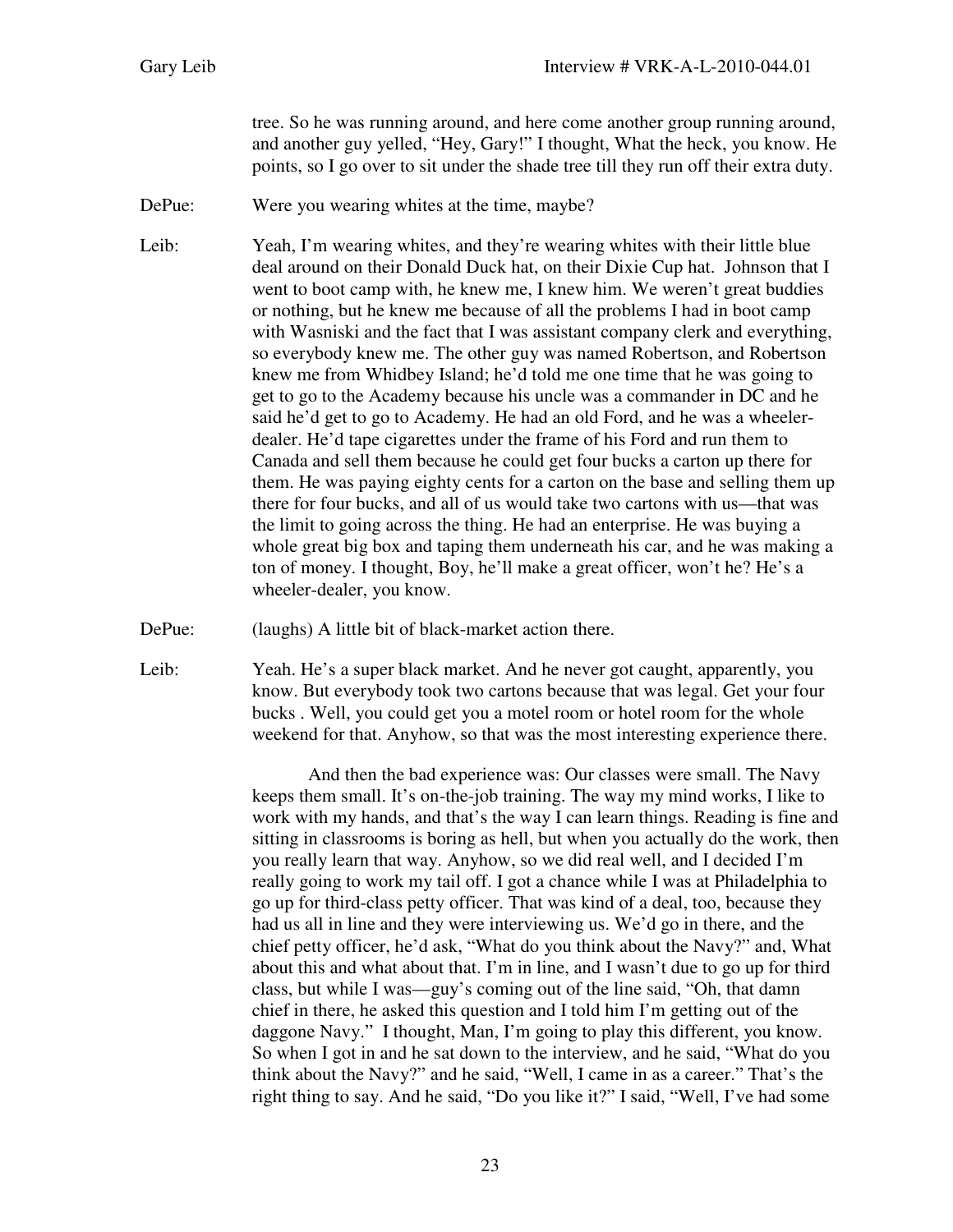tree. So he was running around, and here come another group running around, and another guy yelled, "Hey, Gary!" I thought, What the heck, you know. He points, so I go over to sit under the shade tree till they run off their extra duty.

DePue: Were you wearing whites at the time, maybe?

Leib: Yeah, I'm wearing whites, and they're wearing whites with their little blue deal around on their Donald Duck hat, on their Dixie Cup hat. Johnson that I went to boot camp with, he knew me, I knew him. We weren't great buddies or nothing, but he knew me because of all the problems I had in boot camp with Wasniski and the fact that I was assistant company clerk and everything, so everybody knew me. The other guy was named Robertson, and Robertson knew me from Whidbey Island; he'd told me one time that he was going to get to go to the Academy because his uncle was a commander in DC and he said he'd get to go to Academy. He had an old Ford, and he was a wheelerdealer. He'd tape cigarettes under the frame of his Ford and run them to Canada and sell them because he could get four bucks a carton up there for them. He was paying eighty cents for a carton on the base and selling them up there for four bucks, and all of us would take two cartons with us—that was the limit to going across the thing. He had an enterprise. He was buying a whole great big box and taping them underneath his car, and he was making a ton of money. I thought, Boy, he'll make a great officer, won't he? He's a wheeler-dealer, you know.

DePue: (laughs) A little bit of black-market action there.

Leib: Yeah. He's a super black market. And he never got caught, apparently, you know. But everybody took two cartons because that was legal. Get your four bucks . Well, you could get you a motel room or hotel room for the whole weekend for that. Anyhow, so that was the most interesting experience there.

> And then the bad experience was: Our classes were small. The Navy keeps them small. It's on-the-job training. The way my mind works, I like to work with my hands, and that's the way I can learn things. Reading is fine and sitting in classrooms is boring as hell, but when you actually do the work, then you really learn that way. Anyhow, so we did real well, and I decided I'm really going to work my tail off. I got a chance while I was at Philadelphia to go up for third-class petty officer. That was kind of a deal, too, because they had us all in line and they were interviewing us. We'd go in there, and the chief petty officer, he'd ask, "What do you think about the Navy?" and, What about this and what about that. I'm in line, and I wasn't due to go up for third class, but while I was—guy's coming out of the line said, "Oh, that damn chief in there, he asked this question and I told him I'm getting out of the daggone Navy." I thought, Man, I'm going to play this different, you know. So when I got in and he sat down to the interview, and he said, "What do you think about the Navy?" and he said, "Well, I came in as a career." That's the right thing to say. And he said, "Do you like it?" I said, "Well, I've had some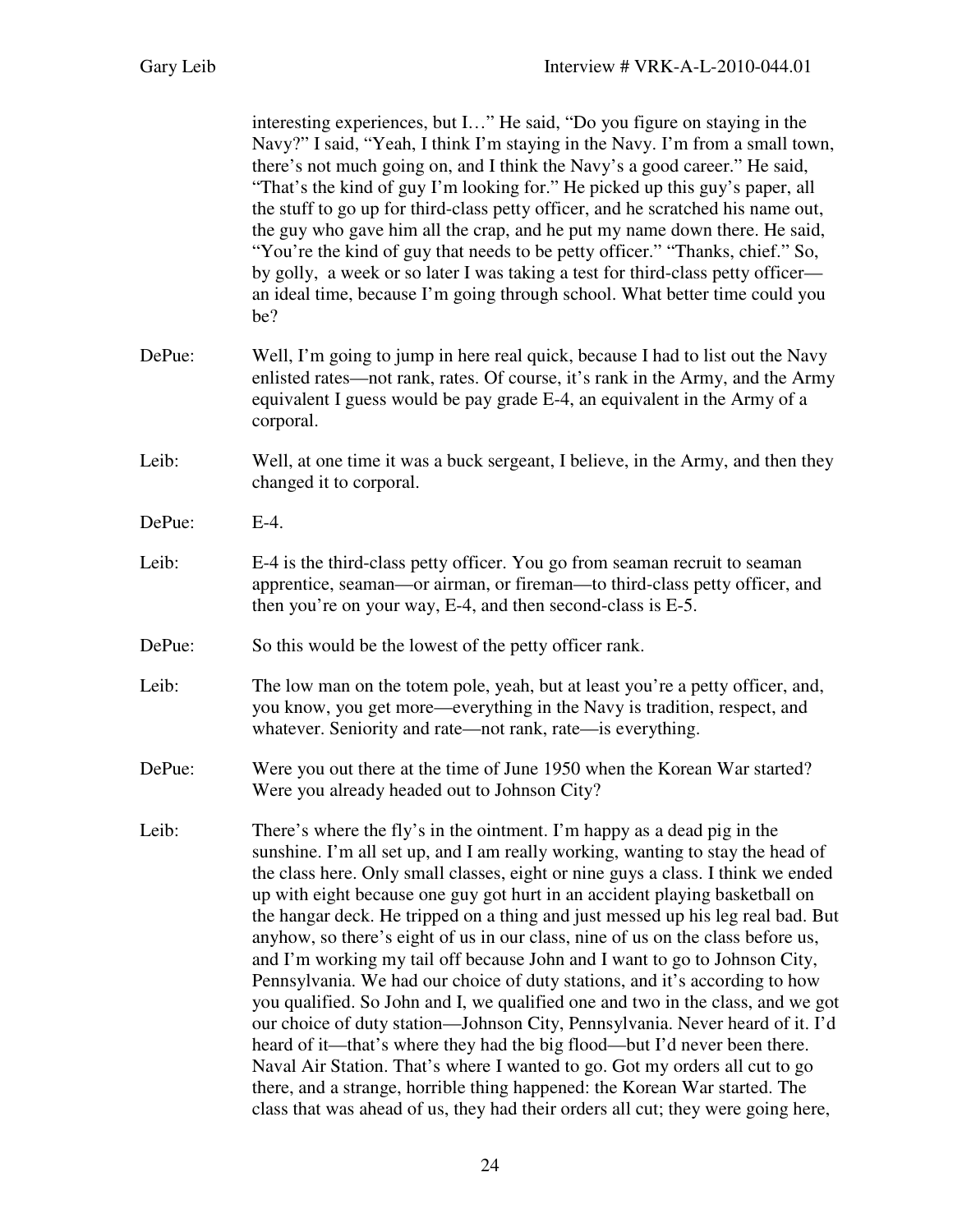|        | interesting experiences, but I" He said, "Do you figure on staying in the<br>Navy?" I said, "Yeah, I think I'm staying in the Navy. I'm from a small town,<br>there's not much going on, and I think the Navy's a good career." He said,<br>"That's the kind of guy I'm looking for." He picked up this guy's paper, all<br>the stuff to go up for third-class petty officer, and he scratched his name out,<br>the guy who gave him all the crap, and he put my name down there. He said,<br>"You're the kind of guy that needs to be petty officer." "Thanks, chief." So,<br>by golly, a week or so later I was taking a test for third-class petty officer—<br>an ideal time, because I'm going through school. What better time could you<br>be?                                                                                                                                                                                                                                                                                                                                                                                                              |
|--------|-------------------------------------------------------------------------------------------------------------------------------------------------------------------------------------------------------------------------------------------------------------------------------------------------------------------------------------------------------------------------------------------------------------------------------------------------------------------------------------------------------------------------------------------------------------------------------------------------------------------------------------------------------------------------------------------------------------------------------------------------------------------------------------------------------------------------------------------------------------------------------------------------------------------------------------------------------------------------------------------------------------------------------------------------------------------------------------------------------------------------------------------------------------------|
| DePue: | Well, I'm going to jump in here real quick, because I had to list out the Navy<br>enlisted rates—not rank, rates. Of course, it's rank in the Army, and the Army<br>equivalent I guess would be pay grade E-4, an equivalent in the Army of a<br>corporal.                                                                                                                                                                                                                                                                                                                                                                                                                                                                                                                                                                                                                                                                                                                                                                                                                                                                                                        |
| Leib:  | Well, at one time it was a buck sergeant, I believe, in the Army, and then they<br>changed it to corporal.                                                                                                                                                                                                                                                                                                                                                                                                                                                                                                                                                                                                                                                                                                                                                                                                                                                                                                                                                                                                                                                        |
| DePue: | $E-4$ .                                                                                                                                                                                                                                                                                                                                                                                                                                                                                                                                                                                                                                                                                                                                                                                                                                                                                                                                                                                                                                                                                                                                                           |
| Leib:  | E-4 is the third-class petty officer. You go from seaman recruit to seaman<br>apprentice, seaman—or airman, or fireman—to third-class petty officer, and<br>then you're on your way, E-4, and then second-class is E-5.                                                                                                                                                                                                                                                                                                                                                                                                                                                                                                                                                                                                                                                                                                                                                                                                                                                                                                                                           |
| DePue: | So this would be the lowest of the petty officer rank.                                                                                                                                                                                                                                                                                                                                                                                                                                                                                                                                                                                                                                                                                                                                                                                                                                                                                                                                                                                                                                                                                                            |
| Leib:  | The low man on the totem pole, yeah, but at least you're a petty officer, and,<br>you know, you get more—everything in the Navy is tradition, respect, and<br>whatever. Seniority and rate—not rank, rate—is everything.                                                                                                                                                                                                                                                                                                                                                                                                                                                                                                                                                                                                                                                                                                                                                                                                                                                                                                                                          |
| DePue: | Were you out there at the time of June 1950 when the Korean War started?<br>Were you already headed out to Johnson City?                                                                                                                                                                                                                                                                                                                                                                                                                                                                                                                                                                                                                                                                                                                                                                                                                                                                                                                                                                                                                                          |
| Leib:  | There's where the fly's in the ointment. I'm happy as a dead pig in the<br>sunshine. I'm all set up, and I am really working, wanting to stay the head of<br>the class here. Only small classes, eight or nine guys a class. I think we ended<br>up with eight because one guy got hurt in an accident playing basketball on<br>the hangar deck. He tripped on a thing and just messed up his leg real bad. But<br>anyhow, so there's eight of us in our class, nine of us on the class before us,<br>and I'm working my tail off because John and I want to go to Johnson City,<br>Pennsylvania. We had our choice of duty stations, and it's according to how<br>you qualified. So John and I, we qualified one and two in the class, and we got<br>our choice of duty station-Johnson City, Pennsylvania. Never heard of it. I'd<br>heard of it—that's where they had the big flood—but I'd never been there.<br>Naval Air Station. That's where I wanted to go. Got my orders all cut to go<br>there, and a strange, horrible thing happened: the Korean War started. The<br>class that was ahead of us, they had their orders all cut; they were going here, |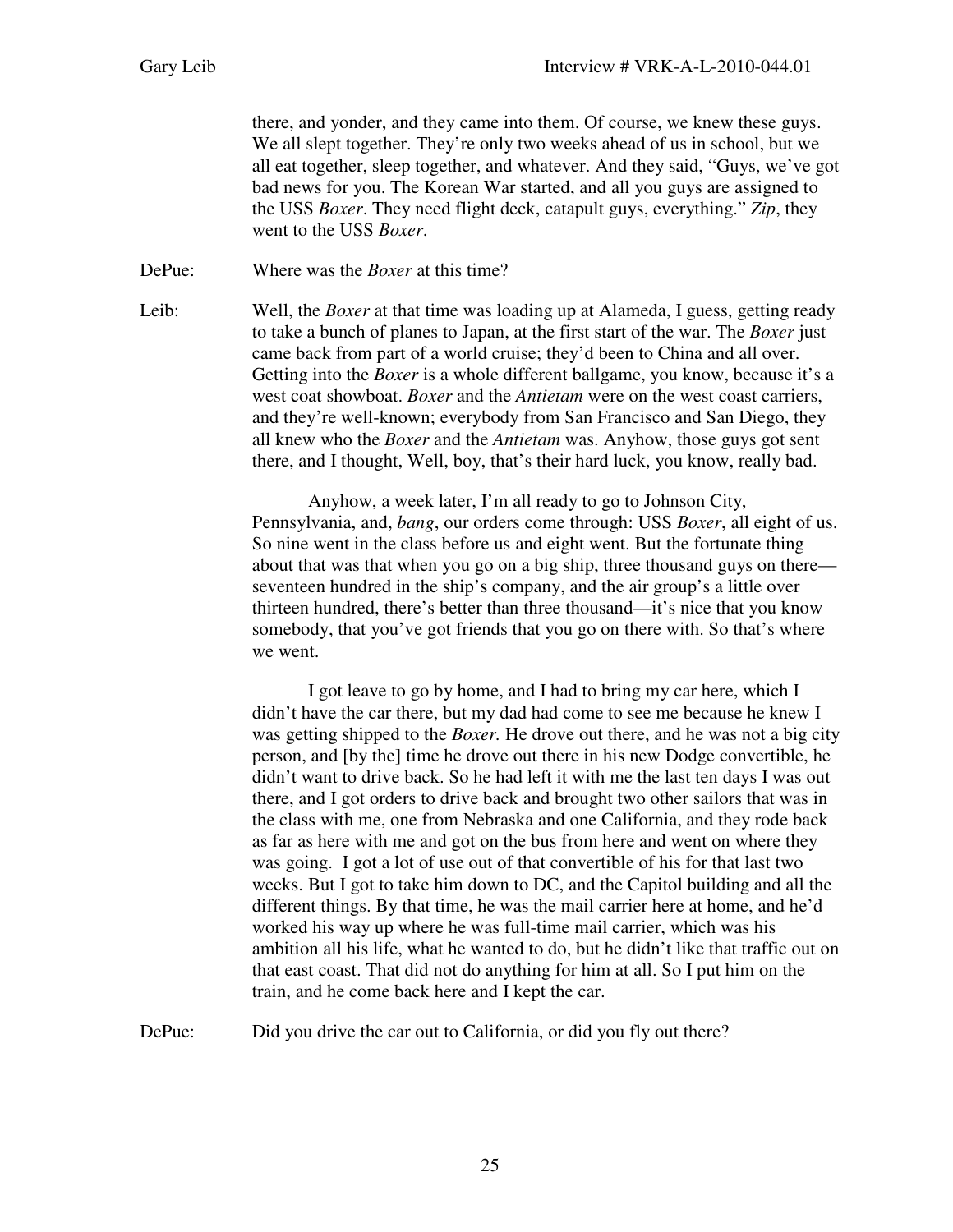there, and yonder, and they came into them. Of course, we knew these guys. We all slept together. They're only two weeks ahead of us in school, but we all eat together, sleep together, and whatever. And they said, "Guys, we've got bad news for you. The Korean War started, and all you guys are assigned to the USS *Boxer*. They need flight deck, catapult guys, everything." *Zip*, they went to the USS *Boxer*.

DePue: Where was the *Boxer* at this time?

Leib: Well, the *Boxer* at that time was loading up at Alameda, I guess, getting ready to take a bunch of planes to Japan, at the first start of the war. The *Boxer* just came back from part of a world cruise; they'd been to China and all over. Getting into the *Boxer* is a whole different ballgame, you know, because it's a west coat showboat. *Boxer* and the *Antietam* were on the west coast carriers, and they're well-known; everybody from San Francisco and San Diego, they all knew who the *Boxer* and the *Antietam* was. Anyhow, those guys got sent there, and I thought, Well, boy, that's their hard luck, you know, really bad.

> Anyhow, a week later, I'm all ready to go to Johnson City, Pennsylvania, and, *bang*, our orders come through: USS *Boxer*, all eight of us. So nine went in the class before us and eight went. But the fortunate thing about that was that when you go on a big ship, three thousand guys on there seventeen hundred in the ship's company, and the air group's a little over thirteen hundred, there's better than three thousand—it's nice that you know somebody, that you've got friends that you go on there with. So that's where we went.

> I got leave to go by home, and I had to bring my car here, which I didn't have the car there, but my dad had come to see me because he knew I was getting shipped to the *Boxer.* He drove out there, and he was not a big city person, and [by the] time he drove out there in his new Dodge convertible, he didn't want to drive back. So he had left it with me the last ten days I was out there, and I got orders to drive back and brought two other sailors that was in the class with me, one from Nebraska and one California, and they rode back as far as here with me and got on the bus from here and went on where they was going. I got a lot of use out of that convertible of his for that last two weeks. But I got to take him down to DC, and the Capitol building and all the different things. By that time, he was the mail carrier here at home, and he'd worked his way up where he was full-time mail carrier, which was his ambition all his life, what he wanted to do, but he didn't like that traffic out on that east coast. That did not do anything for him at all. So I put him on the train, and he come back here and I kept the car.

DePue: Did you drive the car out to California, or did you fly out there?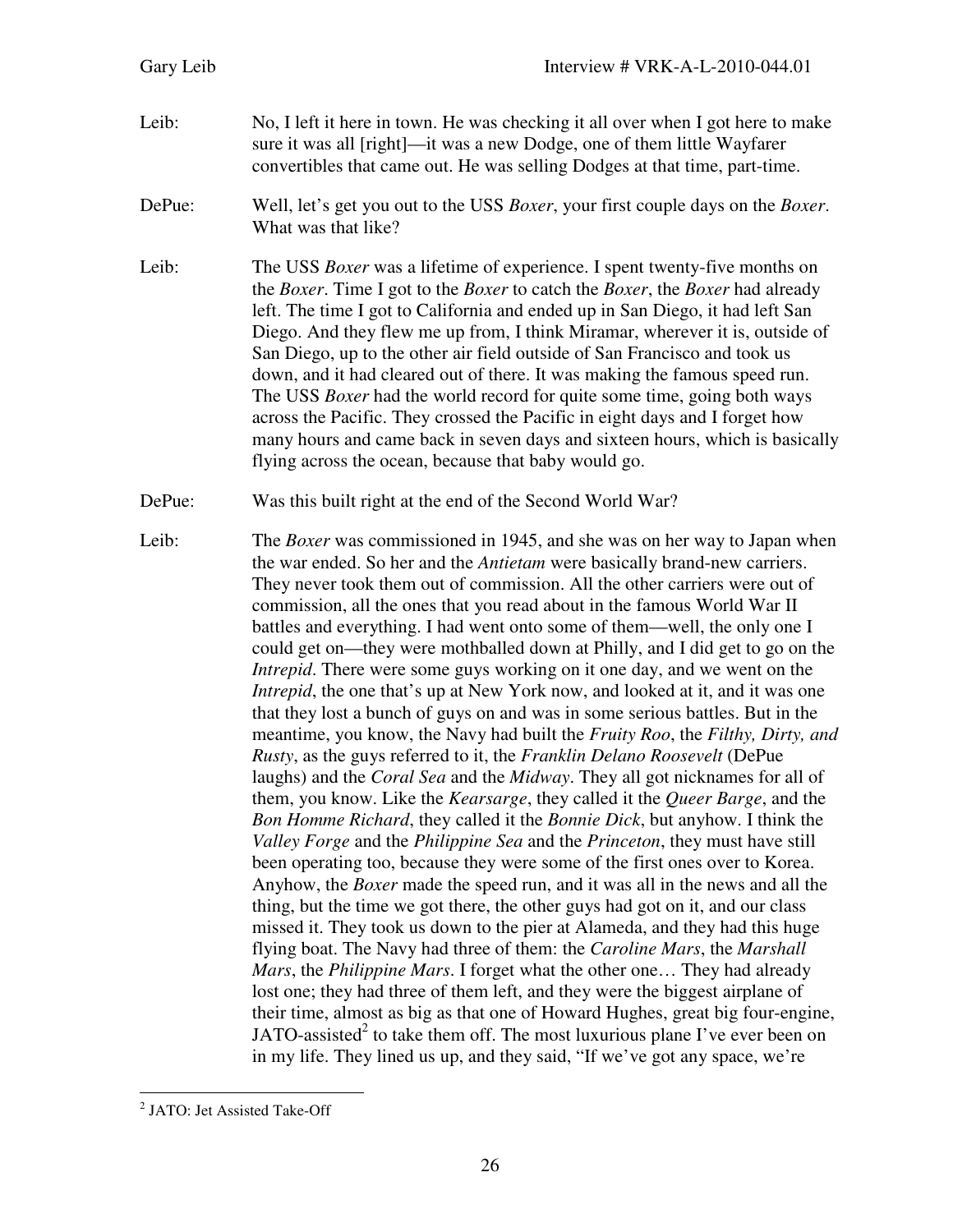| Gary Leib | Interview # VRK-A-L-2010-044.01                                                                                                                                                                                                                                                                                                                                                                                                                                                                                                                                                                                                                                                                                                                                                                                                                                                                                                                                                                                                                                                                                                                                                                                                                                                                                                                                                                                                                                                                                                                                                                                                                                                                                                                                                                                                                                                                                                                                                                                                                                                                         |
|-----------|---------------------------------------------------------------------------------------------------------------------------------------------------------------------------------------------------------------------------------------------------------------------------------------------------------------------------------------------------------------------------------------------------------------------------------------------------------------------------------------------------------------------------------------------------------------------------------------------------------------------------------------------------------------------------------------------------------------------------------------------------------------------------------------------------------------------------------------------------------------------------------------------------------------------------------------------------------------------------------------------------------------------------------------------------------------------------------------------------------------------------------------------------------------------------------------------------------------------------------------------------------------------------------------------------------------------------------------------------------------------------------------------------------------------------------------------------------------------------------------------------------------------------------------------------------------------------------------------------------------------------------------------------------------------------------------------------------------------------------------------------------------------------------------------------------------------------------------------------------------------------------------------------------------------------------------------------------------------------------------------------------------------------------------------------------------------------------------------------------|
| Leib:     | No, I left it here in town. He was checking it all over when I got here to make<br>sure it was all [right]—it was a new Dodge, one of them little Wayfarer<br>convertibles that came out. He was selling Dodges at that time, part-time.                                                                                                                                                                                                                                                                                                                                                                                                                                                                                                                                                                                                                                                                                                                                                                                                                                                                                                                                                                                                                                                                                                                                                                                                                                                                                                                                                                                                                                                                                                                                                                                                                                                                                                                                                                                                                                                                |
| DePue:    | Well, let's get you out to the USS Boxer, your first couple days on the Boxer.<br>What was that like?                                                                                                                                                                                                                                                                                                                                                                                                                                                                                                                                                                                                                                                                                                                                                                                                                                                                                                                                                                                                                                                                                                                                                                                                                                                                                                                                                                                                                                                                                                                                                                                                                                                                                                                                                                                                                                                                                                                                                                                                   |
| Leib:     | The USS <i>Boxer</i> was a lifetime of experience. I spent twenty-five months on<br>the Boxer. Time I got to the Boxer to catch the Boxer, the Boxer had already<br>left. The time I got to California and ended up in San Diego, it had left San<br>Diego. And they flew me up from, I think Miramar, wherever it is, outside of<br>San Diego, up to the other air field outside of San Francisco and took us<br>down, and it had cleared out of there. It was making the famous speed run.<br>The USS <i>Boxer</i> had the world record for quite some time, going both ways<br>across the Pacific. They crossed the Pacific in eight days and I forget how<br>many hours and came back in seven days and sixteen hours, which is basically<br>flying across the ocean, because that baby would go.                                                                                                                                                                                                                                                                                                                                                                                                                                                                                                                                                                                                                                                                                                                                                                                                                                                                                                                                                                                                                                                                                                                                                                                                                                                                                                   |
| DePue:    | Was this built right at the end of the Second World War?                                                                                                                                                                                                                                                                                                                                                                                                                                                                                                                                                                                                                                                                                                                                                                                                                                                                                                                                                                                                                                                                                                                                                                                                                                                                                                                                                                                                                                                                                                                                                                                                                                                                                                                                                                                                                                                                                                                                                                                                                                                |
| Leib:     | The <i>Boxer</i> was commissioned in 1945, and she was on her way to Japan when<br>the war ended. So her and the <i>Antietam</i> were basically brand-new carriers.<br>They never took them out of commission. All the other carriers were out of<br>commission, all the ones that you read about in the famous World War II<br>battles and everything. I had went onto some of them—well, the only one I<br>could get on—they were mothballed down at Philly, and I did get to go on the<br><i>Intrepid</i> . There were some guys working on it one day, and we went on the<br><i>Intrepid</i> , the one that's up at New York now, and looked at it, and it was one<br>that they lost a bunch of guys on and was in some serious battles. But in the<br>meantime, you know, the Navy had built the Fruity Roo, the Filthy, Dirty, and<br>Rusty, as the guys referred to it, the Franklin Delano Roosevelt (DePue<br>laughs) and the Coral Sea and the Midway. They all got nicknames for all of<br>them, you know. Like the <i>Kearsarge</i> , they called it the <i>Queer Barge</i> , and the<br>Bon Homme Richard, they called it the Bonnie Dick, but anyhow. I think the<br>Valley Forge and the Philippine Sea and the Princeton, they must have still<br>been operating too, because they were some of the first ones over to Korea.<br>Anyhow, the <i>Boxer</i> made the speed run, and it was all in the news and all the<br>thing, but the time we got there, the other guys had got on it, and our class<br>missed it. They took us down to the pier at Alameda, and they had this huge<br>flying boat. The Navy had three of them: the Caroline Mars, the Marshall<br>Mars, the Philippine Mars. I forget what the other one They had already<br>lost one; they had three of them left, and they were the biggest airplane of<br>their time, almost as big as that one of Howard Hughes, great big four-engine,<br>JATO-assisted <sup>2</sup> to take them off. The most luxurious plane I've ever been on<br>in my life. They lined us up, and they said, "If we've got any space, we're |

 2 JATO: Jet Assisted Take-Off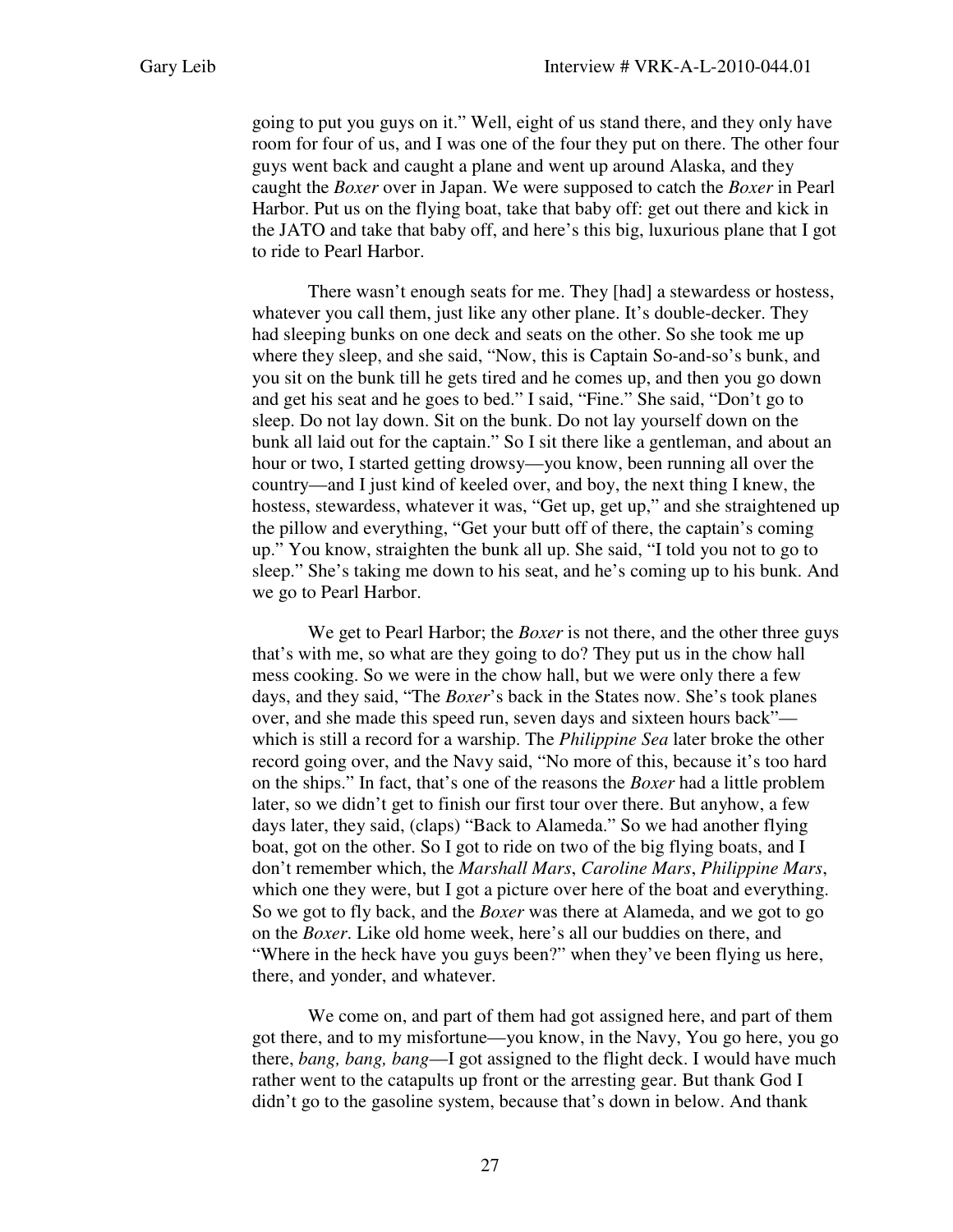going to put you guys on it." Well, eight of us stand there, and they only have room for four of us, and I was one of the four they put on there. The other four guys went back and caught a plane and went up around Alaska, and they caught the *Boxer* over in Japan. We were supposed to catch the *Boxer* in Pearl Harbor. Put us on the flying boat, take that baby off: get out there and kick in the JATO and take that baby off, and here's this big, luxurious plane that I got to ride to Pearl Harbor.

There wasn't enough seats for me. They [had] a stewardess or hostess, whatever you call them, just like any other plane. It's double-decker. They had sleeping bunks on one deck and seats on the other. So she took me up where they sleep, and she said, "Now, this is Captain So-and-so's bunk, and you sit on the bunk till he gets tired and he comes up, and then you go down and get his seat and he goes to bed." I said, "Fine." She said, "Don't go to sleep. Do not lay down. Sit on the bunk. Do not lay yourself down on the bunk all laid out for the captain." So I sit there like a gentleman, and about an hour or two, I started getting drowsy—you know, been running all over the country—and I just kind of keeled over, and boy, the next thing I knew, the hostess, stewardess, whatever it was, "Get up, get up," and she straightened up the pillow and everything, "Get your butt off of there, the captain's coming up." You know, straighten the bunk all up. She said, "I told you not to go to sleep." She's taking me down to his seat, and he's coming up to his bunk. And we go to Pearl Harbor.

We get to Pearl Harbor; the *Boxer* is not there, and the other three guys that's with me, so what are they going to do? They put us in the chow hall mess cooking. So we were in the chow hall, but we were only there a few days, and they said, "The *Boxer*'s back in the States now. She's took planes over, and she made this speed run, seven days and sixteen hours back" which is still a record for a warship. The *Philippine Sea* later broke the other record going over, and the Navy said, "No more of this, because it's too hard on the ships." In fact, that's one of the reasons the *Boxer* had a little problem later, so we didn't get to finish our first tour over there. But anyhow, a few days later, they said, (claps) "Back to Alameda." So we had another flying boat, got on the other. So I got to ride on two of the big flying boats, and I don't remember which, the *Marshall Mars*, *Caroline Mars*, *Philippine Mars*, which one they were, but I got a picture over here of the boat and everything. So we got to fly back, and the *Boxer* was there at Alameda, and we got to go on the *Boxer*. Like old home week, here's all our buddies on there, and "Where in the heck have you guys been?" when they've been flying us here, there, and yonder, and whatever.

We come on, and part of them had got assigned here, and part of them got there, and to my misfortune—you know, in the Navy, You go here, you go there, *bang, bang, bang*—I got assigned to the flight deck. I would have much rather went to the catapults up front or the arresting gear. But thank God I didn't go to the gasoline system, because that's down in below. And thank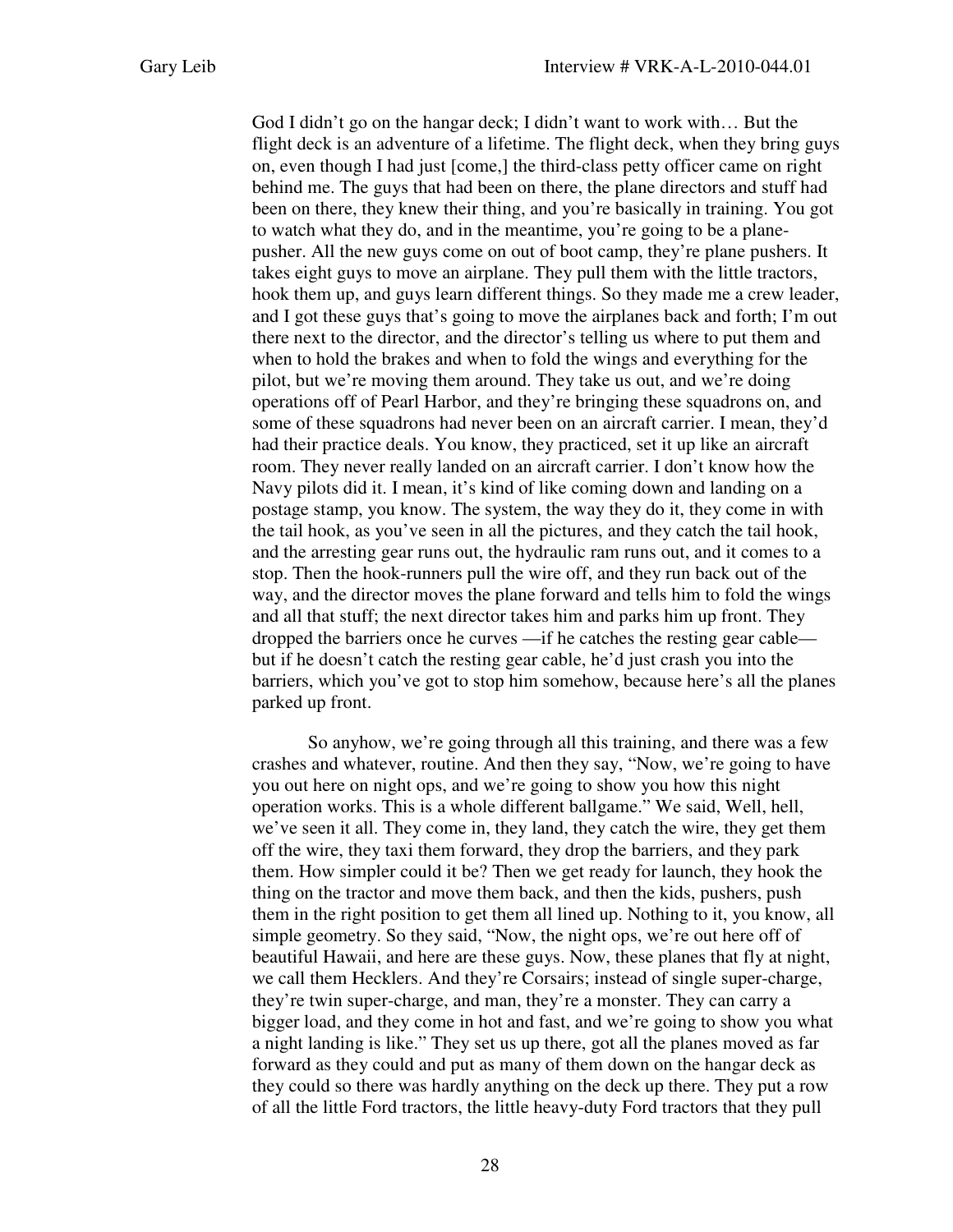God I didn't go on the hangar deck; I didn't want to work with… But the flight deck is an adventure of a lifetime. The flight deck, when they bring guys on, even though I had just [come,] the third-class petty officer came on right behind me. The guys that had been on there, the plane directors and stuff had been on there, they knew their thing, and you're basically in training. You got to watch what they do, and in the meantime, you're going to be a planepusher. All the new guys come on out of boot camp, they're plane pushers. It takes eight guys to move an airplane. They pull them with the little tractors, hook them up, and guys learn different things. So they made me a crew leader, and I got these guys that's going to move the airplanes back and forth; I'm out there next to the director, and the director's telling us where to put them and when to hold the brakes and when to fold the wings and everything for the pilot, but we're moving them around. They take us out, and we're doing operations off of Pearl Harbor, and they're bringing these squadrons on, and some of these squadrons had never been on an aircraft carrier. I mean, they'd had their practice deals. You know, they practiced, set it up like an aircraft room. They never really landed on an aircraft carrier. I don't know how the Navy pilots did it. I mean, it's kind of like coming down and landing on a postage stamp, you know. The system, the way they do it, they come in with the tail hook, as you've seen in all the pictures, and they catch the tail hook, and the arresting gear runs out, the hydraulic ram runs out, and it comes to a stop. Then the hook-runners pull the wire off, and they run back out of the way, and the director moves the plane forward and tells him to fold the wings and all that stuff; the next director takes him and parks him up front. They dropped the barriers once he curves —if he catches the resting gear cable but if he doesn't catch the resting gear cable, he'd just crash you into the barriers, which you've got to stop him somehow, because here's all the planes parked up front.

So anyhow, we're going through all this training, and there was a few crashes and whatever, routine. And then they say, "Now, we're going to have you out here on night ops, and we're going to show you how this night operation works. This is a whole different ballgame." We said, Well, hell, we've seen it all. They come in, they land, they catch the wire, they get them off the wire, they taxi them forward, they drop the barriers, and they park them. How simpler could it be? Then we get ready for launch, they hook the thing on the tractor and move them back, and then the kids, pushers, push them in the right position to get them all lined up. Nothing to it, you know, all simple geometry. So they said, "Now, the night ops, we're out here off of beautiful Hawaii, and here are these guys. Now, these planes that fly at night, we call them Hecklers. And they're Corsairs; instead of single super-charge, they're twin super-charge, and man, they're a monster. They can carry a bigger load, and they come in hot and fast, and we're going to show you what a night landing is like." They set us up there, got all the planes moved as far forward as they could and put as many of them down on the hangar deck as they could so there was hardly anything on the deck up there. They put a row of all the little Ford tractors, the little heavy-duty Ford tractors that they pull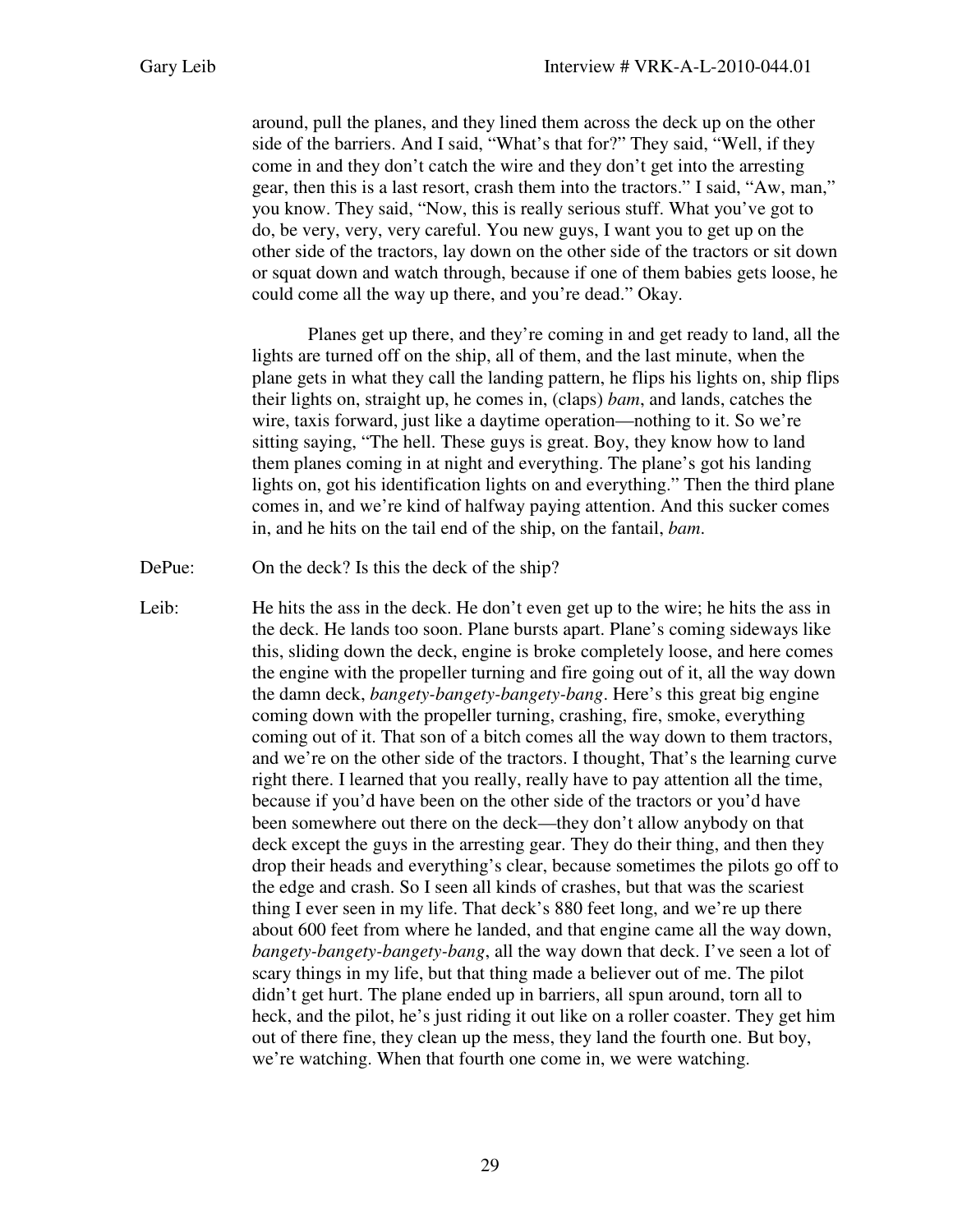around, pull the planes, and they lined them across the deck up on the other side of the barriers. And I said, "What's that for?" They said, "Well, if they come in and they don't catch the wire and they don't get into the arresting gear, then this is a last resort, crash them into the tractors." I said, "Aw, man," you know. They said, "Now, this is really serious stuff. What you've got to do, be very, very, very careful. You new guys, I want you to get up on the other side of the tractors, lay down on the other side of the tractors or sit down or squat down and watch through, because if one of them babies gets loose, he could come all the way up there, and you're dead." Okay.

Planes get up there, and they're coming in and get ready to land, all the lights are turned off on the ship, all of them, and the last minute, when the plane gets in what they call the landing pattern, he flips his lights on, ship flips their lights on, straight up, he comes in, (claps) *bam*, and lands, catches the wire, taxis forward, just like a daytime operation—nothing to it. So we're sitting saying, "The hell. These guys is great. Boy, they know how to land them planes coming in at night and everything. The plane's got his landing lights on, got his identification lights on and everything." Then the third plane comes in, and we're kind of halfway paying attention. And this sucker comes in, and he hits on the tail end of the ship, on the fantail, *bam*.

DePue: On the deck? Is this the deck of the ship?

Leib: He hits the ass in the deck. He don't even get up to the wire; he hits the ass in the deck. He lands too soon. Plane bursts apart. Plane's coming sideways like this, sliding down the deck, engine is broke completely loose, and here comes the engine with the propeller turning and fire going out of it, all the way down the damn deck, *bangety-bangety-bangety-bang*. Here's this great big engine coming down with the propeller turning, crashing, fire, smoke, everything coming out of it. That son of a bitch comes all the way down to them tractors, and we're on the other side of the tractors. I thought, That's the learning curve right there. I learned that you really, really have to pay attention all the time, because if you'd have been on the other side of the tractors or you'd have been somewhere out there on the deck—they don't allow anybody on that deck except the guys in the arresting gear. They do their thing, and then they drop their heads and everything's clear, because sometimes the pilots go off to the edge and crash. So I seen all kinds of crashes, but that was the scariest thing I ever seen in my life. That deck's 880 feet long, and we're up there about 600 feet from where he landed, and that engine came all the way down, *bangety-bangety-bangety-bang*, all the way down that deck. I've seen a lot of scary things in my life, but that thing made a believer out of me. The pilot didn't get hurt. The plane ended up in barriers, all spun around, torn all to heck, and the pilot, he's just riding it out like on a roller coaster. They get him out of there fine, they clean up the mess, they land the fourth one. But boy, we're watching. When that fourth one come in, we were watching.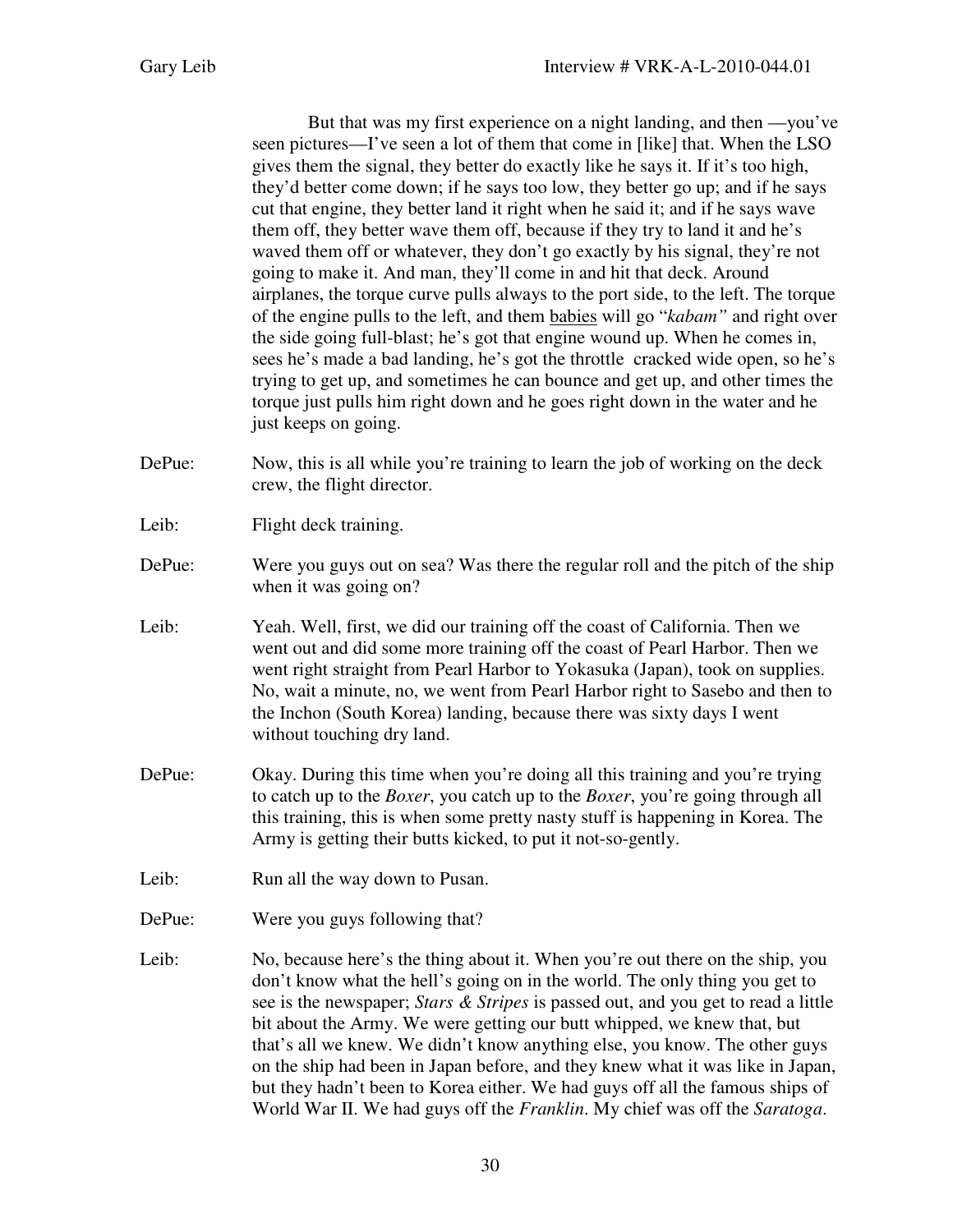But that was my first experience on a night landing, and then —you've seen pictures—I've seen a lot of them that come in [like] that. When the LSO gives them the signal, they better do exactly like he says it. If it's too high, they'd better come down; if he says too low, they better go up; and if he says cut that engine, they better land it right when he said it; and if he says wave them off, they better wave them off, because if they try to land it and he's waved them off or whatever, they don't go exactly by his signal, they're not going to make it. And man, they'll come in and hit that deck. Around airplanes, the torque curve pulls always to the port side, to the left. The torque of the engine pulls to the left, and them babies will go "*kabam"* and right over the side going full-blast; he's got that engine wound up. When he comes in, sees he's made a bad landing, he's got the throttle cracked wide open, so he's trying to get up, and sometimes he can bounce and get up, and other times the torque just pulls him right down and he goes right down in the water and he just keeps on going.

- DePue: Now, this is all while you're training to learn the job of working on the deck crew, the flight director.
- Leib: Flight deck training.
- DePue: Were you guys out on sea? Was there the regular roll and the pitch of the ship when it was going on?
- Leib: Yeah. Well, first, we did our training off the coast of California. Then we went out and did some more training off the coast of Pearl Harbor. Then we went right straight from Pearl Harbor to Yokasuka (Japan), took on supplies. No, wait a minute, no, we went from Pearl Harbor right to Sasebo and then to the Inchon (South Korea) landing, because there was sixty days I went without touching dry land.
- DePue: Okay. During this time when you're doing all this training and you're trying to catch up to the *Boxer*, you catch up to the *Boxer*, you're going through all this training, this is when some pretty nasty stuff is happening in Korea. The Army is getting their butts kicked, to put it not-so-gently.
- Leib: Run all the way down to Pusan.
- DePue: Were you guys following that?
- Leib: No, because here's the thing about it. When you're out there on the ship, you don't know what the hell's going on in the world. The only thing you get to see is the newspaper; *Stars & Stripes* is passed out, and you get to read a little bit about the Army. We were getting our butt whipped, we knew that, but that's all we knew. We didn't know anything else, you know. The other guys on the ship had been in Japan before, and they knew what it was like in Japan, but they hadn't been to Korea either. We had guys off all the famous ships of World War II. We had guys off the *Franklin*. My chief was off the *Saratoga*.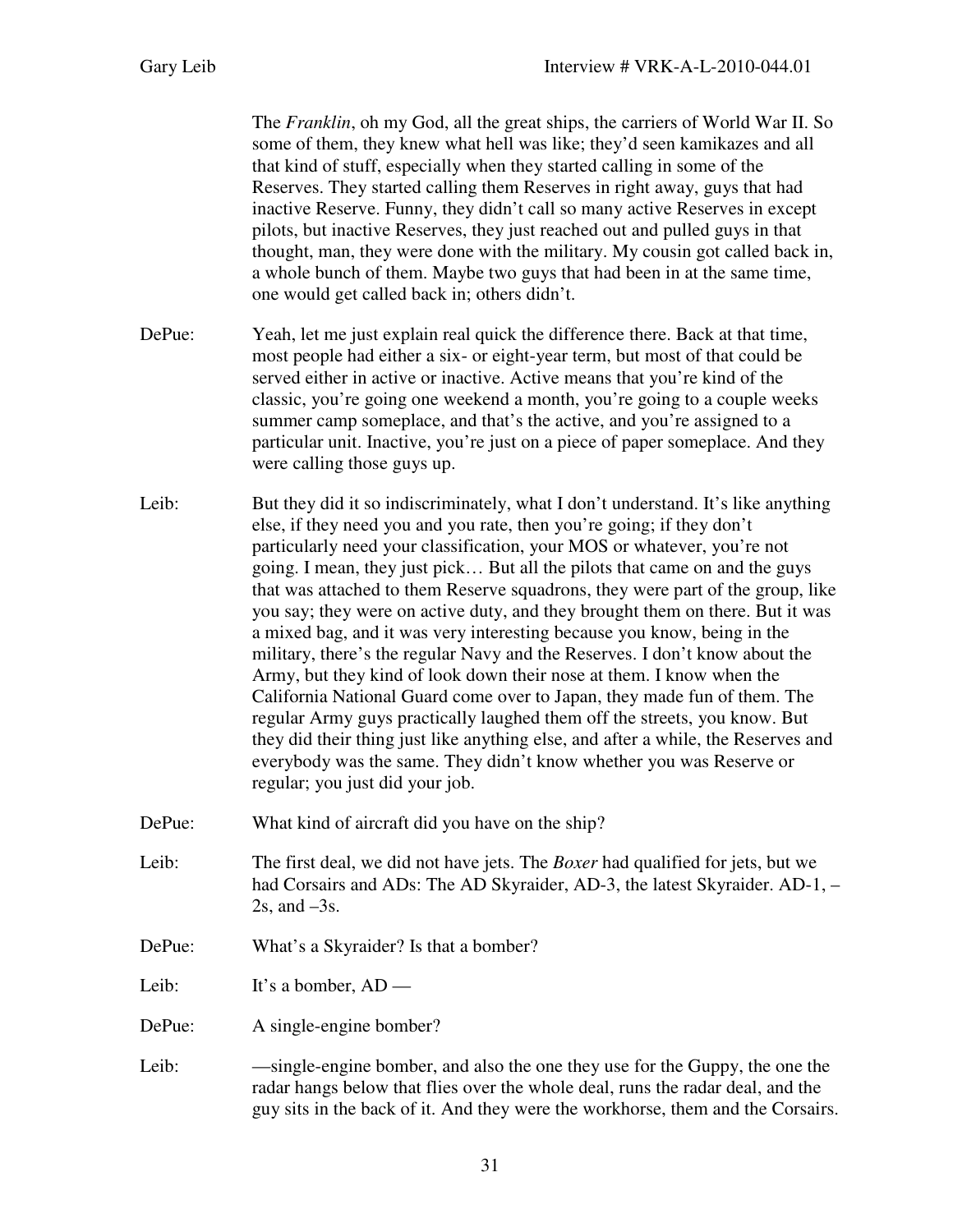The *Franklin*, oh my God, all the great ships, the carriers of World War II. So some of them, they knew what hell was like; they'd seen kamikazes and all that kind of stuff, especially when they started calling in some of the Reserves. They started calling them Reserves in right away, guys that had inactive Reserve. Funny, they didn't call so many active Reserves in except pilots, but inactive Reserves, they just reached out and pulled guys in that thought, man, they were done with the military. My cousin got called back in, a whole bunch of them. Maybe two guys that had been in at the same time, one would get called back in; others didn't.

- DePue: Yeah, let me just explain real quick the difference there. Back at that time, most people had either a six- or eight-year term, but most of that could be served either in active or inactive. Active means that you're kind of the classic, you're going one weekend a month, you're going to a couple weeks summer camp someplace, and that's the active, and you're assigned to a particular unit. Inactive, you're just on a piece of paper someplace. And they were calling those guys up.
- Leib: But they did it so indiscriminately, what I don't understand. It's like anything else, if they need you and you rate, then you're going; if they don't particularly need your classification, your MOS or whatever, you're not going. I mean, they just pick… But all the pilots that came on and the guys that was attached to them Reserve squadrons, they were part of the group, like you say; they were on active duty, and they brought them on there. But it was a mixed bag, and it was very interesting because you know, being in the military, there's the regular Navy and the Reserves. I don't know about the Army, but they kind of look down their nose at them. I know when the California National Guard come over to Japan, they made fun of them. The regular Army guys practically laughed them off the streets, you know. But they did their thing just like anything else, and after a while, the Reserves and everybody was the same. They didn't know whether you was Reserve or regular; you just did your job.
- DePue: What kind of aircraft did you have on the ship?
- Leib: The first deal, we did not have jets. The *Boxer* had qualified for jets, but we had Corsairs and ADs: The AD Skyraider, AD-3, the latest Skyraider. AD-1, –  $2s$ , and  $-3s$ .
- DePue: What's a Skyraider? Is that a bomber?
- Leib: It's a bomber, AD —
- DePue: A single-engine bomber?
- Leib: —single-engine bomber, and also the one they use for the Guppy, the one the radar hangs below that flies over the whole deal, runs the radar deal, and the guy sits in the back of it. And they were the workhorse, them and the Corsairs.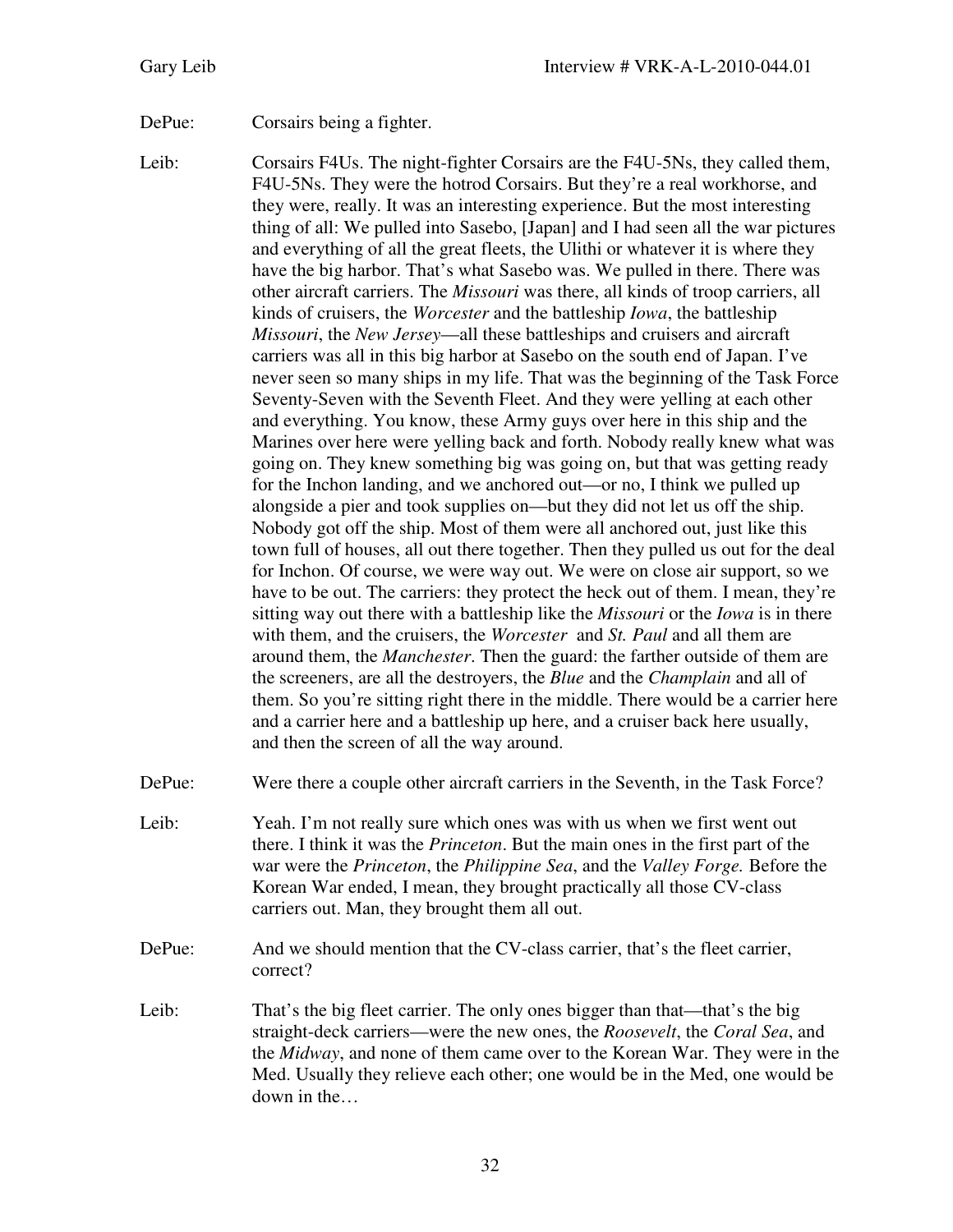DePue: Corsairs being a fighter.

- Leib: Corsairs F4Us. The night-fighter Corsairs are the F4U-5Ns, they called them, F4U-5Ns. They were the hotrod Corsairs. But they're a real workhorse, and they were, really. It was an interesting experience. But the most interesting thing of all: We pulled into Sasebo, [Japan] and I had seen all the war pictures and everything of all the great fleets, the Ulithi or whatever it is where they have the big harbor. That's what Sasebo was. We pulled in there. There was other aircraft carriers. The *Missouri* was there, all kinds of troop carriers, all kinds of cruisers, the *Worcester* and the battleship *Iowa*, the battleship *Missouri*, the *New Jersey*—all these battleships and cruisers and aircraft carriers was all in this big harbor at Sasebo on the south end of Japan. I've never seen so many ships in my life. That was the beginning of the Task Force Seventy-Seven with the Seventh Fleet. And they were yelling at each other and everything. You know, these Army guys over here in this ship and the Marines over here were yelling back and forth. Nobody really knew what was going on. They knew something big was going on, but that was getting ready for the Inchon landing, and we anchored out—or no, I think we pulled up alongside a pier and took supplies on—but they did not let us off the ship. Nobody got off the ship. Most of them were all anchored out, just like this town full of houses, all out there together. Then they pulled us out for the deal for Inchon. Of course, we were way out. We were on close air support, so we have to be out. The carriers: they protect the heck out of them. I mean, they're sitting way out there with a battleship like the *Missouri* or the *Iowa* is in there with them, and the cruisers, the *Worcester* and *St. Paul* and all them are around them, the *Manchester*. Then the guard: the farther outside of them are the screeners, are all the destroyers, the *Blue* and the *Champlain* and all of them. So you're sitting right there in the middle. There would be a carrier here and a carrier here and a battleship up here, and a cruiser back here usually, and then the screen of all the way around.
- DePue: Were there a couple other aircraft carriers in the Seventh, in the Task Force?
- Leib: Yeah. I'm not really sure which ones was with us when we first went out there. I think it was the *Princeton*. But the main ones in the first part of the war were the *Princeton*, the *Philippine Sea*, and the *Valley Forge.* Before the Korean War ended, I mean, they brought practically all those CV-class carriers out. Man, they brought them all out.
- DePue: And we should mention that the CV-class carrier, that's the fleet carrier, correct?
- Leib: That's the big fleet carrier. The only ones bigger than that—that's the big straight-deck carriers—were the new ones, the *Roosevelt*, the *Coral Sea*, and the *Midway*, and none of them came over to the Korean War. They were in the Med. Usually they relieve each other; one would be in the Med, one would be down in the…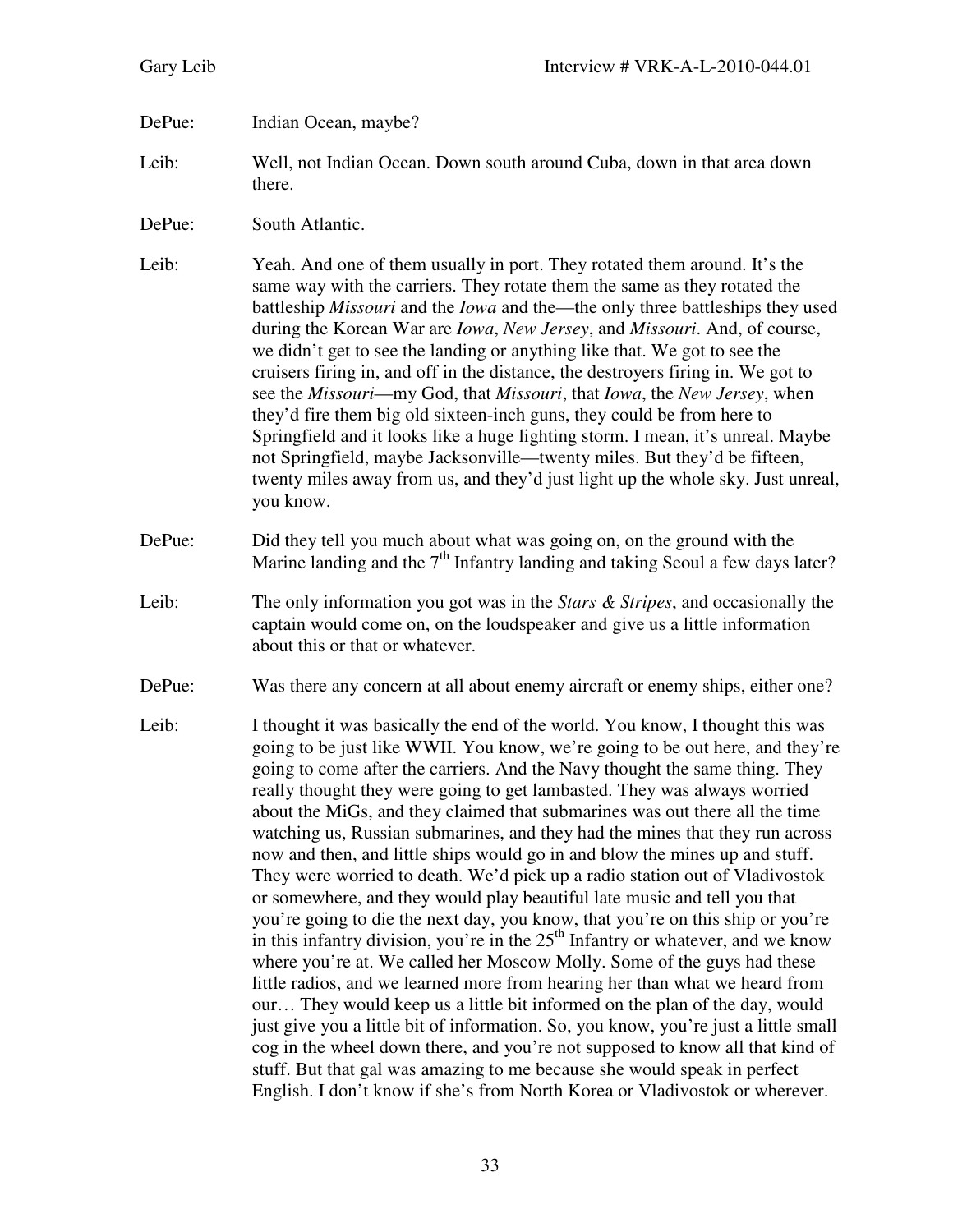## DePue: Indian Ocean, maybe?

- Leib: Well, not Indian Ocean. Down south around Cuba, down in that area down there.
- DePue: South Atlantic.

Leib: Yeah. And one of them usually in port. They rotated them around. It's the same way with the carriers. They rotate them the same as they rotated the battleship *Missouri* and the *Iowa* and the—the only three battleships they used during the Korean War are *Iowa*, *New Jersey*, and *Missouri*. And, of course, we didn't get to see the landing or anything like that. We got to see the cruisers firing in, and off in the distance, the destroyers firing in. We got to see the *Missouri*—my God, that *Missouri*, that *Iowa*, the *New Jersey*, when they'd fire them big old sixteen-inch guns, they could be from here to Springfield and it looks like a huge lighting storm. I mean, it's unreal. Maybe not Springfield, maybe Jacksonville—twenty miles. But they'd be fifteen, twenty miles away from us, and they'd just light up the whole sky. Just unreal, you know.

- DePue: Did they tell you much about what was going on, on the ground with the Marine landing and the  $7<sup>th</sup>$  Infantry landing and taking Seoul a few days later?
- Leib: The only information you got was in the *Stars & Stripes*, and occasionally the captain would come on, on the loudspeaker and give us a little information about this or that or whatever.
- DePue: Was there any concern at all about enemy aircraft or enemy ships, either one?
- Leib: I thought it was basically the end of the world. You know, I thought this was going to be just like WWII. You know, we're going to be out here, and they're going to come after the carriers. And the Navy thought the same thing. They really thought they were going to get lambasted. They was always worried about the MiGs, and they claimed that submarines was out there all the time watching us, Russian submarines, and they had the mines that they run across now and then, and little ships would go in and blow the mines up and stuff. They were worried to death. We'd pick up a radio station out of Vladivostok or somewhere, and they would play beautiful late music and tell you that you're going to die the next day, you know, that you're on this ship or you're in this infantry division, you're in the  $25<sup>th</sup>$  Infantry or whatever, and we know where you're at. We called her Moscow Molly. Some of the guys had these little radios, and we learned more from hearing her than what we heard from our… They would keep us a little bit informed on the plan of the day, would just give you a little bit of information. So, you know, you're just a little small cog in the wheel down there, and you're not supposed to know all that kind of stuff. But that gal was amazing to me because she would speak in perfect English. I don't know if she's from North Korea or Vladivostok or wherever.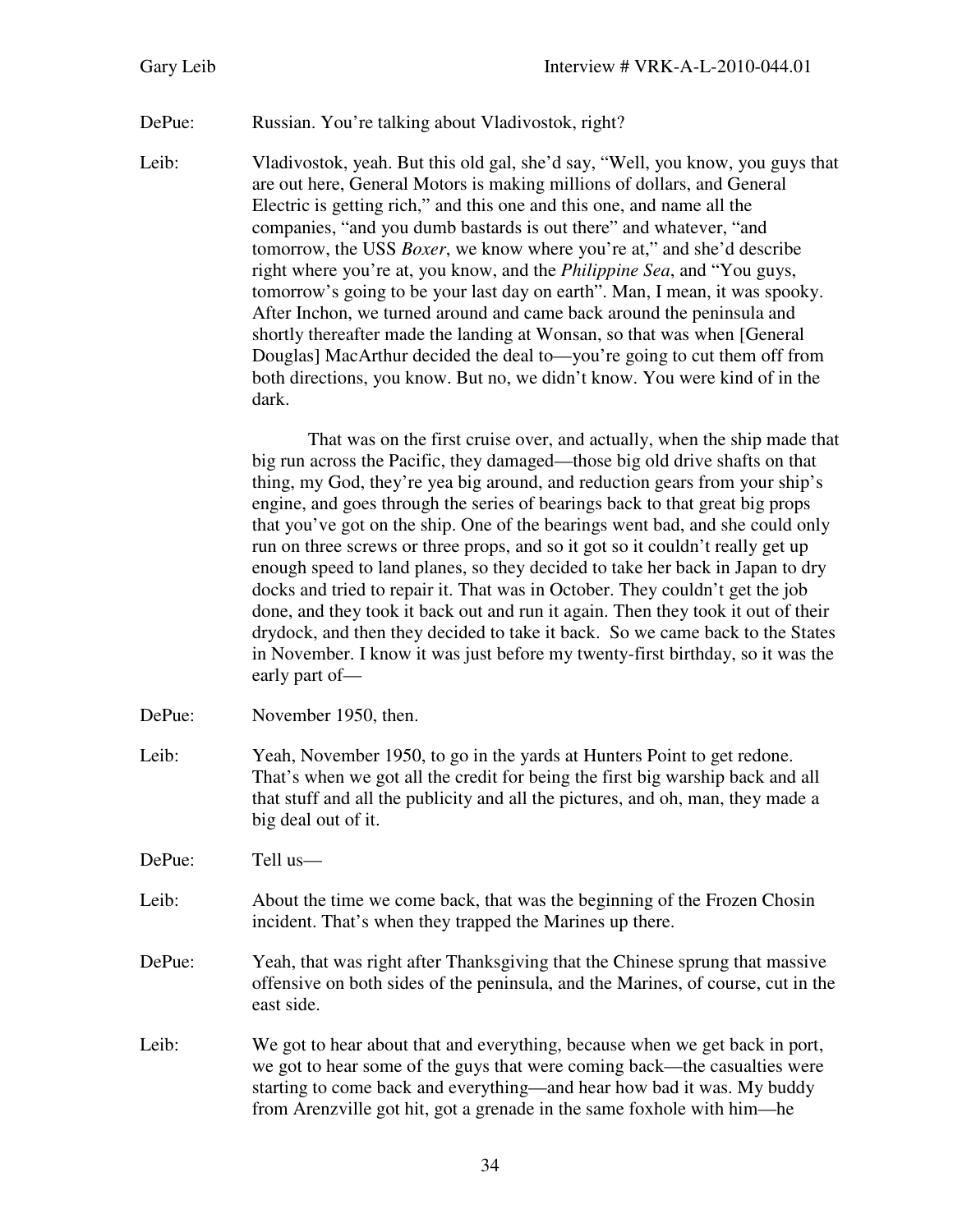## DePue: Russian. You're talking about Vladivostok, right?

Leib: Vladivostok, yeah. But this old gal, she'd say, "Well, you know, you guys that are out here, General Motors is making millions of dollars, and General Electric is getting rich," and this one and this one, and name all the companies, "and you dumb bastards is out there" and whatever, "and tomorrow, the USS *Boxer*, we know where you're at," and she'd describe right where you're at, you know, and the *Philippine Sea*, and "You guys, tomorrow's going to be your last day on earth". Man, I mean, it was spooky. After Inchon, we turned around and came back around the peninsula and shortly thereafter made the landing at Wonsan, so that was when [General Douglas] MacArthur decided the deal to—you're going to cut them off from both directions, you know. But no, we didn't know. You were kind of in the dark.

> That was on the first cruise over, and actually, when the ship made that big run across the Pacific, they damaged—those big old drive shafts on that thing, my God, they're yea big around, and reduction gears from your ship's engine, and goes through the series of bearings back to that great big props that you've got on the ship. One of the bearings went bad, and she could only run on three screws or three props, and so it got so it couldn't really get up enough speed to land planes, so they decided to take her back in Japan to dry docks and tried to repair it. That was in October. They couldn't get the job done, and they took it back out and run it again. Then they took it out of their drydock, and then they decided to take it back. So we came back to the States in November. I know it was just before my twenty-first birthday, so it was the early part of—

DePue: November 1950, then.

Leib: Yeah, November 1950, to go in the yards at Hunters Point to get redone. That's when we got all the credit for being the first big warship back and all that stuff and all the publicity and all the pictures, and oh, man, they made a big deal out of it.

DePue: Tell us—

- Leib: About the time we come back, that was the beginning of the Frozen Chosin incident. That's when they trapped the Marines up there.
- DePue: Yeah, that was right after Thanksgiving that the Chinese sprung that massive offensive on both sides of the peninsula, and the Marines, of course, cut in the east side.
- Leib: We got to hear about that and everything, because when we get back in port, we got to hear some of the guys that were coming back—the casualties were starting to come back and everything—and hear how bad it was. My buddy from Arenzville got hit, got a grenade in the same foxhole with him—he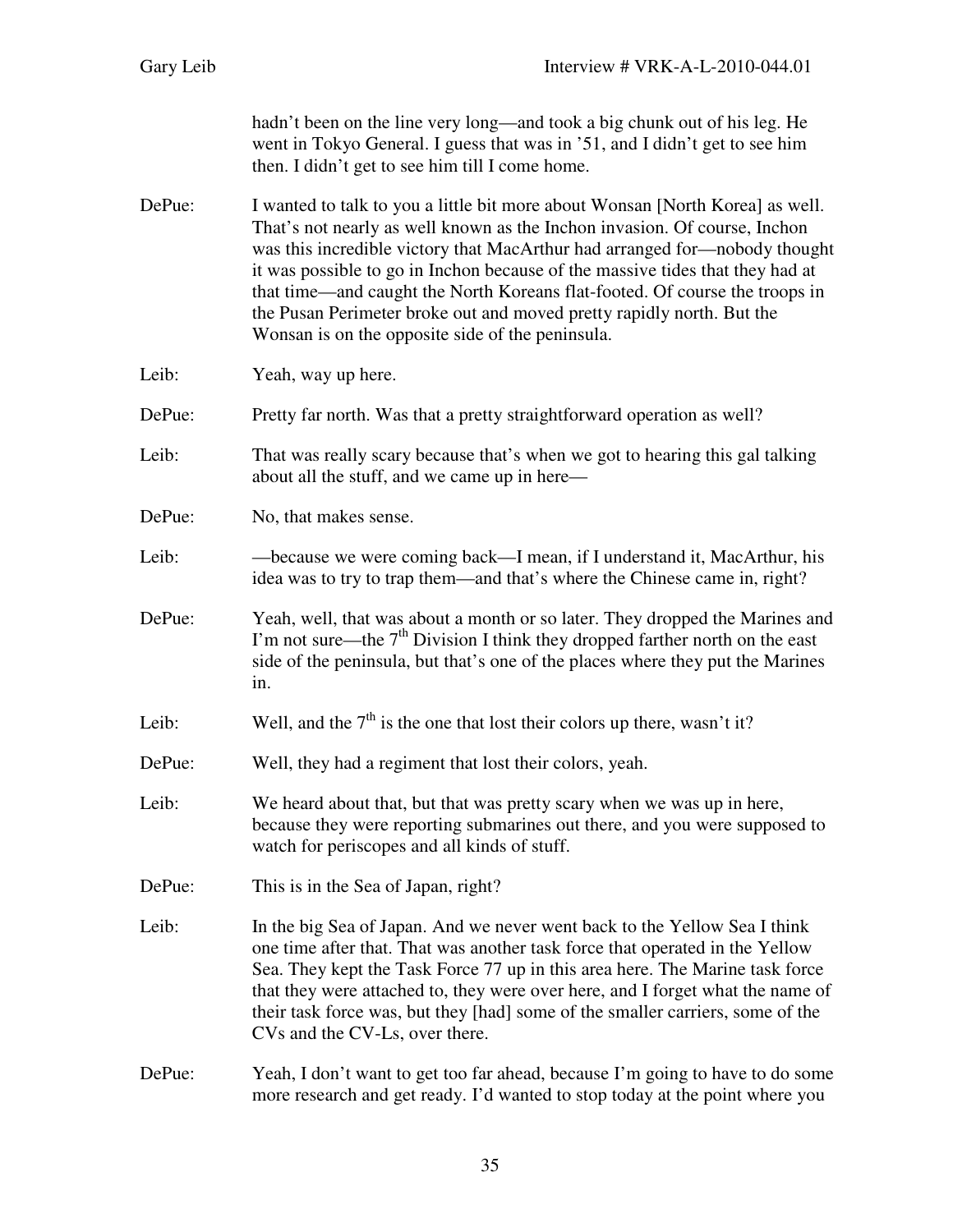| Gary Leib | Interview # VRK-A-L-2010-044.01                                                                                                                                                                                                                                                                                                                                                                                                                                                                                                       |
|-----------|---------------------------------------------------------------------------------------------------------------------------------------------------------------------------------------------------------------------------------------------------------------------------------------------------------------------------------------------------------------------------------------------------------------------------------------------------------------------------------------------------------------------------------------|
|           | hadn't been on the line very long—and took a big chunk out of his leg. He<br>went in Tokyo General. I guess that was in '51, and I didn't get to see him<br>then. I didn't get to see him till I come home.                                                                                                                                                                                                                                                                                                                           |
| DePue:    | I wanted to talk to you a little bit more about Wonsan [North Korea] as well.<br>That's not nearly as well known as the Inchon invasion. Of course, Inchon<br>was this incredible victory that MacArthur had arranged for-nobody thought<br>it was possible to go in Inchon because of the massive tides that they had at<br>that time—and caught the North Koreans flat-footed. Of course the troops in<br>the Pusan Perimeter broke out and moved pretty rapidly north. But the<br>Wonsan is on the opposite side of the peninsula. |
| Leib:     | Yeah, way up here.                                                                                                                                                                                                                                                                                                                                                                                                                                                                                                                    |
| DePue:    | Pretty far north. Was that a pretty straightforward operation as well?                                                                                                                                                                                                                                                                                                                                                                                                                                                                |
| Leib:     | That was really scary because that's when we got to hearing this gal talking<br>about all the stuff, and we came up in here—                                                                                                                                                                                                                                                                                                                                                                                                          |
| DePue:    | No, that makes sense.                                                                                                                                                                                                                                                                                                                                                                                                                                                                                                                 |
| Leib:     | —because we were coming back—I mean, if I understand it, MacArthur, his<br>idea was to try to trap them—and that's where the Chinese came in, right?                                                                                                                                                                                                                                                                                                                                                                                  |
| DePue:    | Yeah, well, that was about a month or so later. They dropped the Marines and<br>I'm not sure—the 7 <sup>th</sup> Division I think they dropped farther north on the east<br>side of the peninsula, but that's one of the places where they put the Marines<br>in.                                                                                                                                                                                                                                                                     |
| Leib:     | Well, and the $7th$ is the one that lost their colors up there, wasn't it?                                                                                                                                                                                                                                                                                                                                                                                                                                                            |
| DePue:    | Well, they had a regiment that lost their colors, yeah.                                                                                                                                                                                                                                                                                                                                                                                                                                                                               |
| Leib:     | We heard about that, but that was pretty scary when we was up in here,<br>because they were reporting submarines out there, and you were supposed to<br>watch for periscopes and all kinds of stuff.                                                                                                                                                                                                                                                                                                                                  |
| DePue:    | This is in the Sea of Japan, right?                                                                                                                                                                                                                                                                                                                                                                                                                                                                                                   |
| Leib:     | In the big Sea of Japan. And we never went back to the Yellow Sea I think<br>one time after that. That was another task force that operated in the Yellow<br>Sea. They kept the Task Force 77 up in this area here. The Marine task force<br>that they were attached to, they were over here, and I forget what the name of<br>their task force was, but they [had] some of the smaller carriers, some of the<br>CVs and the CV-Ls, over there.                                                                                       |
| DePue:    | Yeah, I don't want to get too far ahead, because I'm going to have to do some<br>more research and get ready. I'd wanted to stop today at the point where you                                                                                                                                                                                                                                                                                                                                                                         |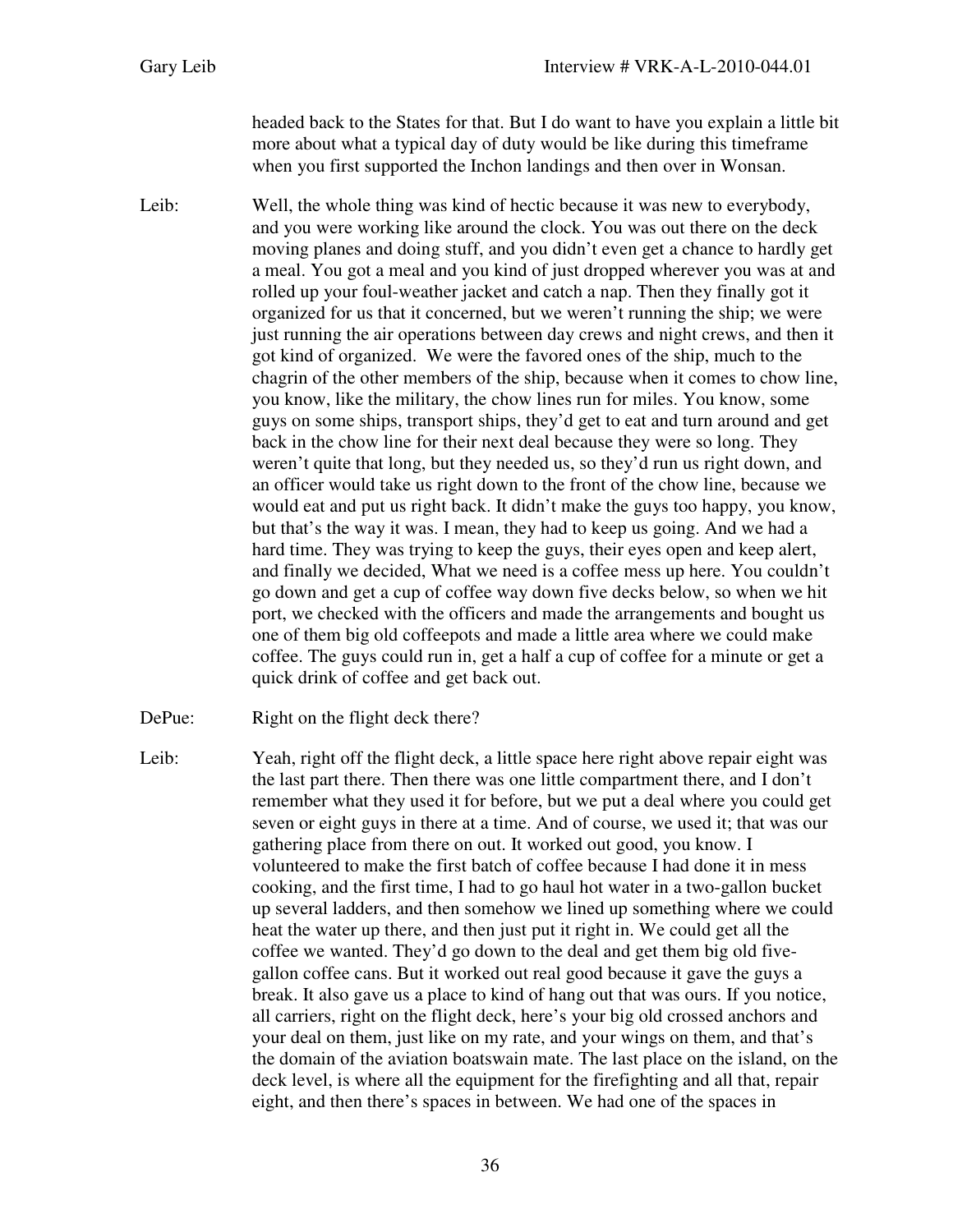headed back to the States for that. But I do want to have you explain a little bit more about what a typical day of duty would be like during this timeframe when you first supported the Inchon landings and then over in Wonsan.

- Leib: Well, the whole thing was kind of hectic because it was new to everybody, and you were working like around the clock. You was out there on the deck moving planes and doing stuff, and you didn't even get a chance to hardly get a meal. You got a meal and you kind of just dropped wherever you was at and rolled up your foul-weather jacket and catch a nap. Then they finally got it organized for us that it concerned, but we weren't running the ship; we were just running the air operations between day crews and night crews, and then it got kind of organized. We were the favored ones of the ship, much to the chagrin of the other members of the ship, because when it comes to chow line, you know, like the military, the chow lines run for miles. You know, some guys on some ships, transport ships, they'd get to eat and turn around and get back in the chow line for their next deal because they were so long. They weren't quite that long, but they needed us, so they'd run us right down, and an officer would take us right down to the front of the chow line, because we would eat and put us right back. It didn't make the guys too happy, you know, but that's the way it was. I mean, they had to keep us going. And we had a hard time. They was trying to keep the guys, their eyes open and keep alert, and finally we decided, What we need is a coffee mess up here. You couldn't go down and get a cup of coffee way down five decks below, so when we hit port, we checked with the officers and made the arrangements and bought us one of them big old coffeepots and made a little area where we could make coffee. The guys could run in, get a half a cup of coffee for a minute or get a quick drink of coffee and get back out.
- DePue: Right on the flight deck there?
- Leib: Yeah, right off the flight deck, a little space here right above repair eight was the last part there. Then there was one little compartment there, and I don't remember what they used it for before, but we put a deal where you could get seven or eight guys in there at a time. And of course, we used it; that was our gathering place from there on out. It worked out good, you know. I volunteered to make the first batch of coffee because I had done it in mess cooking, and the first time, I had to go haul hot water in a two-gallon bucket up several ladders, and then somehow we lined up something where we could heat the water up there, and then just put it right in. We could get all the coffee we wanted. They'd go down to the deal and get them big old fivegallon coffee cans. But it worked out real good because it gave the guys a break. It also gave us a place to kind of hang out that was ours. If you notice, all carriers, right on the flight deck, here's your big old crossed anchors and your deal on them, just like on my rate, and your wings on them, and that's the domain of the aviation boatswain mate. The last place on the island, on the deck level, is where all the equipment for the firefighting and all that, repair eight, and then there's spaces in between. We had one of the spaces in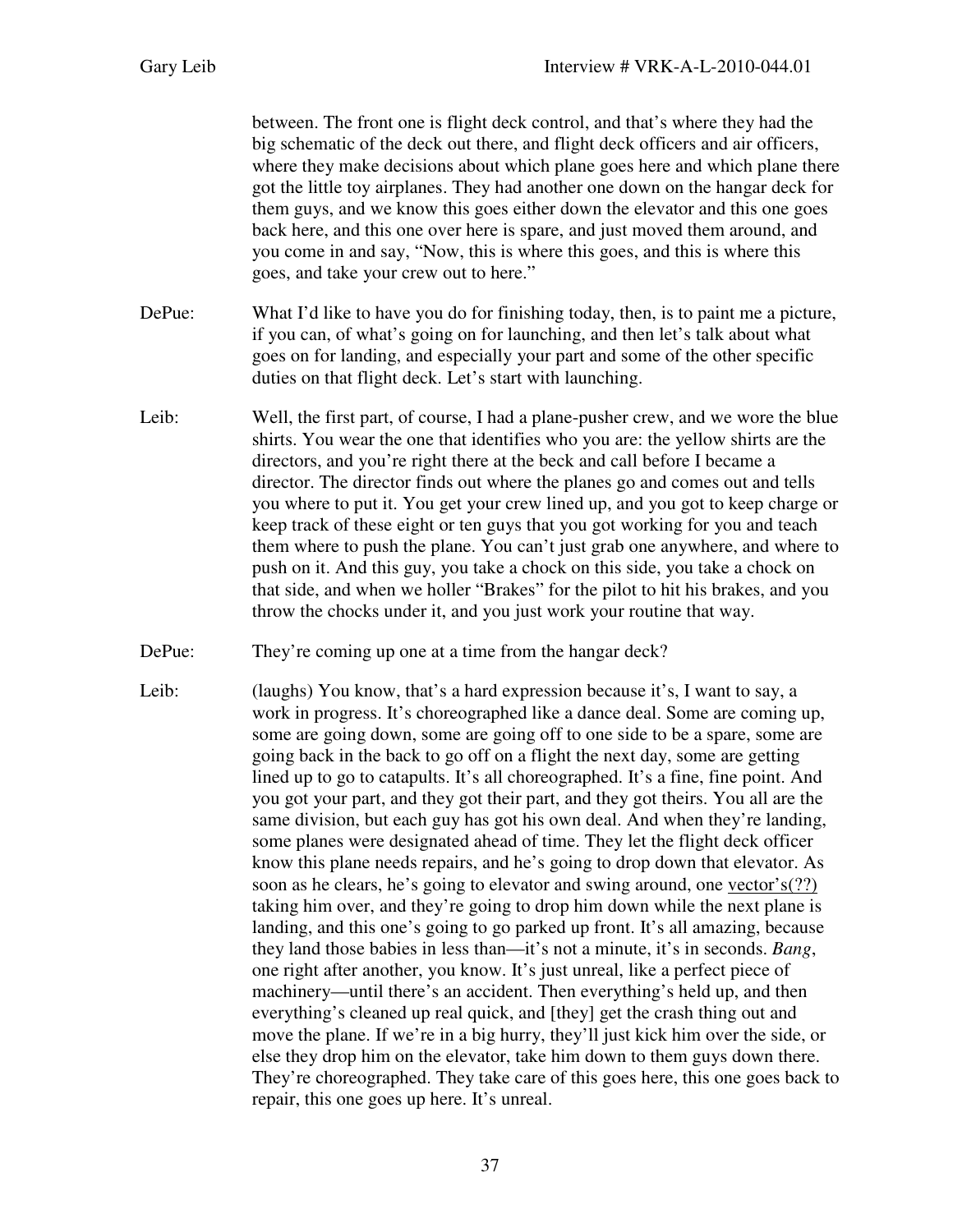between. The front one is flight deck control, and that's where they had the big schematic of the deck out there, and flight deck officers and air officers, where they make decisions about which plane goes here and which plane there got the little toy airplanes. They had another one down on the hangar deck for them guys, and we know this goes either down the elevator and this one goes back here, and this one over here is spare, and just moved them around, and you come in and say, "Now, this is where this goes, and this is where this goes, and take your crew out to here."

- DePue: What I'd like to have you do for finishing today, then, is to paint me a picture, if you can, of what's going on for launching, and then let's talk about what goes on for landing, and especially your part and some of the other specific duties on that flight deck. Let's start with launching.
- Leib: Well, the first part, of course, I had a plane-pusher crew, and we wore the blue shirts. You wear the one that identifies who you are: the yellow shirts are the directors, and you're right there at the beck and call before I became a director. The director finds out where the planes go and comes out and tells you where to put it. You get your crew lined up, and you got to keep charge or keep track of these eight or ten guys that you got working for you and teach them where to push the plane. You can't just grab one anywhere, and where to push on it. And this guy, you take a chock on this side, you take a chock on that side, and when we holler "Brakes" for the pilot to hit his brakes, and you throw the chocks under it, and you just work your routine that way.
- DePue: They're coming up one at a time from the hangar deck?
- Leib: (laughs) You know, that's a hard expression because it's, I want to say, a work in progress. It's choreographed like a dance deal. Some are coming up, some are going down, some are going off to one side to be a spare, some are going back in the back to go off on a flight the next day, some are getting lined up to go to catapults. It's all choreographed. It's a fine, fine point. And you got your part, and they got their part, and they got theirs. You all are the same division, but each guy has got his own deal. And when they're landing, some planes were designated ahead of time. They let the flight deck officer know this plane needs repairs, and he's going to drop down that elevator. As soon as he clears, he's going to elevator and swing around, one vector's(??) taking him over, and they're going to drop him down while the next plane is landing, and this one's going to go parked up front. It's all amazing, because they land those babies in less than—it's not a minute, it's in seconds. *Bang*, one right after another, you know. It's just unreal, like a perfect piece of machinery—until there's an accident. Then everything's held up, and then everything's cleaned up real quick, and [they] get the crash thing out and move the plane. If we're in a big hurry, they'll just kick him over the side, or else they drop him on the elevator, take him down to them guys down there. They're choreographed. They take care of this goes here, this one goes back to repair, this one goes up here. It's unreal.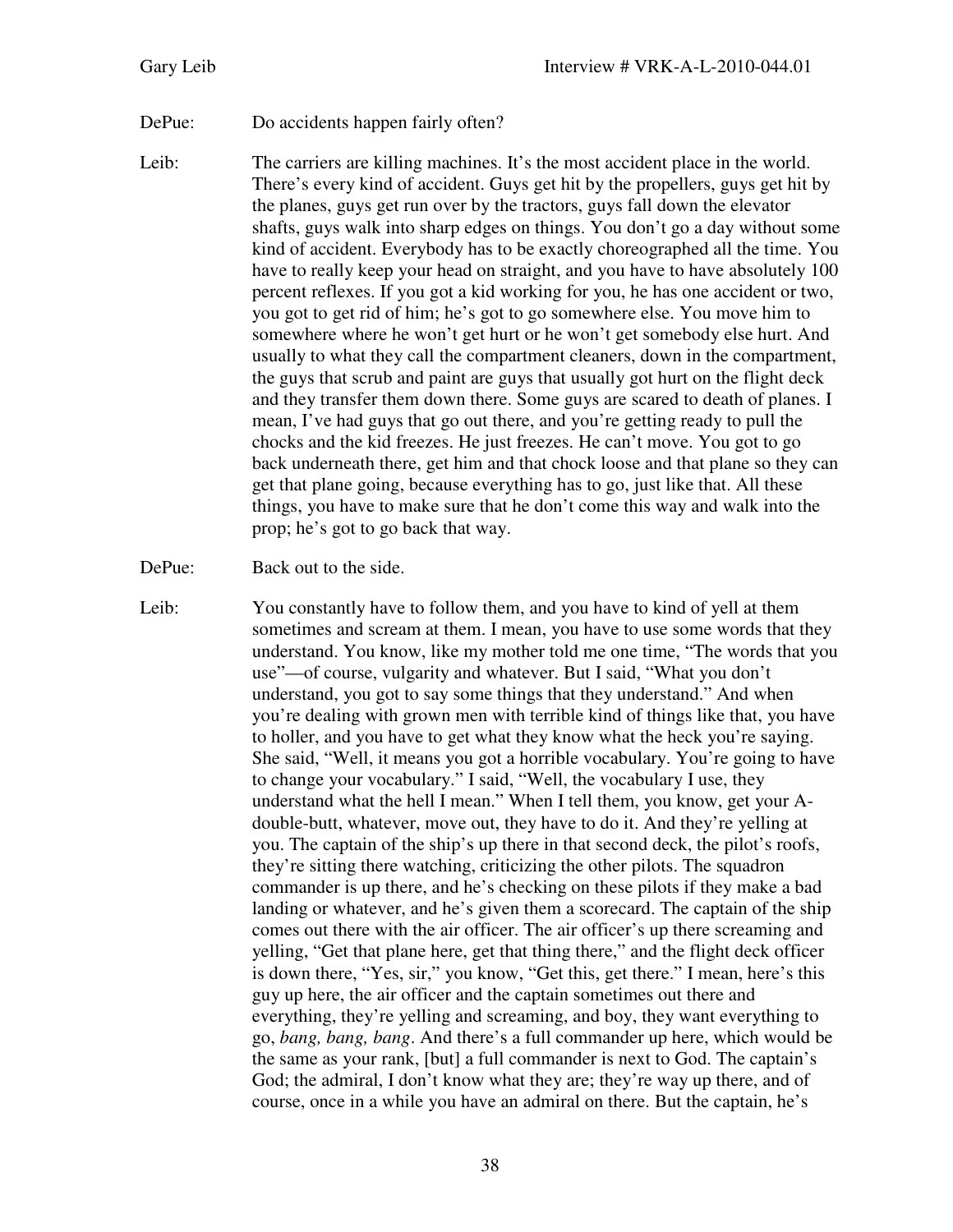## DePue: Do accidents happen fairly often?

Leib: The carriers are killing machines. It's the most accident place in the world. There's every kind of accident. Guys get hit by the propellers, guys get hit by the planes, guys get run over by the tractors, guys fall down the elevator shafts, guys walk into sharp edges on things. You don't go a day without some kind of accident. Everybody has to be exactly choreographed all the time. You have to really keep your head on straight, and you have to have absolutely 100 percent reflexes. If you got a kid working for you, he has one accident or two, you got to get rid of him; he's got to go somewhere else. You move him to somewhere where he won't get hurt or he won't get somebody else hurt. And usually to what they call the compartment cleaners, down in the compartment, the guys that scrub and paint are guys that usually got hurt on the flight deck and they transfer them down there. Some guys are scared to death of planes. I mean, I've had guys that go out there, and you're getting ready to pull the chocks and the kid freezes. He just freezes. He can't move. You got to go back underneath there, get him and that chock loose and that plane so they can get that plane going, because everything has to go, just like that. All these things, you have to make sure that he don't come this way and walk into the prop; he's got to go back that way.

Leib: You constantly have to follow them, and you have to kind of yell at them sometimes and scream at them. I mean, you have to use some words that they understand. You know, like my mother told me one time, "The words that you use"—of course, vulgarity and whatever. But I said, "What you don't understand, you got to say some things that they understand." And when you're dealing with grown men with terrible kind of things like that, you have to holler, and you have to get what they know what the heck you're saying. She said, "Well, it means you got a horrible vocabulary. You're going to have to change your vocabulary." I said, "Well, the vocabulary I use, they understand what the hell I mean." When I tell them, you know, get your Adouble-butt, whatever, move out, they have to do it. And they're yelling at you. The captain of the ship's up there in that second deck, the pilot's roofs, they're sitting there watching, criticizing the other pilots. The squadron commander is up there, and he's checking on these pilots if they make a bad landing or whatever, and he's given them a scorecard. The captain of the ship comes out there with the air officer. The air officer's up there screaming and yelling, "Get that plane here, get that thing there," and the flight deck officer is down there, "Yes, sir," you know, "Get this, get there." I mean, here's this guy up here, the air officer and the captain sometimes out there and everything, they're yelling and screaming, and boy, they want everything to go, *bang, bang, bang*. And there's a full commander up here, which would be the same as your rank, [but] a full commander is next to God. The captain's God; the admiral, I don't know what they are; they're way up there, and of course, once in a while you have an admiral on there. But the captain, he's

DePue: Back out to the side.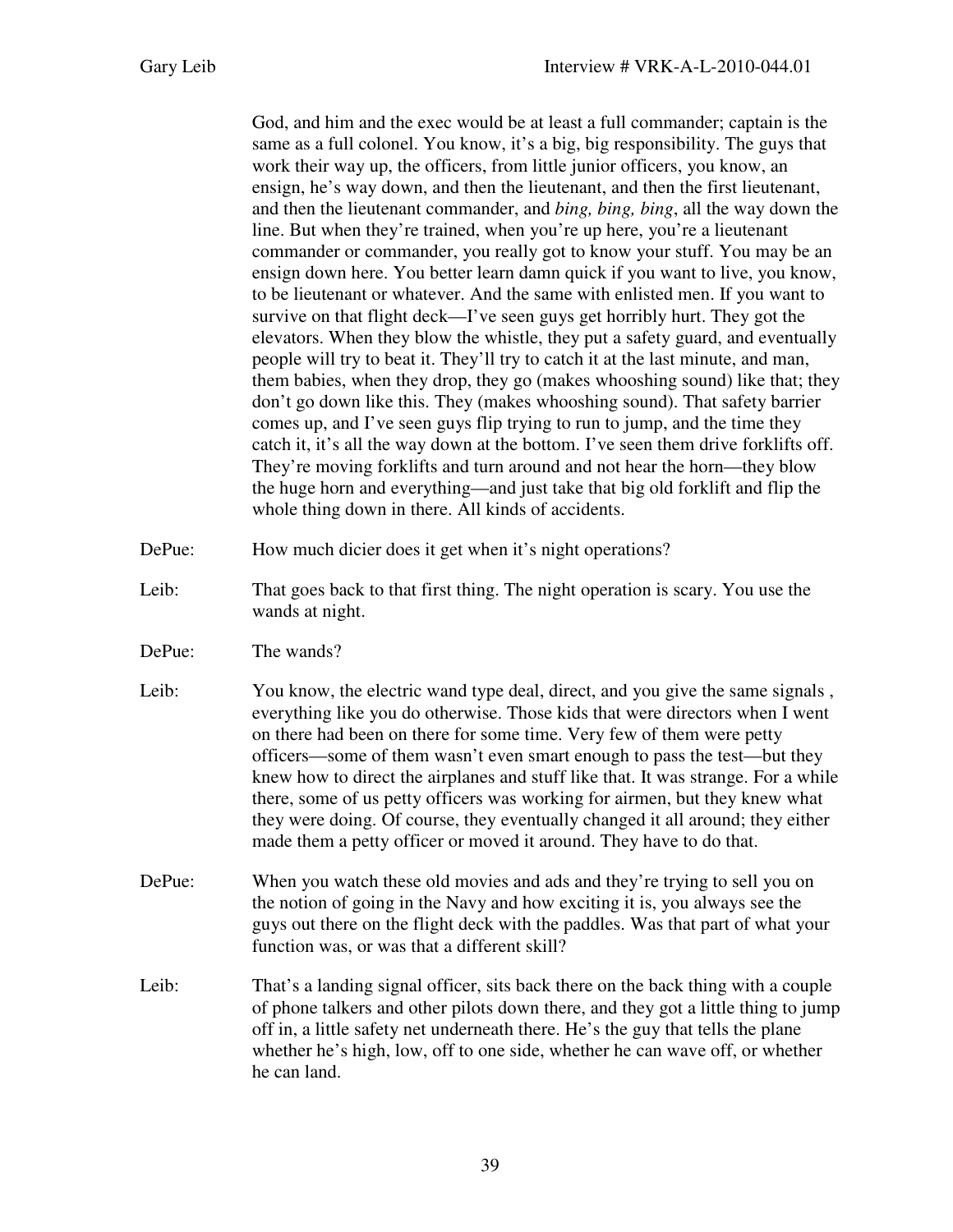God, and him and the exec would be at least a full commander; captain is the same as a full colonel. You know, it's a big, big responsibility. The guys that work their way up, the officers, from little junior officers, you know, an ensign, he's way down, and then the lieutenant, and then the first lieutenant, and then the lieutenant commander, and *bing, bing, bing*, all the way down the line. But when they're trained, when you're up here, you're a lieutenant commander or commander, you really got to know your stuff. You may be an ensign down here. You better learn damn quick if you want to live, you know, to be lieutenant or whatever. And the same with enlisted men. If you want to survive on that flight deck—I've seen guys get horribly hurt. They got the elevators. When they blow the whistle, they put a safety guard, and eventually people will try to beat it. They'll try to catch it at the last minute, and man, them babies, when they drop, they go (makes whooshing sound) like that; they don't go down like this. They (makes whooshing sound). That safety barrier comes up, and I've seen guys flip trying to run to jump, and the time they catch it, it's all the way down at the bottom. I've seen them drive forklifts off. They're moving forklifts and turn around and not hear the horn—they blow the huge horn and everything—and just take that big old forklift and flip the whole thing down in there. All kinds of accidents.

- DePue: How much dicier does it get when it's night operations?
- Leib: That goes back to that first thing. The night operation is scary. You use the wands at night.
- DePue: The wands?
- Leib: You know, the electric wand type deal, direct, and you give the same signals, everything like you do otherwise. Those kids that were directors when I went on there had been on there for some time. Very few of them were petty officers—some of them wasn't even smart enough to pass the test—but they knew how to direct the airplanes and stuff like that. It was strange. For a while there, some of us petty officers was working for airmen, but they knew what they were doing. Of course, they eventually changed it all around; they either made them a petty officer or moved it around. They have to do that.
- DePue: When you watch these old movies and ads and they're trying to sell you on the notion of going in the Navy and how exciting it is, you always see the guys out there on the flight deck with the paddles. Was that part of what your function was, or was that a different skill?
- Leib: That's a landing signal officer, sits back there on the back thing with a couple of phone talkers and other pilots down there, and they got a little thing to jump off in, a little safety net underneath there. He's the guy that tells the plane whether he's high, low, off to one side, whether he can wave off, or whether he can land.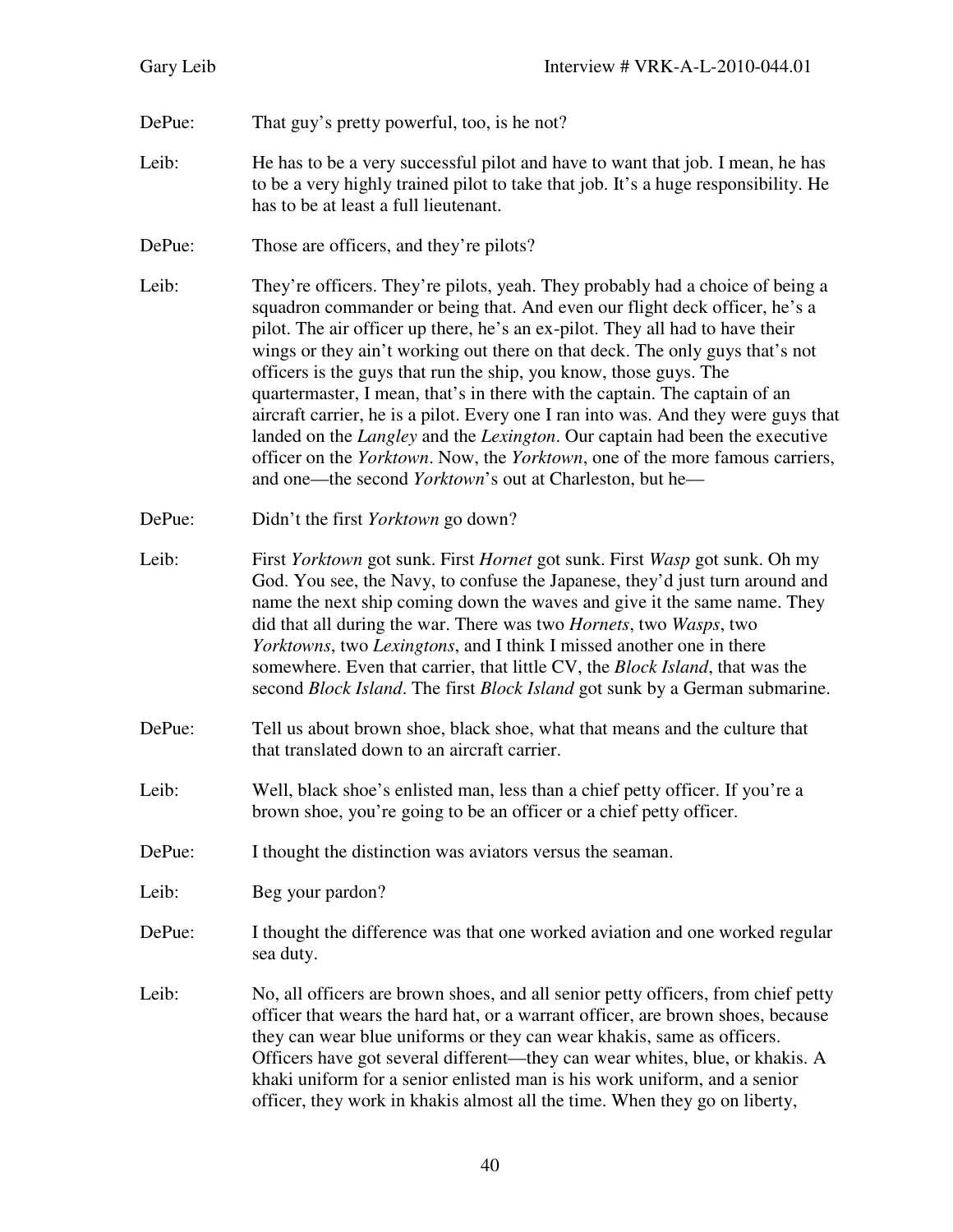- DePue: That guy's pretty powerful, too, is he not?
- Leib: He has to be a very successful pilot and have to want that job. I mean, he has to be a very highly trained pilot to take that job. It's a huge responsibility. He has to be at least a full lieutenant.
- DePue: Those are officers, and they're pilots?
- Leib: They're officers. They're pilots, yeah. They probably had a choice of being a squadron commander or being that. And even our flight deck officer, he's a pilot. The air officer up there, he's an ex-pilot. They all had to have their wings or they ain't working out there on that deck. The only guys that's not officers is the guys that run the ship, you know, those guys. The quartermaster, I mean, that's in there with the captain. The captain of an aircraft carrier, he is a pilot. Every one I ran into was. And they were guys that landed on the *Langley* and the *Lexington*. Our captain had been the executive officer on the *Yorktown*. Now, the *Yorktown*, one of the more famous carriers, and one—the second *Yorktown*'s out at Charleston, but he—
- DePue: Didn't the first *Yorktown* go down?
- Leib: First *Yorktown* got sunk. First *Hornet* got sunk. First *Wasp* got sunk. Oh my God. You see, the Navy, to confuse the Japanese, they'd just turn around and name the next ship coming down the waves and give it the same name. They did that all during the war. There was two *Hornets*, two *Wasps*, two *Yorktowns*, two *Lexingtons*, and I think I missed another one in there somewhere. Even that carrier, that little CV, the *Block Island*, that was the second *Block Island*. The first *Block Island* got sunk by a German submarine.
- DePue: Tell us about brown shoe, black shoe, what that means and the culture that that translated down to an aircraft carrier.
- Leib: Well, black shoe's enlisted man, less than a chief petty officer. If you're a brown shoe, you're going to be an officer or a chief petty officer.
- DePue: I thought the distinction was aviators versus the seaman.
- Leib: Beg your pardon?
- DePue: I thought the difference was that one worked aviation and one worked regular sea duty.
- Leib: No, all officers are brown shoes, and all senior petty officers, from chief petty officer that wears the hard hat, or a warrant officer, are brown shoes, because they can wear blue uniforms or they can wear khakis, same as officers. Officers have got several different—they can wear whites, blue, or khakis. A khaki uniform for a senior enlisted man is his work uniform, and a senior officer, they work in khakis almost all the time. When they go on liberty,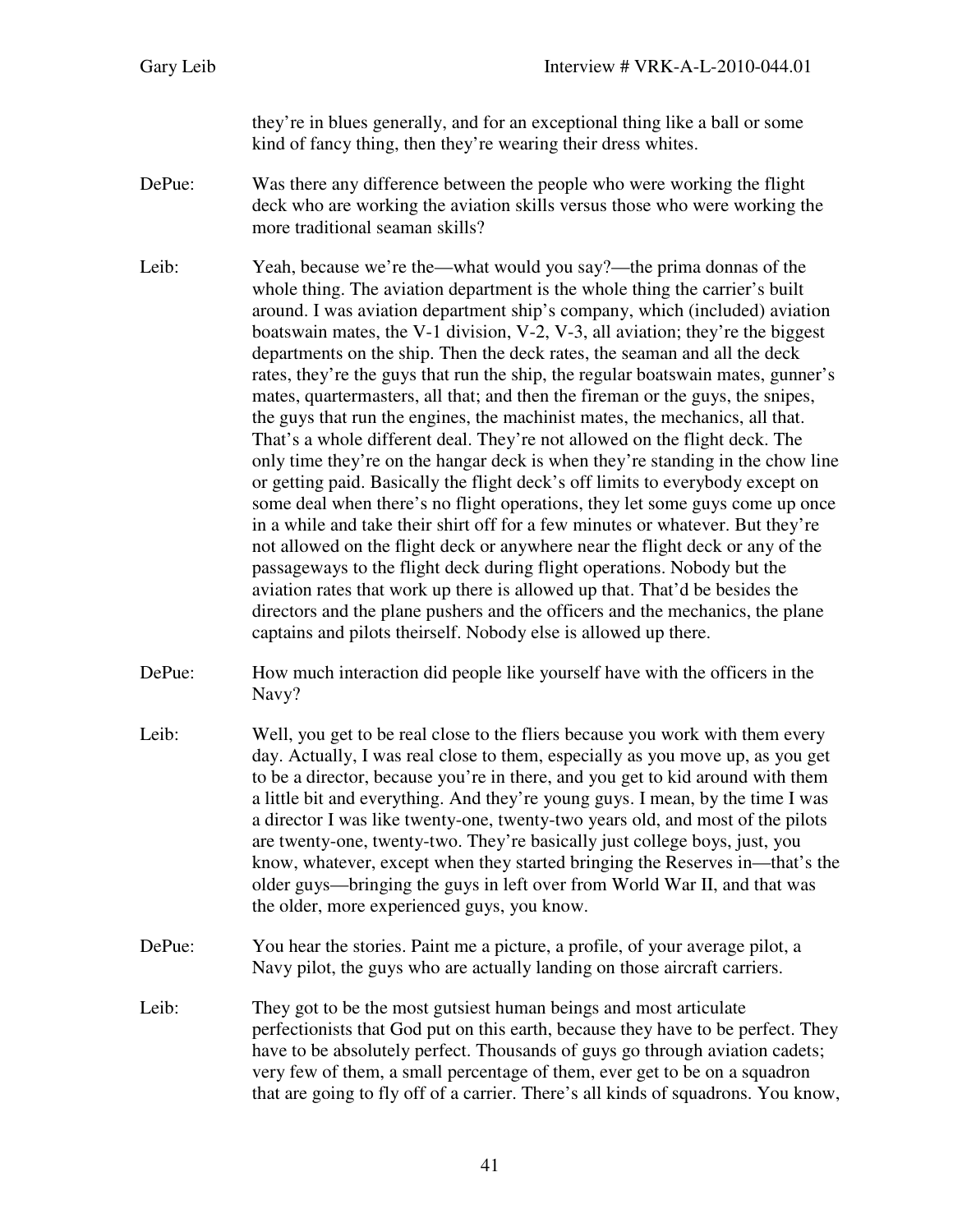they're in blues generally, and for an exceptional thing like a ball or some kind of fancy thing, then they're wearing their dress whites.

DePue: Was there any difference between the people who were working the flight deck who are working the aviation skills versus those who were working the more traditional seaman skills?

Leib: Yeah, because we're the—what would you say?—the prima donnas of the whole thing. The aviation department is the whole thing the carrier's built around. I was aviation department ship's company, which (included) aviation boatswain mates, the V-1 division, V-2, V-3, all aviation; they're the biggest departments on the ship. Then the deck rates, the seaman and all the deck rates, they're the guys that run the ship, the regular boatswain mates, gunner's mates, quartermasters, all that; and then the fireman or the guys, the snipes, the guys that run the engines, the machinist mates, the mechanics, all that. That's a whole different deal. They're not allowed on the flight deck. The only time they're on the hangar deck is when they're standing in the chow line or getting paid. Basically the flight deck's off limits to everybody except on some deal when there's no flight operations, they let some guys come up once in a while and take their shirt off for a few minutes or whatever. But they're not allowed on the flight deck or anywhere near the flight deck or any of the passageways to the flight deck during flight operations. Nobody but the aviation rates that work up there is allowed up that. That'd be besides the directors and the plane pushers and the officers and the mechanics, the plane captains and pilots theirself. Nobody else is allowed up there.

- DePue: How much interaction did people like yourself have with the officers in the Navy?
- Leib: Well, you get to be real close to the fliers because you work with them every day. Actually, I was real close to them, especially as you move up, as you get to be a director, because you're in there, and you get to kid around with them a little bit and everything. And they're young guys. I mean, by the time I was a director I was like twenty-one, twenty-two years old, and most of the pilots are twenty-one, twenty-two. They're basically just college boys, just, you know, whatever, except when they started bringing the Reserves in—that's the older guys—bringing the guys in left over from World War II, and that was the older, more experienced guys, you know.
- DePue: You hear the stories. Paint me a picture, a profile, of your average pilot, a Navy pilot, the guys who are actually landing on those aircraft carriers.
- Leib: They got to be the most gutsiest human beings and most articulate perfectionists that God put on this earth, because they have to be perfect. They have to be absolutely perfect. Thousands of guys go through aviation cadets; very few of them, a small percentage of them, ever get to be on a squadron that are going to fly off of a carrier. There's all kinds of squadrons. You know,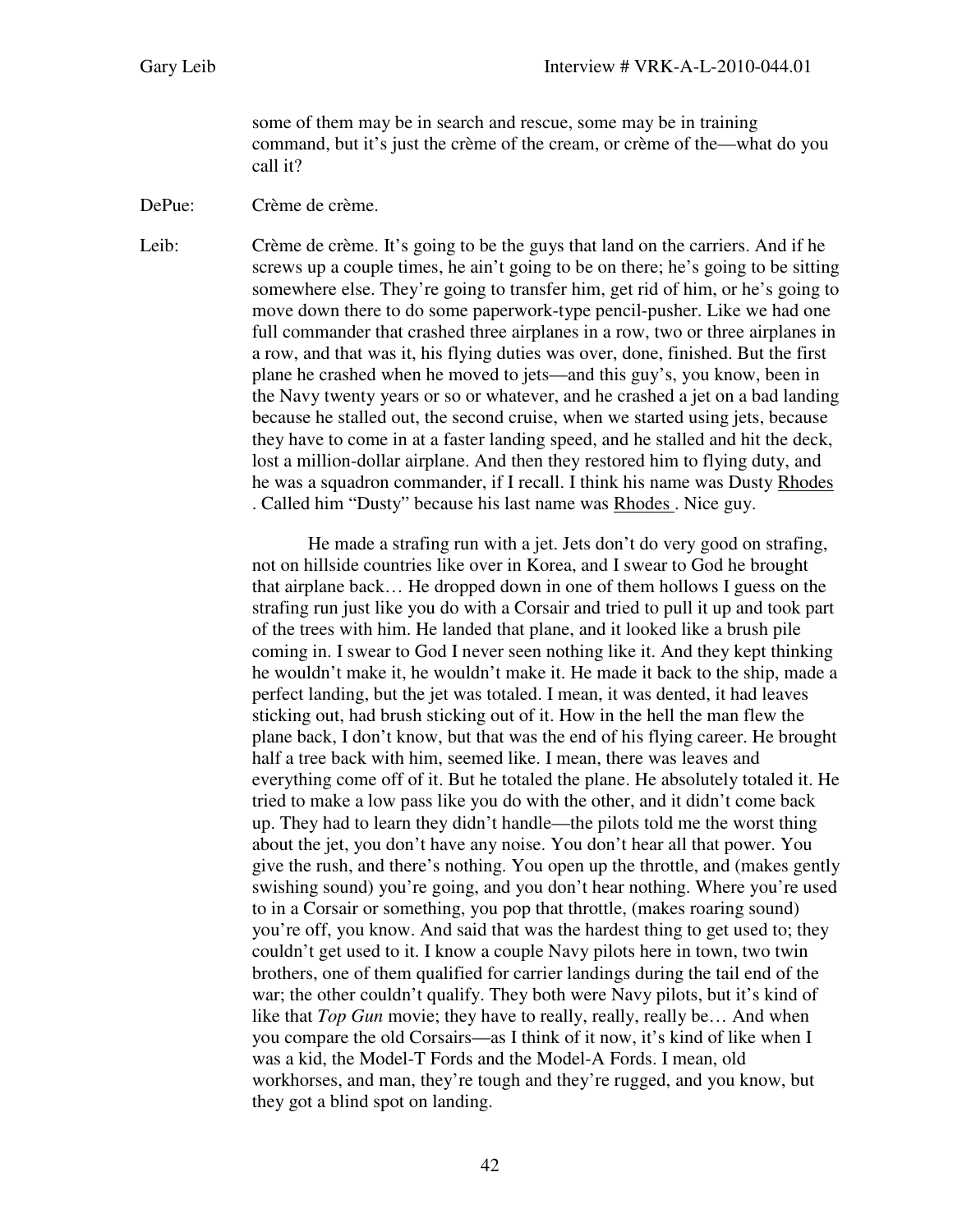some of them may be in search and rescue, some may be in training command, but it's just the crème of the cream, or crème of the—what do you call it?

DePue: Crème de crème.

Leib: Crème de crème. It's going to be the guys that land on the carriers. And if he screws up a couple times, he ain't going to be on there; he's going to be sitting somewhere else. They're going to transfer him, get rid of him, or he's going to move down there to do some paperwork-type pencil-pusher. Like we had one full commander that crashed three airplanes in a row, two or three airplanes in a row, and that was it, his flying duties was over, done, finished. But the first plane he crashed when he moved to jets—and this guy's, you know, been in the Navy twenty years or so or whatever, and he crashed a jet on a bad landing because he stalled out, the second cruise, when we started using jets, because they have to come in at a faster landing speed, and he stalled and hit the deck, lost a million-dollar airplane. And then they restored him to flying duty, and he was a squadron commander, if I recall. I think his name was Dusty Rhodes . Called him "Dusty" because his last name was Rhodes . Nice guy.

> He made a strafing run with a jet. Jets don't do very good on strafing, not on hillside countries like over in Korea, and I swear to God he brought that airplane back… He dropped down in one of them hollows I guess on the strafing run just like you do with a Corsair and tried to pull it up and took part of the trees with him. He landed that plane, and it looked like a brush pile coming in. I swear to God I never seen nothing like it. And they kept thinking he wouldn't make it, he wouldn't make it. He made it back to the ship, made a perfect landing, but the jet was totaled. I mean, it was dented, it had leaves sticking out, had brush sticking out of it. How in the hell the man flew the plane back, I don't know, but that was the end of his flying career. He brought half a tree back with him, seemed like. I mean, there was leaves and everything come off of it. But he totaled the plane. He absolutely totaled it. He tried to make a low pass like you do with the other, and it didn't come back up. They had to learn they didn't handle—the pilots told me the worst thing about the jet, you don't have any noise. You don't hear all that power. You give the rush, and there's nothing. You open up the throttle, and (makes gently swishing sound) you're going, and you don't hear nothing. Where you're used to in a Corsair or something, you pop that throttle, (makes roaring sound) you're off, you know. And said that was the hardest thing to get used to; they couldn't get used to it. I know a couple Navy pilots here in town, two twin brothers, one of them qualified for carrier landings during the tail end of the war; the other couldn't qualify. They both were Navy pilots, but it's kind of like that *Top Gun* movie; they have to really, really, really be… And when you compare the old Corsairs—as I think of it now, it's kind of like when I was a kid, the Model-T Fords and the Model-A Fords. I mean, old workhorses, and man, they're tough and they're rugged, and you know, but they got a blind spot on landing.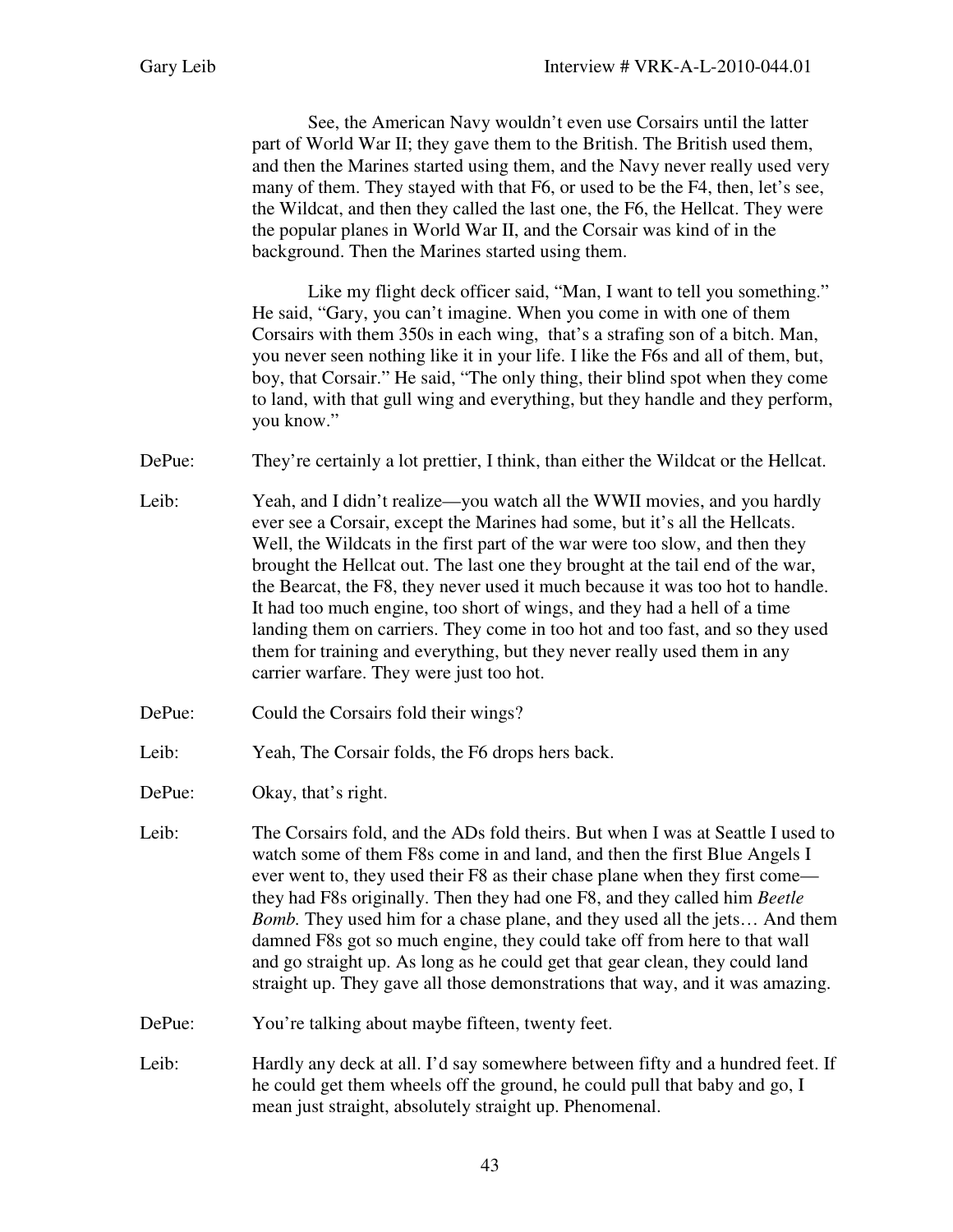See, the American Navy wouldn't even use Corsairs until the latter part of World War II; they gave them to the British. The British used them, and then the Marines started using them, and the Navy never really used very many of them. They stayed with that F6, or used to be the F4, then, let's see, the Wildcat, and then they called the last one, the F6, the Hellcat. They were the popular planes in World War II, and the Corsair was kind of in the background. Then the Marines started using them.

Like my flight deck officer said, "Man, I want to tell you something." He said, "Gary, you can't imagine. When you come in with one of them Corsairs with them 350s in each wing, that's a strafing son of a bitch. Man, you never seen nothing like it in your life. I like the F6s and all of them, but, boy, that Corsair." He said, "The only thing, their blind spot when they come to land, with that gull wing and everything, but they handle and they perform, you know."

DePue: They're certainly a lot prettier, I think, than either the Wildcat or the Hellcat.

- Leib: Yeah, and I didn't realize—you watch all the WWII movies, and you hardly ever see a Corsair, except the Marines had some, but it's all the Hellcats. Well, the Wildcats in the first part of the war were too slow, and then they brought the Hellcat out. The last one they brought at the tail end of the war, the Bearcat, the F8, they never used it much because it was too hot to handle. It had too much engine, too short of wings, and they had a hell of a time landing them on carriers. They come in too hot and too fast, and so they used them for training and everything, but they never really used them in any carrier warfare. They were just too hot.
- DePue: Could the Corsairs fold their wings?
- Leib: Yeah, The Corsair folds, the F6 drops hers back.
- DePue: Okay, that's right.
- Leib: The Corsairs fold, and the ADs fold theirs. But when I was at Seattle I used to watch some of them F8s come in and land, and then the first Blue Angels I ever went to, they used their F8 as their chase plane when they first come they had F8s originally. Then they had one F8, and they called him *Beetle Bomb.* They used him for a chase plane, and they used all the jets… And them damned F8s got so much engine, they could take off from here to that wall and go straight up. As long as he could get that gear clean, they could land straight up. They gave all those demonstrations that way, and it was amazing.
- DePue: You're talking about maybe fifteen, twenty feet.
- Leib: Hardly any deck at all. I'd say somewhere between fifty and a hundred feet. If he could get them wheels off the ground, he could pull that baby and go, I mean just straight, absolutely straight up. Phenomenal.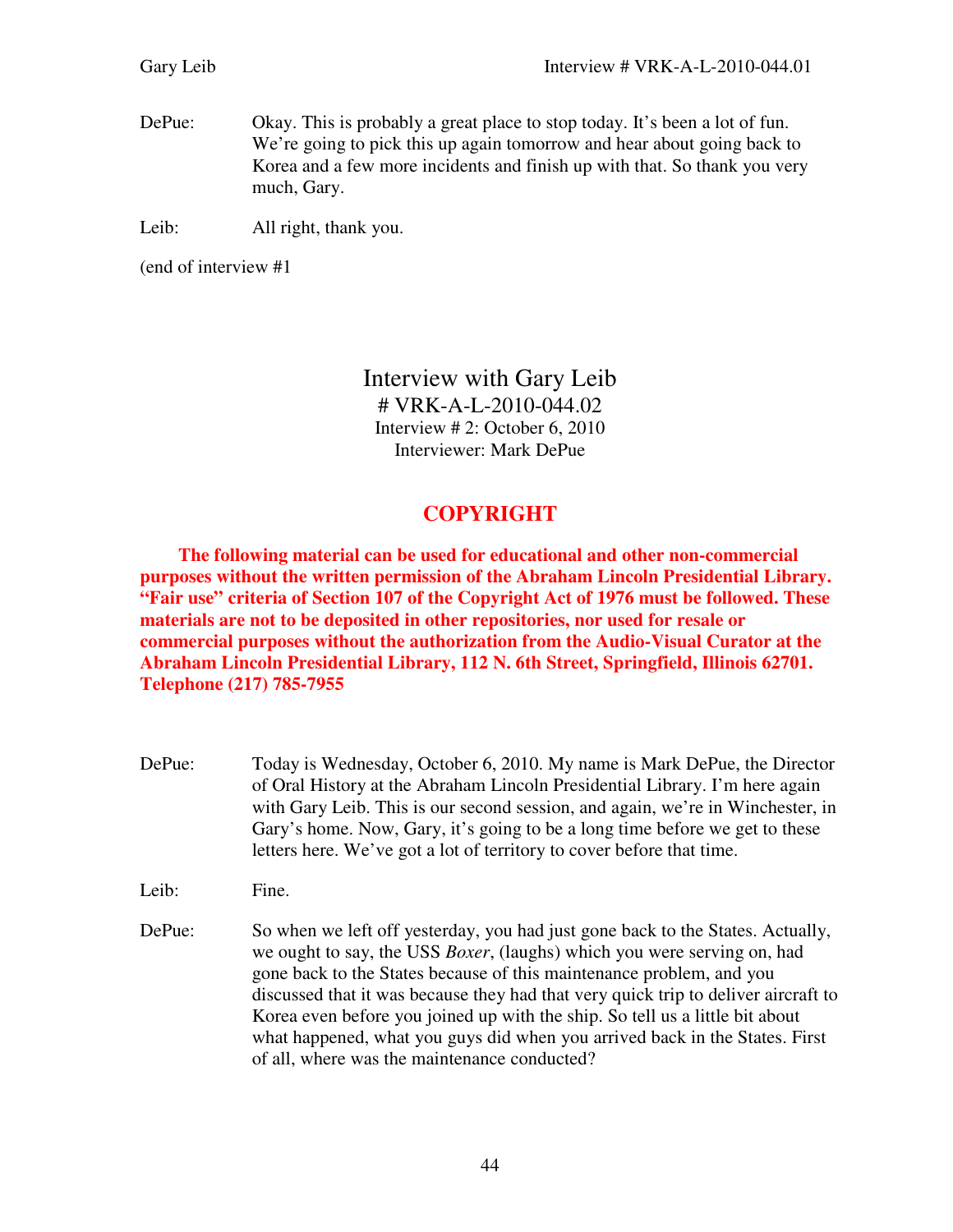DePue: Okay. This is probably a great place to stop today. It's been a lot of fun. We're going to pick this up again tomorrow and hear about going back to Korea and a few more incidents and finish up with that. So thank you very much, Gary.

Leib: All right, thank you.

(end of interview #1

Interview with Gary Leib # VRK-A-L-2010-044.02 Interview # 2: October 6, 2010 Interviewer: Mark DePue

## **COPYRIGHT**

 **The following material can be used for educational and other non-commercial purposes without the written permission of the Abraham Lincoln Presidential Library. "Fair use" criteria of Section 107 of the Copyright Act of 1976 must be followed. These materials are not to be deposited in other repositories, nor used for resale or commercial purposes without the authorization from the Audio-Visual Curator at the Abraham Lincoln Presidential Library, 112 N. 6th Street, Springfield, Illinois 62701. Telephone (217) 785-7955** 

DePue: Today is Wednesday, October 6, 2010. My name is Mark DePue, the Director of Oral History at the Abraham Lincoln Presidential Library. I'm here again with Gary Leib. This is our second session, and again, we're in Winchester, in Gary's home. Now, Gary, it's going to be a long time before we get to these letters here. We've got a lot of territory to cover before that time.

Leib: Fine.

DePue: So when we left off yesterday, you had just gone back to the States. Actually, we ought to say, the USS *Boxer*, (laughs) which you were serving on, had gone back to the States because of this maintenance problem, and you discussed that it was because they had that very quick trip to deliver aircraft to Korea even before you joined up with the ship. So tell us a little bit about what happened, what you guys did when you arrived back in the States. First of all, where was the maintenance conducted?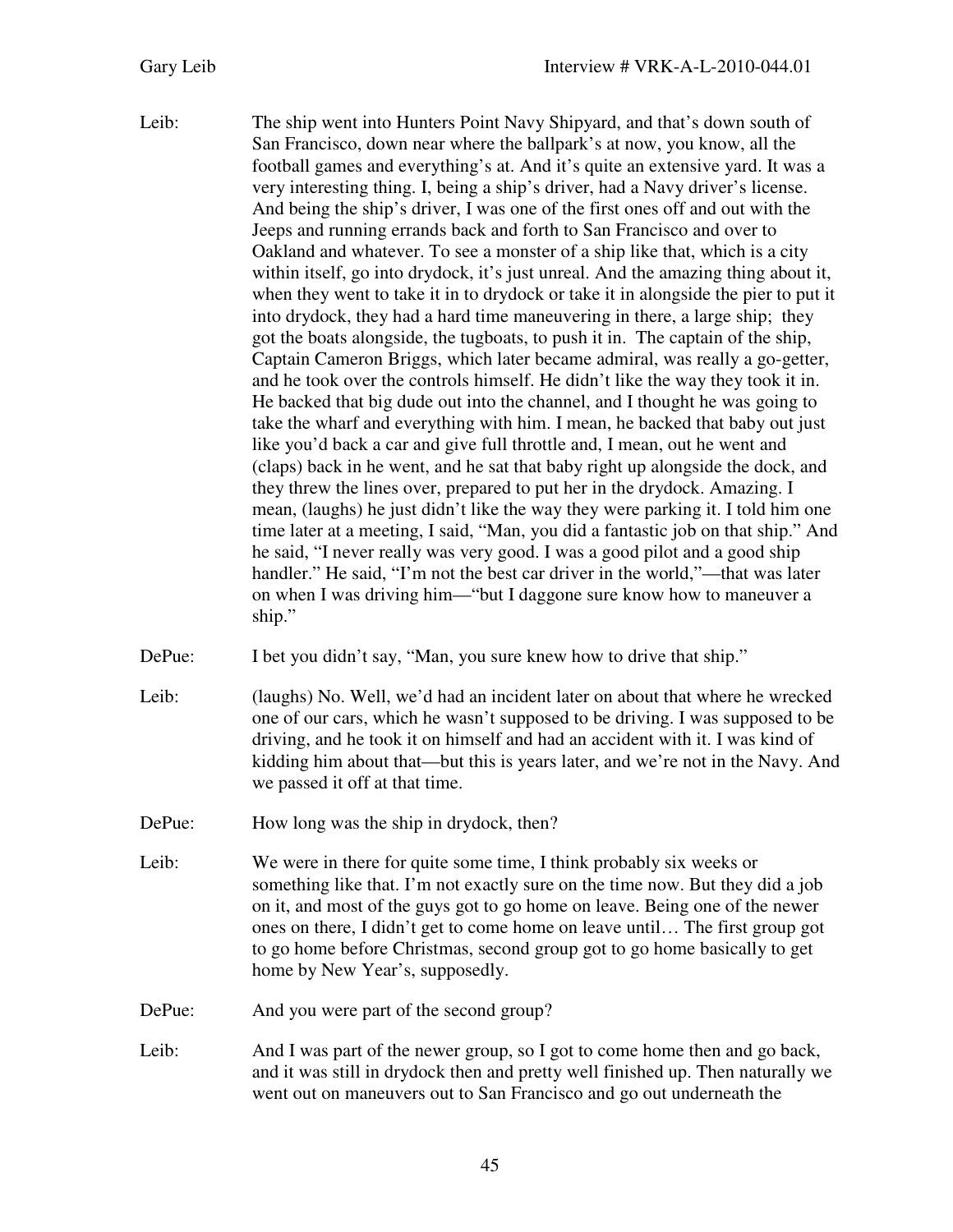Leib: The ship went into Hunters Point Navy Shipyard, and that's down south of San Francisco, down near where the ballpark's at now, you know, all the football games and everything's at. And it's quite an extensive yard. It was a very interesting thing. I, being a ship's driver, had a Navy driver's license. And being the ship's driver, I was one of the first ones off and out with the Jeeps and running errands back and forth to San Francisco and over to Oakland and whatever. To see a monster of a ship like that, which is a city within itself, go into drydock, it's just unreal. And the amazing thing about it, when they went to take it in to drydock or take it in alongside the pier to put it into drydock, they had a hard time maneuvering in there, a large ship; they got the boats alongside, the tugboats, to push it in. The captain of the ship, Captain Cameron Briggs, which later became admiral, was really a go-getter, and he took over the controls himself. He didn't like the way they took it in. He backed that big dude out into the channel, and I thought he was going to take the wharf and everything with him. I mean, he backed that baby out just like you'd back a car and give full throttle and, I mean, out he went and (claps) back in he went, and he sat that baby right up alongside the dock, and they threw the lines over, prepared to put her in the drydock. Amazing. I mean, (laughs) he just didn't like the way they were parking it. I told him one time later at a meeting, I said, "Man, you did a fantastic job on that ship." And he said, "I never really was very good. I was a good pilot and a good ship handler." He said, "I'm not the best car driver in the world,"—that was later on when I was driving him—"but I daggone sure know how to maneuver a ship."

DePue: I bet you didn't say, "Man, you sure knew how to drive that ship."

- Leib: (laughs) No. Well, we'd had an incident later on about that where he wrecked one of our cars, which he wasn't supposed to be driving. I was supposed to be driving, and he took it on himself and had an accident with it. I was kind of kidding him about that—but this is years later, and we're not in the Navy. And we passed it off at that time.
- DePue: How long was the ship in drydock, then?
- Leib: We were in there for quite some time, I think probably six weeks or something like that. I'm not exactly sure on the time now. But they did a job on it, and most of the guys got to go home on leave. Being one of the newer ones on there, I didn't get to come home on leave until… The first group got to go home before Christmas, second group got to go home basically to get home by New Year's, supposedly.
- DePue: And you were part of the second group?
- Leib: And I was part of the newer group, so I got to come home then and go back, and it was still in drydock then and pretty well finished up. Then naturally we went out on maneuvers out to San Francisco and go out underneath the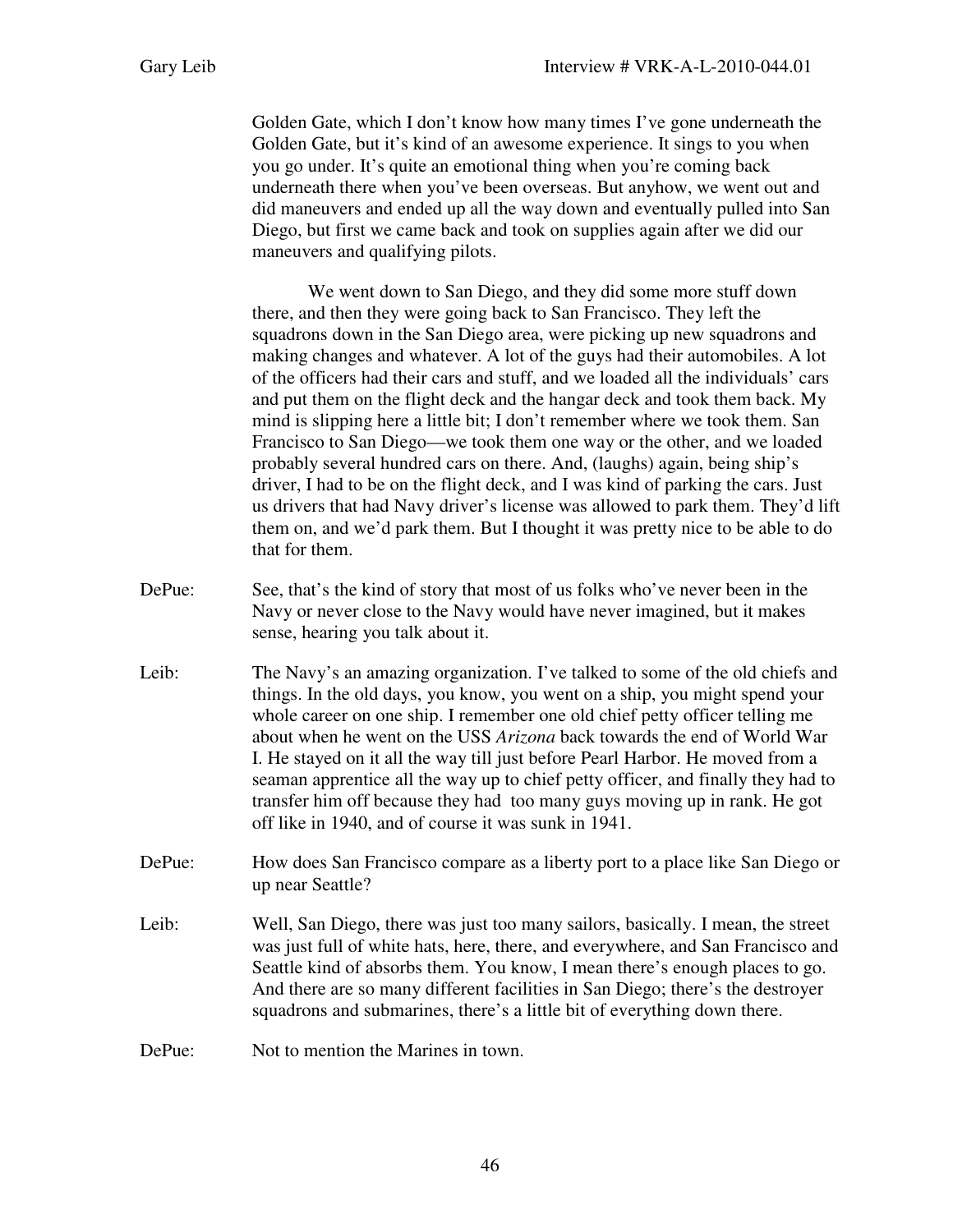Golden Gate, which I don't know how many times I've gone underneath the Golden Gate, but it's kind of an awesome experience. It sings to you when you go under. It's quite an emotional thing when you're coming back underneath there when you've been overseas. But anyhow, we went out and did maneuvers and ended up all the way down and eventually pulled into San Diego, but first we came back and took on supplies again after we did our maneuvers and qualifying pilots.

 We went down to San Diego, and they did some more stuff down there, and then they were going back to San Francisco. They left the squadrons down in the San Diego area, were picking up new squadrons and making changes and whatever. A lot of the guys had their automobiles. A lot of the officers had their cars and stuff, and we loaded all the individuals' cars and put them on the flight deck and the hangar deck and took them back. My mind is slipping here a little bit; I don't remember where we took them. San Francisco to San Diego—we took them one way or the other, and we loaded probably several hundred cars on there. And, (laughs) again, being ship's driver, I had to be on the flight deck, and I was kind of parking the cars. Just us drivers that had Navy driver's license was allowed to park them. They'd lift them on, and we'd park them. But I thought it was pretty nice to be able to do that for them.

- DePue: See, that's the kind of story that most of us folks who've never been in the Navy or never close to the Navy would have never imagined, but it makes sense, hearing you talk about it.
- Leib: The Navy's an amazing organization. I've talked to some of the old chiefs and things. In the old days, you know, you went on a ship, you might spend your whole career on one ship. I remember one old chief petty officer telling me about when he went on the USS *Arizona* back towards the end of World War I. He stayed on it all the way till just before Pearl Harbor. He moved from a seaman apprentice all the way up to chief petty officer, and finally they had to transfer him off because they had too many guys moving up in rank. He got off like in 1940, and of course it was sunk in 1941.
- DePue: How does San Francisco compare as a liberty port to a place like San Diego or up near Seattle?
- Leib: Well, San Diego, there was just too many sailors, basically. I mean, the street was just full of white hats, here, there, and everywhere, and San Francisco and Seattle kind of absorbs them. You know, I mean there's enough places to go. And there are so many different facilities in San Diego; there's the destroyer squadrons and submarines, there's a little bit of everything down there.

DePue: Not to mention the Marines in town.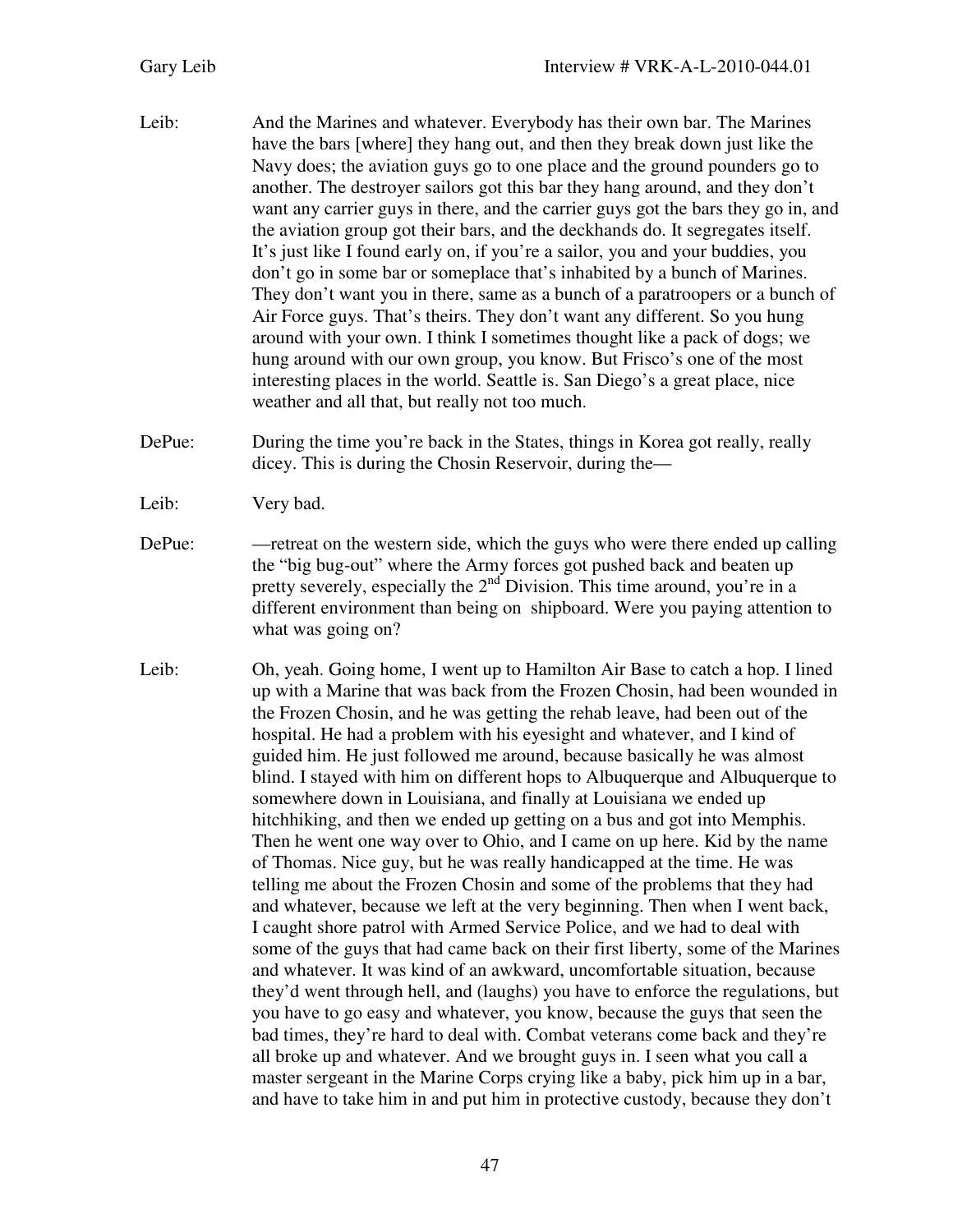- Leib: And the Marines and whatever. Everybody has their own bar. The Marines have the bars [where] they hang out, and then they break down just like the Navy does; the aviation guys go to one place and the ground pounders go to another. The destroyer sailors got this bar they hang around, and they don't want any carrier guys in there, and the carrier guys got the bars they go in, and the aviation group got their bars, and the deckhands do. It segregates itself. It's just like I found early on, if you're a sailor, you and your buddies, you don't go in some bar or someplace that's inhabited by a bunch of Marines. They don't want you in there, same as a bunch of a paratroopers or a bunch of Air Force guys. That's theirs. They don't want any different. So you hung around with your own. I think I sometimes thought like a pack of dogs; we hung around with our own group, you know. But Frisco's one of the most interesting places in the world. Seattle is. San Diego's a great place, nice weather and all that, but really not too much.
- DePue: During the time you're back in the States, things in Korea got really, really dicey. This is during the Chosin Reservoir, during the—
- Leib: Very bad.
- DePue: —retreat on the western side, which the guys who were there ended up calling the "big bug-out" where the Army forces got pushed back and beaten up pretty severely, especially the  $2<sup>nd</sup>$  Division. This time around, you're in a different environment than being on shipboard. Were you paying attention to what was going on?
- Leib: Oh, yeah. Going home, I went up to Hamilton Air Base to catch a hop. I lined up with a Marine that was back from the Frozen Chosin, had been wounded in the Frozen Chosin, and he was getting the rehab leave, had been out of the hospital. He had a problem with his eyesight and whatever, and I kind of guided him. He just followed me around, because basically he was almost blind. I stayed with him on different hops to Albuquerque and Albuquerque to somewhere down in Louisiana, and finally at Louisiana we ended up hitchhiking, and then we ended up getting on a bus and got into Memphis. Then he went one way over to Ohio, and I came on up here. Kid by the name of Thomas. Nice guy, but he was really handicapped at the time. He was telling me about the Frozen Chosin and some of the problems that they had and whatever, because we left at the very beginning. Then when I went back, I caught shore patrol with Armed Service Police, and we had to deal with some of the guys that had came back on their first liberty, some of the Marines and whatever. It was kind of an awkward, uncomfortable situation, because they'd went through hell, and (laughs) you have to enforce the regulations, but you have to go easy and whatever, you know, because the guys that seen the bad times, they're hard to deal with. Combat veterans come back and they're all broke up and whatever. And we brought guys in. I seen what you call a master sergeant in the Marine Corps crying like a baby, pick him up in a bar, and have to take him in and put him in protective custody, because they don't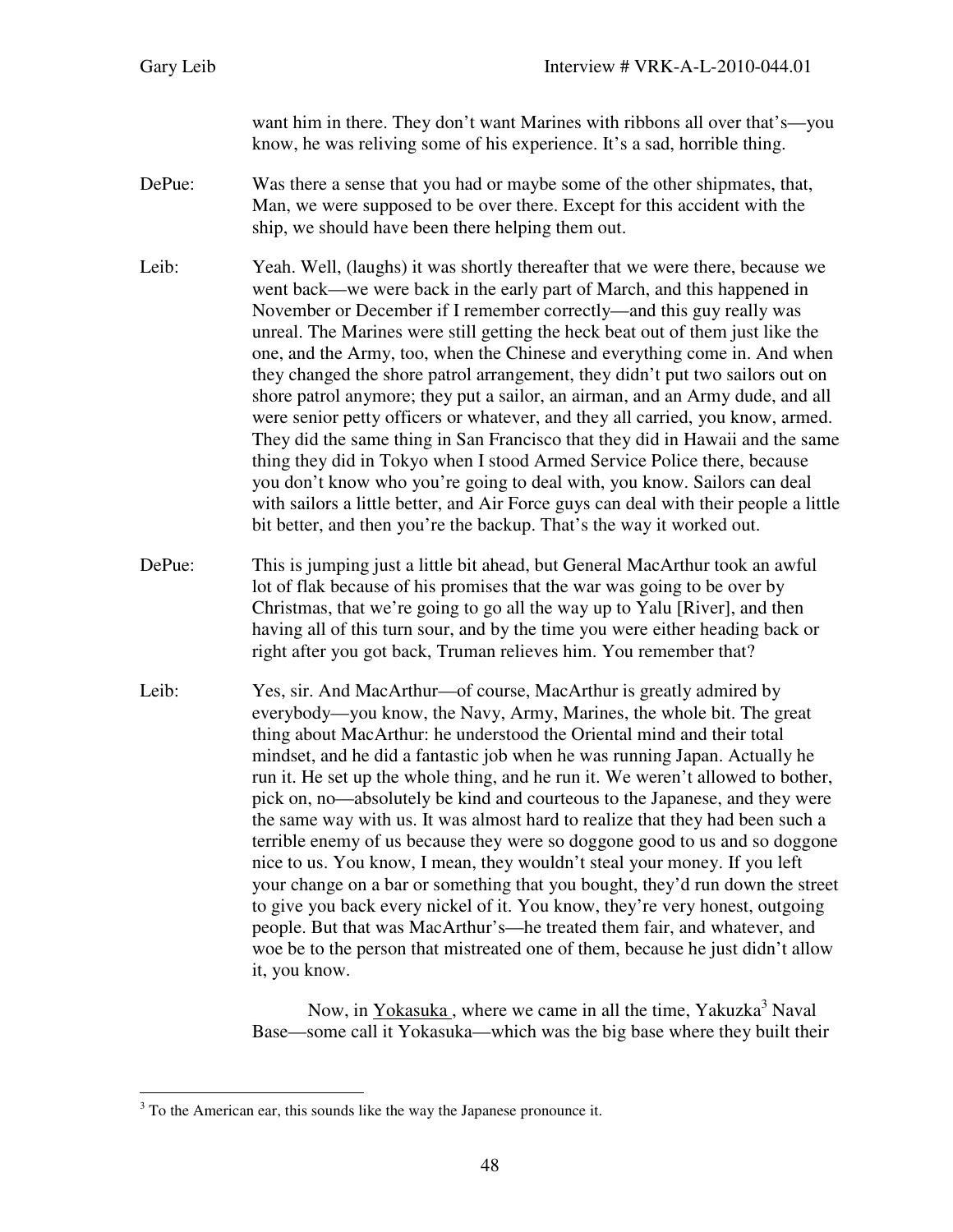want him in there. They don't want Marines with ribbons all over that's—you know, he was reliving some of his experience. It's a sad, horrible thing.

- DePue: Was there a sense that you had or maybe some of the other shipmates, that, Man, we were supposed to be over there. Except for this accident with the ship, we should have been there helping them out.
- Leib: Yeah. Well, (laughs) it was shortly thereafter that we were there, because we went back—we were back in the early part of March, and this happened in November or December if I remember correctly—and this guy really was unreal. The Marines were still getting the heck beat out of them just like the one, and the Army, too, when the Chinese and everything come in. And when they changed the shore patrol arrangement, they didn't put two sailors out on shore patrol anymore; they put a sailor, an airman, and an Army dude, and all were senior petty officers or whatever, and they all carried, you know, armed. They did the same thing in San Francisco that they did in Hawaii and the same thing they did in Tokyo when I stood Armed Service Police there, because you don't know who you're going to deal with, you know. Sailors can deal with sailors a little better, and Air Force guys can deal with their people a little bit better, and then you're the backup. That's the way it worked out.
- DePue: This is jumping just a little bit ahead, but General MacArthur took an awful lot of flak because of his promises that the war was going to be over by Christmas, that we're going to go all the way up to Yalu [River], and then having all of this turn sour, and by the time you were either heading back or right after you got back, Truman relieves him. You remember that?
- Leib: Yes, sir. And MacArthur—of course, MacArthur is greatly admired by everybody—you know, the Navy, Army, Marines, the whole bit. The great thing about MacArthur: he understood the Oriental mind and their total mindset, and he did a fantastic job when he was running Japan. Actually he run it. He set up the whole thing, and he run it. We weren't allowed to bother, pick on, no—absolutely be kind and courteous to the Japanese, and they were the same way with us. It was almost hard to realize that they had been such a terrible enemy of us because they were so doggone good to us and so doggone nice to us. You know, I mean, they wouldn't steal your money. If you left your change on a bar or something that you bought, they'd run down the street to give you back every nickel of it. You know, they're very honest, outgoing people. But that was MacArthur's—he treated them fair, and whatever, and woe be to the person that mistreated one of them, because he just didn't allow it, you know.

Now, in Yokasuka, where we came in all the time, Yakuzka<sup>3</sup> Naval Base—some call it Yokasuka—which was the big base where they built their

l

 $3$  To the American ear, this sounds like the way the Japanese pronounce it.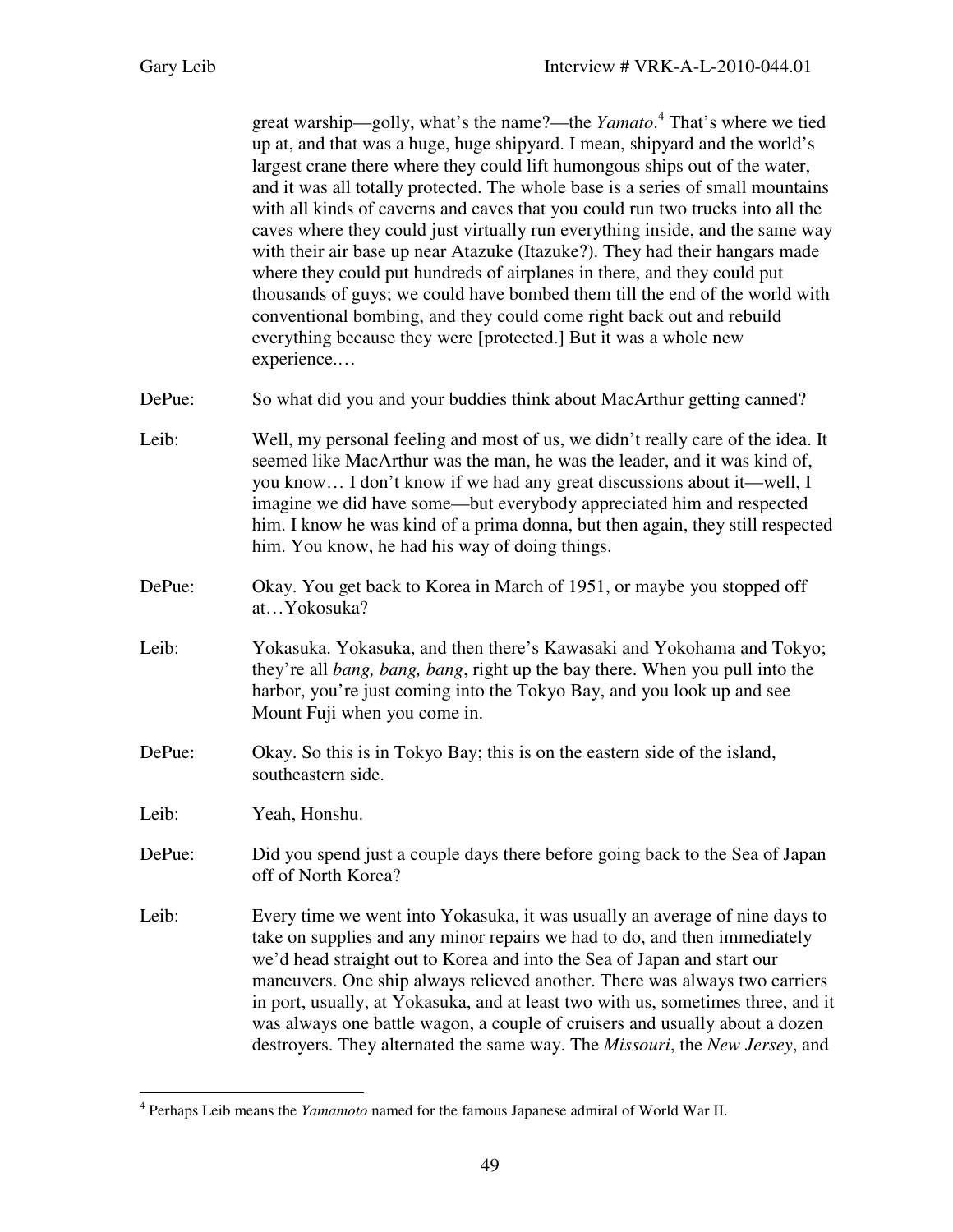great warship—golly, what's the name?—the *Yamato*. 4 That's where we tied up at, and that was a huge, huge shipyard. I mean, shipyard and the world's largest crane there where they could lift humongous ships out of the water, and it was all totally protected. The whole base is a series of small mountains with all kinds of caverns and caves that you could run two trucks into all the caves where they could just virtually run everything inside, and the same way with their air base up near Atazuke (Itazuke?). They had their hangars made where they could put hundreds of airplanes in there, and they could put thousands of guys; we could have bombed them till the end of the world with conventional bombing, and they could come right back out and rebuild everything because they were [protected.] But it was a whole new experience.…

- DePue: So what did you and your buddies think about MacArthur getting canned?
- Leib: Well, my personal feeling and most of us, we didn't really care of the idea. It seemed like MacArthur was the man, he was the leader, and it was kind of, you know… I don't know if we had any great discussions about it—well, I imagine we did have some—but everybody appreciated him and respected him. I know he was kind of a prima donna, but then again, they still respected him. You know, he had his way of doing things.
- DePue: Okay. You get back to Korea in March of 1951, or maybe you stopped off at…Yokosuka?
- Leib: Yokasuka. Yokasuka, and then there's Kawasaki and Yokohama and Tokyo; they're all *bang, bang, bang*, right up the bay there. When you pull into the harbor, you're just coming into the Tokyo Bay, and you look up and see Mount Fuji when you come in.
- DePue: Okay. So this is in Tokyo Bay; this is on the eastern side of the island, southeastern side.
- Leib: Yeah, Honshu.

l

- DePue: Did you spend just a couple days there before going back to the Sea of Japan off of North Korea?
- Leib: Every time we went into Yokasuka, it was usually an average of nine days to take on supplies and any minor repairs we had to do, and then immediately we'd head straight out to Korea and into the Sea of Japan and start our maneuvers. One ship always relieved another. There was always two carriers in port, usually, at Yokasuka, and at least two with us, sometimes three, and it was always one battle wagon, a couple of cruisers and usually about a dozen destroyers. They alternated the same way. The *Missouri*, the *New Jersey*, and

<sup>4</sup> Perhaps Leib means the *Yamamoto* named for the famous Japanese admiral of World War II.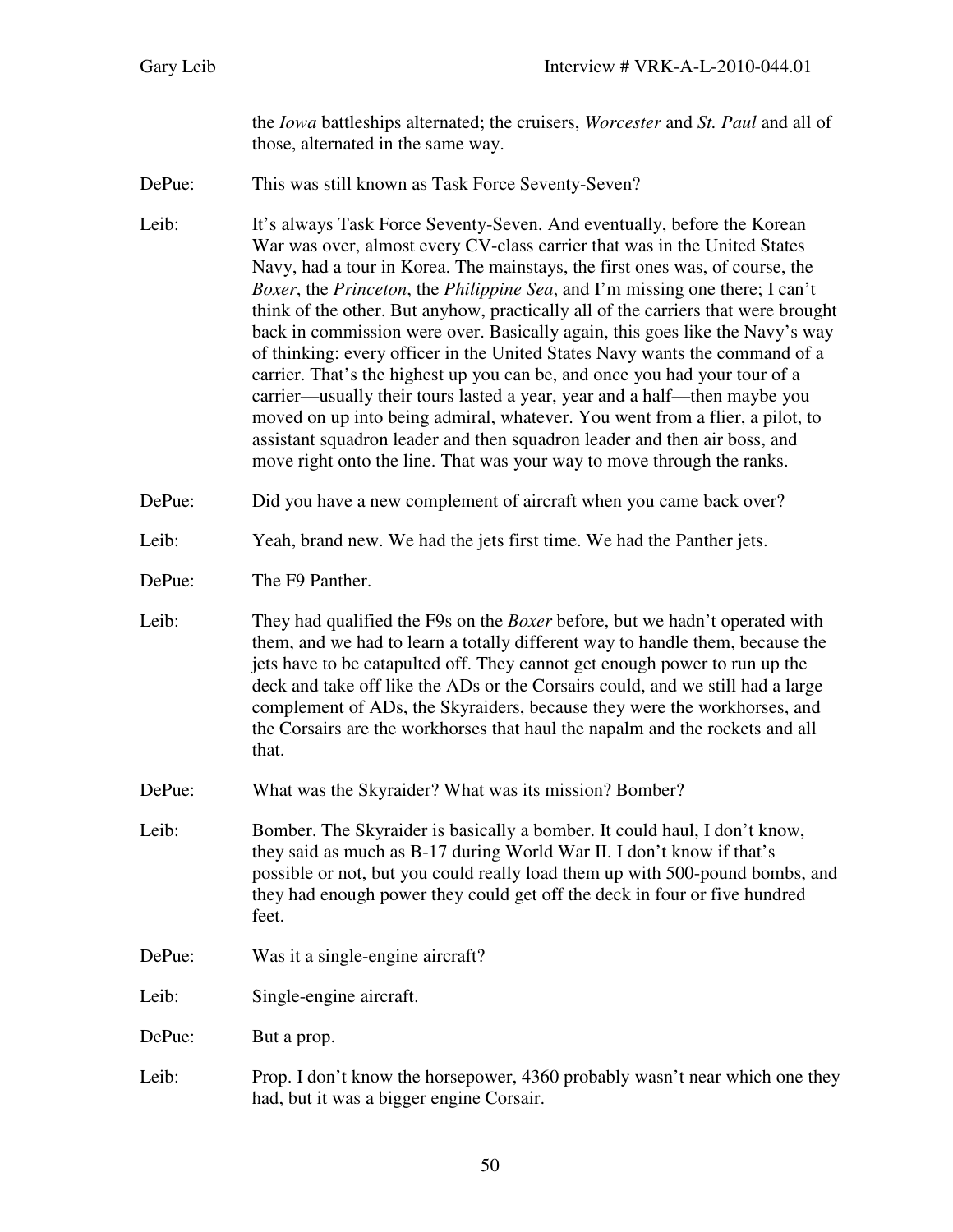the *Iowa* battleships alternated; the cruisers, *Worcester* and *St. Paul* and all of those, alternated in the same way.

DePue: This was still known as Task Force Seventy-Seven?

Leib: It's always Task Force Seventy-Seven. And eventually, before the Korean War was over, almost every CV-class carrier that was in the United States Navy, had a tour in Korea. The mainstays, the first ones was, of course, the *Boxer*, the *Princeton*, the *Philippine Sea*, and I'm missing one there; I can't think of the other. But anyhow, practically all of the carriers that were brought back in commission were over. Basically again, this goes like the Navy's way of thinking: every officer in the United States Navy wants the command of a carrier. That's the highest up you can be, and once you had your tour of a carrier—usually their tours lasted a year, year and a half—then maybe you moved on up into being admiral, whatever. You went from a flier, a pilot, to assistant squadron leader and then squadron leader and then air boss, and move right onto the line. That was your way to move through the ranks.

- DePue: Did you have a new complement of aircraft when you came back over?
- Leib: Yeah, brand new. We had the jets first time. We had the Panther jets.
- DePue: The F9 Panther.

Leib: They had qualified the F9s on the *Boxer* before, but we hadn't operated with them, and we had to learn a totally different way to handle them, because the jets have to be catapulted off. They cannot get enough power to run up the deck and take off like the ADs or the Corsairs could, and we still had a large complement of ADs, the Skyraiders, because they were the workhorses, and the Corsairs are the workhorses that haul the napalm and the rockets and all that.

- DePue: What was the Skyraider? What was its mission? Bomber?
- Leib: Bomber. The Skyraider is basically a bomber. It could haul, I don't know, they said as much as B-17 during World War II. I don't know if that's possible or not, but you could really load them up with 500-pound bombs, and they had enough power they could get off the deck in four or five hundred feet.
- DePue: Was it a single-engine aircraft?
- Leib: Single-engine aircraft.
- DePue: But a prop.
- Leib: Prop. I don't know the horsepower, 4360 probably wasn't near which one they had, but it was a bigger engine Corsair.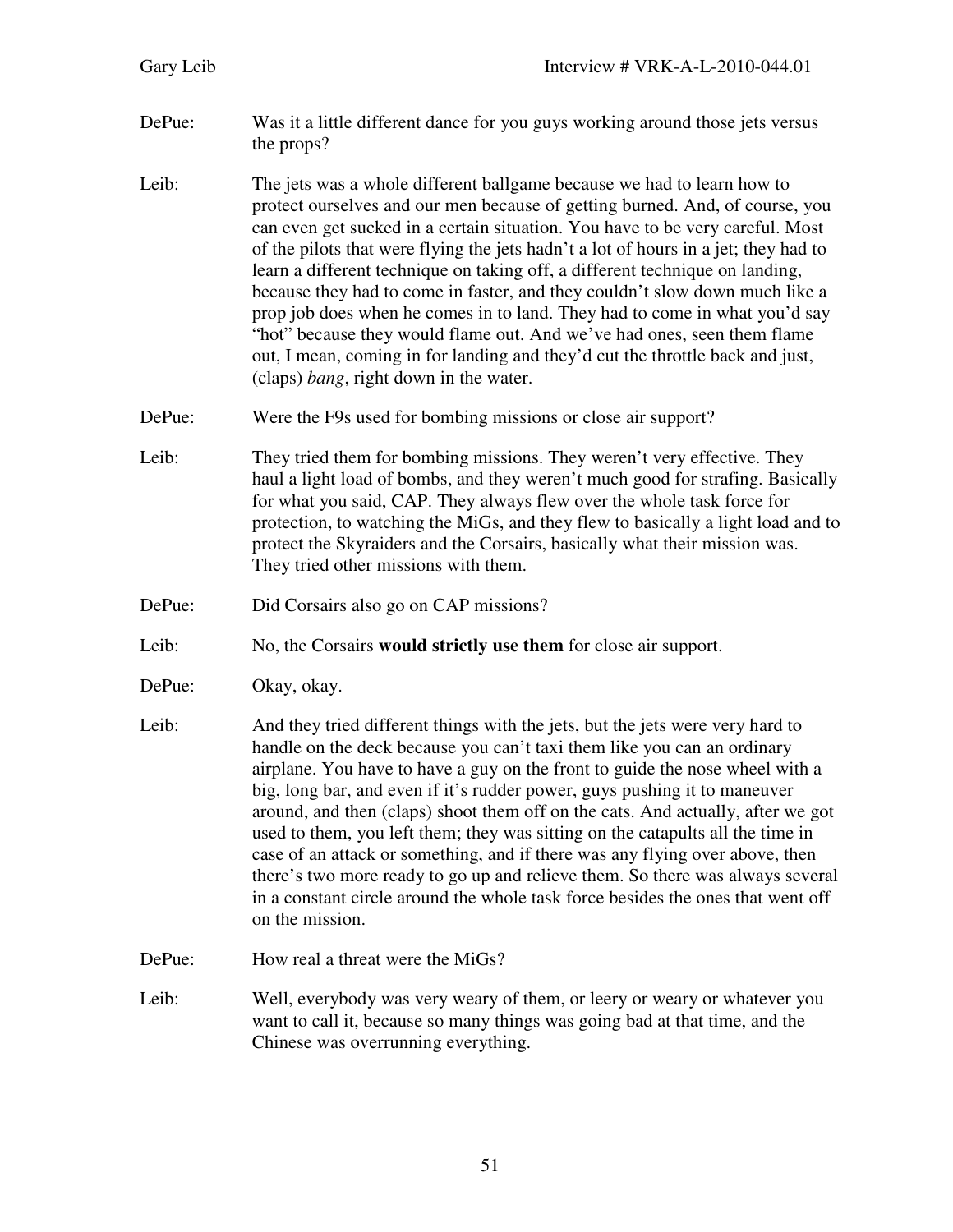| Gary Leib | Interview # VRK-A-L-2010-044.01                                                                                                                                                                                                                                                                                                                                                                                                                                                                                                                                                                                                                                                                                                                                                   |
|-----------|-----------------------------------------------------------------------------------------------------------------------------------------------------------------------------------------------------------------------------------------------------------------------------------------------------------------------------------------------------------------------------------------------------------------------------------------------------------------------------------------------------------------------------------------------------------------------------------------------------------------------------------------------------------------------------------------------------------------------------------------------------------------------------------|
| DePue:    | Was it a little different dance for you guys working around those jets versus<br>the props?                                                                                                                                                                                                                                                                                                                                                                                                                                                                                                                                                                                                                                                                                       |
| Leib:     | The jets was a whole different ballgame because we had to learn how to<br>protect ourselves and our men because of getting burned. And, of course, you<br>can even get sucked in a certain situation. You have to be very careful. Most<br>of the pilots that were flying the jets hadn't a lot of hours in a jet; they had to<br>learn a different technique on taking off, a different technique on landing,<br>because they had to come in faster, and they couldn't slow down much like a<br>prop job does when he comes in to land. They had to come in what you'd say<br>"hot" because they would flame out. And we've had ones, seen them flame<br>out, I mean, coming in for landing and they'd cut the throttle back and just,<br>(claps) bang, right down in the water. |
| DePue:    | Were the F9s used for bombing missions or close air support?                                                                                                                                                                                                                                                                                                                                                                                                                                                                                                                                                                                                                                                                                                                      |
| Leib:     | They tried them for bombing missions. They weren't very effective. They<br>haul a light load of bombs, and they weren't much good for strafing. Basically<br>for what you said, CAP. They always flew over the whole task force for<br>protection, to watching the MiGs, and they flew to basically a light load and to<br>protect the Skyraiders and the Corsairs, basically what their mission was.<br>They tried other missions with them.                                                                                                                                                                                                                                                                                                                                     |
| DePue:    | Did Corsairs also go on CAP missions?                                                                                                                                                                                                                                                                                                                                                                                                                                                                                                                                                                                                                                                                                                                                             |
| Leib:     | No, the Corsairs would strictly use them for close air support.                                                                                                                                                                                                                                                                                                                                                                                                                                                                                                                                                                                                                                                                                                                   |
| DePue:    | Okay, okay.                                                                                                                                                                                                                                                                                                                                                                                                                                                                                                                                                                                                                                                                                                                                                                       |
| Leib:     | And they tried different things with the jets, but the jets were very hard to<br>handle on the deck because you can't taxi them like you can an ordinary<br>airplane. You have to have a guy on the front to guide the nose wheel with a<br>big, long bar, and even if it's rudder power, guys pushing it to maneuver<br>around, and then (claps) shoot them off on the cats. And actually, after we got<br>used to them, you left them; they was sitting on the catapults all the time in<br>case of an attack or something, and if there was any flying over above, then<br>there's two more ready to go up and relieve them. So there was always several<br>in a constant circle around the whole task force besides the ones that went off<br>on the mission.                 |
| DePue:    | How real a threat were the MiGs?                                                                                                                                                                                                                                                                                                                                                                                                                                                                                                                                                                                                                                                                                                                                                  |
| Leib:     | Well, everybody was very weary of them, or leery or weary or whatever you<br>want to call it, because so many things was going bad at that time, and the<br>Chinese was overrunning everything.                                                                                                                                                                                                                                                                                                                                                                                                                                                                                                                                                                                   |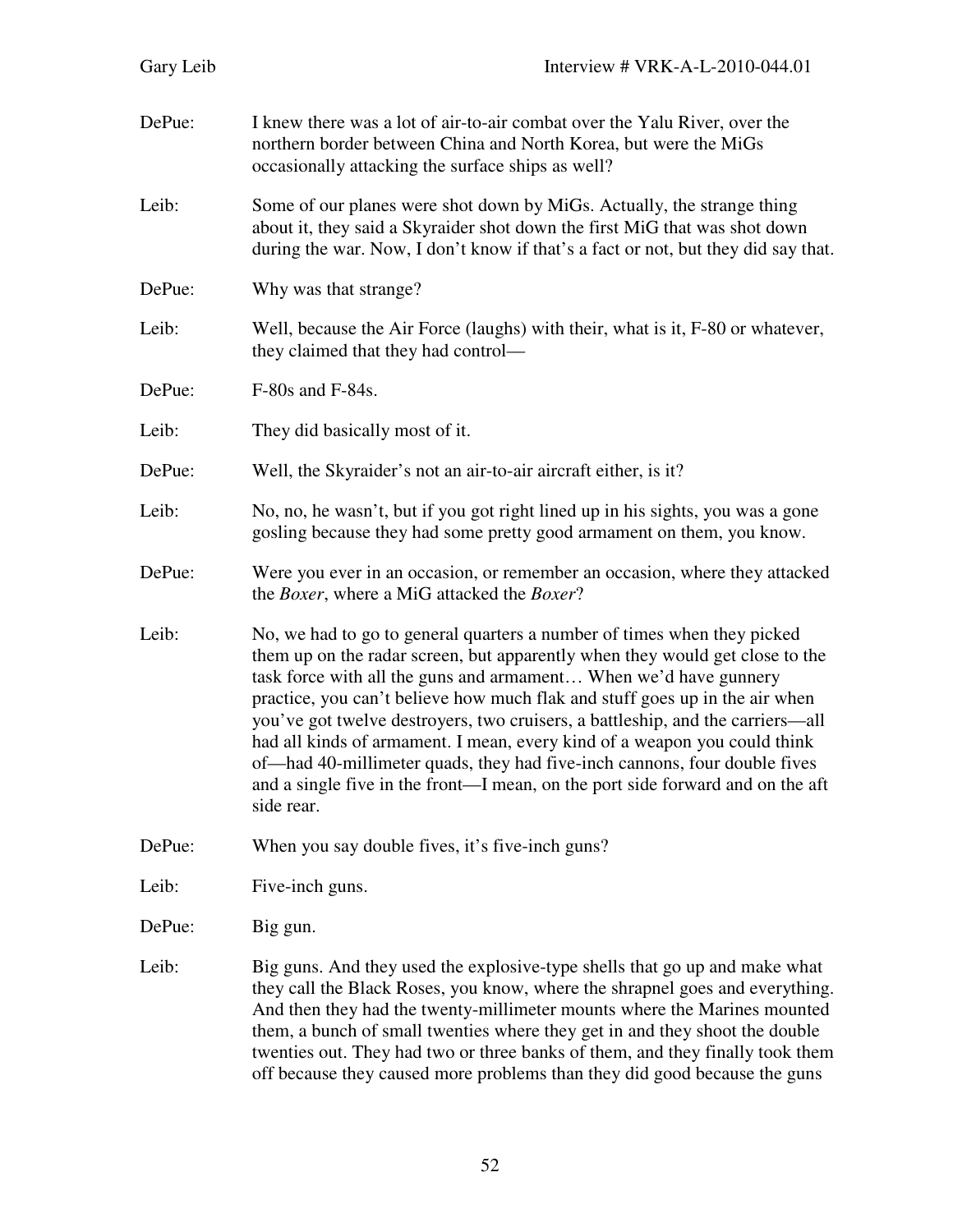| Gary Leib | Interview # VRK-A-L-2010-044.01                                                                                                                                                                                                                                                                                                                                                                                                                                                                                                                                                                                                                        |
|-----------|--------------------------------------------------------------------------------------------------------------------------------------------------------------------------------------------------------------------------------------------------------------------------------------------------------------------------------------------------------------------------------------------------------------------------------------------------------------------------------------------------------------------------------------------------------------------------------------------------------------------------------------------------------|
| DePue:    | I knew there was a lot of air-to-air combat over the Yalu River, over the<br>northern border between China and North Korea, but were the MiGs<br>occasionally attacking the surface ships as well?                                                                                                                                                                                                                                                                                                                                                                                                                                                     |
| Leib:     | Some of our planes were shot down by MiGs. Actually, the strange thing<br>about it, they said a Skyraider shot down the first MiG that was shot down<br>during the war. Now, I don't know if that's a fact or not, but they did say that.                                                                                                                                                                                                                                                                                                                                                                                                              |
| DePue:    | Why was that strange?                                                                                                                                                                                                                                                                                                                                                                                                                                                                                                                                                                                                                                  |
| Leib:     | Well, because the Air Force (laughs) with their, what is it, F-80 or whatever,<br>they claimed that they had control—                                                                                                                                                                                                                                                                                                                                                                                                                                                                                                                                  |
| DePue:    | F-80s and F-84s.                                                                                                                                                                                                                                                                                                                                                                                                                                                                                                                                                                                                                                       |
| Leib:     | They did basically most of it.                                                                                                                                                                                                                                                                                                                                                                                                                                                                                                                                                                                                                         |
| DePue:    | Well, the Skyraider's not an air-to-air aircraft either, is it?                                                                                                                                                                                                                                                                                                                                                                                                                                                                                                                                                                                        |
| Leib:     | No, no, he wasn't, but if you got right lined up in his sights, you was a gone<br>gosling because they had some pretty good armament on them, you know.                                                                                                                                                                                                                                                                                                                                                                                                                                                                                                |
| DePue:    | Were you ever in an occasion, or remember an occasion, where they attacked<br>the <i>Boxer</i> , where a MiG attacked the <i>Boxer</i> ?                                                                                                                                                                                                                                                                                                                                                                                                                                                                                                               |
| Leib:     | No, we had to go to general quarters a number of times when they picked<br>them up on the radar screen, but apparently when they would get close to the<br>task force with all the guns and armament When we'd have gunnery<br>practice, you can't believe how much flak and stuff goes up in the air when<br>you've got twelve destroyers, two cruisers, a battleship, and the carriers—all<br>had all kinds of armament. I mean, every kind of a weapon you could think<br>of—had 40-millimeter quads, they had five-inch cannons, four double fives<br>and a single five in the front—I mean, on the port side forward and on the aft<br>side rear. |
| DePue:    | When you say double fives, it's five-inch guns?                                                                                                                                                                                                                                                                                                                                                                                                                                                                                                                                                                                                        |
| Leib:     | Five-inch guns.                                                                                                                                                                                                                                                                                                                                                                                                                                                                                                                                                                                                                                        |
| DePue:    | Big gun.                                                                                                                                                                                                                                                                                                                                                                                                                                                                                                                                                                                                                                               |
| Leib:     | Big guns. And they used the explosive-type shells that go up and make what<br>they call the Black Roses, you know, where the shrapnel goes and everything.<br>And then they had the twenty-millimeter mounts where the Marines mounted<br>them, a bunch of small twenties where they get in and they shoot the double<br>twenties out. They had two or three banks of them, and they finally took them<br>off because they caused more problems than they did good because the guns                                                                                                                                                                    |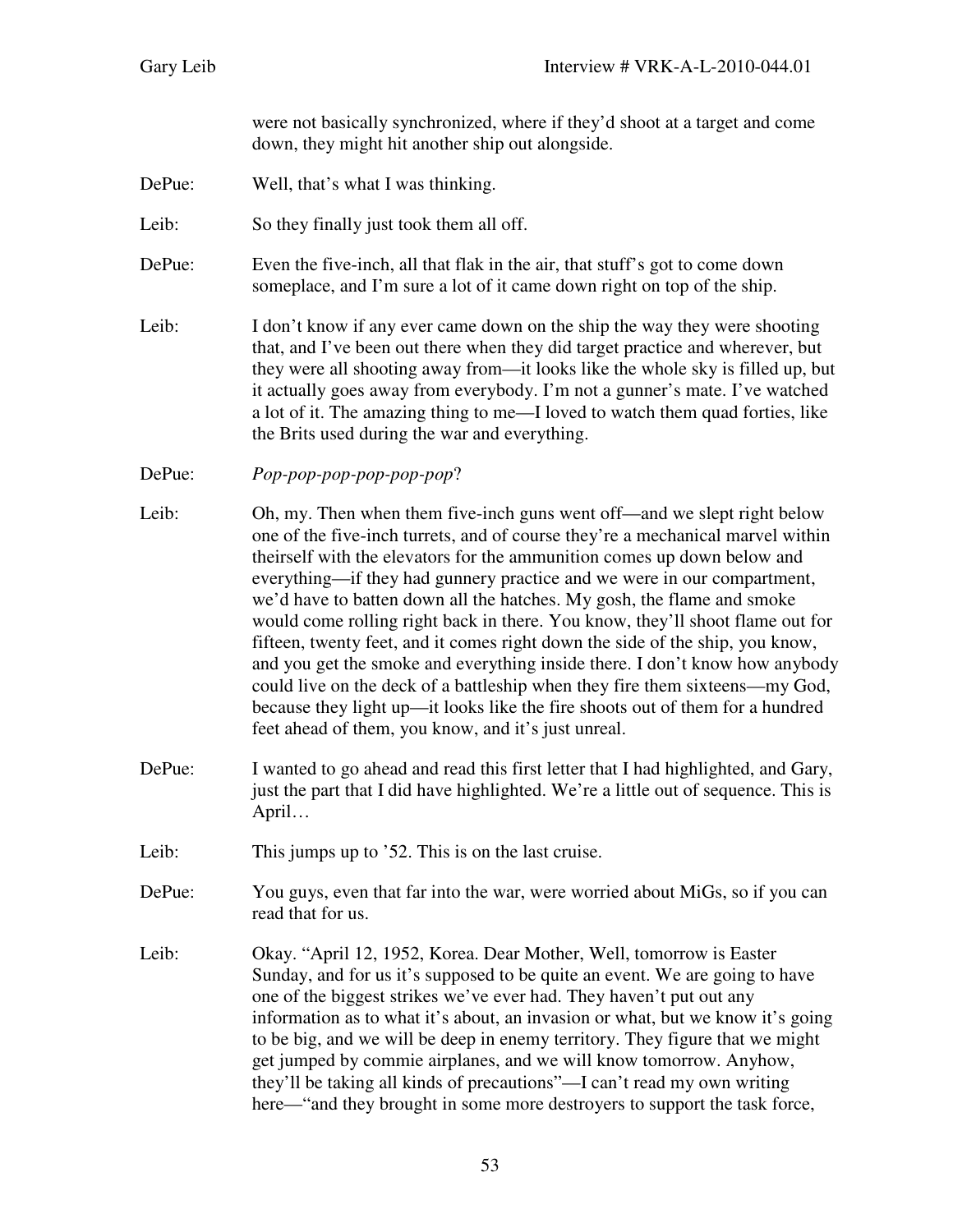were not basically synchronized, where if they'd shoot at a target and come down, they might hit another ship out alongside.

DePue: Well, that's what I was thinking.

Leib: So they finally just took them all off.

- DePue: Even the five-inch, all that flak in the air, that stuff's got to come down someplace, and I'm sure a lot of it came down right on top of the ship.
- Leib: I don't know if any ever came down on the ship the way they were shooting that, and I've been out there when they did target practice and wherever, but they were all shooting away from—it looks like the whole sky is filled up, but it actually goes away from everybody. I'm not a gunner's mate. I've watched a lot of it. The amazing thing to me—I loved to watch them quad forties, like the Brits used during the war and everything.

DePue: *Pop-pop-pop-pop-pop-pop*?

- Leib: Oh, my. Then when them five-inch guns went off—and we slept right below one of the five-inch turrets, and of course they're a mechanical marvel within theirself with the elevators for the ammunition comes up down below and everything—if they had gunnery practice and we were in our compartment, we'd have to batten down all the hatches. My gosh, the flame and smoke would come rolling right back in there. You know, they'll shoot flame out for fifteen, twenty feet, and it comes right down the side of the ship, you know, and you get the smoke and everything inside there. I don't know how anybody could live on the deck of a battleship when they fire them sixteens—my God, because they light up—it looks like the fire shoots out of them for a hundred feet ahead of them, you know, and it's just unreal.
- DePue: I wanted to go ahead and read this first letter that I had highlighted, and Gary, just the part that I did have highlighted. We're a little out of sequence. This is April…
- Leib: This jumps up to '52. This is on the last cruise.
- DePue: You guys, even that far into the war, were worried about MiGs, so if you can read that for us.
- Leib: Okay. "April 12, 1952, Korea. Dear Mother, Well, tomorrow is Easter Sunday, and for us it's supposed to be quite an event. We are going to have one of the biggest strikes we've ever had. They haven't put out any information as to what it's about, an invasion or what, but we know it's going to be big, and we will be deep in enemy territory. They figure that we might get jumped by commie airplanes, and we will know tomorrow. Anyhow, they'll be taking all kinds of precautions"—I can't read my own writing here—"and they brought in some more destroyers to support the task force,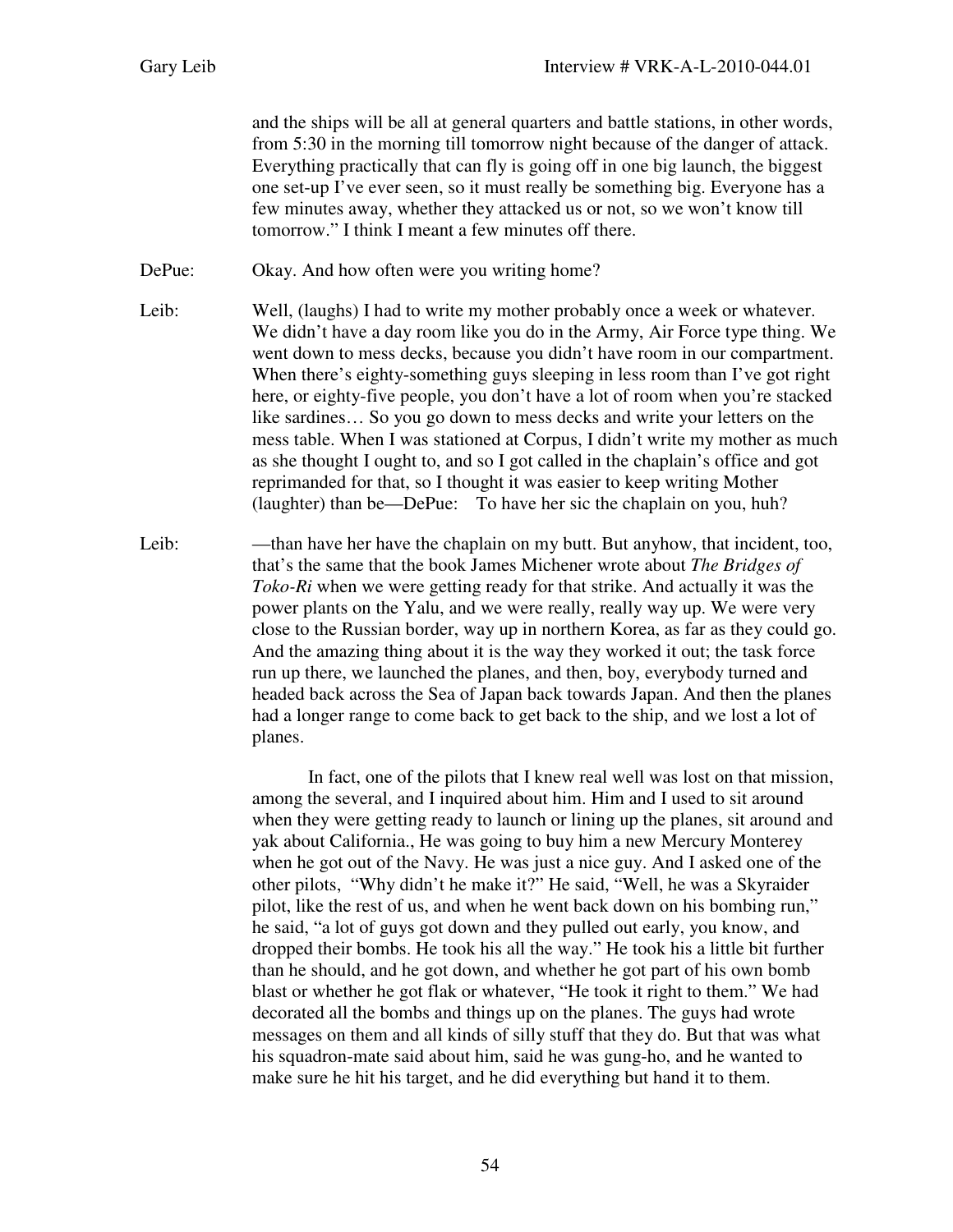and the ships will be all at general quarters and battle stations, in other words, from 5:30 in the morning till tomorrow night because of the danger of attack. Everything practically that can fly is going off in one big launch, the biggest one set-up I've ever seen, so it must really be something big. Everyone has a few minutes away, whether they attacked us or not, so we won't know till tomorrow." I think I meant a few minutes off there.

DePue: Okay. And how often were you writing home?

- Leib: Well, (laughs) I had to write my mother probably once a week or whatever. We didn't have a day room like you do in the Army, Air Force type thing. We went down to mess decks, because you didn't have room in our compartment. When there's eighty-something guys sleeping in less room than I've got right here, or eighty-five people, you don't have a lot of room when you're stacked like sardines… So you go down to mess decks and write your letters on the mess table. When I was stationed at Corpus, I didn't write my mother as much as she thought I ought to, and so I got called in the chaplain's office and got reprimanded for that, so I thought it was easier to keep writing Mother (laughter) than be—DePue: To have her sic the chaplain on you, huh?
- Leib: —than have her have the chaplain on my butt. But anyhow, that incident, too, that's the same that the book James Michener wrote about *The Bridges of Toko-Ri* when we were getting ready for that strike. And actually it was the power plants on the Yalu, and we were really, really way up. We were very close to the Russian border, way up in northern Korea, as far as they could go. And the amazing thing about it is the way they worked it out; the task force run up there, we launched the planes, and then, boy, everybody turned and headed back across the Sea of Japan back towards Japan. And then the planes had a longer range to come back to get back to the ship, and we lost a lot of planes.

In fact, one of the pilots that I knew real well was lost on that mission, among the several, and I inquired about him. Him and I used to sit around when they were getting ready to launch or lining up the planes, sit around and yak about California., He was going to buy him a new Mercury Monterey when he got out of the Navy. He was just a nice guy. And I asked one of the other pilots, "Why didn't he make it?" He said, "Well, he was a Skyraider pilot, like the rest of us, and when he went back down on his bombing run," he said, "a lot of guys got down and they pulled out early, you know, and dropped their bombs. He took his all the way." He took his a little bit further than he should, and he got down, and whether he got part of his own bomb blast or whether he got flak or whatever, "He took it right to them." We had decorated all the bombs and things up on the planes. The guys had wrote messages on them and all kinds of silly stuff that they do. But that was what his squadron-mate said about him, said he was gung-ho, and he wanted to make sure he hit his target, and he did everything but hand it to them.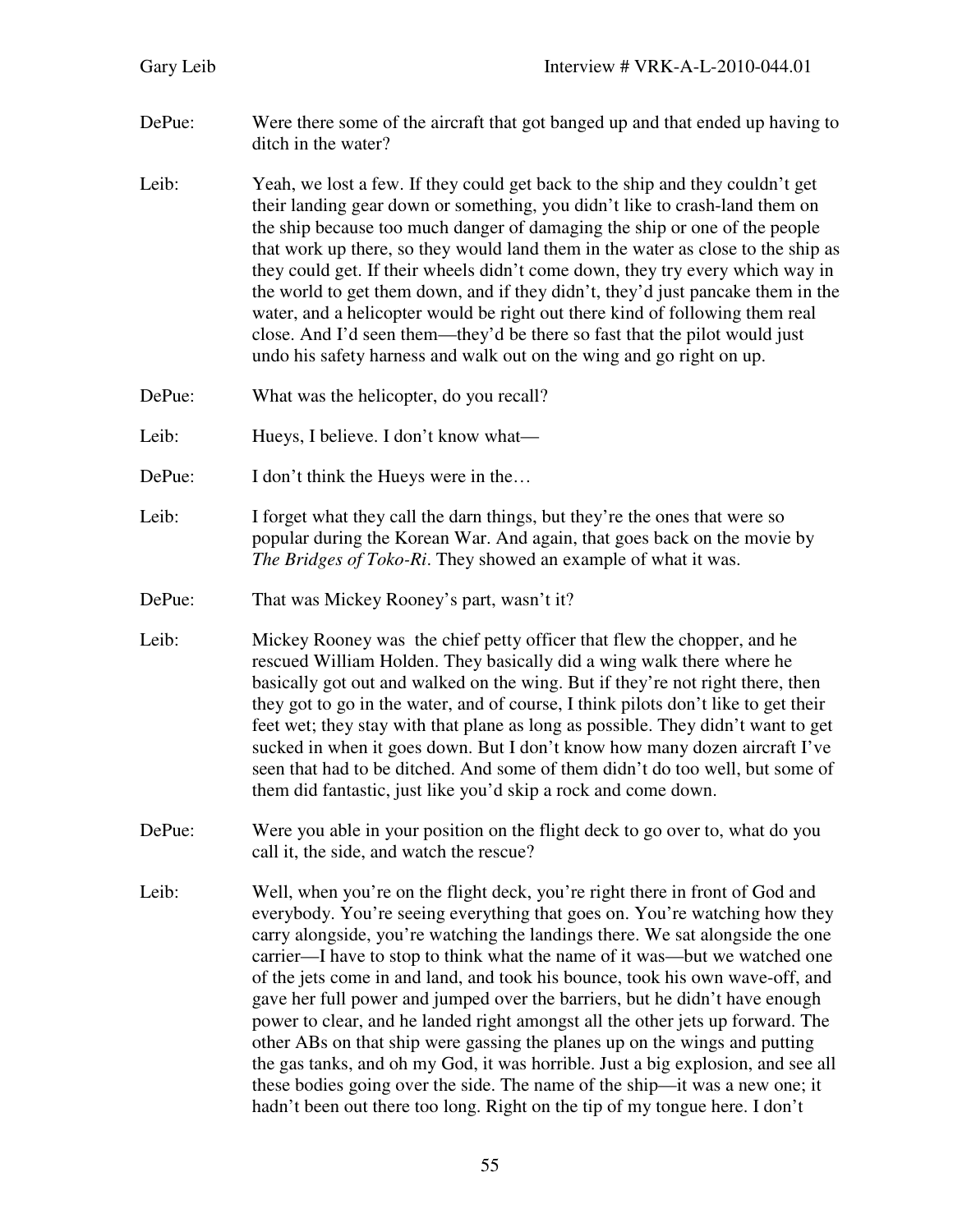| Gary Leib | Interview # VRK-A-L-2010-044.01                                                                                                                                                                                                                                                                                                                                                                                                                                                                                                                                                                                                                                                                                                                                                                                                                                                                             |
|-----------|-------------------------------------------------------------------------------------------------------------------------------------------------------------------------------------------------------------------------------------------------------------------------------------------------------------------------------------------------------------------------------------------------------------------------------------------------------------------------------------------------------------------------------------------------------------------------------------------------------------------------------------------------------------------------------------------------------------------------------------------------------------------------------------------------------------------------------------------------------------------------------------------------------------|
| DePue:    | Were there some of the aircraft that got banged up and that ended up having to<br>ditch in the water?                                                                                                                                                                                                                                                                                                                                                                                                                                                                                                                                                                                                                                                                                                                                                                                                       |
| Leib:     | Yeah, we lost a few. If they could get back to the ship and they couldn't get<br>their landing gear down or something, you didn't like to crash-land them on<br>the ship because too much danger of damaging the ship or one of the people<br>that work up there, so they would land them in the water as close to the ship as<br>they could get. If their wheels didn't come down, they try every which way in<br>the world to get them down, and if they didn't, they'd just pancake them in the<br>water, and a helicopter would be right out there kind of following them real<br>close. And I'd seen them—they'd be there so fast that the pilot would just<br>undo his safety harness and walk out on the wing and go right on up.                                                                                                                                                                    |
| DePue:    | What was the helicopter, do you recall?                                                                                                                                                                                                                                                                                                                                                                                                                                                                                                                                                                                                                                                                                                                                                                                                                                                                     |
| Leib:     | Hueys, I believe. I don't know what—                                                                                                                                                                                                                                                                                                                                                                                                                                                                                                                                                                                                                                                                                                                                                                                                                                                                        |
| DePue:    | I don't think the Hueys were in the                                                                                                                                                                                                                                                                                                                                                                                                                                                                                                                                                                                                                                                                                                                                                                                                                                                                         |
| Leib:     | I forget what they call the darn things, but they're the ones that were so<br>popular during the Korean War. And again, that goes back on the movie by<br>The Bridges of Toko-Ri. They showed an example of what it was.                                                                                                                                                                                                                                                                                                                                                                                                                                                                                                                                                                                                                                                                                    |
| DePue:    | That was Mickey Rooney's part, wasn't it?                                                                                                                                                                                                                                                                                                                                                                                                                                                                                                                                                                                                                                                                                                                                                                                                                                                                   |
| Leib:     | Mickey Rooney was the chief petty officer that flew the chopper, and he<br>rescued William Holden. They basically did a wing walk there where he<br>basically got out and walked on the wing. But if they're not right there, then<br>they got to go in the water, and of course, I think pilots don't like to get their<br>feet wet; they stay with that plane as long as possible. They didn't want to get<br>sucked in when it goes down. But I don't know how many dozen aircraft I've<br>seen that had to be ditched. And some of them didn't do too well, but some of<br>them did fantastic, just like you'd skip a rock and come down.                                                                                                                                                                                                                                                               |
| DePue:    | Were you able in your position on the flight deck to go over to, what do you<br>call it, the side, and watch the rescue?                                                                                                                                                                                                                                                                                                                                                                                                                                                                                                                                                                                                                                                                                                                                                                                    |
| Leib:     | Well, when you're on the flight deck, you're right there in front of God and<br>everybody. You're seeing everything that goes on. You're watching how they<br>carry alongside, you're watching the landings there. We sat alongside the one<br>carrier—I have to stop to think what the name of it was—but we watched one<br>of the jets come in and land, and took his bounce, took his own wave-off, and<br>gave her full power and jumped over the barriers, but he didn't have enough<br>power to clear, and he landed right amongst all the other jets up forward. The<br>other ABs on that ship were gassing the planes up on the wings and putting<br>the gas tanks, and oh my God, it was horrible. Just a big explosion, and see all<br>these bodies going over the side. The name of the ship—it was a new one; it<br>hadn't been out there too long. Right on the tip of my tongue here. I don't |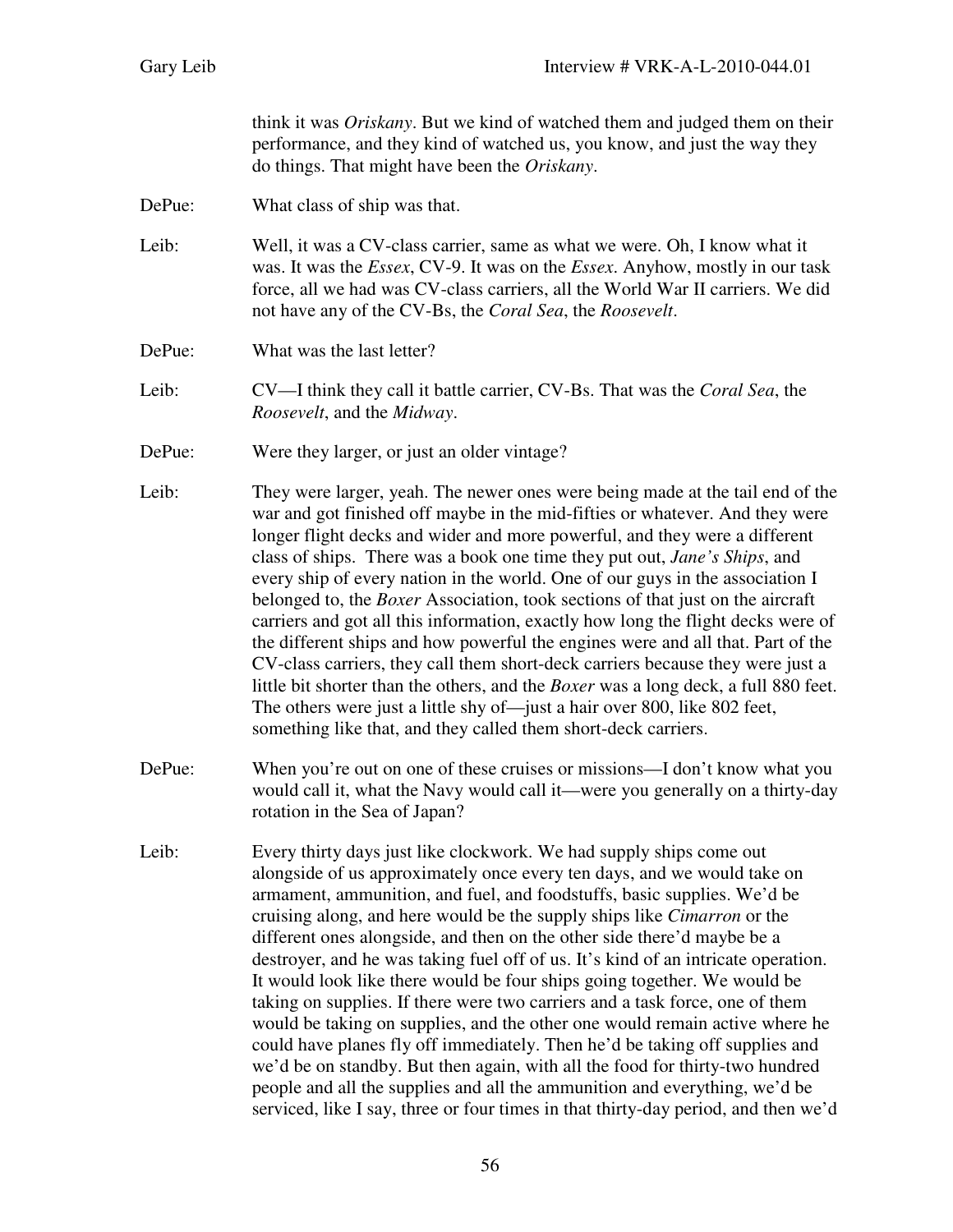think it was *Oriskany*. But we kind of watched them and judged them on their performance, and they kind of watched us, you know, and just the way they do things. That might have been the *Oriskany*.

DePue: What class of ship was that.

Leib: Well, it was a CV-class carrier, same as what we were. Oh, I know what it was. It was the *Essex*, CV-9. It was on the *Essex*. Anyhow, mostly in our task force, all we had was CV-class carriers, all the World War II carriers. We did not have any of the CV-Bs, the *Coral Sea*, the *Roosevelt*.

DePue: What was the last letter?

Leib: CV—I think they call it battle carrier, CV-Bs. That was the *Coral Sea*, the *Roosevelt*, and the *Midway*.

DePue: Were they larger, or just an older vintage?

- Leib: They were larger, yeah. The newer ones were being made at the tail end of the war and got finished off maybe in the mid-fifties or whatever. And they were longer flight decks and wider and more powerful, and they were a different class of ships. There was a book one time they put out, *Jane's Ships*, and every ship of every nation in the world. One of our guys in the association I belonged to, the *Boxer* Association, took sections of that just on the aircraft carriers and got all this information, exactly how long the flight decks were of the different ships and how powerful the engines were and all that. Part of the CV-class carriers, they call them short-deck carriers because they were just a little bit shorter than the others, and the *Boxer* was a long deck, a full 880 feet. The others were just a little shy of—just a hair over 800, like 802 feet, something like that, and they called them short-deck carriers.
- DePue: When you're out on one of these cruises or missions—I don't know what you would call it, what the Navy would call it—were you generally on a thirty-day rotation in the Sea of Japan?
- Leib: Every thirty days just like clockwork. We had supply ships come out alongside of us approximately once every ten days, and we would take on armament, ammunition, and fuel, and foodstuffs, basic supplies. We'd be cruising along, and here would be the supply ships like *Cimarron* or the different ones alongside, and then on the other side there'd maybe be a destroyer, and he was taking fuel off of us. It's kind of an intricate operation. It would look like there would be four ships going together. We would be taking on supplies. If there were two carriers and a task force, one of them would be taking on supplies, and the other one would remain active where he could have planes fly off immediately. Then he'd be taking off supplies and we'd be on standby. But then again, with all the food for thirty-two hundred people and all the supplies and all the ammunition and everything, we'd be serviced, like I say, three or four times in that thirty-day period, and then we'd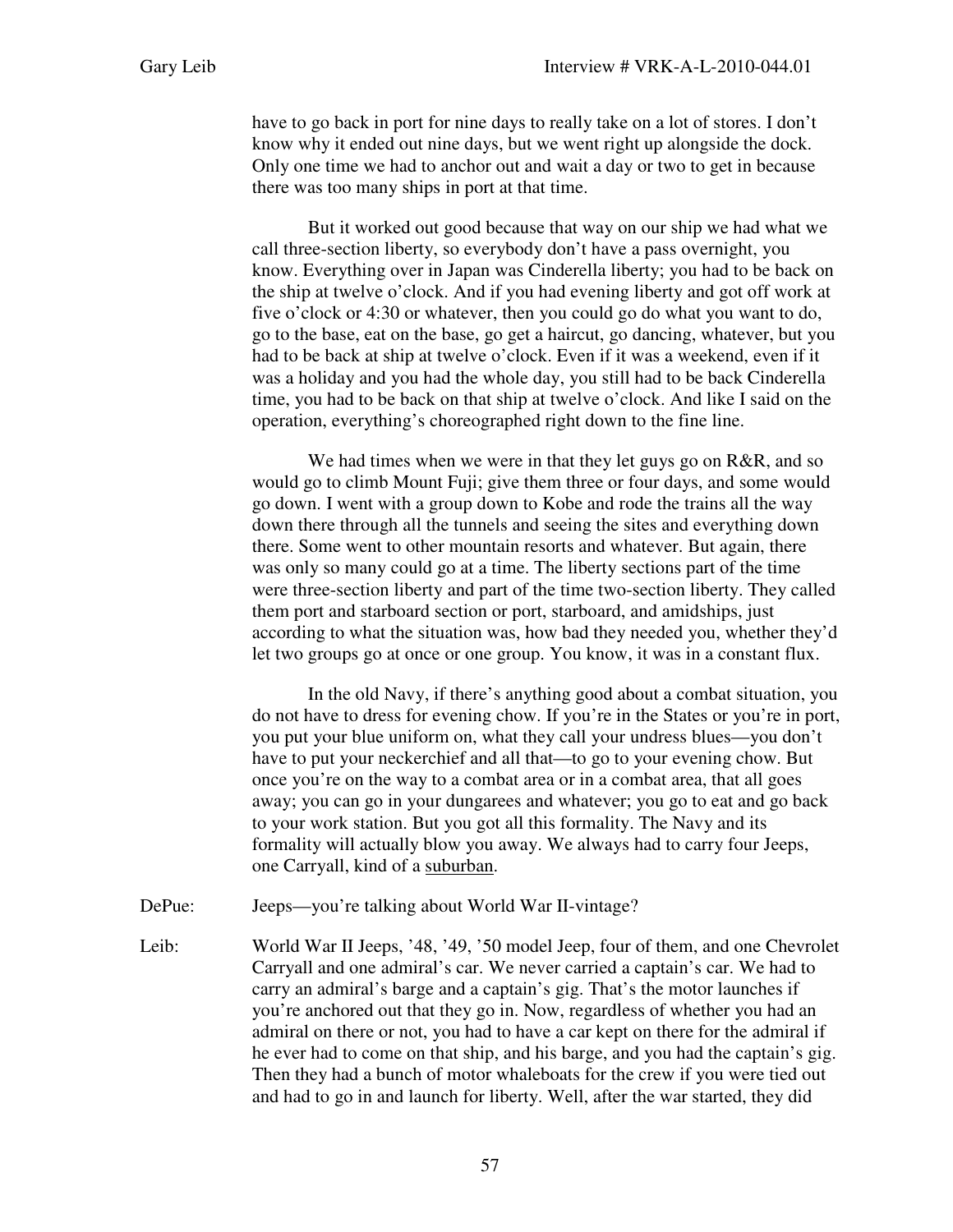have to go back in port for nine days to really take on a lot of stores. I don't know why it ended out nine days, but we went right up alongside the dock. Only one time we had to anchor out and wait a day or two to get in because there was too many ships in port at that time.

But it worked out good because that way on our ship we had what we call three-section liberty, so everybody don't have a pass overnight, you know. Everything over in Japan was Cinderella liberty; you had to be back on the ship at twelve o'clock. And if you had evening liberty and got off work at five o'clock or 4:30 or whatever, then you could go do what you want to do, go to the base, eat on the base, go get a haircut, go dancing, whatever, but you had to be back at ship at twelve o'clock. Even if it was a weekend, even if it was a holiday and you had the whole day, you still had to be back Cinderella time, you had to be back on that ship at twelve o'clock. And like I said on the operation, everything's choreographed right down to the fine line.

We had times when we were in that they let guys go on R&R, and so would go to climb Mount Fuji; give them three or four days, and some would go down. I went with a group down to Kobe and rode the trains all the way down there through all the tunnels and seeing the sites and everything down there. Some went to other mountain resorts and whatever. But again, there was only so many could go at a time. The liberty sections part of the time were three-section liberty and part of the time two-section liberty. They called them port and starboard section or port, starboard, and amidships, just according to what the situation was, how bad they needed you, whether they'd let two groups go at once or one group. You know, it was in a constant flux.

In the old Navy, if there's anything good about a combat situation, you do not have to dress for evening chow. If you're in the States or you're in port, you put your blue uniform on, what they call your undress blues—you don't have to put your neckerchief and all that—to go to your evening chow. But once you're on the way to a combat area or in a combat area, that all goes away; you can go in your dungarees and whatever; you go to eat and go back to your work station. But you got all this formality. The Navy and its formality will actually blow you away. We always had to carry four Jeeps, one Carryall, kind of a suburban.

- DePue: Jeeps—you're talking about World War II-vintage?
- Leib: World War II Jeeps, '48, '49, '50 model Jeep, four of them, and one Chevrolet Carryall and one admiral's car. We never carried a captain's car. We had to carry an admiral's barge and a captain's gig. That's the motor launches if you're anchored out that they go in. Now, regardless of whether you had an admiral on there or not, you had to have a car kept on there for the admiral if he ever had to come on that ship, and his barge, and you had the captain's gig. Then they had a bunch of motor whaleboats for the crew if you were tied out and had to go in and launch for liberty. Well, after the war started, they did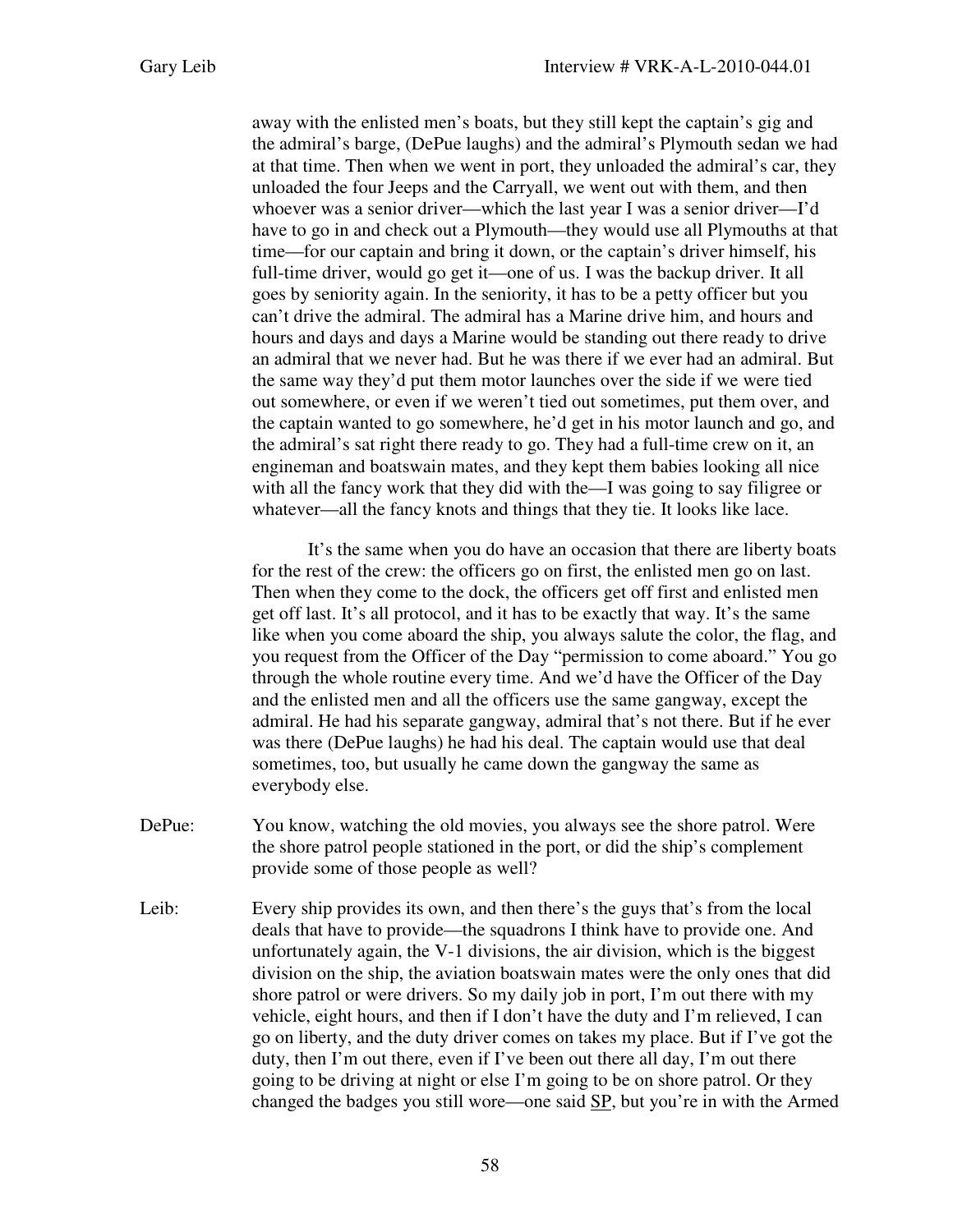away with the enlisted men's boats, but they still kept the captain's gig and the admiral's barge, (DePue laughs) and the admiral's Plymouth sedan we had at that time. Then when we went in port, they unloaded the admiral's car, they unloaded the four Jeeps and the Carryall, we went out with them, and then whoever was a senior driver—which the last year I was a senior driver—I'd have to go in and check out a Plymouth—they would use all Plymouths at that time—for our captain and bring it down, or the captain's driver himself, his full-time driver, would go get it—one of us. I was the backup driver. It all goes by seniority again. In the seniority, it has to be a petty officer but you can't drive the admiral. The admiral has a Marine drive him, and hours and hours and days and days a Marine would be standing out there ready to drive an admiral that we never had. But he was there if we ever had an admiral. But the same way they'd put them motor launches over the side if we were tied out somewhere, or even if we weren't tied out sometimes, put them over, and the captain wanted to go somewhere, he'd get in his motor launch and go, and the admiral's sat right there ready to go. They had a full-time crew on it, an engineman and boatswain mates, and they kept them babies looking all nice with all the fancy work that they did with the—I was going to say filigree or whatever—all the fancy knots and things that they tie. It looks like lace.

It's the same when you do have an occasion that there are liberty boats for the rest of the crew: the officers go on first, the enlisted men go on last. Then when they come to the dock, the officers get off first and enlisted men get off last. It's all protocol, and it has to be exactly that way. It's the same like when you come aboard the ship, you always salute the color, the flag, and you request from the Officer of the Day "permission to come aboard." You go through the whole routine every time. And we'd have the Officer of the Day and the enlisted men and all the officers use the same gangway, except the admiral. He had his separate gangway, admiral that's not there. But if he ever was there (DePue laughs) he had his deal. The captain would use that deal sometimes, too, but usually he came down the gangway the same as everybody else.

- DePue: You know, watching the old movies, you always see the shore patrol. Were the shore patrol people stationed in the port, or did the ship's complement provide some of those people as well?
- Leib: Every ship provides its own, and then there's the guys that's from the local deals that have to provide—the squadrons I think have to provide one. And unfortunately again, the V-1 divisions, the air division, which is the biggest division on the ship, the aviation boatswain mates were the only ones that did shore patrol or were drivers. So my daily job in port, I'm out there with my vehicle, eight hours, and then if I don't have the duty and I'm relieved, I can go on liberty, and the duty driver comes on takes my place. But if I've got the duty, then I'm out there, even if I've been out there all day, I'm out there going to be driving at night or else I'm going to be on shore patrol. Or they changed the badges you still wore—one said SP, but you're in with the Armed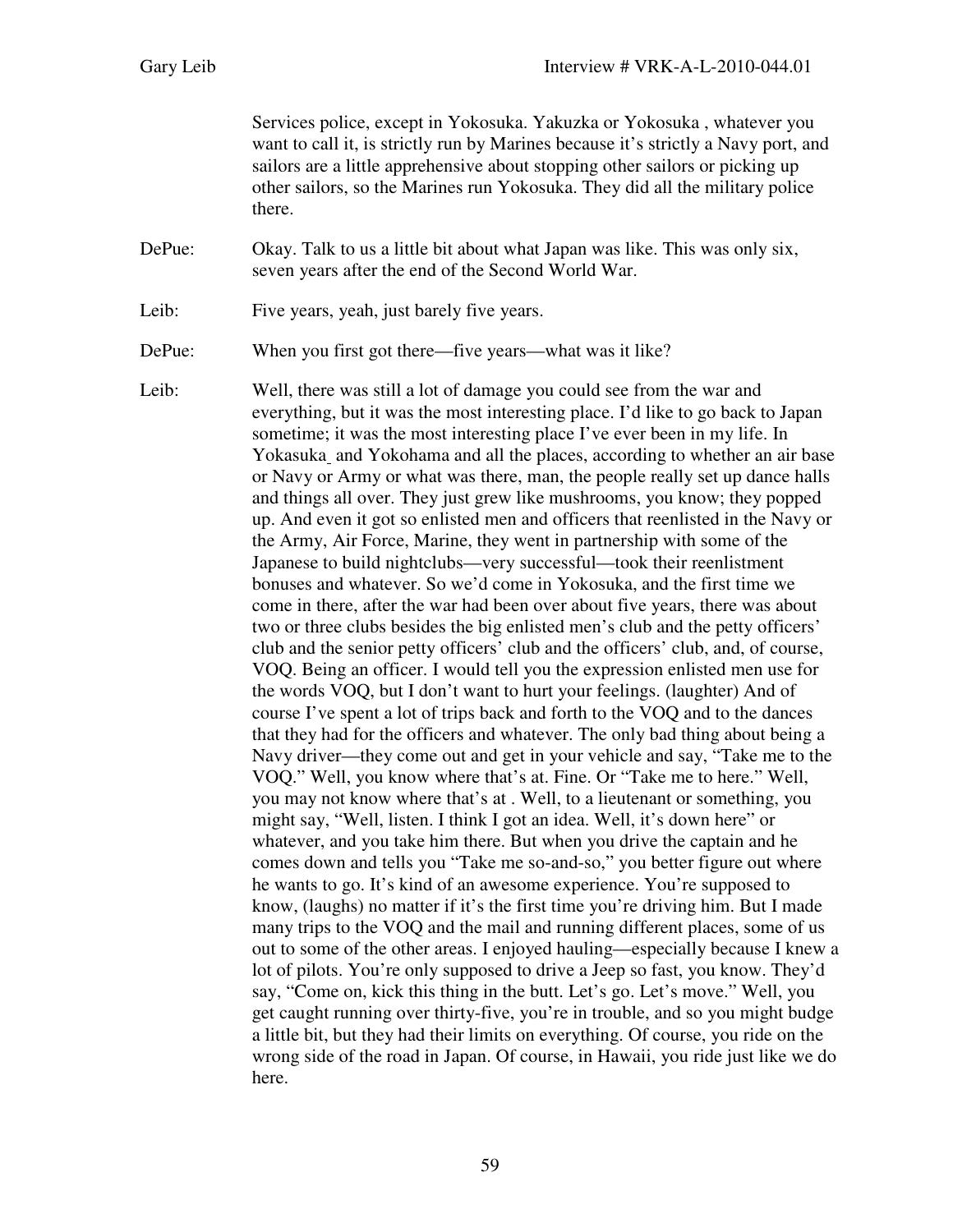Services police, except in Yokosuka. Yakuzka or Yokosuka , whatever you want to call it, is strictly run by Marines because it's strictly a Navy port, and sailors are a little apprehensive about stopping other sailors or picking up other sailors, so the Marines run Yokosuka. They did all the military police there.

DePue: Okay. Talk to us a little bit about what Japan was like. This was only six, seven years after the end of the Second World War.

Leib: Five years, yeah, just barely five years.

DePue: When you first got there—five years—what was it like?

Leib: Well, there was still a lot of damage you could see from the war and everything, but it was the most interesting place. I'd like to go back to Japan sometime; it was the most interesting place I've ever been in my life. In Yokasuka and Yokohama and all the places, according to whether an air base or Navy or Army or what was there, man, the people really set up dance halls and things all over. They just grew like mushrooms, you know; they popped up. And even it got so enlisted men and officers that reenlisted in the Navy or the Army, Air Force, Marine, they went in partnership with some of the Japanese to build nightclubs—very successful—took their reenlistment bonuses and whatever. So we'd come in Yokosuka, and the first time we come in there, after the war had been over about five years, there was about two or three clubs besides the big enlisted men's club and the petty officers' club and the senior petty officers' club and the officers' club, and, of course, VOQ. Being an officer. I would tell you the expression enlisted men use for the words VOQ, but I don't want to hurt your feelings. (laughter) And of course I've spent a lot of trips back and forth to the VOQ and to the dances that they had for the officers and whatever. The only bad thing about being a Navy driver—they come out and get in your vehicle and say, "Take me to the VOQ." Well, you know where that's at. Fine. Or "Take me to here." Well, you may not know where that's at . Well, to a lieutenant or something, you might say, "Well, listen. I think I got an idea. Well, it's down here" or whatever, and you take him there. But when you drive the captain and he comes down and tells you "Take me so-and-so," you better figure out where he wants to go. It's kind of an awesome experience. You're supposed to know, (laughs) no matter if it's the first time you're driving him. But I made many trips to the VOQ and the mail and running different places, some of us out to some of the other areas. I enjoyed hauling—especially because I knew a lot of pilots. You're only supposed to drive a Jeep so fast, you know. They'd say, "Come on, kick this thing in the butt. Let's go. Let's move." Well, you get caught running over thirty-five, you're in trouble, and so you might budge a little bit, but they had their limits on everything. Of course, you ride on the wrong side of the road in Japan. Of course, in Hawaii, you ride just like we do here.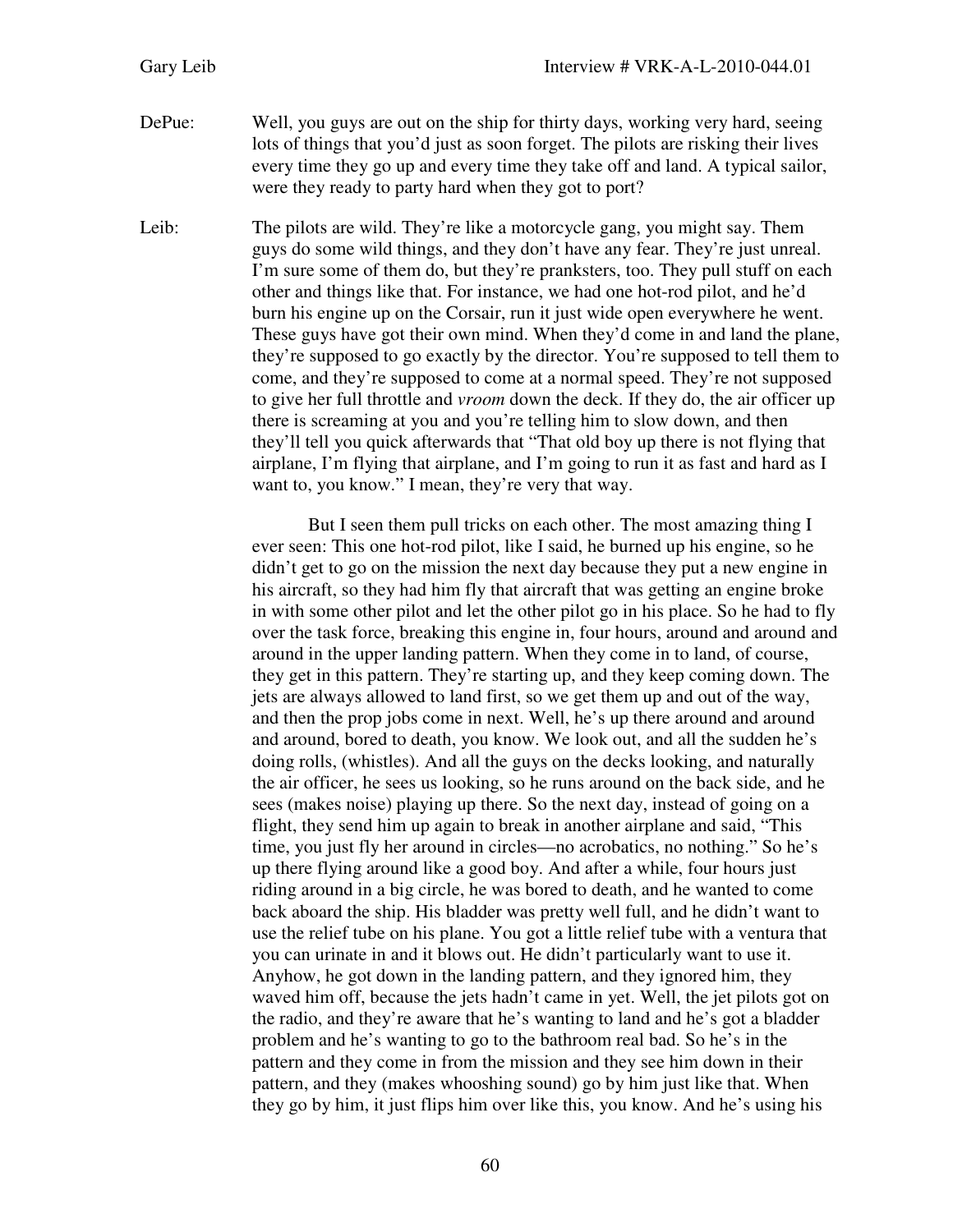DePue: Well, you guys are out on the ship for thirty days, working very hard, seeing lots of things that you'd just as soon forget. The pilots are risking their lives every time they go up and every time they take off and land. A typical sailor, were they ready to party hard when they got to port?

Leib: The pilots are wild. They're like a motorcycle gang, you might say. Them guys do some wild things, and they don't have any fear. They're just unreal. I'm sure some of them do, but they're pranksters, too. They pull stuff on each other and things like that. For instance, we had one hot-rod pilot, and he'd burn his engine up on the Corsair, run it just wide open everywhere he went. These guys have got their own mind. When they'd come in and land the plane, they're supposed to go exactly by the director. You're supposed to tell them to come, and they're supposed to come at a normal speed. They're not supposed to give her full throttle and *vroom* down the deck. If they do, the air officer up there is screaming at you and you're telling him to slow down, and then they'll tell you quick afterwards that "That old boy up there is not flying that airplane, I'm flying that airplane, and I'm going to run it as fast and hard as I want to, you know." I mean, they're very that way.

> But I seen them pull tricks on each other. The most amazing thing I ever seen: This one hot-rod pilot, like I said, he burned up his engine, so he didn't get to go on the mission the next day because they put a new engine in his aircraft, so they had him fly that aircraft that was getting an engine broke in with some other pilot and let the other pilot go in his place. So he had to fly over the task force, breaking this engine in, four hours, around and around and around in the upper landing pattern. When they come in to land, of course, they get in this pattern. They're starting up, and they keep coming down. The jets are always allowed to land first, so we get them up and out of the way, and then the prop jobs come in next. Well, he's up there around and around and around, bored to death, you know. We look out, and all the sudden he's doing rolls, (whistles). And all the guys on the decks looking, and naturally the air officer, he sees us looking, so he runs around on the back side, and he sees (makes noise) playing up there. So the next day, instead of going on a flight, they send him up again to break in another airplane and said, "This time, you just fly her around in circles—no acrobatics, no nothing." So he's up there flying around like a good boy. And after a while, four hours just riding around in a big circle, he was bored to death, and he wanted to come back aboard the ship. His bladder was pretty well full, and he didn't want to use the relief tube on his plane. You got a little relief tube with a ventura that you can urinate in and it blows out. He didn't particularly want to use it. Anyhow, he got down in the landing pattern, and they ignored him, they waved him off, because the jets hadn't came in yet. Well, the jet pilots got on the radio, and they're aware that he's wanting to land and he's got a bladder problem and he's wanting to go to the bathroom real bad. So he's in the pattern and they come in from the mission and they see him down in their pattern, and they (makes whooshing sound) go by him just like that. When they go by him, it just flips him over like this, you know. And he's using his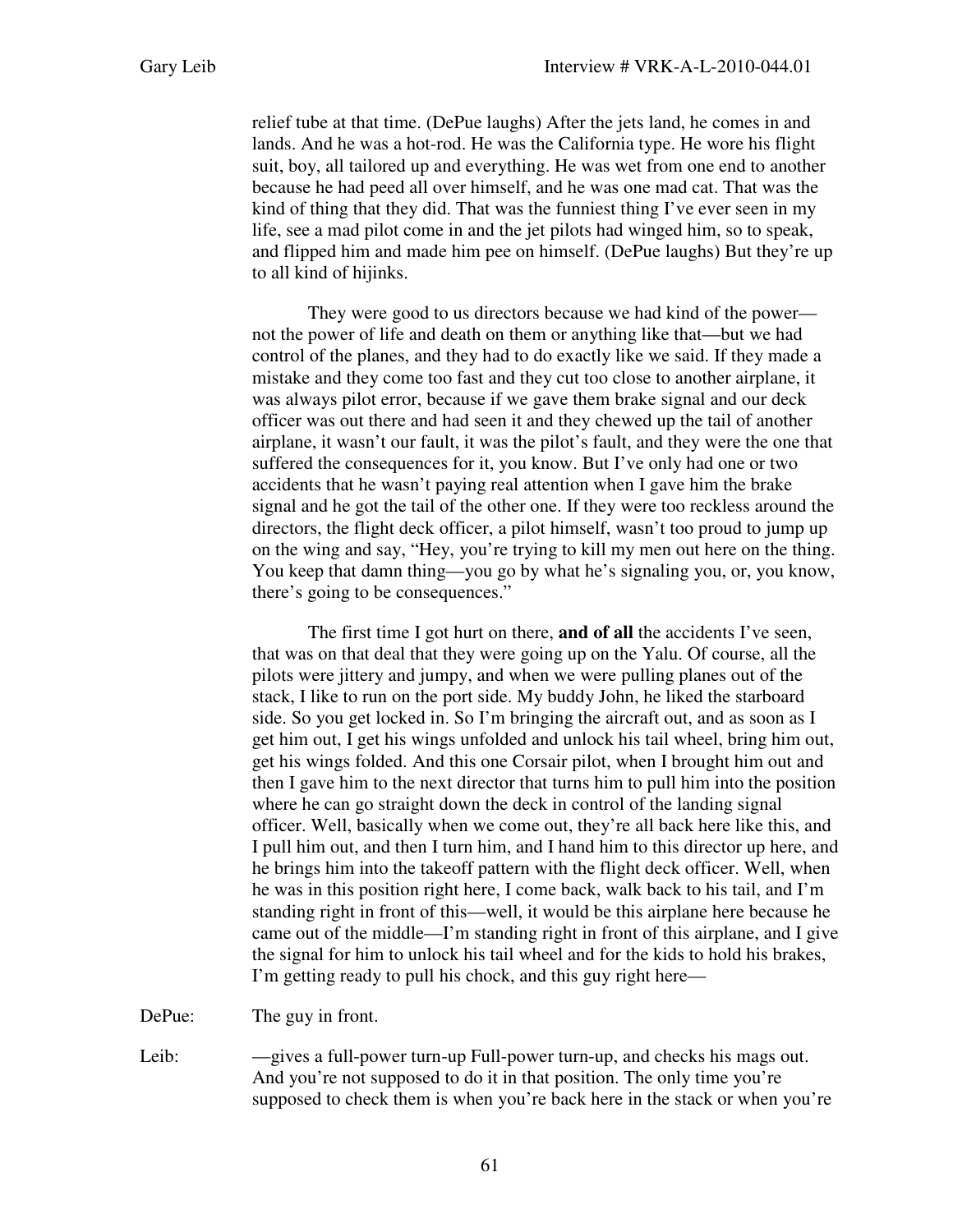relief tube at that time. (DePue laughs) After the jets land, he comes in and lands. And he was a hot-rod. He was the California type. He wore his flight suit, boy, all tailored up and everything. He was wet from one end to another because he had peed all over himself, and he was one mad cat. That was the kind of thing that they did. That was the funniest thing I've ever seen in my life, see a mad pilot come in and the jet pilots had winged him, so to speak, and flipped him and made him pee on himself. (DePue laughs) But they're up to all kind of hijinks.

They were good to us directors because we had kind of the power not the power of life and death on them or anything like that—but we had control of the planes, and they had to do exactly like we said. If they made a mistake and they come too fast and they cut too close to another airplane, it was always pilot error, because if we gave them brake signal and our deck officer was out there and had seen it and they chewed up the tail of another airplane, it wasn't our fault, it was the pilot's fault, and they were the one that suffered the consequences for it, you know. But I've only had one or two accidents that he wasn't paying real attention when I gave him the brake signal and he got the tail of the other one. If they were too reckless around the directors, the flight deck officer, a pilot himself, wasn't too proud to jump up on the wing and say, "Hey, you're trying to kill my men out here on the thing. You keep that damn thing—you go by what he's signaling you, or, you know, there's going to be consequences."

The first time I got hurt on there, **and of all** the accidents I've seen, that was on that deal that they were going up on the Yalu. Of course, all the pilots were jittery and jumpy, and when we were pulling planes out of the stack, I like to run on the port side. My buddy John, he liked the starboard side. So you get locked in. So I'm bringing the aircraft out, and as soon as I get him out, I get his wings unfolded and unlock his tail wheel, bring him out, get his wings folded. And this one Corsair pilot, when I brought him out and then I gave him to the next director that turns him to pull him into the position where he can go straight down the deck in control of the landing signal officer. Well, basically when we come out, they're all back here like this, and I pull him out, and then I turn him, and I hand him to this director up here, and he brings him into the takeoff pattern with the flight deck officer. Well, when he was in this position right here, I come back, walk back to his tail, and I'm standing right in front of this—well, it would be this airplane here because he came out of the middle—I'm standing right in front of this airplane, and I give the signal for him to unlock his tail wheel and for the kids to hold his brakes, I'm getting ready to pull his chock, and this guy right here—

DePue: The guy in front.

Leib: —gives a full-power turn-up Full-power turn-up, and checks his mags out. And you're not supposed to do it in that position. The only time you're supposed to check them is when you're back here in the stack or when you're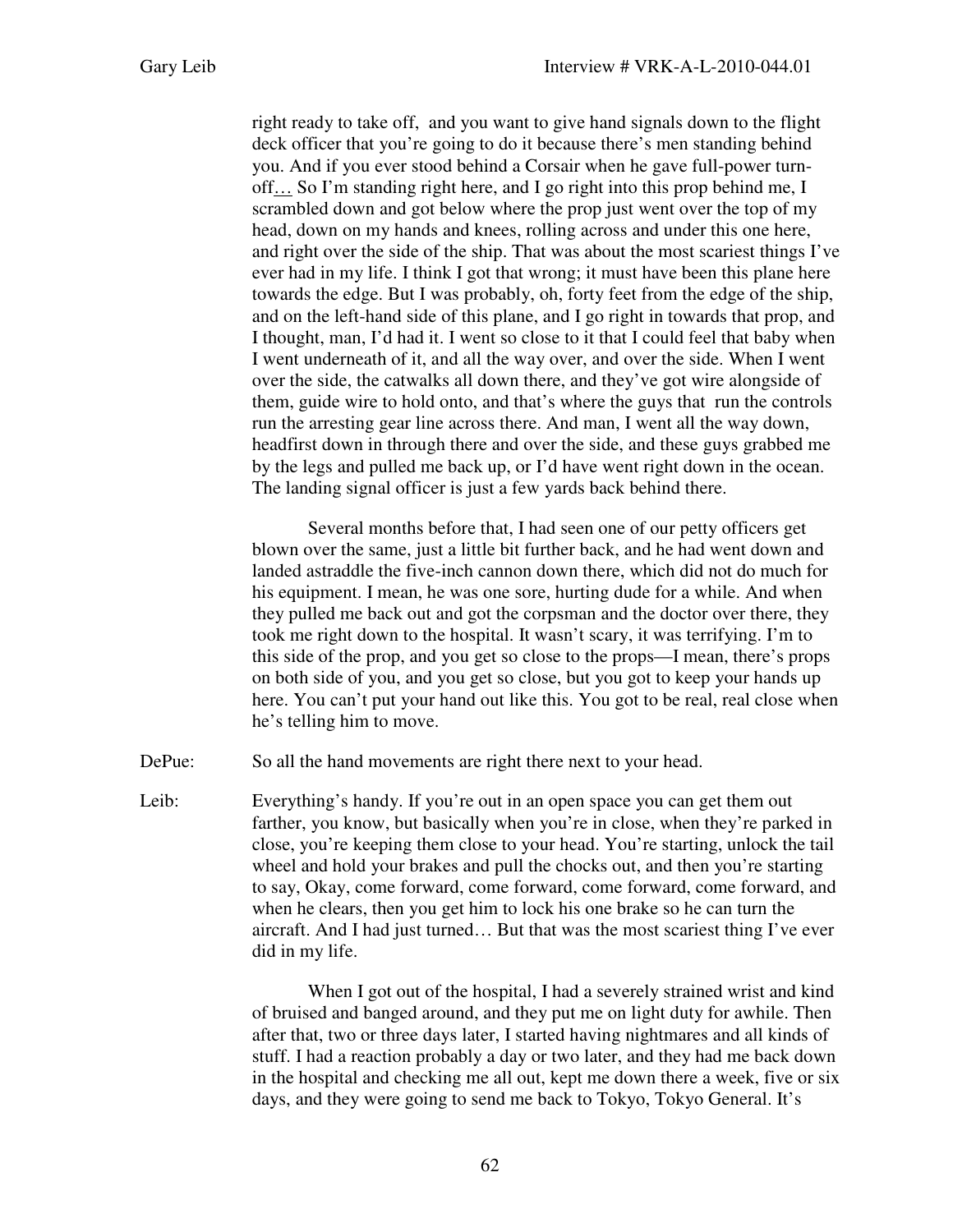right ready to take off, and you want to give hand signals down to the flight deck officer that you're going to do it because there's men standing behind you. And if you ever stood behind a Corsair when he gave full-power turnoff… So I'm standing right here, and I go right into this prop behind me, I scrambled down and got below where the prop just went over the top of my head, down on my hands and knees, rolling across and under this one here, and right over the side of the ship. That was about the most scariest things I've ever had in my life. I think I got that wrong; it must have been this plane here towards the edge. But I was probably, oh, forty feet from the edge of the ship, and on the left-hand side of this plane, and I go right in towards that prop, and I thought, man, I'd had it. I went so close to it that I could feel that baby when I went underneath of it, and all the way over, and over the side. When I went over the side, the catwalks all down there, and they've got wire alongside of them, guide wire to hold onto, and that's where the guys that run the controls run the arresting gear line across there. And man, I went all the way down, headfirst down in through there and over the side, and these guys grabbed me by the legs and pulled me back up, or I'd have went right down in the ocean. The landing signal officer is just a few yards back behind there.

Several months before that, I had seen one of our petty officers get blown over the same, just a little bit further back, and he had went down and landed astraddle the five-inch cannon down there, which did not do much for his equipment. I mean, he was one sore, hurting dude for a while. And when they pulled me back out and got the corpsman and the doctor over there, they took me right down to the hospital. It wasn't scary, it was terrifying. I'm to this side of the prop, and you get so close to the props—I mean, there's props on both side of you, and you get so close, but you got to keep your hands up here. You can't put your hand out like this. You got to be real, real close when he's telling him to move.

DePue: So all the hand movements are right there next to your head.

Leib: Everything's handy. If you're out in an open space you can get them out farther, you know, but basically when you're in close, when they're parked in close, you're keeping them close to your head. You're starting, unlock the tail wheel and hold your brakes and pull the chocks out, and then you're starting to say, Okay, come forward, come forward, come forward, come forward, and when he clears, then you get him to lock his one brake so he can turn the aircraft. And I had just turned… But that was the most scariest thing I've ever did in my life.

> When I got out of the hospital, I had a severely strained wrist and kind of bruised and banged around, and they put me on light duty for awhile. Then after that, two or three days later, I started having nightmares and all kinds of stuff. I had a reaction probably a day or two later, and they had me back down in the hospital and checking me all out, kept me down there a week, five or six days, and they were going to send me back to Tokyo, Tokyo General. It's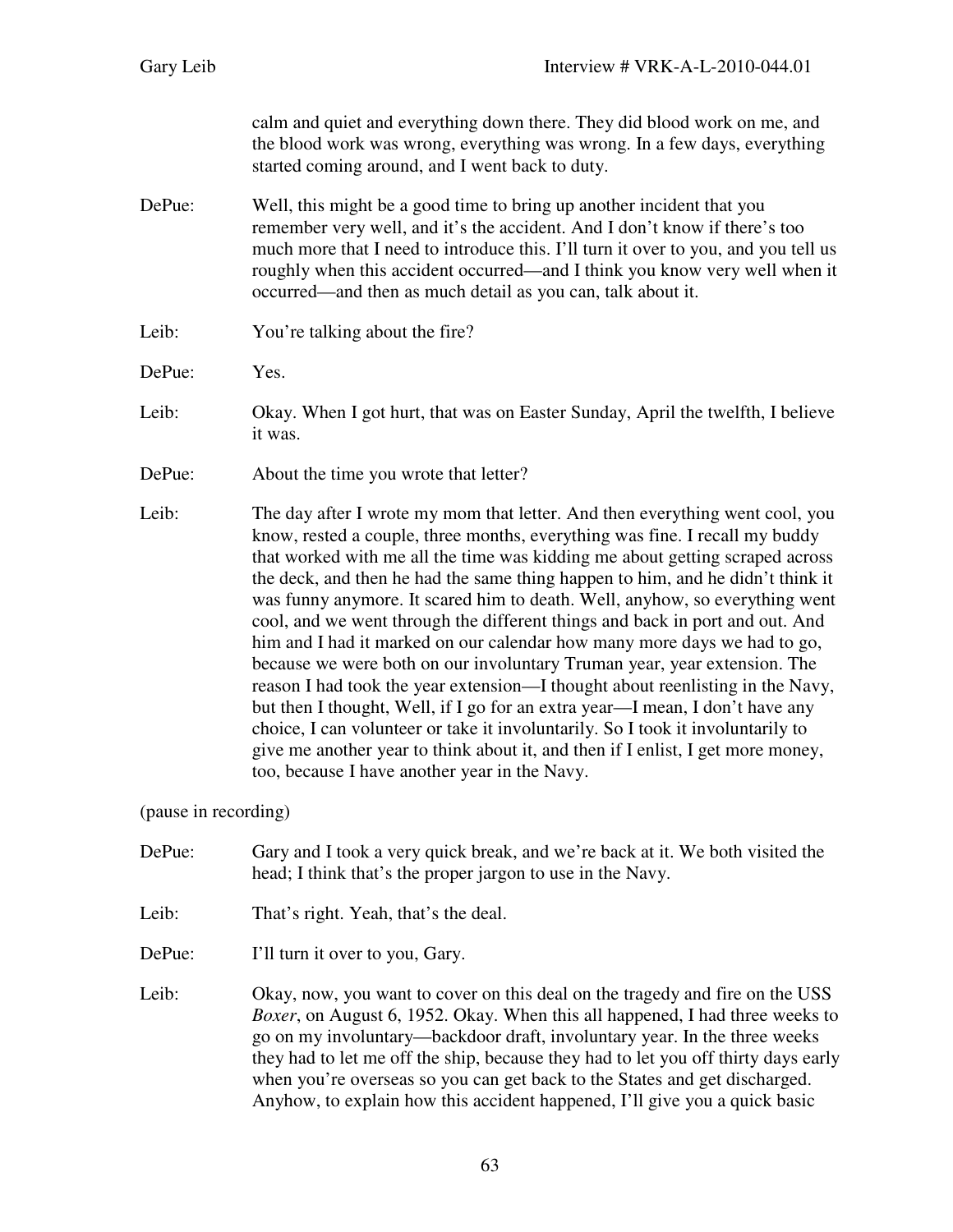calm and quiet and everything down there. They did blood work on me, and the blood work was wrong, everything was wrong. In a few days, everything started coming around, and I went back to duty.

- DePue: Well, this might be a good time to bring up another incident that you remember very well, and it's the accident. And I don't know if there's too much more that I need to introduce this. I'll turn it over to you, and you tell us roughly when this accident occurred—and I think you know very well when it occurred—and then as much detail as you can, talk about it.
- Leib: You're talking about the fire?
- DePue: Yes.
- Leib: Okay. When I got hurt, that was on Easter Sunday, April the twelfth, I believe it was.
- DePue: About the time you wrote that letter?
- Leib: The day after I wrote my mom that letter. And then everything went cool, you know, rested a couple, three months, everything was fine. I recall my buddy that worked with me all the time was kidding me about getting scraped across the deck, and then he had the same thing happen to him, and he didn't think it was funny anymore. It scared him to death. Well, anyhow, so everything went cool, and we went through the different things and back in port and out. And him and I had it marked on our calendar how many more days we had to go, because we were both on our involuntary Truman year, year extension. The reason I had took the year extension—I thought about reenlisting in the Navy, but then I thought, Well, if I go for an extra year—I mean, I don't have any choice, I can volunteer or take it involuntarily. So I took it involuntarily to give me another year to think about it, and then if I enlist, I get more money, too, because I have another year in the Navy.

(pause in recording)

- DePue: Gary and I took a very quick break, and we're back at it. We both visited the head; I think that's the proper jargon to use in the Navy.
- Leib: That's right. Yeah, that's the deal.
- DePue: I'll turn it over to you, Gary.
- Leib: Okay, now, you want to cover on this deal on the tragedy and fire on the USS *Boxer*, on August 6, 1952. Okay. When this all happened, I had three weeks to go on my involuntary—backdoor draft, involuntary year. In the three weeks they had to let me off the ship, because they had to let you off thirty days early when you're overseas so you can get back to the States and get discharged. Anyhow, to explain how this accident happened, I'll give you a quick basic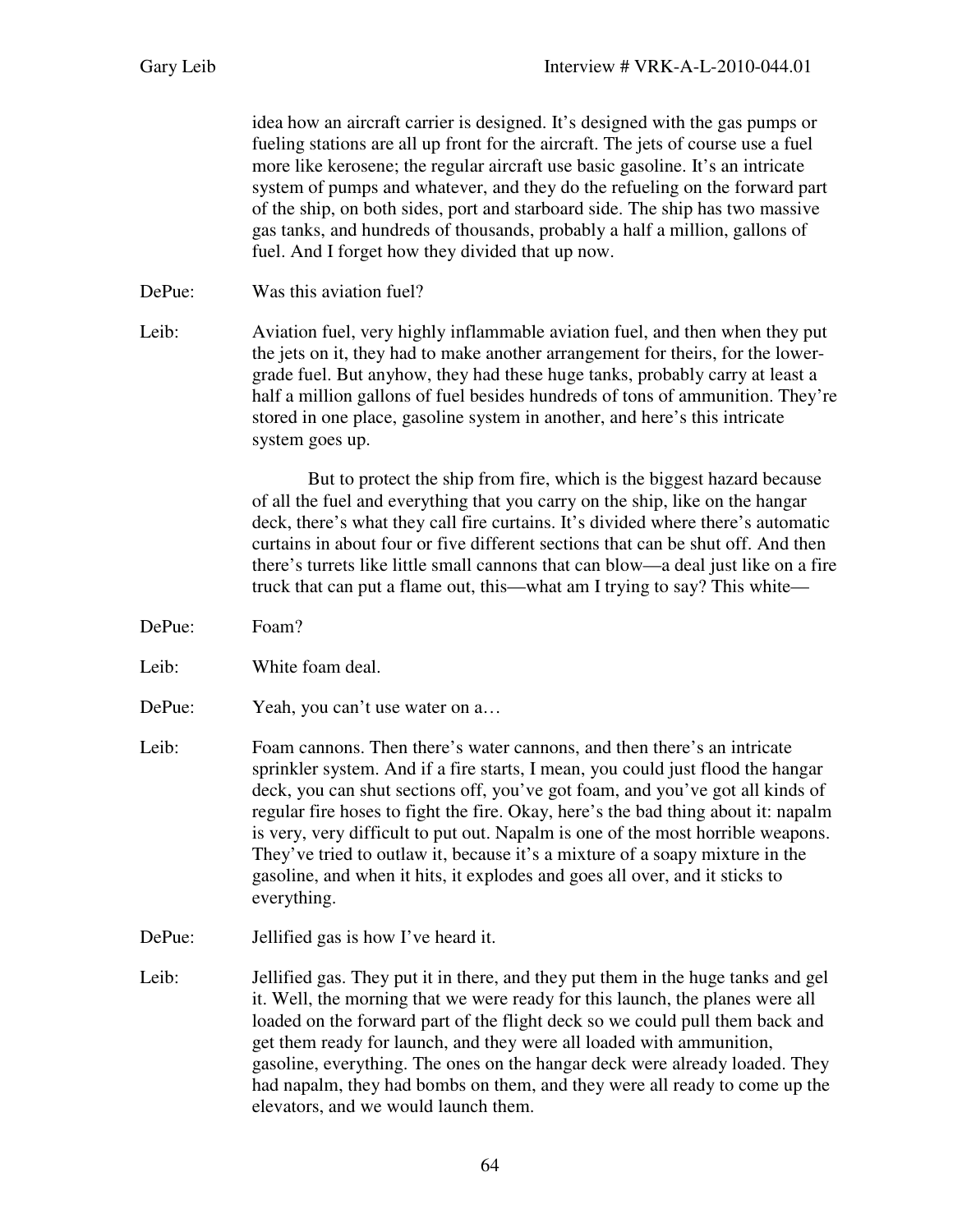idea how an aircraft carrier is designed. It's designed with the gas pumps or fueling stations are all up front for the aircraft. The jets of course use a fuel more like kerosene; the regular aircraft use basic gasoline. It's an intricate system of pumps and whatever, and they do the refueling on the forward part of the ship, on both sides, port and starboard side. The ship has two massive gas tanks, and hundreds of thousands, probably a half a million, gallons of fuel. And I forget how they divided that up now.

DePue: Was this aviation fuel?

Leib: Aviation fuel, very highly inflammable aviation fuel, and then when they put the jets on it, they had to make another arrangement for theirs, for the lowergrade fuel. But anyhow, they had these huge tanks, probably carry at least a half a million gallons of fuel besides hundreds of tons of ammunition. They're stored in one place, gasoline system in another, and here's this intricate system goes up.

> But to protect the ship from fire, which is the biggest hazard because of all the fuel and everything that you carry on the ship, like on the hangar deck, there's what they call fire curtains. It's divided where there's automatic curtains in about four or five different sections that can be shut off. And then there's turrets like little small cannons that can blow—a deal just like on a fire truck that can put a flame out, this—what am I trying to say? This white—

- DePue: Foam?
- Leib: White foam deal.
- DePue: Yeah, you can't use water on a...
- Leib: Foam cannons. Then there's water cannons, and then there's an intricate sprinkler system. And if a fire starts, I mean, you could just flood the hangar deck, you can shut sections off, you've got foam, and you've got all kinds of regular fire hoses to fight the fire. Okay, here's the bad thing about it: napalm is very, very difficult to put out. Napalm is one of the most horrible weapons. They've tried to outlaw it, because it's a mixture of a soapy mixture in the gasoline, and when it hits, it explodes and goes all over, and it sticks to everything.
- DePue: Jellified gas is how I've heard it.
- Leib: Jellified gas. They put it in there, and they put them in the huge tanks and gel it. Well, the morning that we were ready for this launch, the planes were all loaded on the forward part of the flight deck so we could pull them back and get them ready for launch, and they were all loaded with ammunition, gasoline, everything. The ones on the hangar deck were already loaded. They had napalm, they had bombs on them, and they were all ready to come up the elevators, and we would launch them.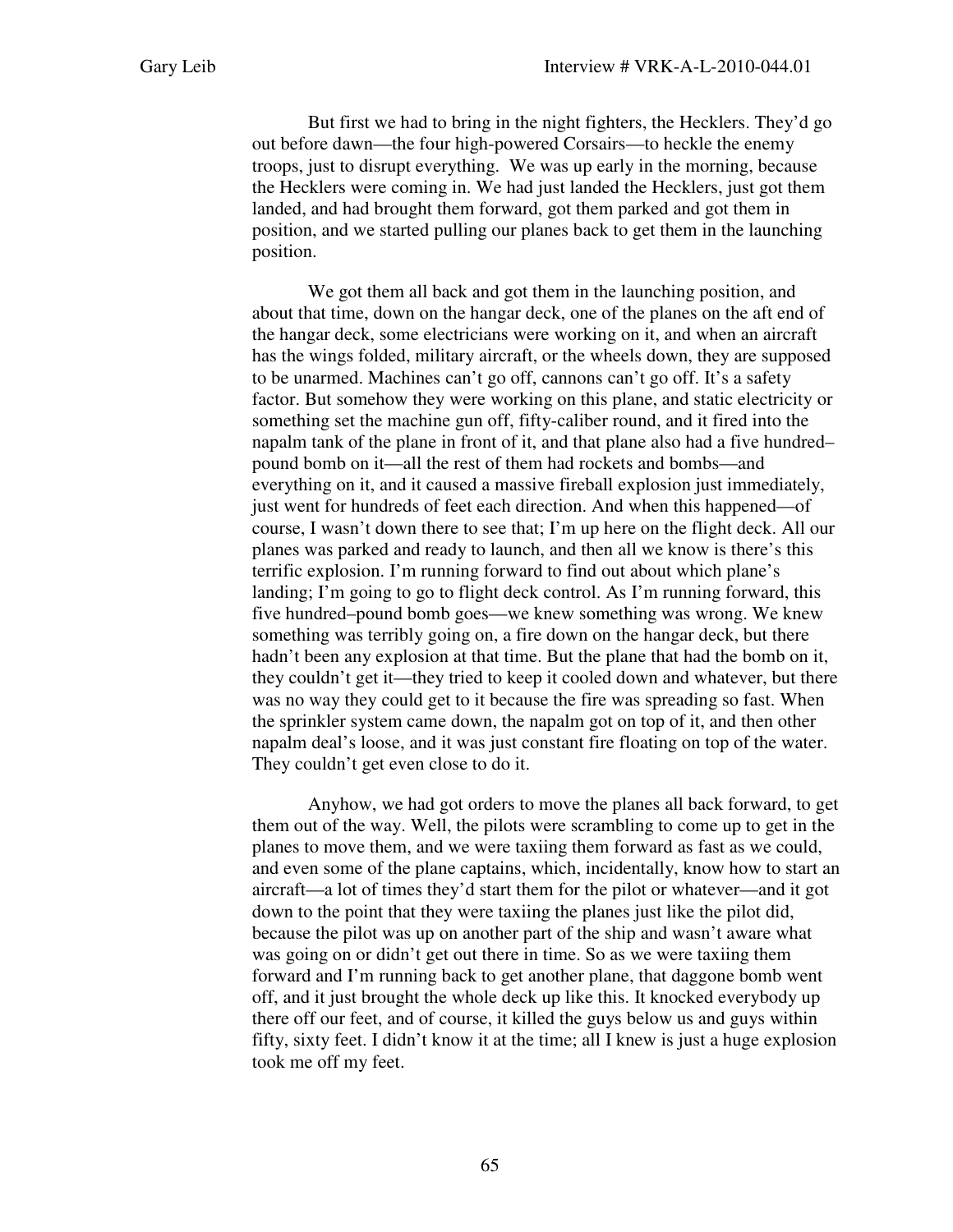But first we had to bring in the night fighters, the Hecklers. They'd go out before dawn—the four high-powered Corsairs—to heckle the enemy troops, just to disrupt everything. We was up early in the morning, because the Hecklers were coming in. We had just landed the Hecklers, just got them landed, and had brought them forward, got them parked and got them in position, and we started pulling our planes back to get them in the launching position.

We got them all back and got them in the launching position, and about that time, down on the hangar deck, one of the planes on the aft end of the hangar deck, some electricians were working on it, and when an aircraft has the wings folded, military aircraft, or the wheels down, they are supposed to be unarmed. Machines can't go off, cannons can't go off. It's a safety factor. But somehow they were working on this plane, and static electricity or something set the machine gun off, fifty-caliber round, and it fired into the napalm tank of the plane in front of it, and that plane also had a five hundred– pound bomb on it—all the rest of them had rockets and bombs—and everything on it, and it caused a massive fireball explosion just immediately, just went for hundreds of feet each direction. And when this happened—of course, I wasn't down there to see that; I'm up here on the flight deck. All our planes was parked and ready to launch, and then all we know is there's this terrific explosion. I'm running forward to find out about which plane's landing; I'm going to go to flight deck control. As I'm running forward, this five hundred–pound bomb goes—we knew something was wrong. We knew something was terribly going on, a fire down on the hangar deck, but there hadn't been any explosion at that time. But the plane that had the bomb on it, they couldn't get it—they tried to keep it cooled down and whatever, but there was no way they could get to it because the fire was spreading so fast. When the sprinkler system came down, the napalm got on top of it, and then other napalm deal's loose, and it was just constant fire floating on top of the water. They couldn't get even close to do it.

Anyhow, we had got orders to move the planes all back forward, to get them out of the way. Well, the pilots were scrambling to come up to get in the planes to move them, and we were taxiing them forward as fast as we could, and even some of the plane captains, which, incidentally, know how to start an aircraft—a lot of times they'd start them for the pilot or whatever—and it got down to the point that they were taxiing the planes just like the pilot did, because the pilot was up on another part of the ship and wasn't aware what was going on or didn't get out there in time. So as we were taxiing them forward and I'm running back to get another plane, that daggone bomb went off, and it just brought the whole deck up like this. It knocked everybody up there off our feet, and of course, it killed the guys below us and guys within fifty, sixty feet. I didn't know it at the time; all I knew is just a huge explosion took me off my feet.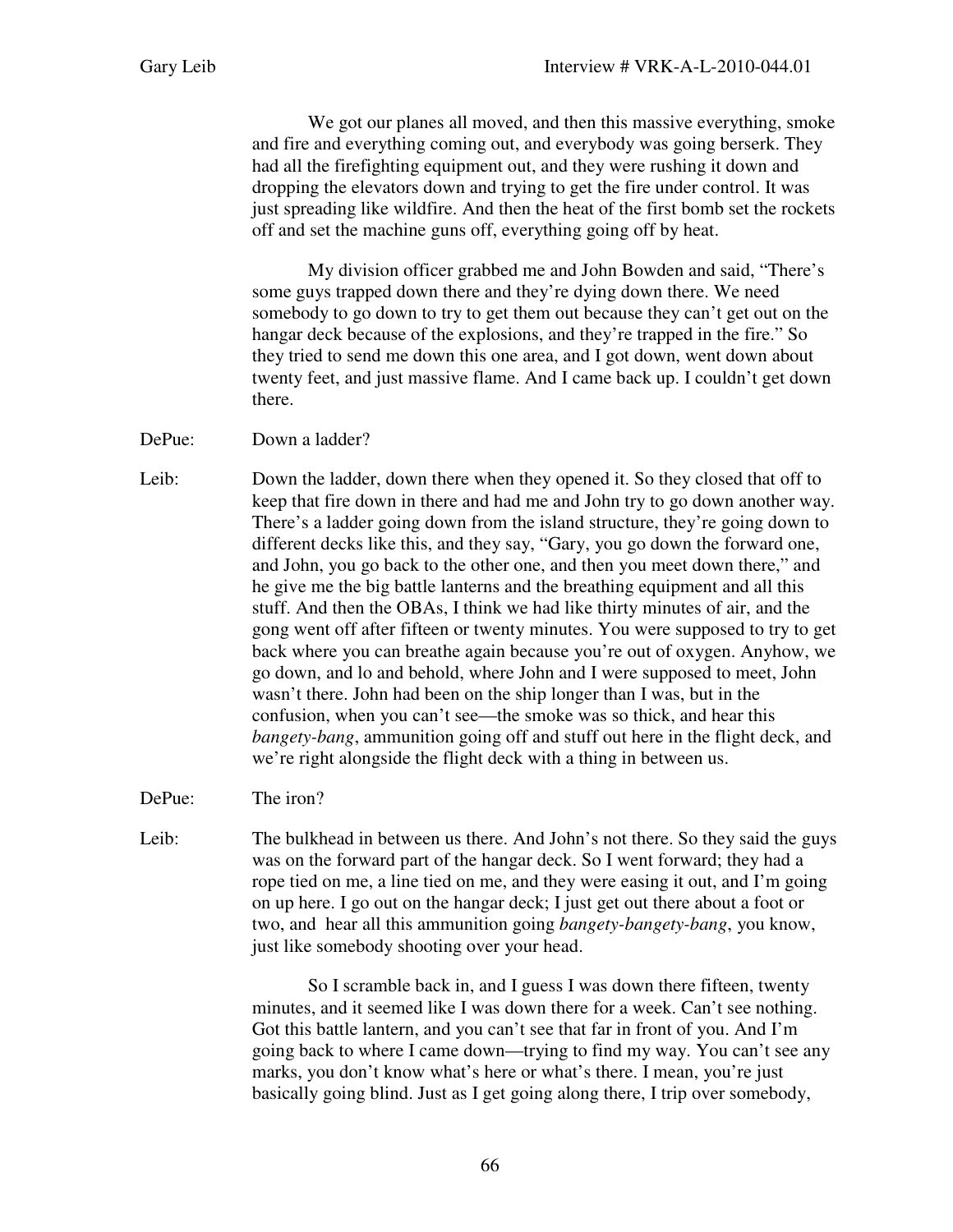We got our planes all moved, and then this massive everything, smoke and fire and everything coming out, and everybody was going berserk. They had all the firefighting equipment out, and they were rushing it down and dropping the elevators down and trying to get the fire under control. It was just spreading like wildfire. And then the heat of the first bomb set the rockets off and set the machine guns off, everything going off by heat.

My division officer grabbed me and John Bowden and said, "There's some guys trapped down there and they're dying down there. We need somebody to go down to try to get them out because they can't get out on the hangar deck because of the explosions, and they're trapped in the fire." So they tried to send me down this one area, and I got down, went down about twenty feet, and just massive flame. And I came back up. I couldn't get down there.

DePue: Down a ladder?

Leib: Down the ladder, down there when they opened it. So they closed that off to keep that fire down in there and had me and John try to go down another way. There's a ladder going down from the island structure, they're going down to different decks like this, and they say, "Gary, you go down the forward one, and John, you go back to the other one, and then you meet down there," and he give me the big battle lanterns and the breathing equipment and all this stuff. And then the OBAs, I think we had like thirty minutes of air, and the gong went off after fifteen or twenty minutes. You were supposed to try to get back where you can breathe again because you're out of oxygen. Anyhow, we go down, and lo and behold, where John and I were supposed to meet, John wasn't there. John had been on the ship longer than I was, but in the confusion, when you can't see—the smoke was so thick, and hear this *bangety-bang*, ammunition going off and stuff out here in the flight deck, and we're right alongside the flight deck with a thing in between us.

DePue: The iron?

Leib: The bulkhead in between us there. And John's not there. So they said the guys was on the forward part of the hangar deck. So I went forward; they had a rope tied on me, a line tied on me, and they were easing it out, and I'm going on up here. I go out on the hangar deck; I just get out there about a foot or two, and hear all this ammunition going *bangety-bangety-bang*, you know, just like somebody shooting over your head.

> So I scramble back in, and I guess I was down there fifteen, twenty minutes, and it seemed like I was down there for a week. Can't see nothing. Got this battle lantern, and you can't see that far in front of you. And I'm going back to where I came down—trying to find my way. You can't see any marks, you don't know what's here or what's there. I mean, you're just basically going blind. Just as I get going along there, I trip over somebody,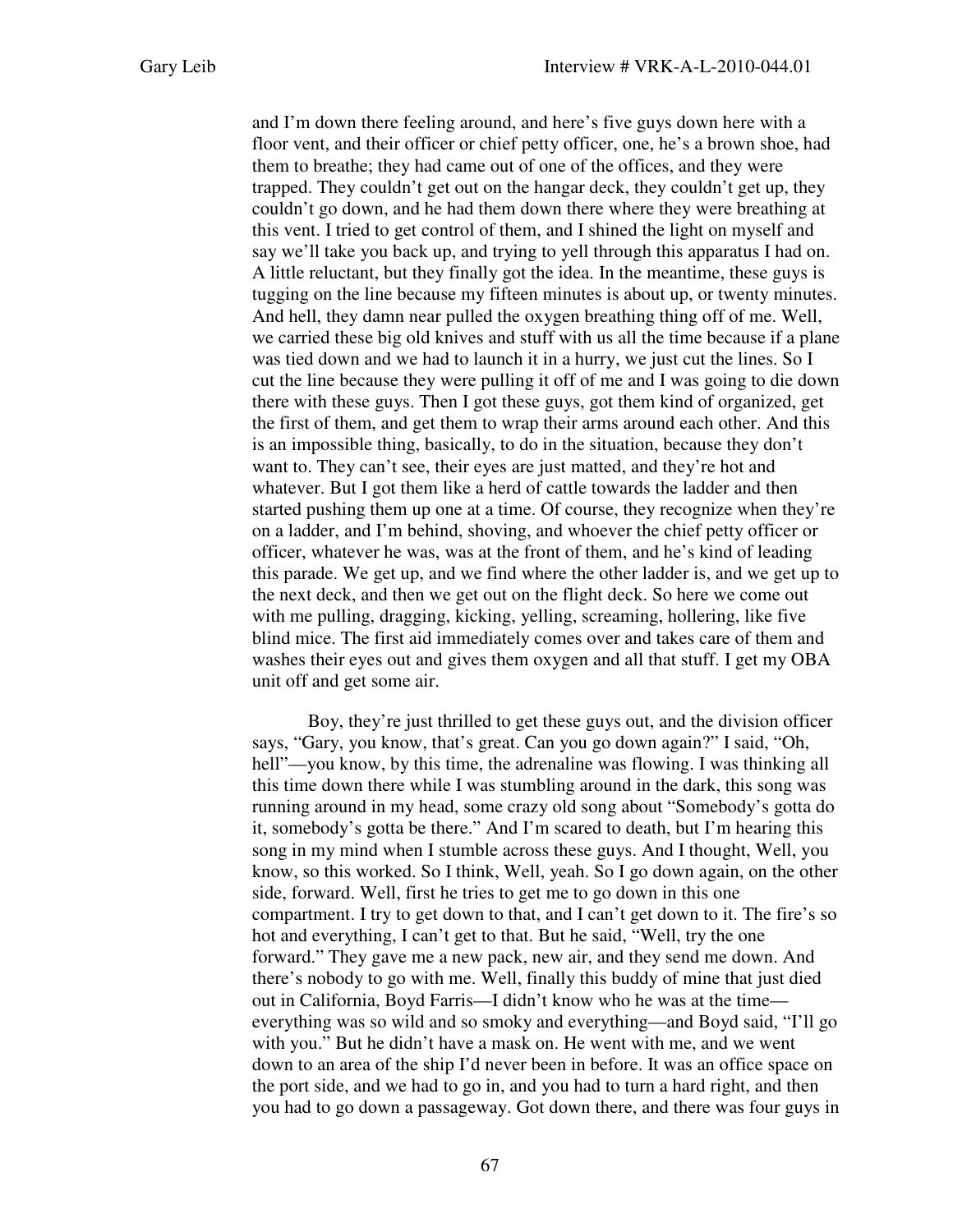and I'm down there feeling around, and here's five guys down here with a floor vent, and their officer or chief petty officer, one, he's a brown shoe, had them to breathe; they had came out of one of the offices, and they were trapped. They couldn't get out on the hangar deck, they couldn't get up, they couldn't go down, and he had them down there where they were breathing at this vent. I tried to get control of them, and I shined the light on myself and say we'll take you back up, and trying to yell through this apparatus I had on. A little reluctant, but they finally got the idea. In the meantime, these guys is tugging on the line because my fifteen minutes is about up, or twenty minutes. And hell, they damn near pulled the oxygen breathing thing off of me. Well, we carried these big old knives and stuff with us all the time because if a plane was tied down and we had to launch it in a hurry, we just cut the lines. So I cut the line because they were pulling it off of me and I was going to die down there with these guys. Then I got these guys, got them kind of organized, get the first of them, and get them to wrap their arms around each other. And this is an impossible thing, basically, to do in the situation, because they don't want to. They can't see, their eyes are just matted, and they're hot and whatever. But I got them like a herd of cattle towards the ladder and then started pushing them up one at a time. Of course, they recognize when they're on a ladder, and I'm behind, shoving, and whoever the chief petty officer or officer, whatever he was, was at the front of them, and he's kind of leading this parade. We get up, and we find where the other ladder is, and we get up to the next deck, and then we get out on the flight deck. So here we come out with me pulling, dragging, kicking, yelling, screaming, hollering, like five blind mice. The first aid immediately comes over and takes care of them and washes their eyes out and gives them oxygen and all that stuff. I get my OBA unit off and get some air.

Boy, they're just thrilled to get these guys out, and the division officer says, "Gary, you know, that's great. Can you go down again?" I said, "Oh, hell"—you know, by this time, the adrenaline was flowing. I was thinking all this time down there while I was stumbling around in the dark, this song was running around in my head, some crazy old song about "Somebody's gotta do it, somebody's gotta be there." And I'm scared to death, but I'm hearing this song in my mind when I stumble across these guys. And I thought, Well, you know, so this worked. So I think, Well, yeah. So I go down again, on the other side, forward. Well, first he tries to get me to go down in this one compartment. I try to get down to that, and I can't get down to it. The fire's so hot and everything, I can't get to that. But he said, "Well, try the one forward." They gave me a new pack, new air, and they send me down. And there's nobody to go with me. Well, finally this buddy of mine that just died out in California, Boyd Farris—I didn't know who he was at the time everything was so wild and so smoky and everything—and Boyd said, "I'll go with you." But he didn't have a mask on. He went with me, and we went down to an area of the ship I'd never been in before. It was an office space on the port side, and we had to go in, and you had to turn a hard right, and then you had to go down a passageway. Got down there, and there was four guys in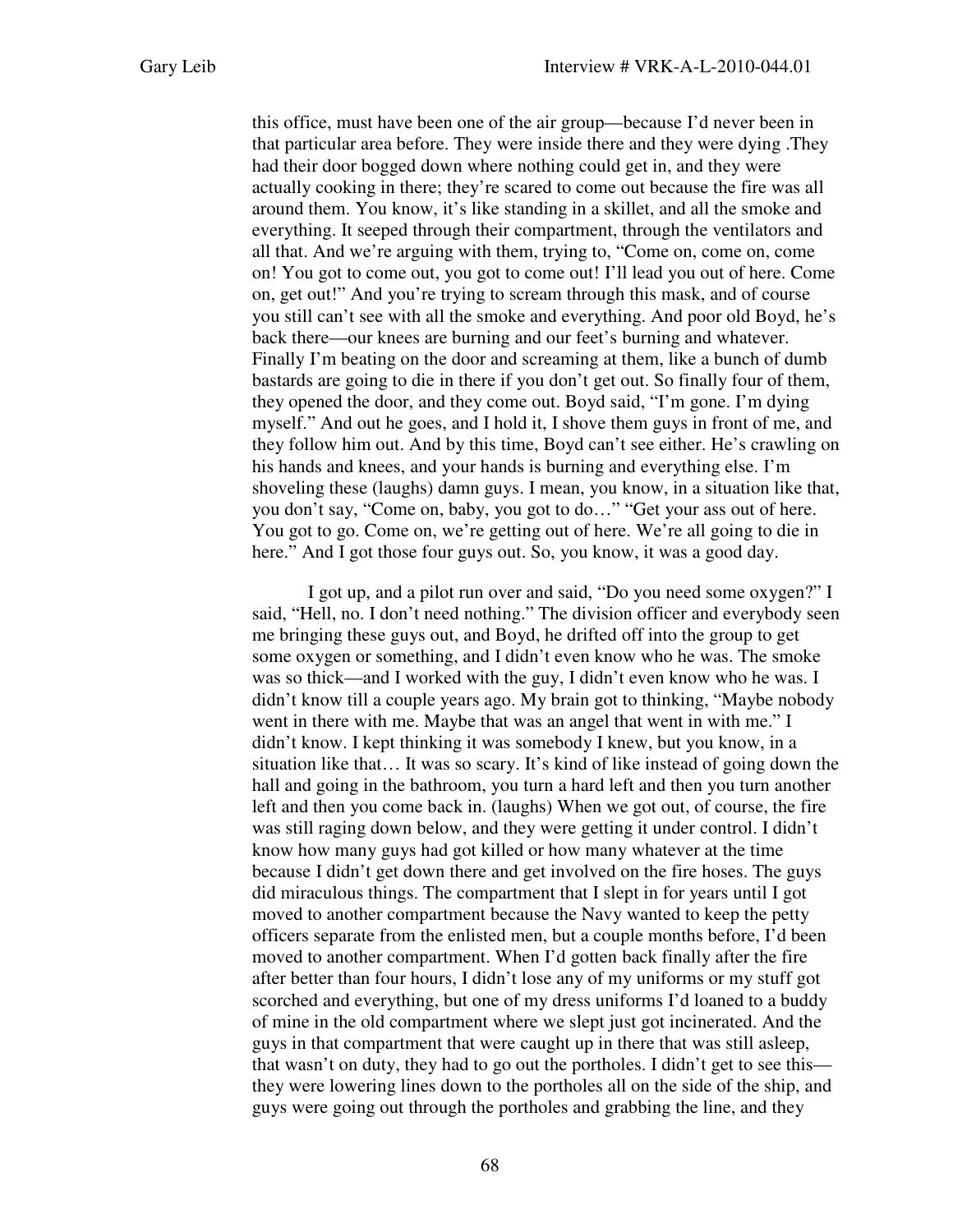this office, must have been one of the air group—because I'd never been in that particular area before. They were inside there and they were dying .They had their door bogged down where nothing could get in, and they were actually cooking in there; they're scared to come out because the fire was all around them. You know, it's like standing in a skillet, and all the smoke and everything. It seeped through their compartment, through the ventilators and all that. And we're arguing with them, trying to, "Come on, come on, come on! You got to come out, you got to come out! I'll lead you out of here. Come on, get out!" And you're trying to scream through this mask, and of course you still can't see with all the smoke and everything. And poor old Boyd, he's back there—our knees are burning and our feet's burning and whatever. Finally I'm beating on the door and screaming at them, like a bunch of dumb bastards are going to die in there if you don't get out. So finally four of them, they opened the door, and they come out. Boyd said, "I'm gone. I'm dying myself." And out he goes, and I hold it, I shove them guys in front of me, and they follow him out. And by this time, Boyd can't see either. He's crawling on his hands and knees, and your hands is burning and everything else. I'm shoveling these (laughs) damn guys. I mean, you know, in a situation like that, you don't say, "Come on, baby, you got to do…" "Get your ass out of here. You got to go. Come on, we're getting out of here. We're all going to die in here." And I got those four guys out. So, you know, it was a good day.

I got up, and a pilot run over and said, "Do you need some oxygen?" I said, "Hell, no. I don't need nothing." The division officer and everybody seen me bringing these guys out, and Boyd, he drifted off into the group to get some oxygen or something, and I didn't even know who he was. The smoke was so thick—and I worked with the guy, I didn't even know who he was. I didn't know till a couple years ago. My brain got to thinking, "Maybe nobody went in there with me. Maybe that was an angel that went in with me." I didn't know. I kept thinking it was somebody I knew, but you know, in a situation like that… It was so scary. It's kind of like instead of going down the hall and going in the bathroom, you turn a hard left and then you turn another left and then you come back in. (laughs) When we got out, of course, the fire was still raging down below, and they were getting it under control. I didn't know how many guys had got killed or how many whatever at the time because I didn't get down there and get involved on the fire hoses. The guys did miraculous things. The compartment that I slept in for years until I got moved to another compartment because the Navy wanted to keep the petty officers separate from the enlisted men, but a couple months before, I'd been moved to another compartment. When I'd gotten back finally after the fire after better than four hours, I didn't lose any of my uniforms or my stuff got scorched and everything, but one of my dress uniforms I'd loaned to a buddy of mine in the old compartment where we slept just got incinerated. And the guys in that compartment that were caught up in there that was still asleep, that wasn't on duty, they had to go out the portholes. I didn't get to see this they were lowering lines down to the portholes all on the side of the ship, and guys were going out through the portholes and grabbing the line, and they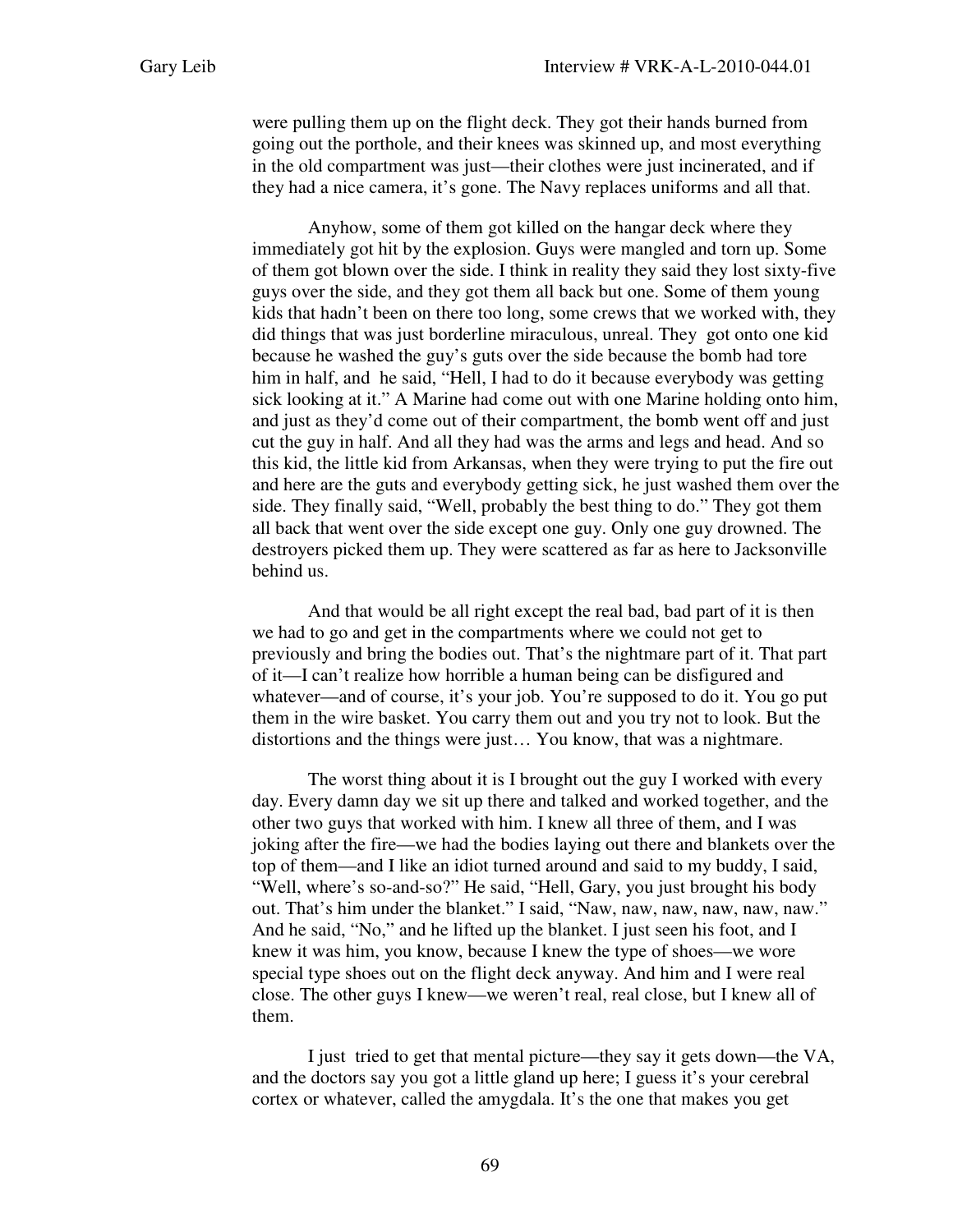were pulling them up on the flight deck. They got their hands burned from going out the porthole, and their knees was skinned up, and most everything in the old compartment was just—their clothes were just incinerated, and if they had a nice camera, it's gone. The Navy replaces uniforms and all that.

Anyhow, some of them got killed on the hangar deck where they immediately got hit by the explosion. Guys were mangled and torn up. Some of them got blown over the side. I think in reality they said they lost sixty-five guys over the side, and they got them all back but one. Some of them young kids that hadn't been on there too long, some crews that we worked with, they did things that was just borderline miraculous, unreal. They got onto one kid because he washed the guy's guts over the side because the bomb had tore him in half, and he said, "Hell, I had to do it because everybody was getting sick looking at it." A Marine had come out with one Marine holding onto him, and just as they'd come out of their compartment, the bomb went off and just cut the guy in half. And all they had was the arms and legs and head. And so this kid, the little kid from Arkansas, when they were trying to put the fire out and here are the guts and everybody getting sick, he just washed them over the side. They finally said, "Well, probably the best thing to do." They got them all back that went over the side except one guy. Only one guy drowned. The destroyers picked them up. They were scattered as far as here to Jacksonville behind us.

And that would be all right except the real bad, bad part of it is then we had to go and get in the compartments where we could not get to previously and bring the bodies out. That's the nightmare part of it. That part of it—I can't realize how horrible a human being can be disfigured and whatever—and of course, it's your job. You're supposed to do it. You go put them in the wire basket. You carry them out and you try not to look. But the distortions and the things were just… You know, that was a nightmare.

The worst thing about it is I brought out the guy I worked with every day. Every damn day we sit up there and talked and worked together, and the other two guys that worked with him. I knew all three of them, and I was joking after the fire—we had the bodies laying out there and blankets over the top of them—and I like an idiot turned around and said to my buddy, I said, "Well, where's so-and-so?" He said, "Hell, Gary, you just brought his body out. That's him under the blanket." I said, "Naw, naw, naw, naw, naw, naw." And he said, "No," and he lifted up the blanket. I just seen his foot, and I knew it was him, you know, because I knew the type of shoes—we wore special type shoes out on the flight deck anyway. And him and I were real close. The other guys I knew—we weren't real, real close, but I knew all of them.

I just tried to get that mental picture—they say it gets down—the VA, and the doctors say you got a little gland up here; I guess it's your cerebral cortex or whatever, called the amygdala. It's the one that makes you get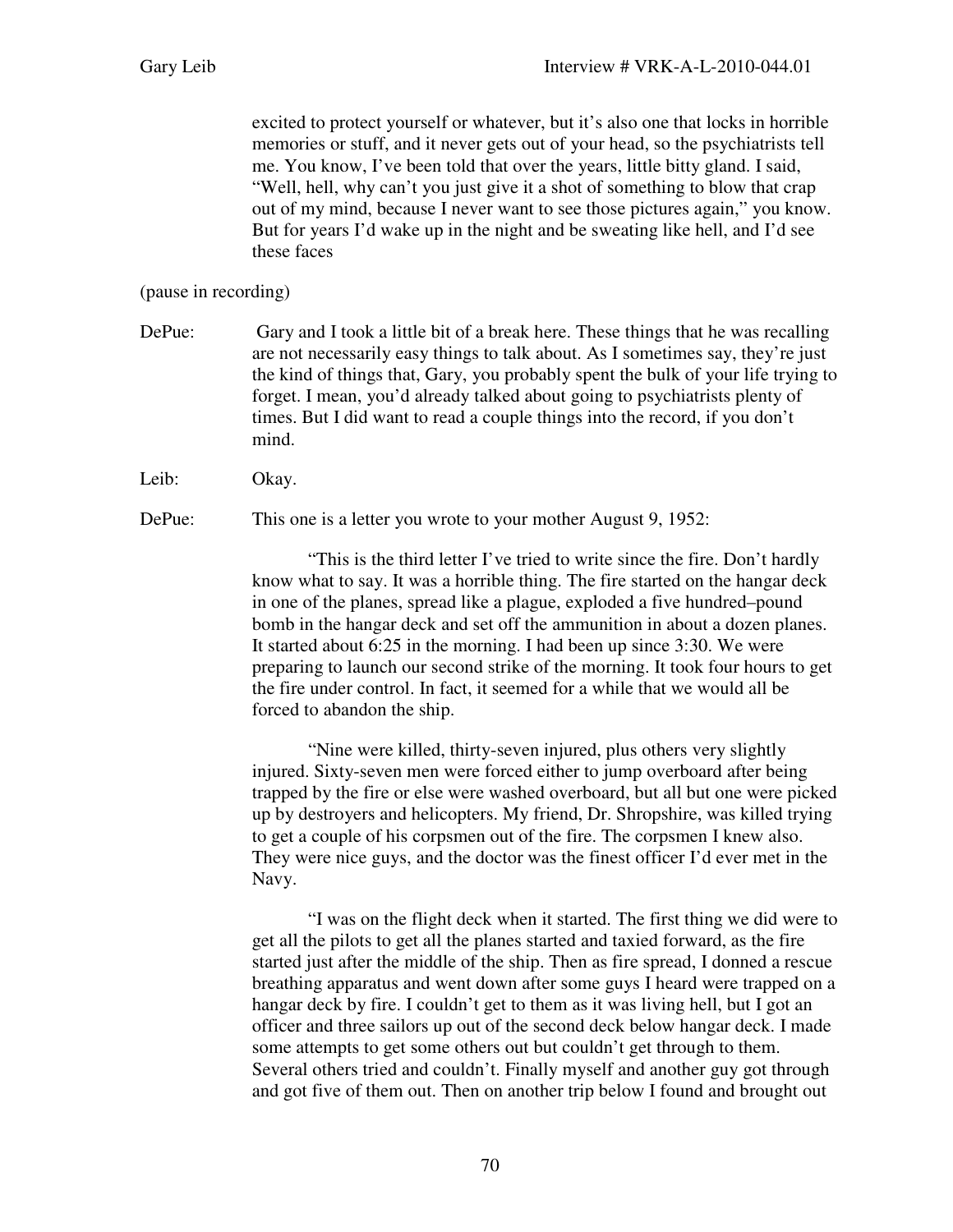excited to protect yourself or whatever, but it's also one that locks in horrible memories or stuff, and it never gets out of your head, so the psychiatrists tell me. You know, I've been told that over the years, little bitty gland. I said, "Well, hell, why can't you just give it a shot of something to blow that crap out of my mind, because I never want to see those pictures again," you know. But for years I'd wake up in the night and be sweating like hell, and I'd see these faces

## (pause in recording)

DePue: Gary and I took a little bit of a break here. These things that he was recalling are not necessarily easy things to talk about. As I sometimes say, they're just the kind of things that, Gary, you probably spent the bulk of your life trying to forget. I mean, you'd already talked about going to psychiatrists plenty of times. But I did want to read a couple things into the record, if you don't mind.

Leib: Okay.

DePue: This one is a letter you wrote to your mother August 9, 1952:

"This is the third letter I've tried to write since the fire. Don't hardly know what to say. It was a horrible thing. The fire started on the hangar deck in one of the planes, spread like a plague, exploded a five hundred–pound bomb in the hangar deck and set off the ammunition in about a dozen planes. It started about 6:25 in the morning. I had been up since 3:30. We were preparing to launch our second strike of the morning. It took four hours to get the fire under control. In fact, it seemed for a while that we would all be forced to abandon the ship.

"Nine were killed, thirty-seven injured, plus others very slightly injured. Sixty-seven men were forced either to jump overboard after being trapped by the fire or else were washed overboard, but all but one were picked up by destroyers and helicopters. My friend, Dr. Shropshire, was killed trying to get a couple of his corpsmen out of the fire. The corpsmen I knew also. They were nice guys, and the doctor was the finest officer I'd ever met in the Navy.

"I was on the flight deck when it started. The first thing we did were to get all the pilots to get all the planes started and taxied forward, as the fire started just after the middle of the ship. Then as fire spread, I donned a rescue breathing apparatus and went down after some guys I heard were trapped on a hangar deck by fire. I couldn't get to them as it was living hell, but I got an officer and three sailors up out of the second deck below hangar deck. I made some attempts to get some others out but couldn't get through to them. Several others tried and couldn't. Finally myself and another guy got through and got five of them out. Then on another trip below I found and brought out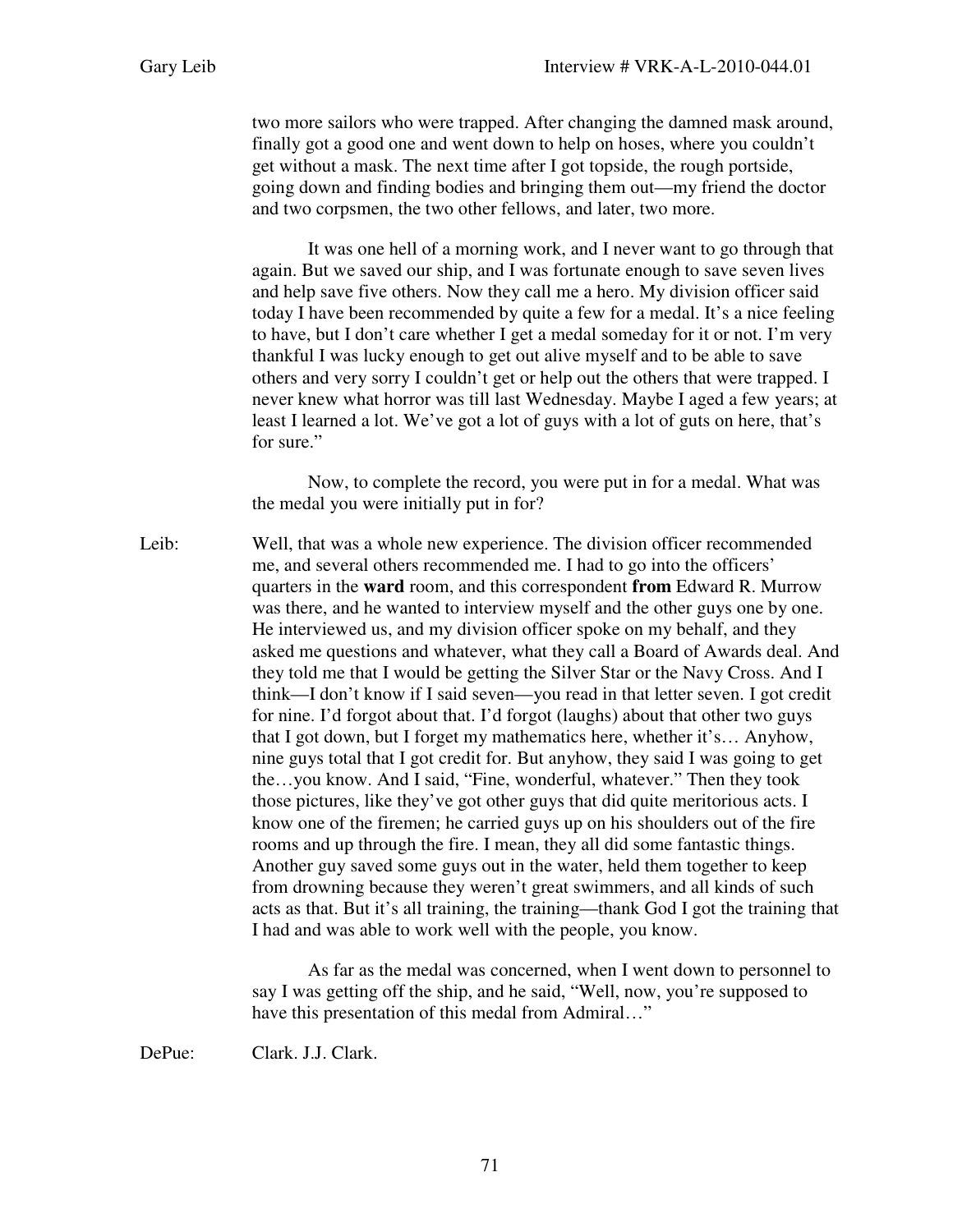two more sailors who were trapped. After changing the damned mask around, finally got a good one and went down to help on hoses, where you couldn't get without a mask. The next time after I got topside, the rough portside, going down and finding bodies and bringing them out—my friend the doctor and two corpsmen, the two other fellows, and later, two more.

It was one hell of a morning work, and I never want to go through that again. But we saved our ship, and I was fortunate enough to save seven lives and help save five others. Now they call me a hero. My division officer said today I have been recommended by quite a few for a medal. It's a nice feeling to have, but I don't care whether I get a medal someday for it or not. I'm very thankful I was lucky enough to get out alive myself and to be able to save others and very sorry I couldn't get or help out the others that were trapped. I never knew what horror was till last Wednesday. Maybe I aged a few years; at least I learned a lot. We've got a lot of guys with a lot of guts on here, that's for sure."

 Now, to complete the record, you were put in for a medal. What was the medal you were initially put in for?

Leib: Well, that was a whole new experience. The division officer recommended me, and several others recommended me. I had to go into the officers' quarters in the **ward** room, and this correspondent **from** Edward R. Murrow was there, and he wanted to interview myself and the other guys one by one. He interviewed us, and my division officer spoke on my behalf, and they asked me questions and whatever, what they call a Board of Awards deal. And they told me that I would be getting the Silver Star or the Navy Cross. And I think—I don't know if I said seven—you read in that letter seven. I got credit for nine. I'd forgot about that. I'd forgot (laughs) about that other two guys that I got down, but I forget my mathematics here, whether it's… Anyhow, nine guys total that I got credit for. But anyhow, they said I was going to get the…you know. And I said, "Fine, wonderful, whatever." Then they took those pictures, like they've got other guys that did quite meritorious acts. I know one of the firemen; he carried guys up on his shoulders out of the fire rooms and up through the fire. I mean, they all did some fantastic things. Another guy saved some guys out in the water, held them together to keep from drowning because they weren't great swimmers, and all kinds of such acts as that. But it's all training, the training—thank God I got the training that I had and was able to work well with the people, you know.

> As far as the medal was concerned, when I went down to personnel to say I was getting off the ship, and he said, "Well, now, you're supposed to have this presentation of this medal from Admiral..."

DePue: Clark. J.J. Clark.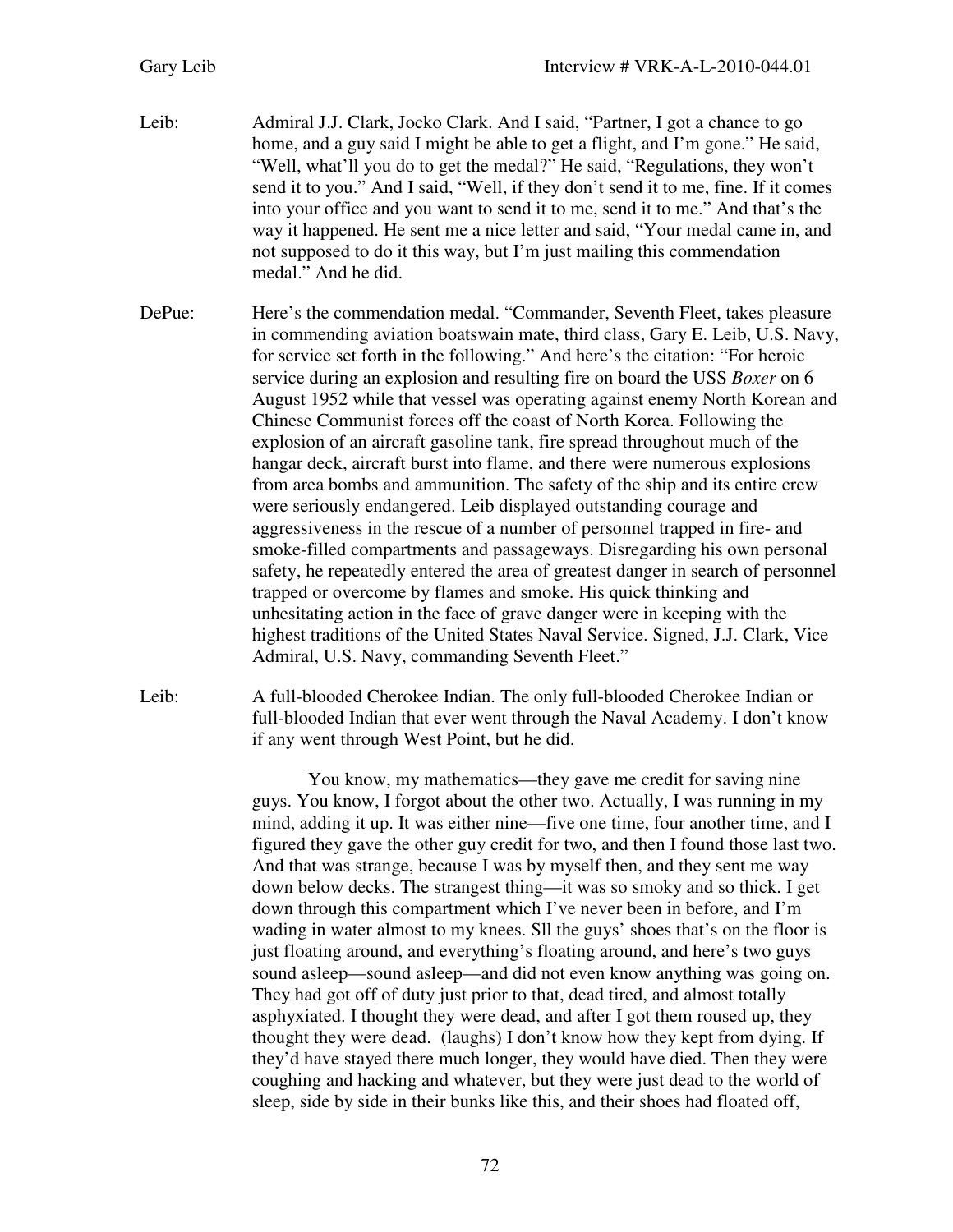- Leib: Admiral J.J. Clark, Jocko Clark. And I said, "Partner, I got a chance to go home, and a guy said I might be able to get a flight, and I'm gone." He said, "Well, what'll you do to get the medal?" He said, "Regulations, they won't send it to you." And I said, "Well, if they don't send it to me, fine. If it comes into your office and you want to send it to me, send it to me." And that's the way it happened. He sent me a nice letter and said, "Your medal came in, and not supposed to do it this way, but I'm just mailing this commendation medal." And he did.
- DePue: Here's the commendation medal. "Commander, Seventh Fleet, takes pleasure in commending aviation boatswain mate, third class, Gary E. Leib, U.S. Navy, for service set forth in the following." And here's the citation: "For heroic service during an explosion and resulting fire on board the USS *Boxer* on 6 August 1952 while that vessel was operating against enemy North Korean and Chinese Communist forces off the coast of North Korea. Following the explosion of an aircraft gasoline tank, fire spread throughout much of the hangar deck, aircraft burst into flame, and there were numerous explosions from area bombs and ammunition. The safety of the ship and its entire crew were seriously endangered. Leib displayed outstanding courage and aggressiveness in the rescue of a number of personnel trapped in fire- and smoke-filled compartments and passageways. Disregarding his own personal safety, he repeatedly entered the area of greatest danger in search of personnel trapped or overcome by flames and smoke. His quick thinking and unhesitating action in the face of grave danger were in keeping with the highest traditions of the United States Naval Service. Signed, J.J. Clark, Vice Admiral, U.S. Navy, commanding Seventh Fleet."
- Leib: A full-blooded Cherokee Indian. The only full-blooded Cherokee Indian or full-blooded Indian that ever went through the Naval Academy. I don't know if any went through West Point, but he did.

You know, my mathematics—they gave me credit for saving nine guys. You know, I forgot about the other two. Actually, I was running in my mind, adding it up. It was either nine—five one time, four another time, and I figured they gave the other guy credit for two, and then I found those last two. And that was strange, because I was by myself then, and they sent me way down below decks. The strangest thing—it was so smoky and so thick. I get down through this compartment which I've never been in before, and I'm wading in water almost to my knees. Sll the guys' shoes that's on the floor is just floating around, and everything's floating around, and here's two guys sound asleep—sound asleep—and did not even know anything was going on. They had got off of duty just prior to that, dead tired, and almost totally asphyxiated. I thought they were dead, and after I got them roused up, they thought they were dead. (laughs) I don't know how they kept from dying. If they'd have stayed there much longer, they would have died. Then they were coughing and hacking and whatever, but they were just dead to the world of sleep, side by side in their bunks like this, and their shoes had floated off,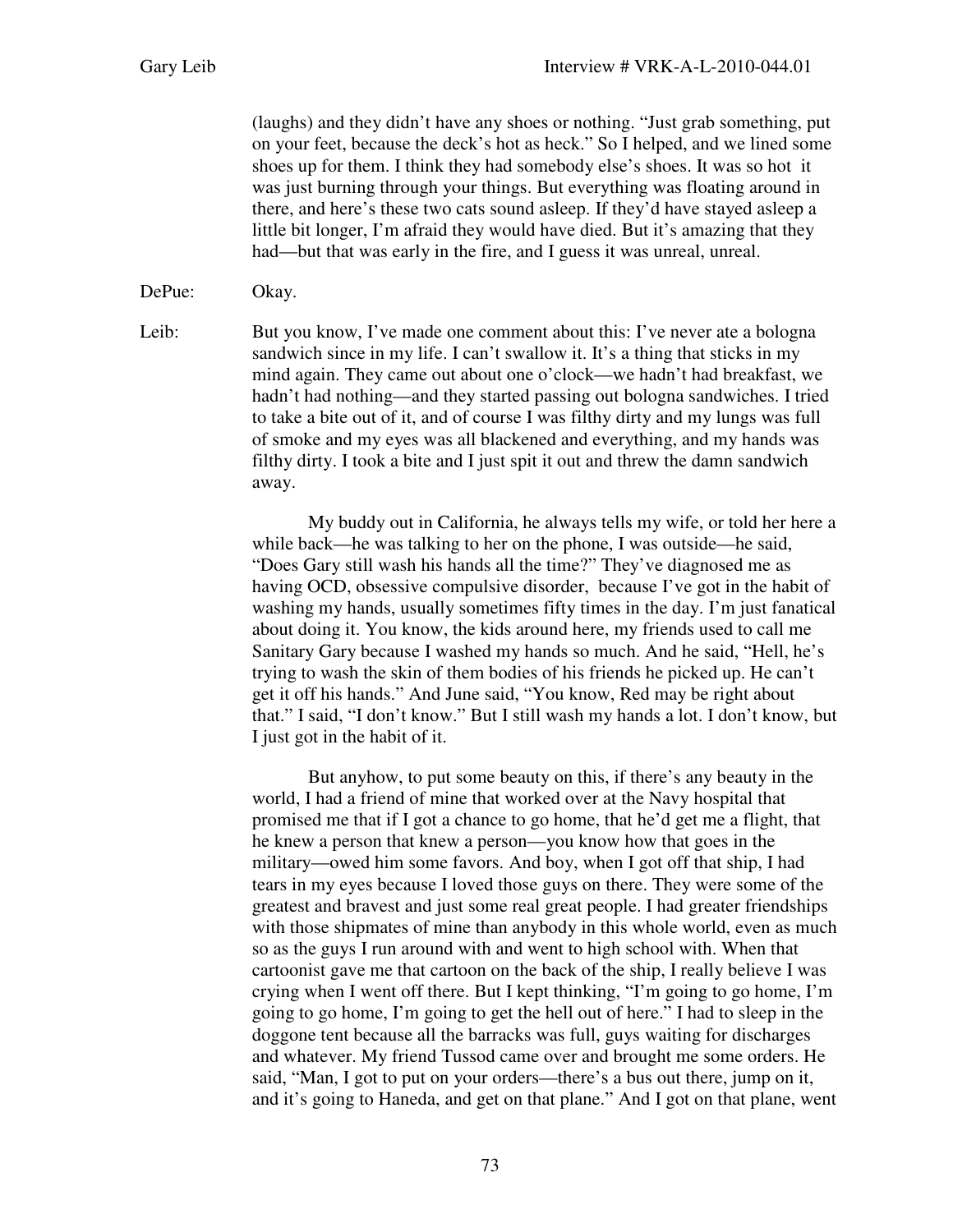(laughs) and they didn't have any shoes or nothing. "Just grab something, put on your feet, because the deck's hot as heck." So I helped, and we lined some shoes up for them. I think they had somebody else's shoes. It was so hot it was just burning through your things. But everything was floating around in there, and here's these two cats sound asleep. If they'd have stayed asleep a little bit longer, I'm afraid they would have died. But it's amazing that they had—but that was early in the fire, and I guess it was unreal, unreal.

DePue: Okay.

Leib: But you know, I've made one comment about this: I've never ate a bologna sandwich since in my life. I can't swallow it. It's a thing that sticks in my mind again. They came out about one o'clock—we hadn't had breakfast, we hadn't had nothing—and they started passing out bologna sandwiches. I tried to take a bite out of it, and of course I was filthy dirty and my lungs was full of smoke and my eyes was all blackened and everything, and my hands was filthy dirty. I took a bite and I just spit it out and threw the damn sandwich away.

> My buddy out in California, he always tells my wife, or told her here a while back—he was talking to her on the phone, I was outside—he said, "Does Gary still wash his hands all the time?" They've diagnosed me as having OCD, obsessive compulsive disorder, because I've got in the habit of washing my hands, usually sometimes fifty times in the day. I'm just fanatical about doing it. You know, the kids around here, my friends used to call me Sanitary Gary because I washed my hands so much. And he said, "Hell, he's trying to wash the skin of them bodies of his friends he picked up. He can't get it off his hands." And June said, "You know, Red may be right about that." I said, "I don't know." But I still wash my hands a lot. I don't know, but I just got in the habit of it.

> But anyhow, to put some beauty on this, if there's any beauty in the world, I had a friend of mine that worked over at the Navy hospital that promised me that if I got a chance to go home, that he'd get me a flight, that he knew a person that knew a person—you know how that goes in the military—owed him some favors. And boy, when I got off that ship, I had tears in my eyes because I loved those guys on there. They were some of the greatest and bravest and just some real great people. I had greater friendships with those shipmates of mine than any body in this whole world, even as much so as the guys I run around with and went to high school with. When that cartoonist gave me that cartoon on the back of the ship, I really believe I was crying when I went off there. But I kept thinking, "I'm going to go home, I'm going to go home, I'm going to get the hell out of here." I had to sleep in the doggone tent because all the barracks was full, guys waiting for discharges and whatever. My friend Tussod came over and brought me some orders. He said, "Man, I got to put on your orders—there's a bus out there, jump on it, and it's going to Haneda, and get on that plane." And I got on that plane, went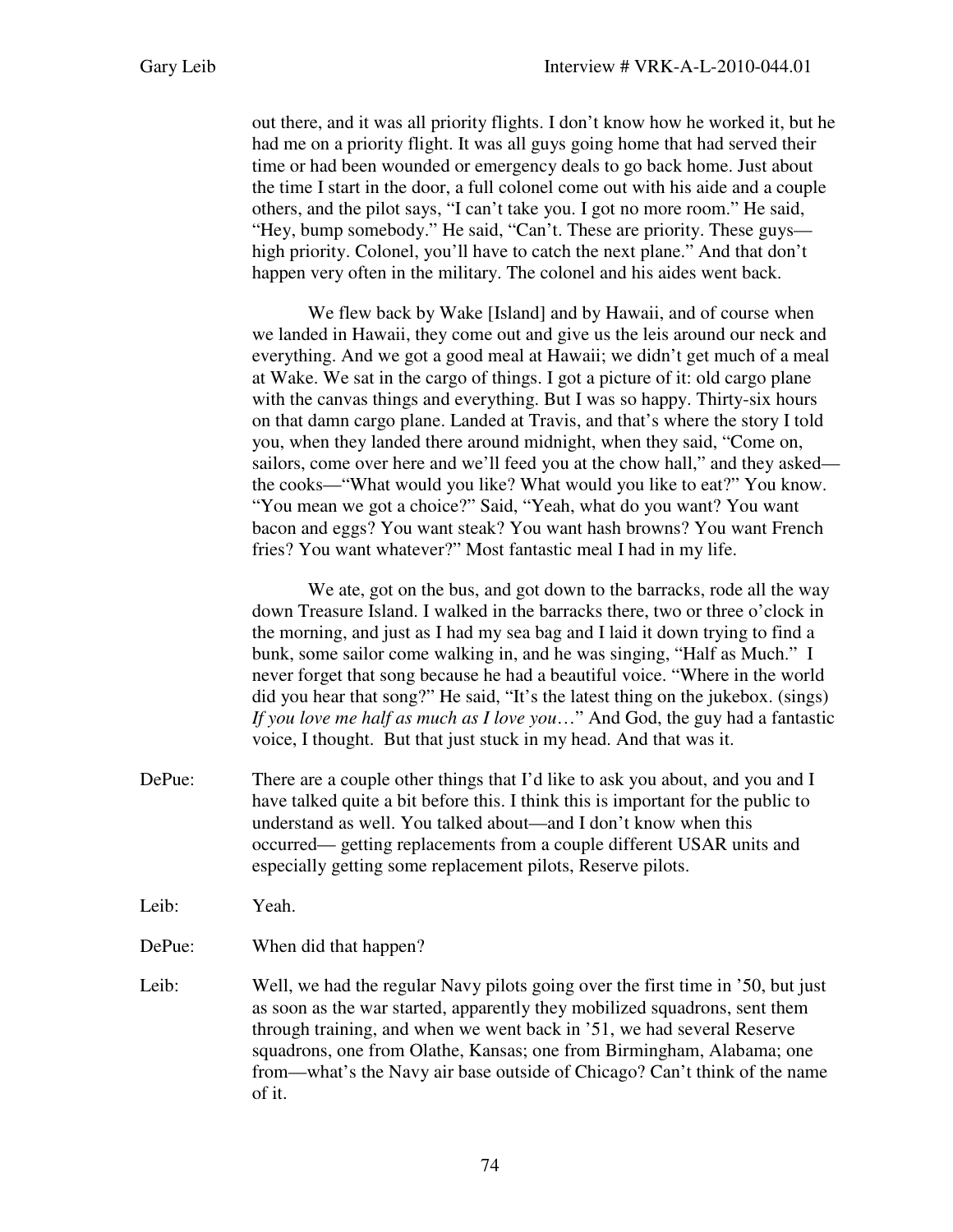out there, and it was all priority flights. I don't know how he worked it, but he had me on a priority flight. It was all guys going home that had served their time or had been wounded or emergency deals to go back home. Just about the time I start in the door, a full colonel come out with his aide and a couple others, and the pilot says, "I can't take you. I got no more room." He said, "Hey, bump somebody." He said, "Can't. These are priority. These guys high priority. Colonel, you'll have to catch the next plane." And that don't happen very often in the military. The colonel and his aides went back.

We flew back by Wake [Island] and by Hawaii, and of course when we landed in Hawaii, they come out and give us the leis around our neck and everything. And we got a good meal at Hawaii; we didn't get much of a meal at Wake. We sat in the cargo of things. I got a picture of it: old cargo plane with the canvas things and everything. But I was so happy. Thirty-six hours on that damn cargo plane. Landed at Travis, and that's where the story I told you, when they landed there around midnight, when they said, "Come on, sailors, come over here and we'll feed you at the chow hall," and they asked the cooks—"What would you like? What would you like to eat?" You know. "You mean we got a choice?" Said, "Yeah, what do you want? You want bacon and eggs? You want steak? You want hash browns? You want French fries? You want whatever?" Most fantastic meal I had in my life.

We ate, got on the bus, and got down to the barracks, rode all the way down Treasure Island. I walked in the barracks there, two or three o'clock in the morning, and just as I had my sea bag and I laid it down trying to find a bunk, some sailor come walking in, and he was singing, "Half as Much." I never forget that song because he had a beautiful voice. "Where in the world did you hear that song?" He said, "It's the latest thing on the jukebox. (sings) *If you love me half as much as I love you*…" And God, the guy had a fantastic voice, I thought. But that just stuck in my head. And that was it.

- DePue: There are a couple other things that I'd like to ask you about, and you and I have talked quite a bit before this. I think this is important for the public to understand as well. You talked about—and I don't know when this occurred— getting replacements from a couple different USAR units and especially getting some replacement pilots, Reserve pilots.
- Leib: Yeah.
- DePue: When did that happen?
- Leib: Well, we had the regular Navy pilots going over the first time in '50, but just as soon as the war started, apparently they mobilized squadrons, sent them through training, and when we went back in '51, we had several Reserve squadrons, one from Olathe, Kansas; one from Birmingham, Alabama; one from—what's the Navy air base outside of Chicago? Can't think of the name of it.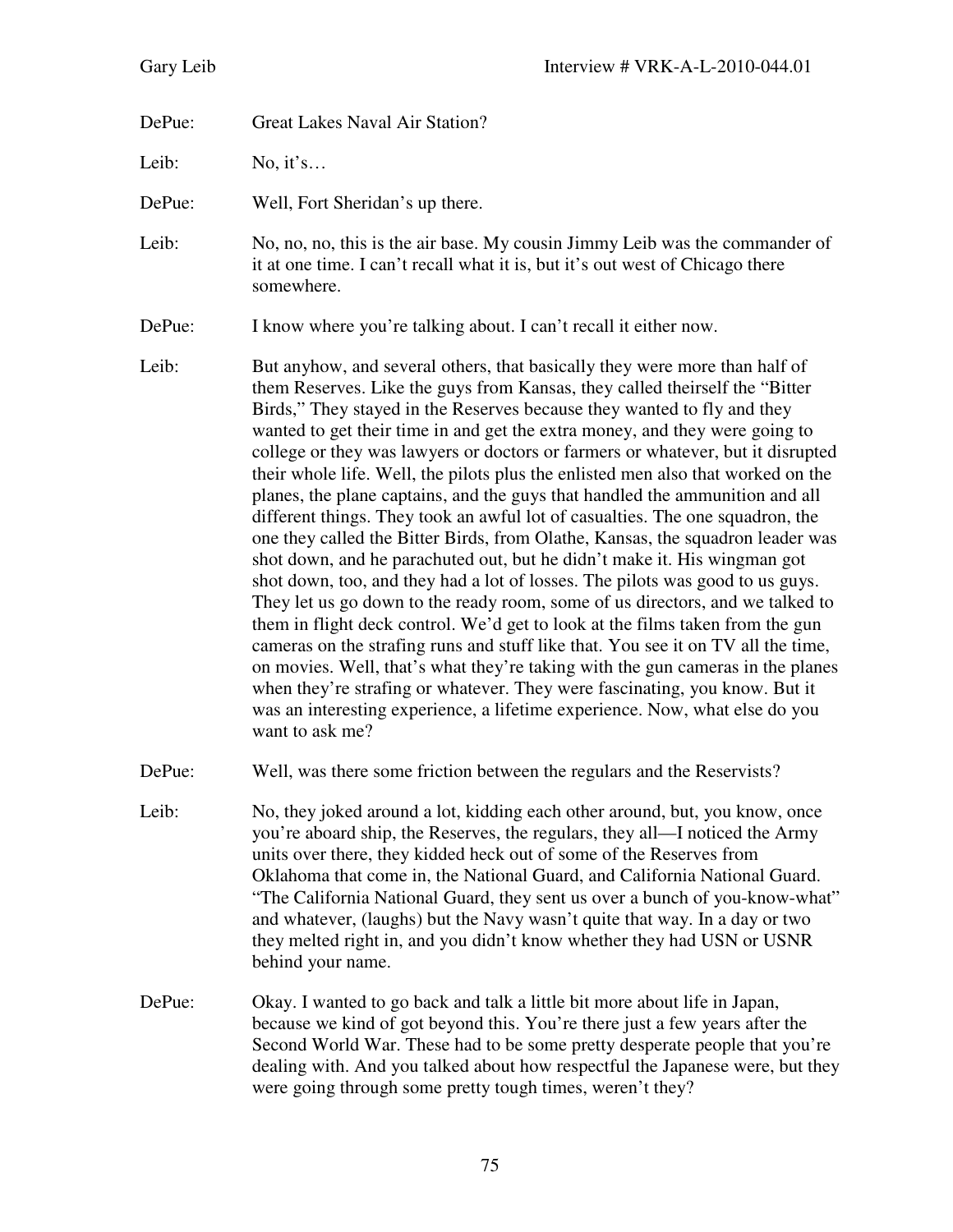DePue: Great Lakes Naval Air Station?

Leib: No, it's...

DePue: Well, Fort Sheridan's up there.

Leib: No, no, no, this is the air base. My cousin Jimmy Leib was the commander of it at one time. I can't recall what it is, but it's out west of Chicago there somewhere.

DePue: I know where you're talking about. I can't recall it either now.

- Leib: But anyhow, and several others, that basically they were more than half of them Reserves. Like the guys from Kansas, they called theirself the "Bitter Birds," They stayed in the Reserves because they wanted to fly and they wanted to get their time in and get the extra money, and they were going to college or they was lawyers or doctors or farmers or whatever, but it disrupted their whole life. Well, the pilots plus the enlisted men also that worked on the planes, the plane captains, and the guys that handled the ammunition and all different things. They took an awful lot of casualties. The one squadron, the one they called the Bitter Birds, from Olathe, Kansas, the squadron leader was shot down, and he parachuted out, but he didn't make it. His wingman got shot down, too, and they had a lot of losses. The pilots was good to us guys. They let us go down to the ready room, some of us directors, and we talked to them in flight deck control. We'd get to look at the films taken from the gun cameras on the strafing runs and stuff like that. You see it on TV all the time, on movies. Well, that's what they're taking with the gun cameras in the planes when they're strafing or whatever. They were fascinating, you know. But it was an interesting experience, a lifetime experience. Now, what else do you want to ask me?
- DePue: Well, was there some friction between the regulars and the Reservists?
- Leib: No, they joked around a lot, kidding each other around, but, you know, once you're aboard ship, the Reserves, the regulars, they all—I noticed the Army units over there, they kidded heck out of some of the Reserves from Oklahoma that come in, the National Guard, and California National Guard. "The California National Guard, they sent us over a bunch of you-know-what" and whatever, (laughs) but the Navy wasn't quite that way. In a day or two they melted right in, and you didn't know whether they had USN or USNR behind your name.
- DePue: Okay. I wanted to go back and talk a little bit more about life in Japan, because we kind of got beyond this. You're there just a few years after the Second World War. These had to be some pretty desperate people that you're dealing with. And you talked about how respectful the Japanese were, but they were going through some pretty tough times, weren't they?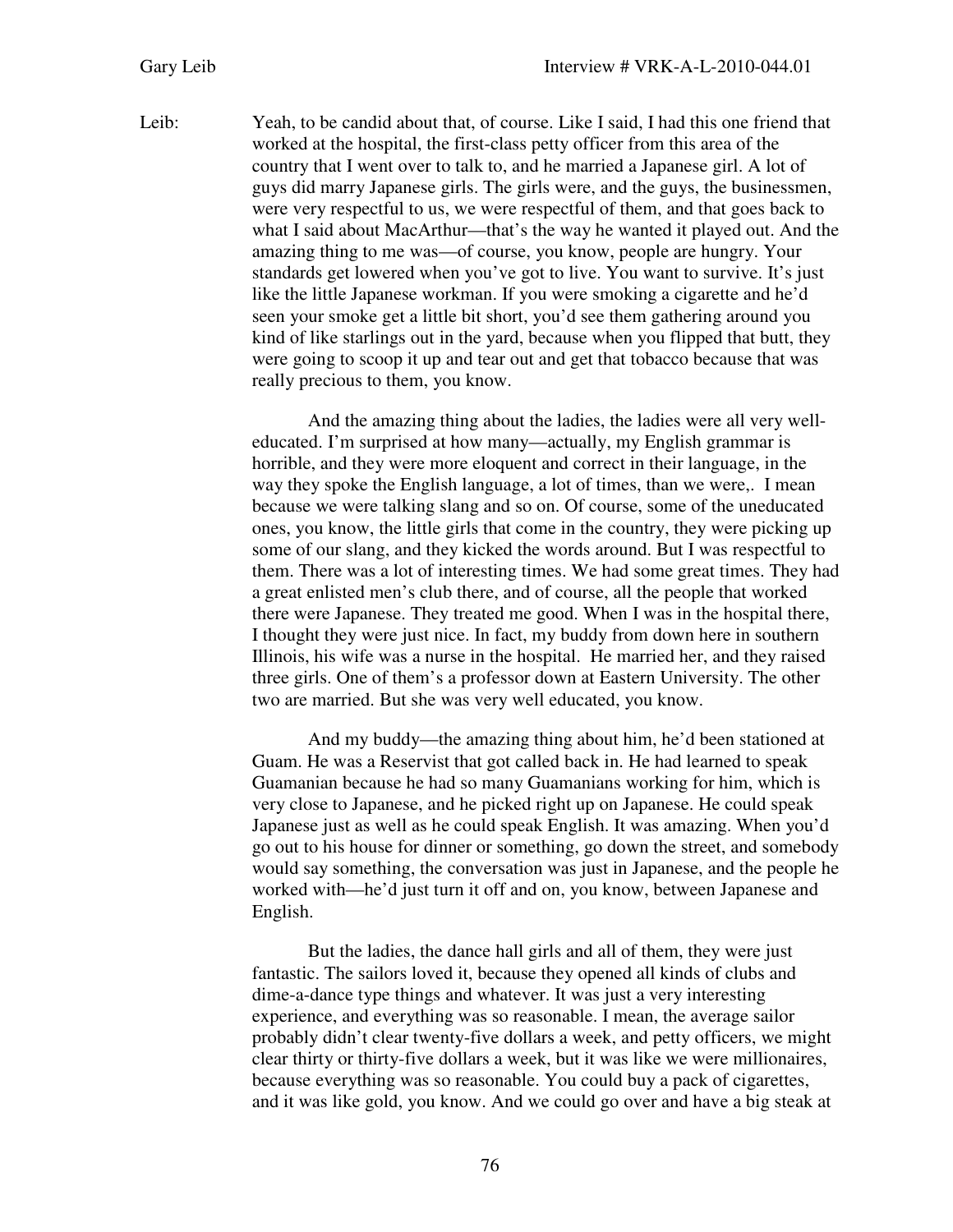Leib: Yeah, to be candid about that, of course. Like I said, I had this one friend that worked at the hospital, the first-class petty officer from this area of the country that I went over to talk to, and he married a Japanese girl. A lot of guys did marry Japanese girls. The girls were, and the guys, the businessmen, were very respectful to us, we were respectful of them, and that goes back to what I said about MacArthur—that's the way he wanted it played out. And the amazing thing to me was—of course, you know, people are hungry. Your standards get lowered when you've got to live. You want to survive. It's just like the little Japanese workman. If you were smoking a cigarette and he'd seen your smoke get a little bit short, you'd see them gathering around you kind of like starlings out in the yard, because when you flipped that butt, they were going to scoop it up and tear out and get that tobacco because that was really precious to them, you know.

> And the amazing thing about the ladies, the ladies were all very welleducated. I'm surprised at how many—actually, my English grammar is horrible, and they were more eloquent and correct in their language, in the way they spoke the English language, a lot of times, than we were,. I mean because we were talking slang and so on. Of course, some of the uneducated ones, you know, the little girls that come in the country, they were picking up some of our slang, and they kicked the words around. But I was respectful to them. There was a lot of interesting times. We had some great times. They had a great enlisted men's club there, and of course, all the people that worked there were Japanese. They treated me good. When I was in the hospital there, I thought they were just nice. In fact, my buddy from down here in southern Illinois, his wife was a nurse in the hospital. He married her, and they raised three girls. One of them's a professor down at Eastern University. The other two are married. But she was very well educated, you know.

> And my buddy—the amazing thing about him, he'd been stationed at Guam. He was a Reservist that got called back in. He had learned to speak Guamanian because he had so many Guamanians working for him, which is very close to Japanese, and he picked right up on Japanese. He could speak Japanese just as well as he could speak English. It was amazing. When you'd go out to his house for dinner or something, go down the street, and somebody would say something, the conversation was just in Japanese, and the people he worked with—he'd just turn it off and on, you know, between Japanese and English.

But the ladies, the dance hall girls and all of them, they were just fantastic. The sailors loved it, because they opened all kinds of clubs and dime-a-dance type things and whatever. It was just a very interesting experience, and everything was so reasonable. I mean, the average sailor probably didn't clear twenty-five dollars a week, and petty officers, we might clear thirty or thirty-five dollars a week, but it was like we were millionaires, because everything was so reasonable. You could buy a pack of cigarettes, and it was like gold, you know. And we could go over and have a big steak at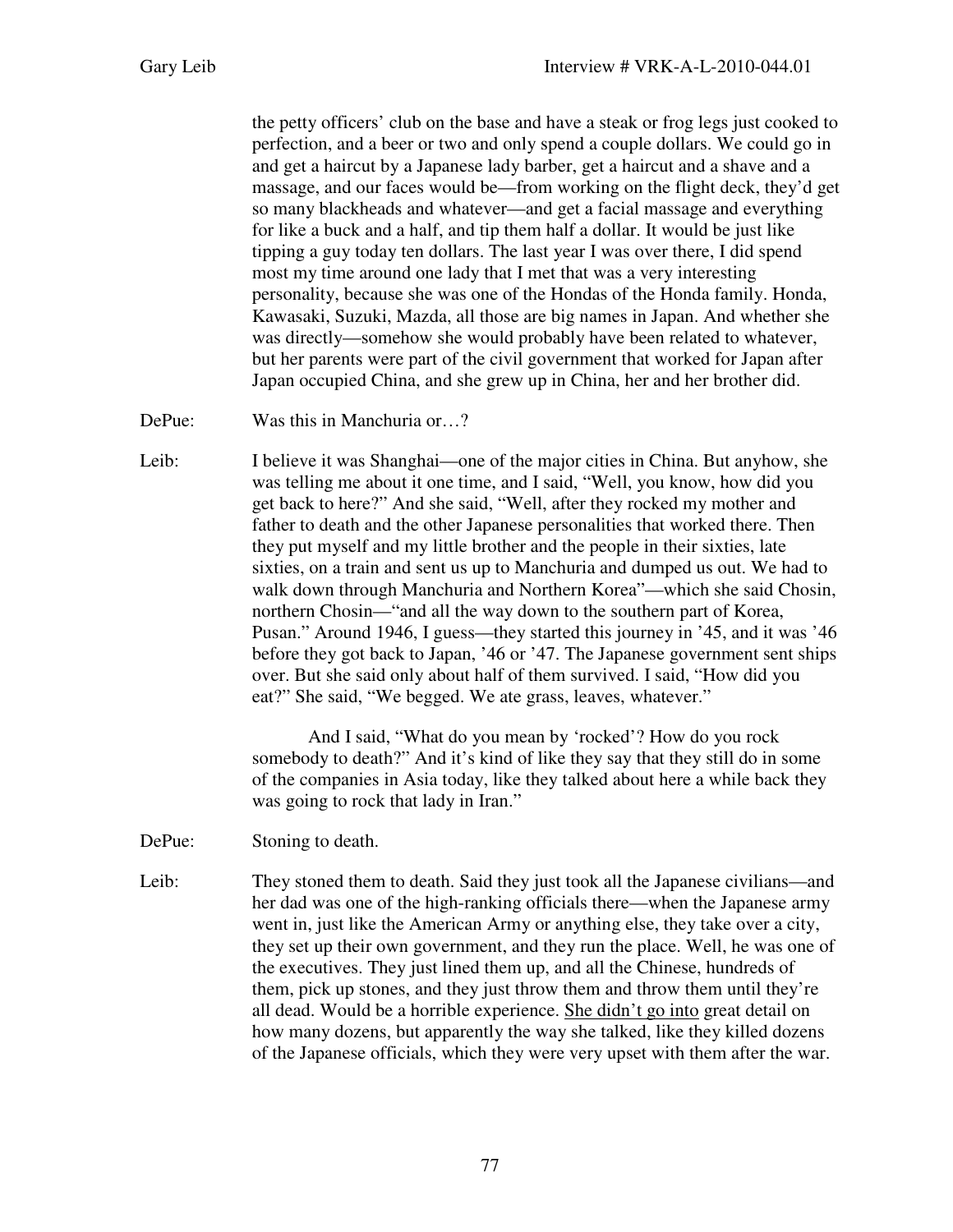the petty officers' club on the base and have a steak or frog legs just cooked to perfection, and a beer or two and only spend a couple dollars. We could go in and get a haircut by a Japanese lady barber, get a haircut and a shave and a massage, and our faces would be—from working on the flight deck, they'd get so many blackheads and whatever—and get a facial massage and everything for like a buck and a half, and tip them half a dollar. It would be just like tipping a guy today ten dollars. The last year I was over there, I did spend most my time around one lady that I met that was a very interesting personality, because she was one of the Hondas of the Honda family. Honda, Kawasaki, Suzuki, Mazda, all those are big names in Japan. And whether she was directly—somehow she would probably have been related to whatever, but her parents were part of the civil government that worked for Japan after Japan occupied China, and she grew up in China, her and her brother did.

DePue: Was this in Manchuria or...?

Leib: I believe it was Shanghai—one of the major cities in China. But anyhow, she was telling me about it one time, and I said, "Well, you know, how did you get back to here?" And she said, "Well, after they rocked my mother and father to death and the other Japanese personalities that worked there. Then they put myself and my little brother and the people in their sixties, late sixties, on a train and sent us up to Manchuria and dumped us out. We had to walk down through Manchuria and Northern Korea"—which she said Chosin, northern Chosin—"and all the way down to the southern part of Korea, Pusan." Around 1946, I guess—they started this journey in '45, and it was '46 before they got back to Japan, '46 or '47. The Japanese government sent ships over. But she said only about half of them survived. I said, "How did you eat?" She said, "We begged. We ate grass, leaves, whatever."

> And I said, "What do you mean by 'rocked'? How do you rock somebody to death?" And it's kind of like they say that they still do in some of the companies in Asia today, like they talked about here a while back they was going to rock that lady in Iran."

- DePue: Stoning to death.
- Leib: They stoned them to death. Said they just took all the Japanese civilians—and her dad was one of the high-ranking officials there—when the Japanese army went in, just like the American Army or anything else, they take over a city, they set up their own government, and they run the place. Well, he was one of the executives. They just lined them up, and all the Chinese, hundreds of them, pick up stones, and they just throw them and throw them until they're all dead. Would be a horrible experience. She didn't go into great detail on how many dozens, but apparently the way she talked, like they killed dozens of the Japanese officials, which they were very upset with them after the war.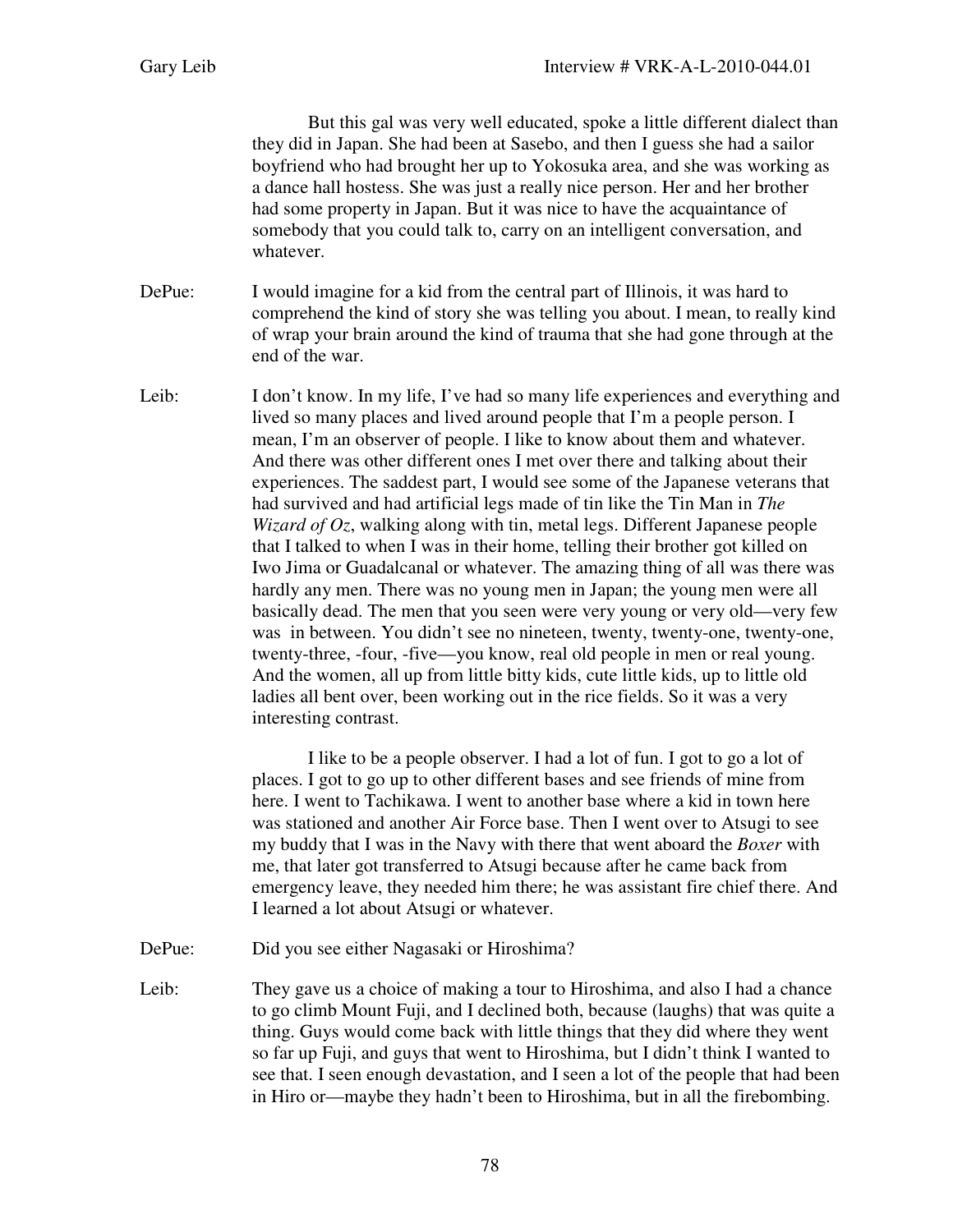But this gal was very well educated, spoke a little different dialect than they did in Japan. She had been at Sasebo, and then I guess she had a sailor boyfriend who had brought her up to Yokosuka area, and she was working as a dance hall hostess. She was just a really nice person. Her and her brother had some property in Japan. But it was nice to have the acquaintance of somebody that you could talk to, carry on an intelligent conversation, and whatever.

DePue: I would imagine for a kid from the central part of Illinois, it was hard to comprehend the kind of story she was telling you about. I mean, to really kind of wrap your brain around the kind of trauma that she had gone through at the end of the war.

Leib: I don't know. In my life, I've had so many life experiences and everything and lived so many places and lived around people that I'm a people person. I mean, I'm an observer of people. I like to know about them and whatever. And there was other different ones I met over there and talking about their experiences. The saddest part, I would see some of the Japanese veterans that had survived and had artificial legs made of tin like the Tin Man in *The Wizard of Oz*, walking along with tin, metal legs. Different Japanese people that I talked to when I was in their home, telling their brother got killed on Iwo Jima or Guadalcanal or whatever. The amazing thing of all was there was hardly any men. There was no young men in Japan; the young men were all basically dead. The men that you seen were very young or very old—very few was in between. You didn't see no nineteen, twenty, twenty-one, twenty-one, twenty-three, -four, -five—you know, real old people in men or real young. And the women, all up from little bitty kids, cute little kids, up to little old ladies all bent over, been working out in the rice fields. So it was a very interesting contrast.

> I like to be a people observer. I had a lot of fun. I got to go a lot of places. I got to go up to other different bases and see friends of mine from here. I went to Tachikawa. I went to another base where a kid in town here was stationed and another Air Force base. Then I went over to Atsugi to see my buddy that I was in the Navy with there that went aboard the *Boxer* with me, that later got transferred to Atsugi because after he came back from emergency leave, they needed him there; he was assistant fire chief there. And I learned a lot about Atsugi or whatever.

- DePue: Did you see either Nagasaki or Hiroshima?
- Leib: They gave us a choice of making a tour to Hiroshima, and also I had a chance to go climb Mount Fuji, and I declined both, because (laughs) that was quite a thing. Guys would come back with little things that they did where they went so far up Fuji, and guys that went to Hiroshima, but I didn't think I wanted to see that. I seen enough devastation, and I seen a lot of the people that had been in Hiro or—maybe they hadn't been to Hiroshima, but in all the firebombing.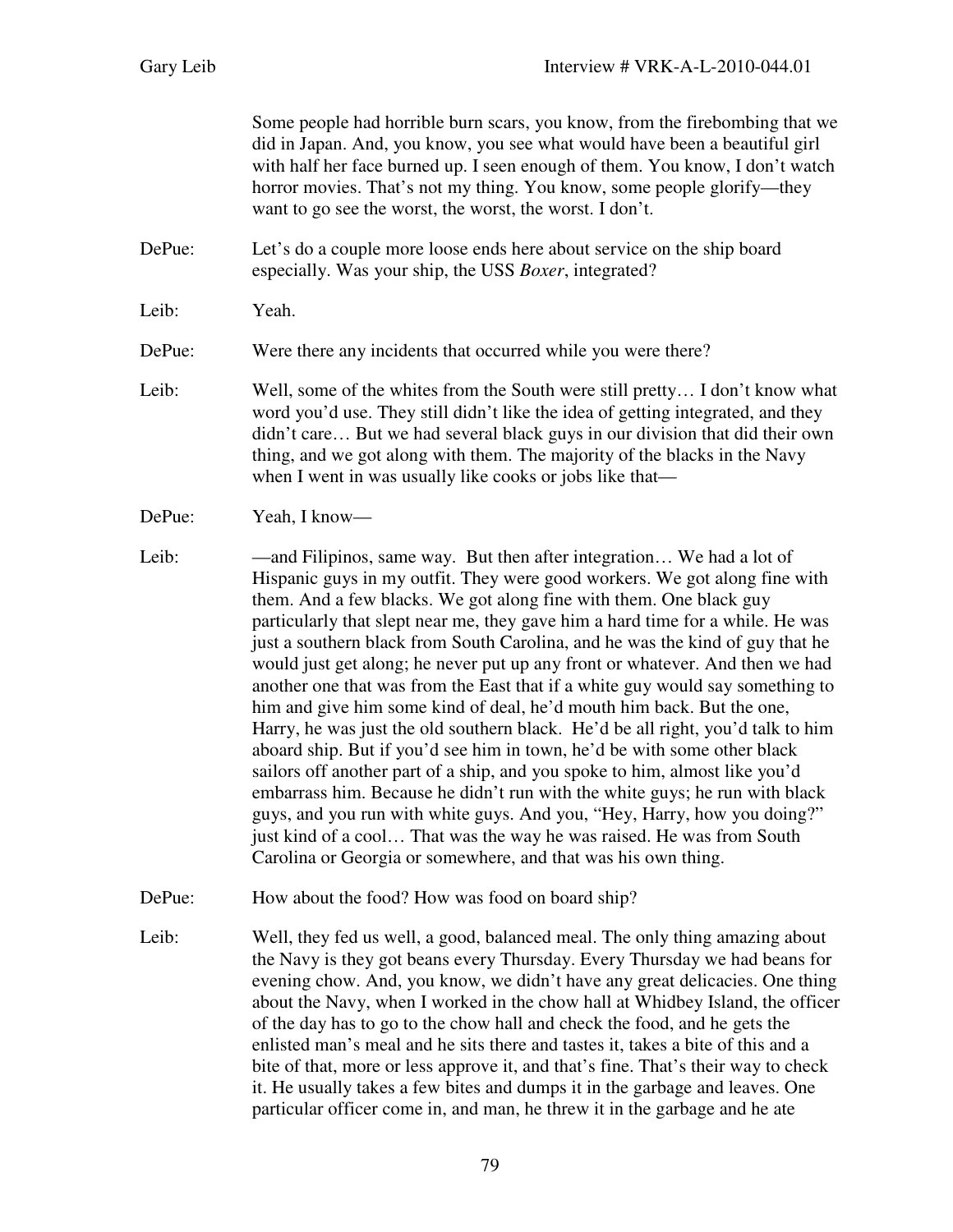Some people had horrible burn scars, you know, from the firebombing that we did in Japan. And, you know, you see what would have been a beautiful girl with half her face burned up. I seen enough of them. You know, I don't watch horror movies. That's not my thing. You know, some people glorify—they want to go see the worst, the worst, the worst. I don't.

DePue: Let's do a couple more loose ends here about service on the ship board especially. Was your ship, the USS *Boxer*, integrated?

Leib: Yeah.

DePue: Were there any incidents that occurred while you were there?

- Leib: Well, some of the whites from the South were still pretty... I don't know what word you'd use. They still didn't like the idea of getting integrated, and they didn't care… But we had several black guys in our division that did their own thing, and we got along with them. The majority of the blacks in the Navy when I went in was usually like cooks or jobs like that—
- DePue: Yeah, I know—
- Leib: —and Filipinos, same way. But then after integration... We had a lot of Hispanic guys in my outfit. They were good workers. We got along fine with them. And a few blacks. We got along fine with them. One black guy particularly that slept near me, they gave him a hard time for a while. He was just a southern black from South Carolina, and he was the kind of guy that he would just get along; he never put up any front or whatever. And then we had another one that was from the East that if a white guy would say something to him and give him some kind of deal, he'd mouth him back. But the one, Harry, he was just the old southern black. He'd be all right, you'd talk to him aboard ship. But if you'd see him in town, he'd be with some other black sailors off another part of a ship, and you spoke to him, almost like you'd embarrass him. Because he didn't run with the white guys; he run with black guys, and you run with white guys. And you, "Hey, Harry, how you doing?" just kind of a cool… That was the way he was raised. He was from South Carolina or Georgia or somewhere, and that was his own thing.
- DePue: How about the food? How was food on board ship?
- Leib: Well, they fed us well, a good, balanced meal. The only thing amazing about the Navy is they got beans every Thursday. Every Thursday we had beans for evening chow. And, you know, we didn't have any great delicacies. One thing about the Navy, when I worked in the chow hall at Whidbey Island, the officer of the day has to go to the chow hall and check the food, and he gets the enlisted man's meal and he sits there and tastes it, takes a bite of this and a bite of that, more or less approve it, and that's fine. That's their way to check it. He usually takes a few bites and dumps it in the garbage and leaves. One particular officer come in, and man, he threw it in the garbage and he ate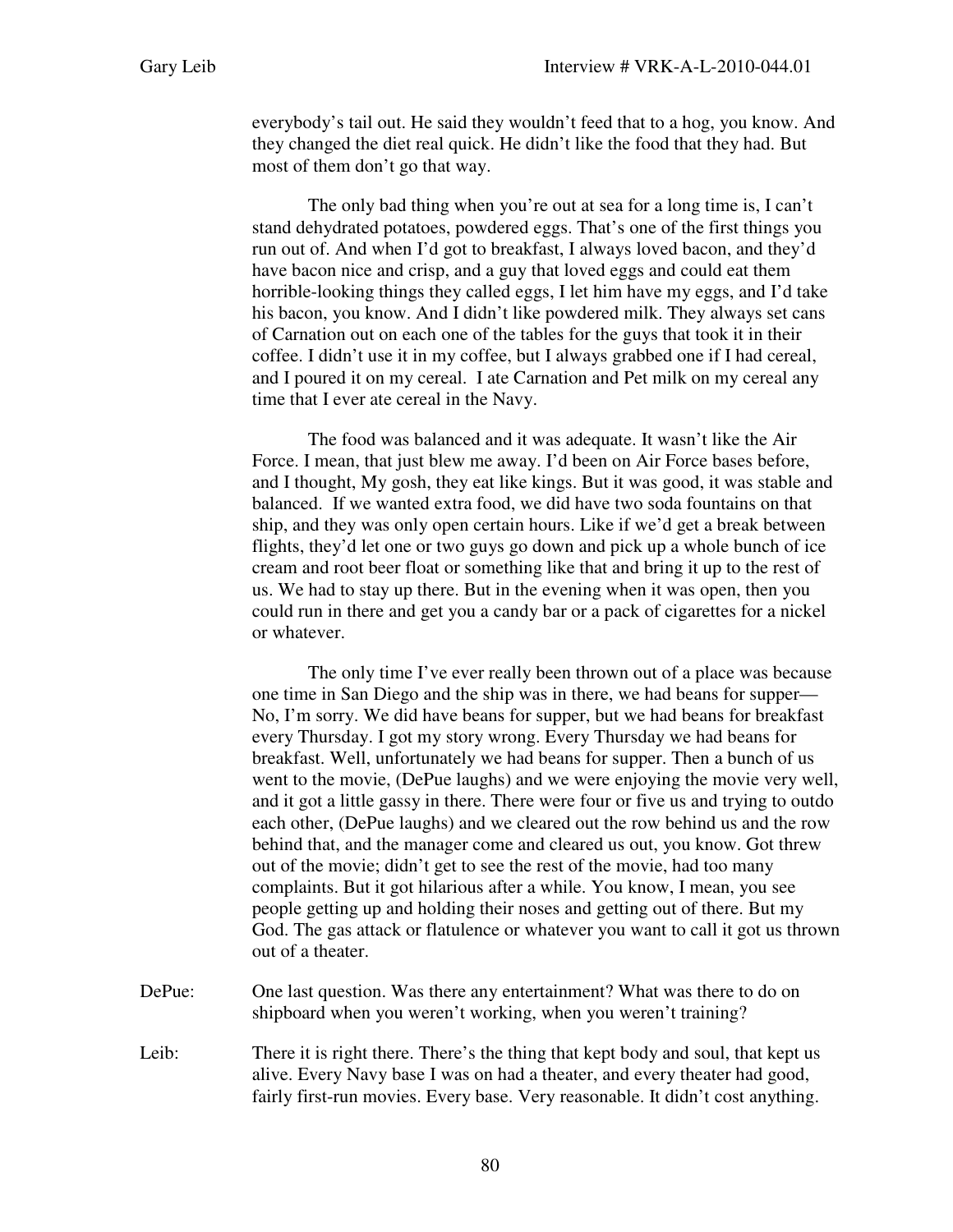everybody's tail out. He said they wouldn't feed that to a hog, you know. And they changed the diet real quick. He didn't like the food that they had. But most of them don't go that way.

The only bad thing when you're out at sea for a long time is, I can't stand dehydrated potatoes, powdered eggs. That's one of the first things you run out of. And when I'd got to breakfast, I always loved bacon, and they'd have bacon nice and crisp, and a guy that loved eggs and could eat them horrible-looking things they called eggs, I let him have my eggs, and I'd take his bacon, you know. And I didn't like powdered milk. They always set cans of Carnation out on each one of the tables for the guys that took it in their coffee. I didn't use it in my coffee, but I always grabbed one if I had cereal, and I poured it on my cereal. I ate Carnation and Pet milk on my cereal any time that I ever ate cereal in the Navy.

The food was balanced and it was adequate. It wasn't like the Air Force. I mean, that just blew me away. I'd been on Air Force bases before, and I thought, My gosh, they eat like kings. But it was good, it was stable and balanced. If we wanted extra food, we did have two soda fountains on that ship, and they was only open certain hours. Like if we'd get a break between flights, they'd let one or two guys go down and pick up a whole bunch of ice cream and root beer float or something like that and bring it up to the rest of us. We had to stay up there. But in the evening when it was open, then you could run in there and get you a candy bar or a pack of cigarettes for a nickel or whatever.

The only time I've ever really been thrown out of a place was because one time in San Diego and the ship was in there, we had beans for supper— No, I'm sorry. We did have beans for supper, but we had beans for breakfast every Thursday. I got my story wrong. Every Thursday we had beans for breakfast. Well, unfortunately we had beans for supper. Then a bunch of us went to the movie, (DePue laughs) and we were enjoying the movie very well, and it got a little gassy in there. There were four or five us and trying to outdo each other, (DePue laughs) and we cleared out the row behind us and the row behind that, and the manager come and cleared us out, you know. Got threw out of the movie; didn't get to see the rest of the movie, had too many complaints. But it got hilarious after a while. You know, I mean, you see people getting up and holding their noses and getting out of there. But my God. The gas attack or flatulence or whatever you want to call it got us thrown out of a theater.

- DePue: One last question. Was there any entertainment? What was there to do on shipboard when you weren't working, when you weren't training?
- Leib: There it is right there. There's the thing that kept body and soul, that kept us alive. Every Navy base I was on had a theater, and every theater had good, fairly first-run movies. Every base. Very reasonable. It didn't cost anything.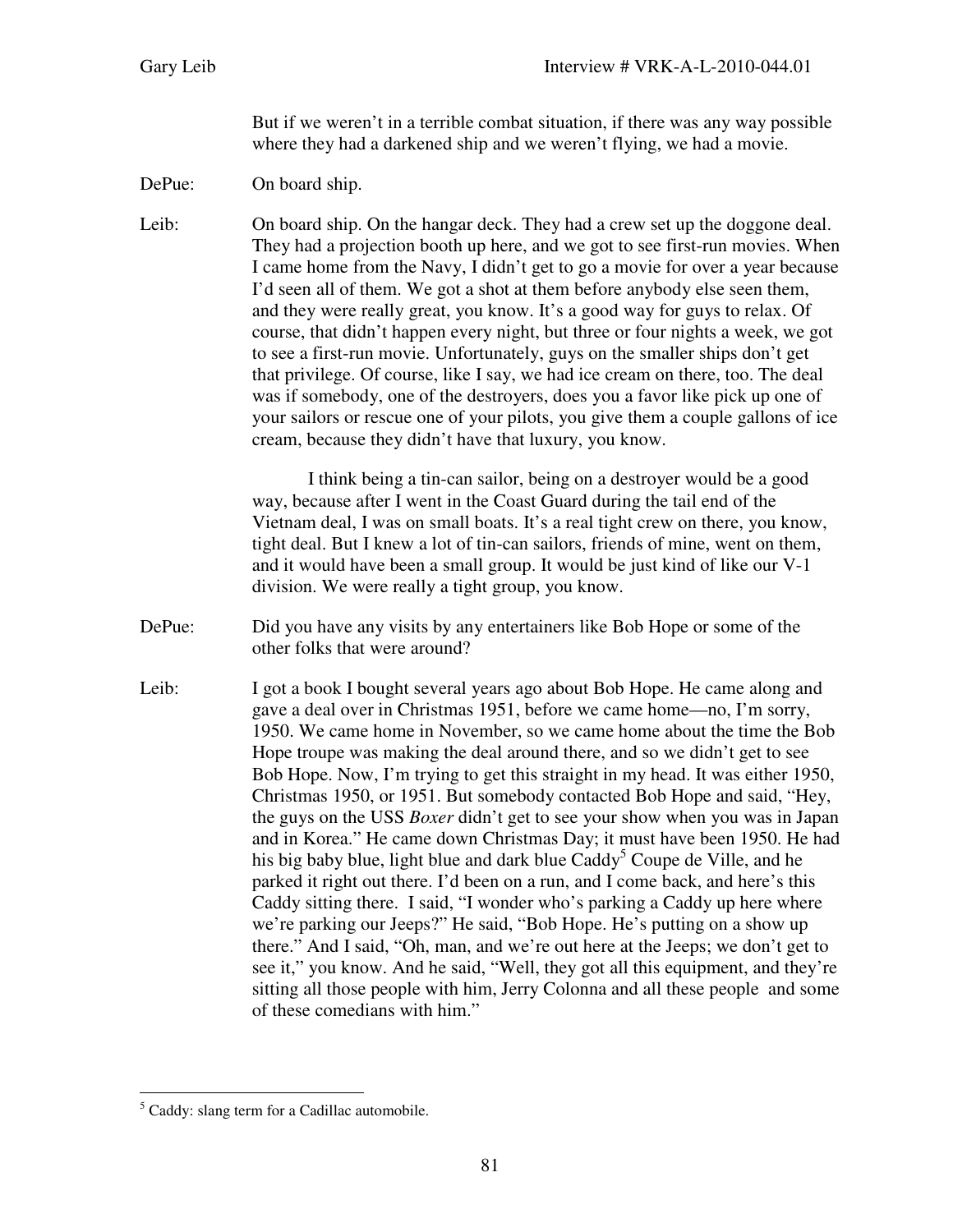But if we weren't in a terrible combat situation, if there was any way possible where they had a darkened ship and we weren't flying, we had a movie.

DePue: On board ship.

Leib: On board ship. On the hangar deck. They had a crew set up the doggone deal. They had a projection booth up here, and we got to see first-run movies. When I came home from the Navy, I didn't get to go a movie for over a year because I'd seen all of them. We got a shot at them before anybody else seen them, and they were really great, you know. It's a good way for guys to relax. Of course, that didn't happen every night, but three or four nights a week, we got to see a first-run movie. Unfortunately, guys on the smaller ships don't get that privilege. Of course, like I say, we had ice cream on there, too. The deal was if somebody, one of the destroyers, does you a favor like pick up one of your sailors or rescue one of your pilots, you give them a couple gallons of ice cream, because they didn't have that luxury, you know.

> I think being a tin-can sailor, being on a destroyer would be a good way, because after I went in the Coast Guard during the tail end of the Vietnam deal, I was on small boats. It's a real tight crew on there, you know, tight deal. But I knew a lot of tin-can sailors, friends of mine, went on them, and it would have been a small group. It would be just kind of like our V-1 division. We were really a tight group, you know.

- DePue: Did you have any visits by any entertainers like Bob Hope or some of the other folks that were around?
- Leib: I got a book I bought several years ago about Bob Hope. He came along and gave a deal over in Christmas 1951, before we came home—no, I'm sorry, 1950. We came home in November, so we came home about the time the Bob Hope troupe was making the deal around there, and so we didn't get to see Bob Hope. Now, I'm trying to get this straight in my head. It was either 1950, Christmas 1950, or 1951. But somebody contacted Bob Hope and said, "Hey, the guys on the USS *Boxer* didn't get to see your show when you was in Japan and in Korea." He came down Christmas Day; it must have been 1950. He had his big baby blue, light blue and dark blue  $Caddy^5$  Coupe de Ville, and he parked it right out there. I'd been on a run, and I come back, and here's this Caddy sitting there. I said, "I wonder who's parking a Caddy up here where we're parking our Jeeps?" He said, "Bob Hope. He's putting on a show up there." And I said, "Oh, man, and we're out here at the Jeeps; we don't get to see it," you know. And he said, "Well, they got all this equipment, and they're sitting all those people with him, Jerry Colonna and all these people and some of these comedians with him."

l <sup>5</sup> Caddy: slang term for a Cadillac automobile.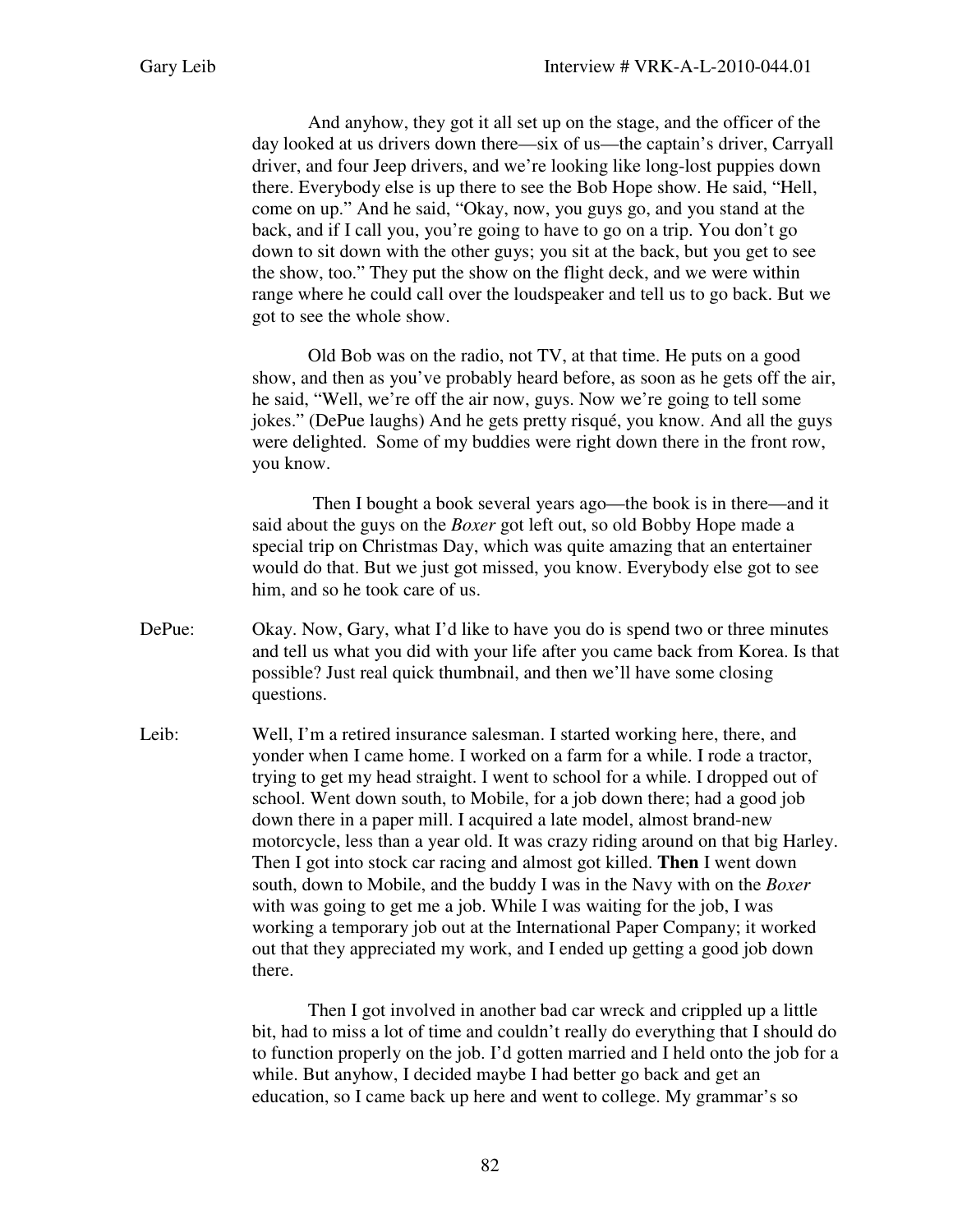And anyhow, they got it all set up on the stage, and the officer of the day looked at us drivers down there—six of us—the captain's driver, Carryall driver, and four Jeep drivers, and we're looking like long-lost puppies down there. Everybody else is up there to see the Bob Hope show. He said, "Hell, come on up." And he said, "Okay, now, you guys go, and you stand at the back, and if I call you, you're going to have to go on a trip. You don't go down to sit down with the other guys; you sit at the back, but you get to see the show, too." They put the show on the flight deck, and we were within range where he could call over the loudspeaker and tell us to go back. But we got to see the whole show.

Old Bob was on the radio, not TV, at that time. He puts on a good show, and then as you've probably heard before, as soon as he gets off the air, he said, "Well, we're off the air now, guys. Now we're going to tell some jokes." (DePue laughs) And he gets pretty risqué, you know. And all the guys were delighted. Some of my buddies were right down there in the front row, you know.

 Then I bought a book several years ago—the book is in there—and it said about the guys on the *Boxer* got left out, so old Bobby Hope made a special trip on Christmas Day, which was quite amazing that an entertainer would do that. But we just got missed, you know. Everybody else got to see him, and so he took care of us.

- DePue: Okay. Now, Gary, what I'd like to have you do is spend two or three minutes and tell us what you did with your life after you came back from Korea. Is that possible? Just real quick thumbnail, and then we'll have some closing questions.
- Leib: Well, I'm a retired insurance salesman. I started working here, there, and yonder when I came home. I worked on a farm for a while. I rode a tractor, trying to get my head straight. I went to school for a while. I dropped out of school. Went down south, to Mobile, for a job down there; had a good job down there in a paper mill. I acquired a late model, almost brand-new motorcycle, less than a year old. It was crazy riding around on that big Harley. Then I got into stock car racing and almost got killed. **Then** I went down south, down to Mobile, and the buddy I was in the Navy with on the *Boxer* with was going to get me a job. While I was waiting for the job, I was working a temporary job out at the International Paper Company; it worked out that they appreciated my work, and I ended up getting a good job down there.

Then I got involved in another bad car wreck and crippled up a little bit, had to miss a lot of time and couldn't really do everything that I should do to function properly on the job. I'd gotten married and I held onto the job for a while. But anyhow, I decided maybe I had better go back and get an education, so I came back up here and went to college. My grammar's so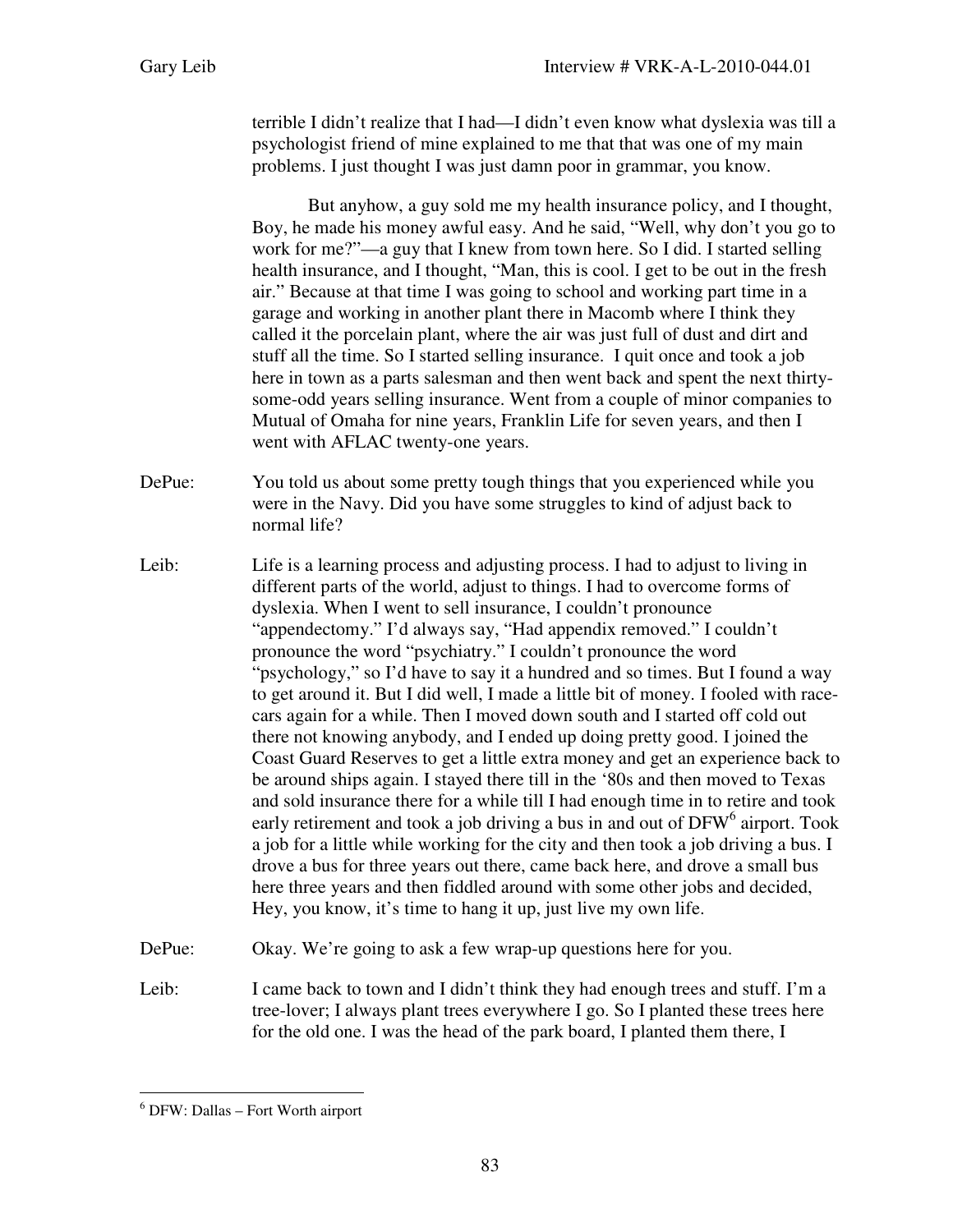terrible I didn't realize that I had—I didn't even know what dyslexia was till a psychologist friend of mine explained to me that that was one of my main problems. I just thought I was just damn poor in grammar, you know.

But anyhow, a guy sold me my health insurance policy, and I thought, Boy, he made his money awful easy. And he said, "Well, why don't you go to work for me?"—a guy that I knew from town here. So I did. I started selling health insurance, and I thought, "Man, this is cool. I get to be out in the fresh air." Because at that time I was going to school and working part time in a garage and working in another plant there in Macomb where I think they called it the porcelain plant, where the air was just full of dust and dirt and stuff all the time. So I started selling insurance. I quit once and took a job here in town as a parts salesman and then went back and spent the next thirtysome-odd years selling insurance. Went from a couple of minor companies to Mutual of Omaha for nine years, Franklin Life for seven years, and then I went with AFLAC twenty-one years.

DePue: You told us about some pretty tough things that you experienced while you were in the Navy. Did you have some struggles to kind of adjust back to normal life?

- Leib: Life is a learning process and adjusting process. I had to adjust to living in different parts of the world, adjust to things. I had to overcome forms of dyslexia. When I went to sell insurance, I couldn't pronounce "appendectomy." I'd always say, "Had appendix removed." I couldn't pronounce the word "psychiatry." I couldn't pronounce the word "psychology," so I'd have to say it a hundred and so times. But I found a way to get around it. But I did well, I made a little bit of money. I fooled with racecars again for a while. Then I moved down south and I started off cold out there not knowing anybody, and I ended up doing pretty good. I joined the Coast Guard Reserves to get a little extra money and get an experience back to be around ships again. I stayed there till in the '80s and then moved to Texas and sold insurance there for a while till I had enough time in to retire and took early retirement and took a job driving a bus in and out of DFW<sup>6</sup> airport. Took a job for a little while working for the city and then took a job driving a bus. I drove a bus for three years out there, came back here, and drove a small bus here three years and then fiddled around with some other jobs and decided, Hey, you know, it's time to hang it up, just live my own life.
- DePue: Okay. We're going to ask a few wrap-up questions here for you.
- Leib: I came back to town and I didn't think they had enough trees and stuff. I'm a tree-lover; I always plant trees everywhere I go. So I planted these trees here for the old one. I was the head of the park board, I planted them there, I

l 6 DFW: Dallas – Fort Worth airport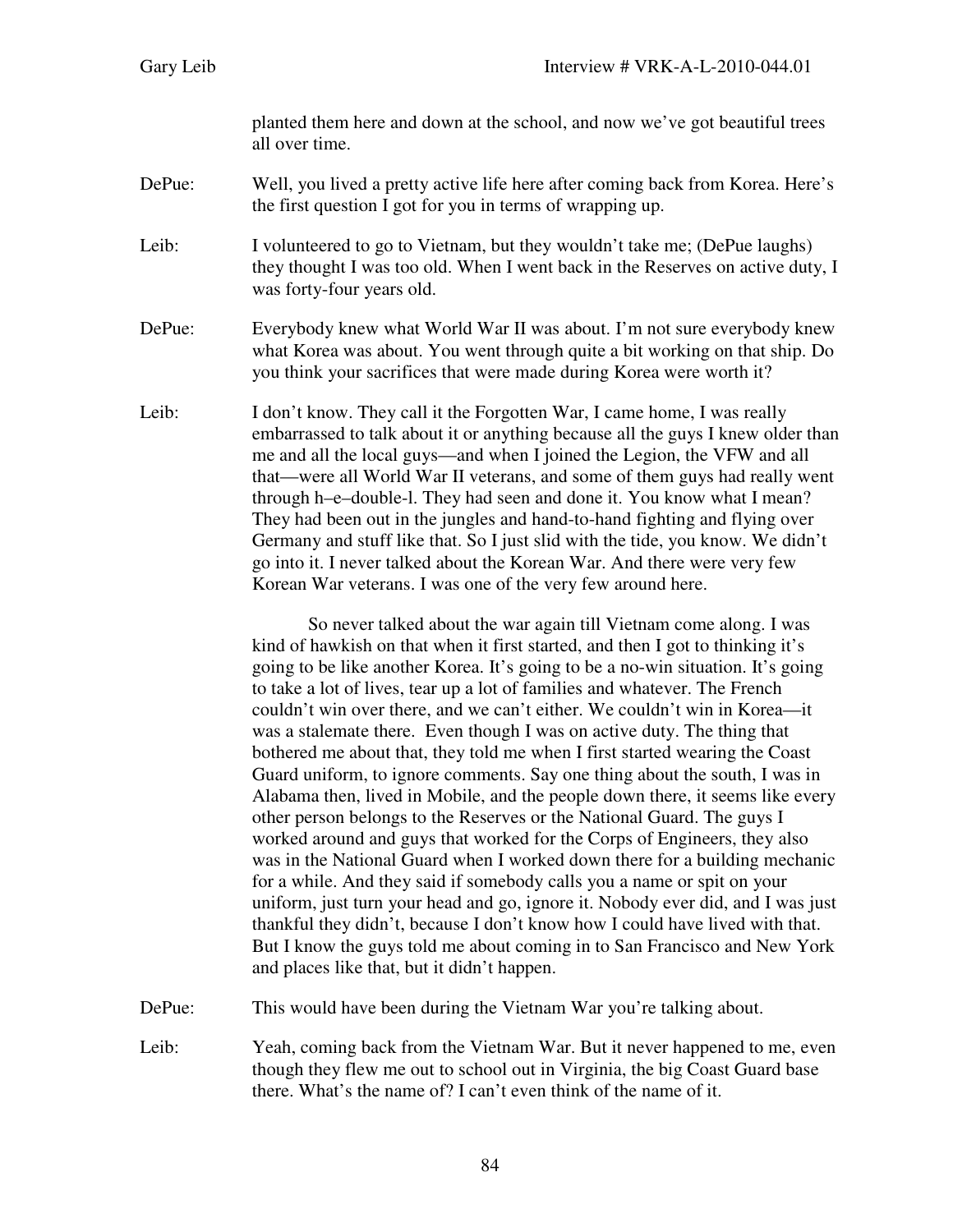planted them here and down at the school, and now we've got beautiful trees all over time.

## DePue: Well, you lived a pretty active life here after coming back from Korea. Here's the first question I got for you in terms of wrapping up.

Leib: I volunteered to go to Vietnam, but they wouldn't take me; (DePue laughs) they thought I was too old. When I went back in the Reserves on active duty, I was forty-four years old.

- DePue: Everybody knew what World War II was about. I'm not sure everybody knew what Korea was about. You went through quite a bit working on that ship. Do you think your sacrifices that were made during Korea were worth it?
- Leib: I don't know. They call it the Forgotten War, I came home, I was really embarrassed to talk about it or anything because all the guys I knew older than me and all the local guys—and when I joined the Legion, the VFW and all that—were all World War II veterans, and some of them guys had really went through h–e–double-l. They had seen and done it. You know what I mean? They had been out in the jungles and hand-to-hand fighting and flying over Germany and stuff like that. So I just slid with the tide, you know. We didn't go into it. I never talked about the Korean War. And there were very few Korean War veterans. I was one of the very few around here.

So never talked about the war again till Vietnam come along. I was kind of hawkish on that when it first started, and then I got to thinking it's going to be like another Korea. It's going to be a no-win situation. It's going to take a lot of lives, tear up a lot of families and whatever. The French couldn't win over there, and we can't either. We couldn't win in Korea—it was a stalemate there. Even though I was on active duty. The thing that bothered me about that, they told me when I first started wearing the Coast Guard uniform, to ignore comments. Say one thing about the south, I was in Alabama then, lived in Mobile, and the people down there, it seems like every other person belongs to the Reserves or the National Guard. The guys I worked around and guys that worked for the Corps of Engineers, they also was in the National Guard when I worked down there for a building mechanic for a while. And they said if somebody calls you a name or spit on your uniform, just turn your head and go, ignore it. Nobody ever did, and I was just thankful they didn't, because I don't know how I could have lived with that. But I know the guys told me about coming in to San Francisco and New York and places like that, but it didn't happen.

DePue: This would have been during the Vietnam War you're talking about.

Leib: Yeah, coming back from the Vietnam War. But it never happened to me, even though they flew me out to school out in Virginia, the big Coast Guard base there. What's the name of? I can't even think of the name of it.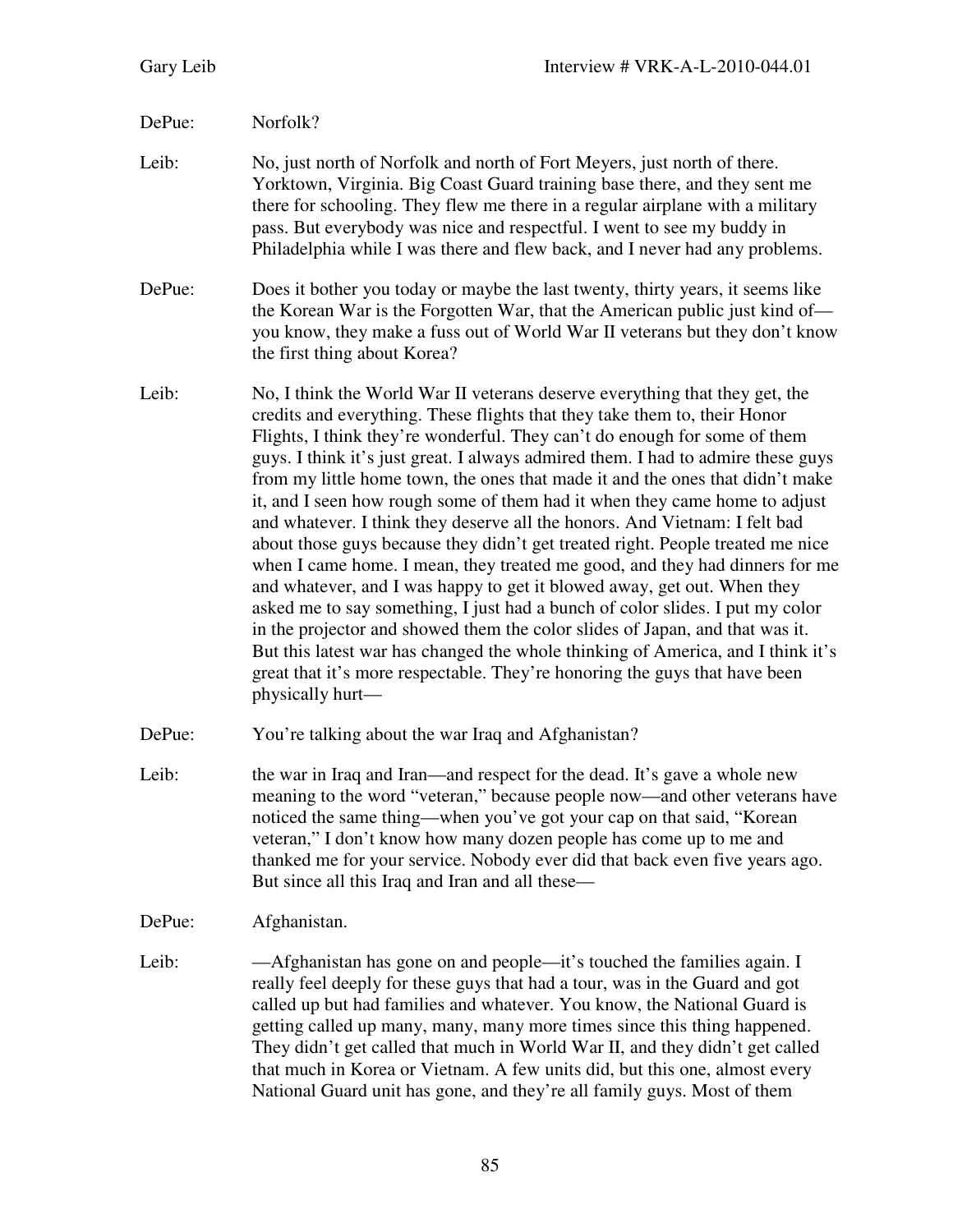## DePue: Norfolk?

- Leib: No, just north of Norfolk and north of Fort Meyers, just north of there. Yorktown, Virginia. Big Coast Guard training base there, and they sent me there for schooling. They flew me there in a regular airplane with a military pass. But everybody was nice and respectful. I went to see my buddy in Philadelphia while I was there and flew back, and I never had any problems.
- DePue: Does it bother you today or maybe the last twenty, thirty years, it seems like the Korean War is the Forgotten War, that the American public just kind of you know, they make a fuss out of World War II veterans but they don't know the first thing about Korea?
- Leib: No, I think the World War II veterans deserve everything that they get, the credits and everything. These flights that they take them to, their Honor Flights, I think they're wonderful. They can't do enough for some of them guys. I think it's just great. I always admired them. I had to admire these guys from my little home town, the ones that made it and the ones that didn't make it, and I seen how rough some of them had it when they came home to adjust and whatever. I think they deserve all the honors. And Vietnam: I felt bad about those guys because they didn't get treated right. People treated me nice when I came home. I mean, they treated me good, and they had dinners for me and whatever, and I was happy to get it blowed away, get out. When they asked me to say something, I just had a bunch of color slides. I put my color in the projector and showed them the color slides of Japan, and that was it. But this latest war has changed the whole thinking of America, and I think it's great that it's more respectable. They're honoring the guys that have been physically hurt—
- DePue: You're talking about the war Iraq and Afghanistan?
- Leib: the war in Iraq and Iran—and respect for the dead. It's gave a whole new meaning to the word "veteran," because people now—and other veterans have noticed the same thing—when you've got your cap on that said, "Korean veteran," I don't know how many dozen people has come up to me and thanked me for your service. Nobody ever did that back even five years ago. But since all this Iraq and Iran and all these—
- DePue: Afghanistan.
- Leib: ——Afghanistan has gone on and people—it's touched the families again. I really feel deeply for these guys that had a tour, was in the Guard and got called up but had families and whatever. You know, the National Guard is getting called up many, many, many more times since this thing happened. They didn't get called that much in World War II, and they didn't get called that much in Korea or Vietnam. A few units did, but this one, almost every National Guard unit has gone, and they're all family guys. Most of them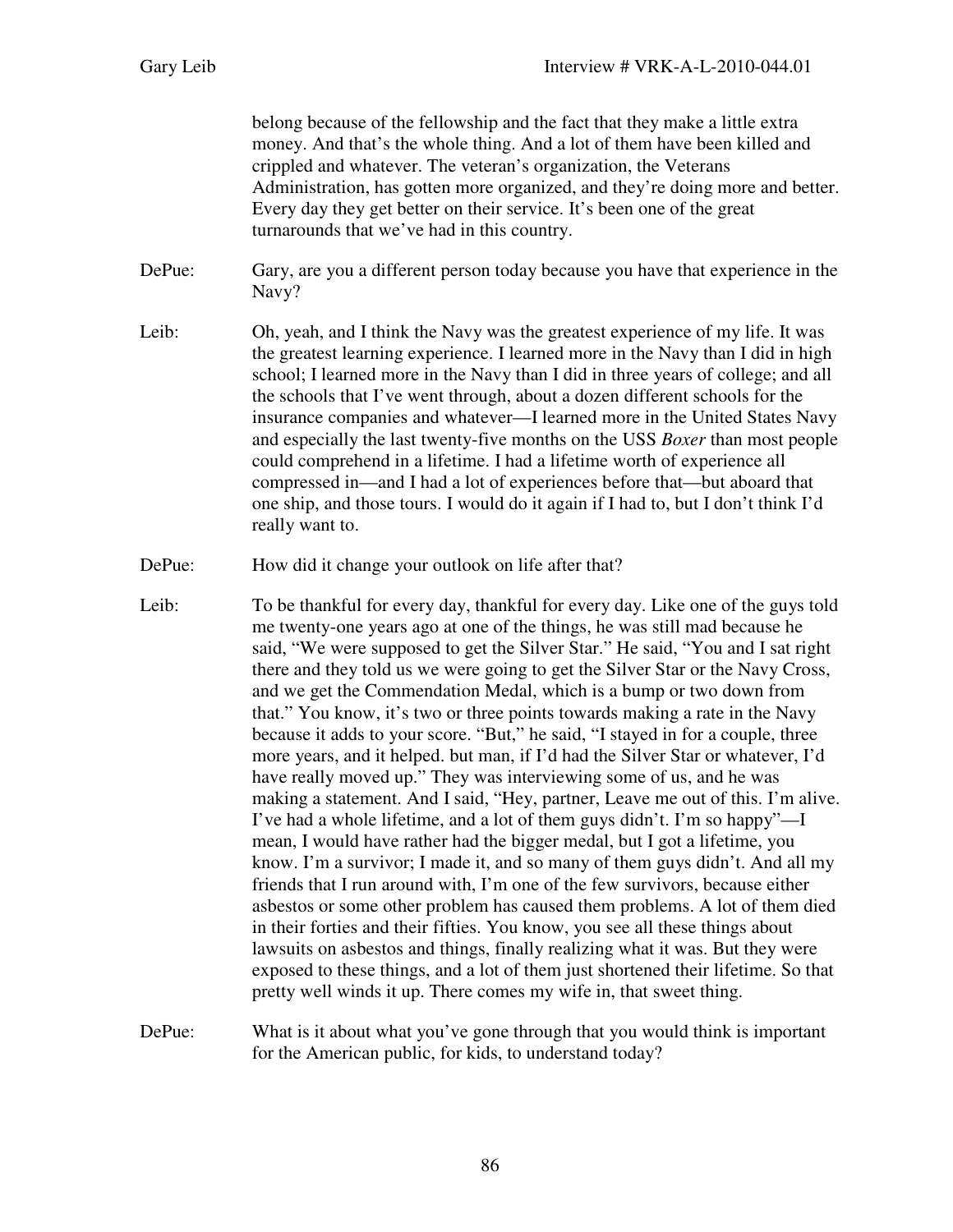belong because of the fellowship and the fact that they make a little extra money. And that's the whole thing. And a lot of them have been killed and crippled and whatever. The veteran's organization, the Veterans Administration, has gotten more organized, and they're doing more and better. Every day they get better on their service. It's been one of the great turnarounds that we've had in this country.

- DePue: Gary, are you a different person today because you have that experience in the Navy?
- Leib: Oh, yeah, and I think the Navy was the greatest experience of my life. It was the greatest learning experience. I learned more in the Navy than I did in high school; I learned more in the Navy than I did in three years of college; and all the schools that I've went through, about a dozen different schools for the insurance companies and whatever—I learned more in the United States Navy and especially the last twenty-five months on the USS *Boxer* than most people could comprehend in a lifetime. I had a lifetime worth of experience all compressed in—and I had a lot of experiences before that—but aboard that one ship, and those tours. I would do it again if I had to, but I don't think I'd really want to.
- DePue: How did it change your outlook on life after that?
- Leib: To be thankful for every day, thankful for every day. Like one of the guys told me twenty-one years ago at one of the things, he was still mad because he said, "We were supposed to get the Silver Star." He said, "You and I sat right there and they told us we were going to get the Silver Star or the Navy Cross, and we get the Commendation Medal, which is a bump or two down from that." You know, it's two or three points towards making a rate in the Navy because it adds to your score. "But," he said, "I stayed in for a couple, three more years, and it helped. but man, if I'd had the Silver Star or whatever, I'd have really moved up." They was interviewing some of us, and he was making a statement. And I said, "Hey, partner, Leave me out of this. I'm alive. I've had a whole lifetime, and a lot of them guys didn't. I'm so happy"—I mean, I would have rather had the bigger medal, but I got a lifetime, you know. I'm a survivor; I made it, and so many of them guys didn't. And all my friends that I run around with, I'm one of the few survivors, because either asbestos or some other problem has caused them problems. A lot of them died in their forties and their fifties. You know, you see all these things about lawsuits on asbestos and things, finally realizing what it was. But they were exposed to these things, and a lot of them just shortened their lifetime. So that pretty well winds it up. There comes my wife in, that sweet thing.
- DePue: What is it about what you've gone through that you would think is important for the American public, for kids, to understand today?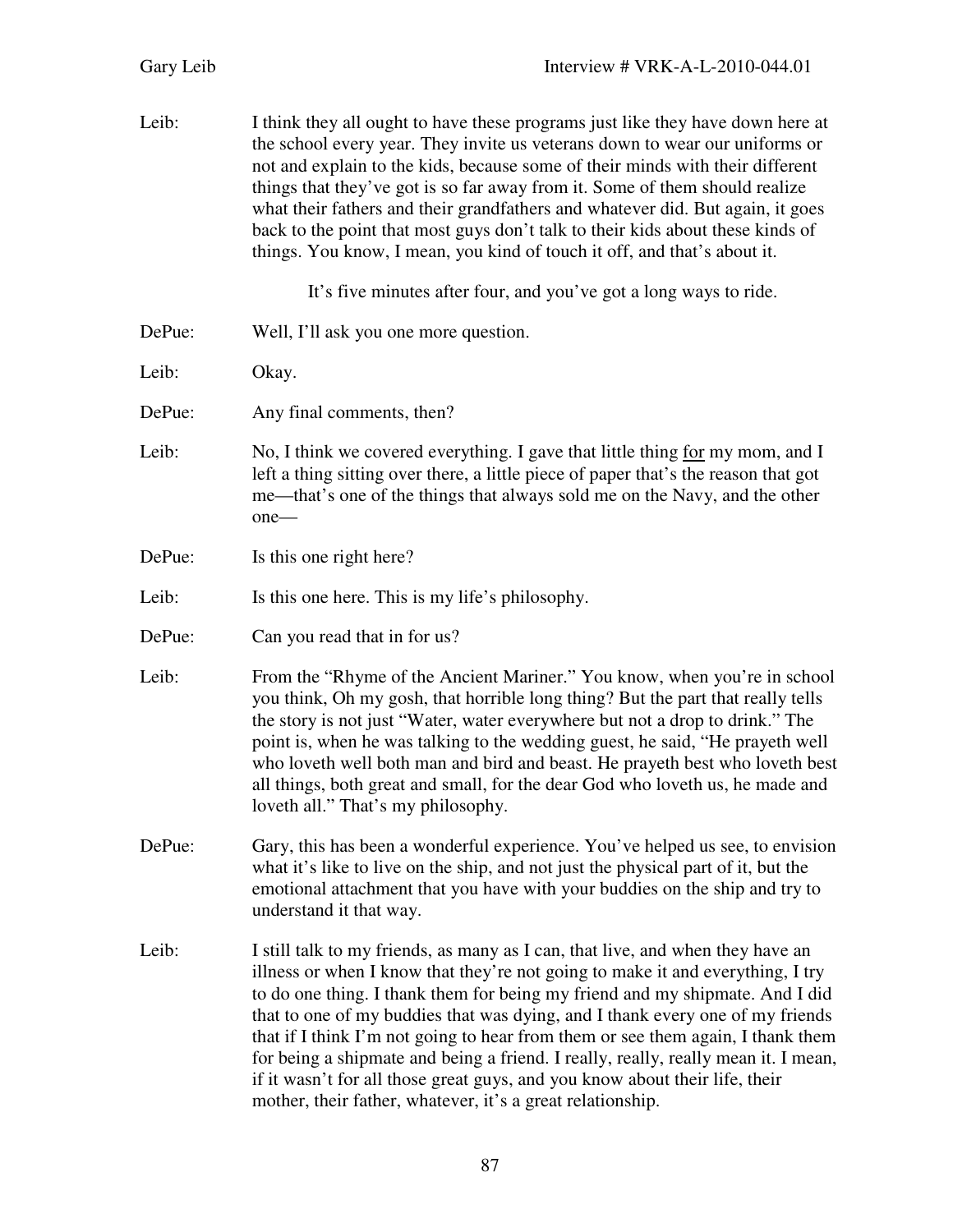| Leib:  | I think they all ought to have these programs just like they have down here at<br>the school every year. They invite us veterans down to wear our uniforms or<br>not and explain to the kids, because some of their minds with their different<br>things that they've got is so far away from it. Some of them should realize<br>what their fathers and their grandfathers and whatever did. But again, it goes<br>back to the point that most guys don't talk to their kids about these kinds of<br>things. You know, I mean, you kind of touch it off, and that's about it.                                                                           |
|--------|---------------------------------------------------------------------------------------------------------------------------------------------------------------------------------------------------------------------------------------------------------------------------------------------------------------------------------------------------------------------------------------------------------------------------------------------------------------------------------------------------------------------------------------------------------------------------------------------------------------------------------------------------------|
|        | It's five minutes after four, and you've got a long ways to ride.                                                                                                                                                                                                                                                                                                                                                                                                                                                                                                                                                                                       |
| DePue: | Well, I'll ask you one more question.                                                                                                                                                                                                                                                                                                                                                                                                                                                                                                                                                                                                                   |
| Leib:  | Okay.                                                                                                                                                                                                                                                                                                                                                                                                                                                                                                                                                                                                                                                   |
| DePue: | Any final comments, then?                                                                                                                                                                                                                                                                                                                                                                                                                                                                                                                                                                                                                               |
| Leib:  | No, I think we covered everything. I gave that little thing for my mom, and I<br>left a thing sitting over there, a little piece of paper that's the reason that got<br>me—that's one of the things that always sold me on the Navy, and the other<br>one-                                                                                                                                                                                                                                                                                                                                                                                              |
| DePue: | Is this one right here?                                                                                                                                                                                                                                                                                                                                                                                                                                                                                                                                                                                                                                 |
| Leib:  | Is this one here. This is my life's philosophy.                                                                                                                                                                                                                                                                                                                                                                                                                                                                                                                                                                                                         |
| DePue: | Can you read that in for us?                                                                                                                                                                                                                                                                                                                                                                                                                                                                                                                                                                                                                            |
| Leib:  | From the "Rhyme of the Ancient Mariner." You know, when you're in school<br>you think, Oh my gosh, that horrible long thing? But the part that really tells<br>the story is not just "Water, water everywhere but not a drop to drink." The<br>point is, when he was talking to the wedding guest, he said, "He prayeth well<br>who loveth well both man and bird and beast. He prayeth best who loveth best<br>all things, both great and small, for the dear God who loveth us, he made and<br>loveth all." That's my philosophy.                                                                                                                     |
| DePue: | Gary, this has been a wonderful experience. You've helped us see, to envision<br>what it's like to live on the ship, and not just the physical part of it, but the<br>emotional attachment that you have with your buddies on the ship and try to<br>understand it that way.                                                                                                                                                                                                                                                                                                                                                                            |
| Leib:  | I still talk to my friends, as many as I can, that live, and when they have an<br>illness or when I know that they're not going to make it and everything, I try<br>to do one thing. I thank them for being my friend and my shipmate. And I did<br>that to one of my buddies that was dying, and I thank every one of my friends<br>that if I think I'm not going to hear from them or see them again, I thank them<br>for being a shipmate and being a friend. I really, really, really mean it. I mean,<br>if it wasn't for all those great guys, and you know about their life, their<br>mother, their father, whatever, it's a great relationship. |